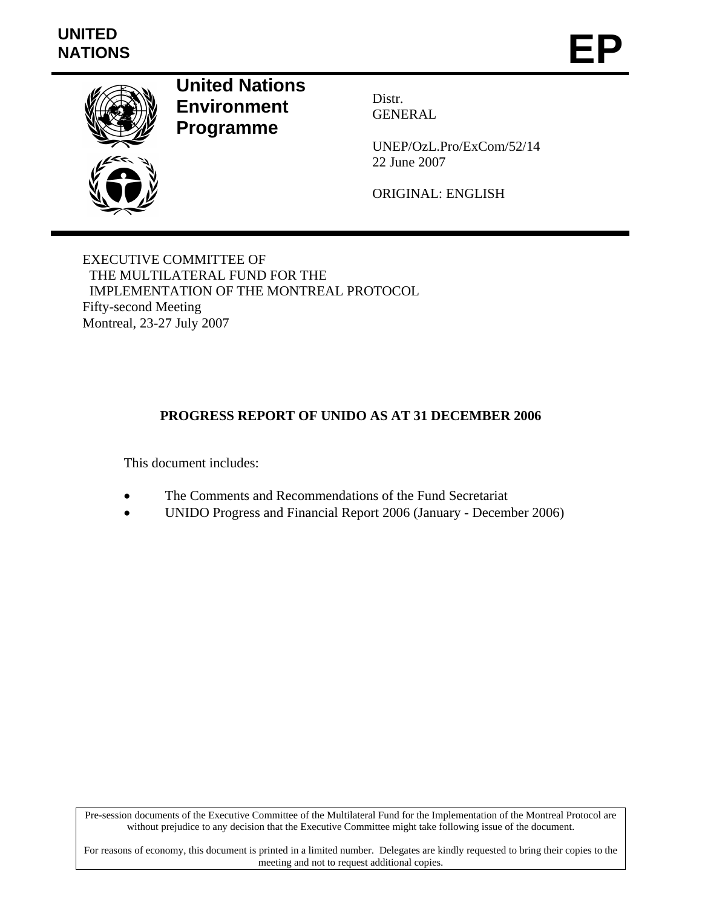# **UNITED**  UNITED<br>NATIONS **EP**



**United Nations Environment Programme** 

Distr. GENERAL

UNEP/OzL.Pro/ExCom/52/14 22 June 2007

ORIGINAL: ENGLISH

EXECUTIVE COMMITTEE OF THE MULTILATERAL FUND FOR THE IMPLEMENTATION OF THE MONTREAL PROTOCOL Fifty-second Meeting Montreal, 23-27 July 2007

# **PROGRESS REPORT OF UNIDO AS AT 31 DECEMBER 2006**

This document includes:

- The Comments and Recommendations of the Fund Secretariat
- UNIDO Progress and Financial Report 2006 (January December 2006)

Pre-session documents of the Executive Committee of the Multilateral Fund for the Implementation of the Montreal Protocol are without prejudice to any decision that the Executive Committee might take following issue of the document.

For reasons of economy, this document is printed in a limited number. Delegates are kindly requested to bring their copies to the meeting and not to request additional copies.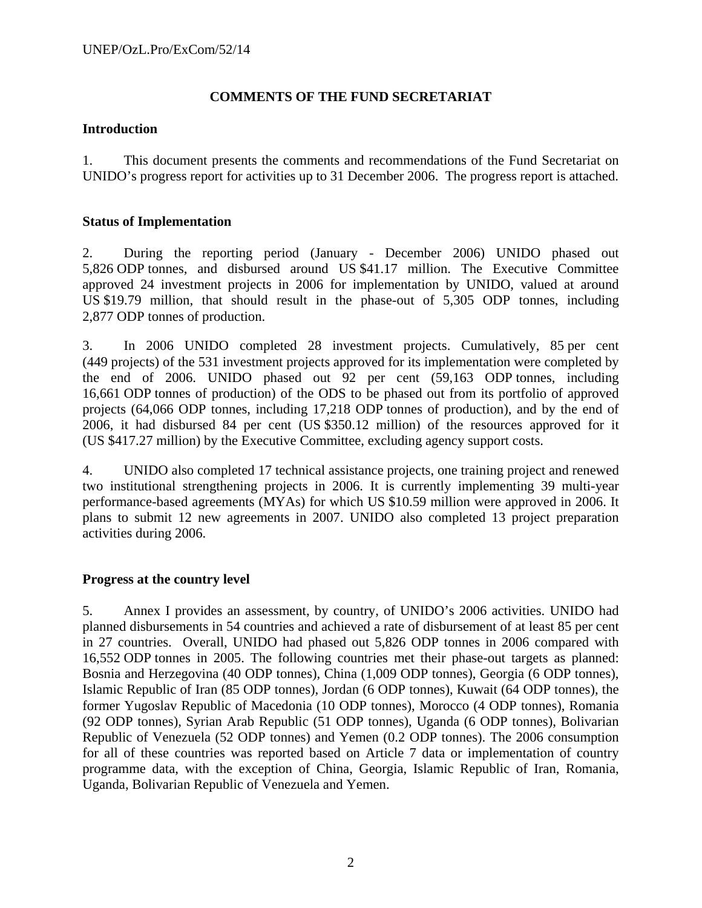# **COMMENTS OF THE FUND SECRETARIAT**

# **Introduction**

1. This document presents the comments and recommendations of the Fund Secretariat on UNIDO's progress report for activities up to 31 December 2006. The progress report is attached.

# **Status of Implementation**

2. During the reporting period (January - December 2006) UNIDO phased out 5,826 ODP tonnes, and disbursed around US \$41.17 million. The Executive Committee approved 24 investment projects in 2006 for implementation by UNIDO, valued at around US \$19.79 million, that should result in the phase-out of 5,305 ODP tonnes, including 2,877 ODP tonnes of production.

3. In 2006 UNIDO completed 28 investment projects. Cumulatively, 85 per cent (449 projects) of the 531 investment projects approved for its implementation were completed by the end of 2006. UNIDO phased out 92 per cent (59,163 ODP tonnes, including 16,661 ODP tonnes of production) of the ODS to be phased out from its portfolio of approved projects (64,066 ODP tonnes, including 17,218 ODP tonnes of production), and by the end of 2006, it had disbursed 84 per cent (US \$350.12 million) of the resources approved for it (US \$417.27 million) by the Executive Committee, excluding agency support costs.

4. UNIDO also completed 17 technical assistance projects, one training project and renewed two institutional strengthening projects in 2006. It is currently implementing 39 multi-year performance-based agreements (MYAs) for which US \$10.59 million were approved in 2006. It plans to submit 12 new agreements in 2007. UNIDO also completed 13 project preparation activities during 2006.

# **Progress at the country level**

5. Annex I provides an assessment, by country, of UNIDO's 2006 activities. UNIDO had planned disbursements in 54 countries and achieved a rate of disbursement of at least 85 per cent in 27 countries. Overall, UNIDO had phased out 5,826 ODP tonnes in 2006 compared with 16,552 ODP tonnes in 2005. The following countries met their phase-out targets as planned: Bosnia and Herzegovina (40 ODP tonnes), China (1,009 ODP tonnes), Georgia (6 ODP tonnes), Islamic Republic of Iran (85 ODP tonnes), Jordan (6 ODP tonnes), Kuwait (64 ODP tonnes), the former Yugoslav Republic of Macedonia (10 ODP tonnes), Morocco (4 ODP tonnes), Romania (92 ODP tonnes), Syrian Arab Republic (51 ODP tonnes), Uganda (6 ODP tonnes), Bolivarian Republic of Venezuela (52 ODP tonnes) and Yemen (0.2 ODP tonnes). The 2006 consumption for all of these countries was reported based on Article 7 data or implementation of country programme data, with the exception of China, Georgia, Islamic Republic of Iran, Romania, Uganda, Bolivarian Republic of Venezuela and Yemen.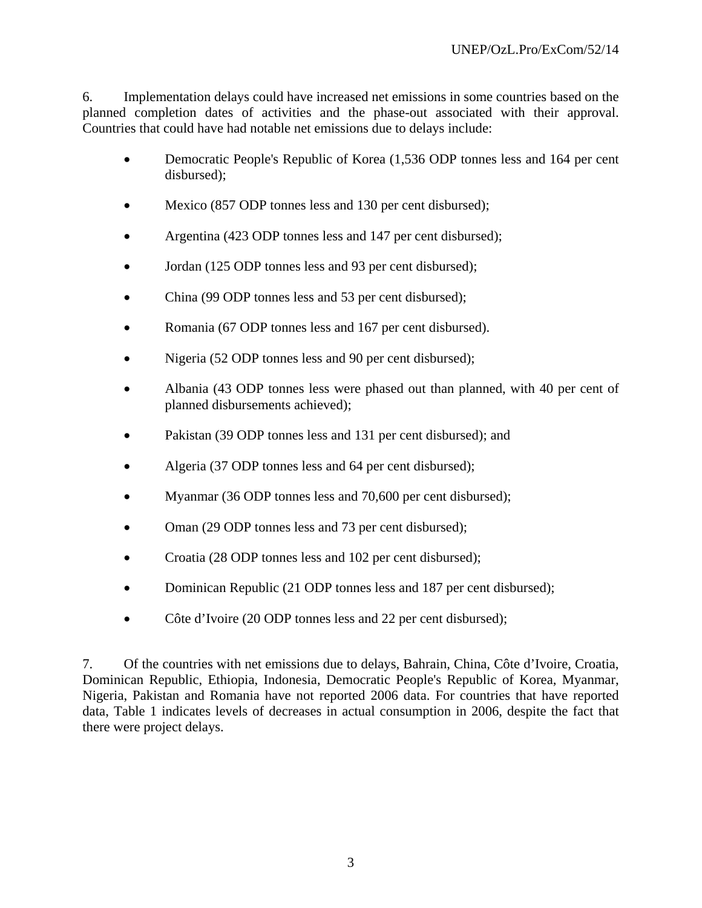6. Implementation delays could have increased net emissions in some countries based on the planned completion dates of activities and the phase-out associated with their approval. Countries that could have had notable net emissions due to delays include:

- Democratic People's Republic of Korea (1,536 ODP tonnes less and 164 per cent disbursed);
- Mexico (857 ODP tonnes less and 130 per cent disbursed);
- Argentina (423 ODP tonnes less and 147 per cent disbursed);
- Jordan (125 ODP tonnes less and 93 per cent disbursed);
- China (99 ODP tonnes less and 53 per cent disbursed);
- Romania (67 ODP tonnes less and 167 per cent disbursed).
- Nigeria (52 ODP tonnes less and 90 per cent disbursed);
- Albania (43 ODP tonnes less were phased out than planned, with 40 per cent of planned disbursements achieved);
- Pakistan (39 ODP tonnes less and 131 per cent disbursed); and
- Algeria (37 ODP tonnes less and 64 per cent disbursed);
- Myanmar (36 ODP tonnes less and 70,600 per cent disbursed);
- Oman (29 ODP tonnes less and 73 per cent disbursed);
- Croatia (28 ODP tonnes less and 102 per cent disbursed);
- Dominican Republic (21 ODP tonnes less and 187 per cent disbursed);
- Côte d'Ivoire (20 ODP tonnes less and 22 per cent disbursed);

7. Of the countries with net emissions due to delays, Bahrain, China, Côte d'Ivoire, Croatia, Dominican Republic, Ethiopia, Indonesia, Democratic People's Republic of Korea, Myanmar, Nigeria, Pakistan and Romania have not reported 2006 data. For countries that have reported data, Table 1 indicates levels of decreases in actual consumption in 2006, despite the fact that there were project delays.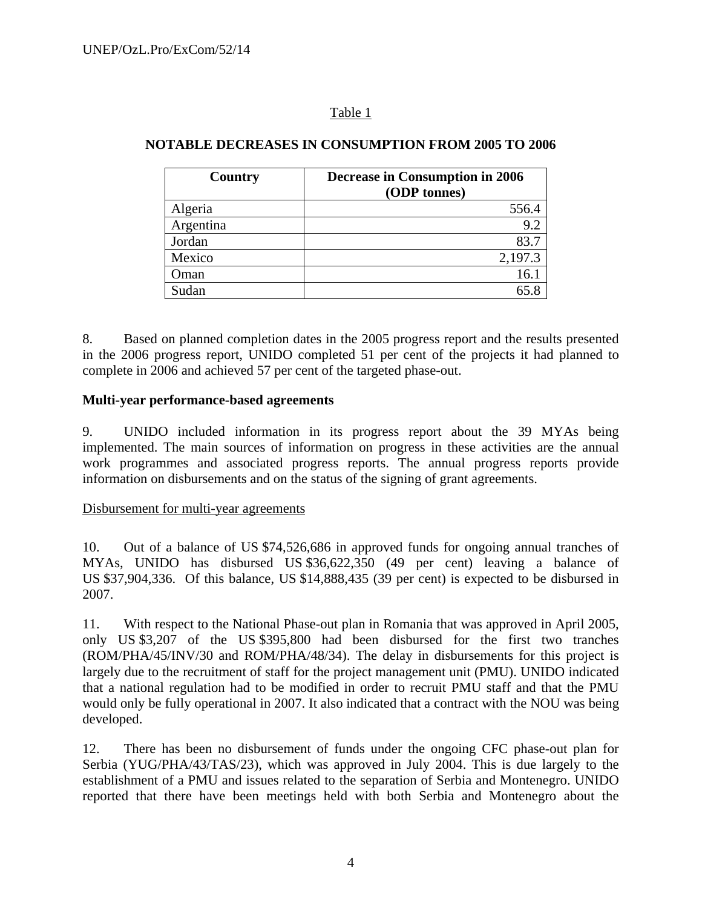# Table 1

| Country   | <b>Decrease in Consumption in 2006</b> |
|-----------|----------------------------------------|
|           | (ODP tonnes)                           |
| Algeria   | 556.4                                  |
| Argentina | 9.2                                    |
| Jordan    | 83.7                                   |
| Mexico    | 2,197.3                                |
| Oman      | 16.                                    |
| Sudan     |                                        |

# **NOTABLE DECREASES IN CONSUMPTION FROM 2005 TO 2006**

8. Based on planned completion dates in the 2005 progress report and the results presented in the 2006 progress report, UNIDO completed 51 per cent of the projects it had planned to complete in 2006 and achieved 57 per cent of the targeted phase-out.

# **Multi-year performance-based agreements**

9. UNIDO included information in its progress report about the 39 MYAs being implemented. The main sources of information on progress in these activities are the annual work programmes and associated progress reports. The annual progress reports provide information on disbursements and on the status of the signing of grant agreements.

# Disbursement for multi-year agreements

10. Out of a balance of US \$74,526,686 in approved funds for ongoing annual tranches of MYAs, UNIDO has disbursed US \$36,622,350 (49 per cent) leaving a balance of US \$37,904,336. Of this balance, US \$14,888,435 (39 per cent) is expected to be disbursed in 2007.

11. With respect to the National Phase-out plan in Romania that was approved in April 2005, only US \$3,207 of the US \$395,800 had been disbursed for the first two tranches (ROM/PHA/45/INV/30 and ROM/PHA/48/34). The delay in disbursements for this project is largely due to the recruitment of staff for the project management unit (PMU). UNIDO indicated that a national regulation had to be modified in order to recruit PMU staff and that the PMU would only be fully operational in 2007. It also indicated that a contract with the NOU was being developed.

12. There has been no disbursement of funds under the ongoing CFC phase-out plan for Serbia (YUG/PHA/43/TAS/23), which was approved in July 2004. This is due largely to the establishment of a PMU and issues related to the separation of Serbia and Montenegro. UNIDO reported that there have been meetings held with both Serbia and Montenegro about the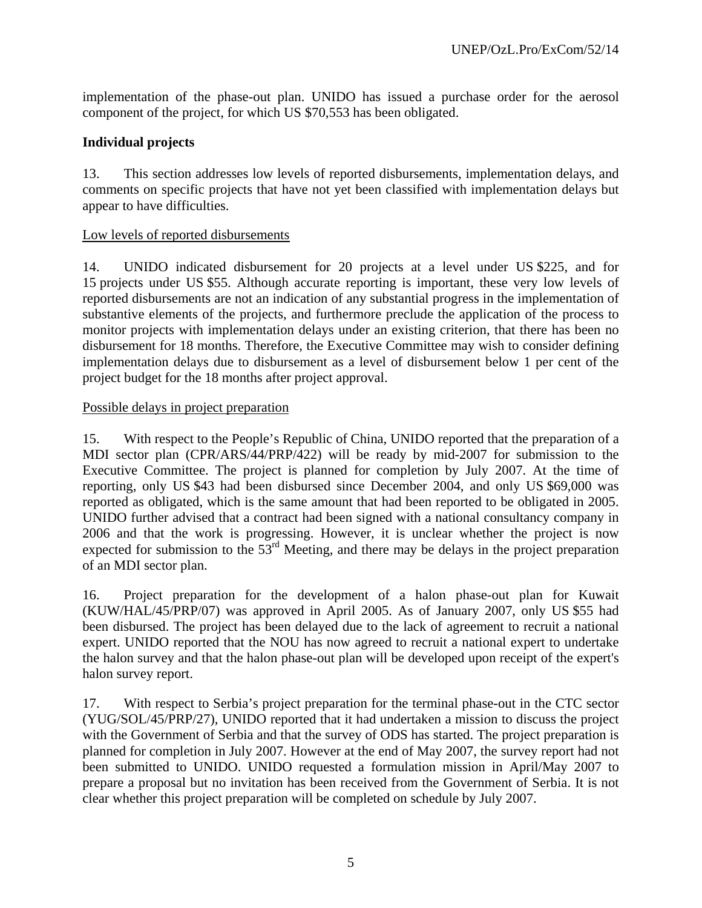implementation of the phase-out plan. UNIDO has issued a purchase order for the aerosol component of the project, for which US \$70,553 has been obligated.

# **Individual projects**

13. This section addresses low levels of reported disbursements, implementation delays, and comments on specific projects that have not yet been classified with implementation delays but appear to have difficulties.

# Low levels of reported disbursements

14. UNIDO indicated disbursement for 20 projects at a level under US \$225, and for 15 projects under US \$55. Although accurate reporting is important, these very low levels of reported disbursements are not an indication of any substantial progress in the implementation of substantive elements of the projects, and furthermore preclude the application of the process to monitor projects with implementation delays under an existing criterion, that there has been no disbursement for 18 months. Therefore, the Executive Committee may wish to consider defining implementation delays due to disbursement as a level of disbursement below 1 per cent of the project budget for the 18 months after project approval.

# Possible delays in project preparation

15. With respect to the People's Republic of China, UNIDO reported that the preparation of a MDI sector plan (CPR/ARS/44/PRP/422) will be ready by mid-2007 for submission to the Executive Committee. The project is planned for completion by July 2007. At the time of reporting, only US \$43 had been disbursed since December 2004, and only US \$69,000 was reported as obligated, which is the same amount that had been reported to be obligated in 2005. UNIDO further advised that a contract had been signed with a national consultancy company in 2006 and that the work is progressing. However, it is unclear whether the project is now expected for submission to the 53<sup>rd</sup> Meeting, and there may be delays in the project preparation of an MDI sector plan.

16. Project preparation for the development of a halon phase-out plan for Kuwait (KUW/HAL/45/PRP/07) was approved in April 2005. As of January 2007, only US \$55 had been disbursed. The project has been delayed due to the lack of agreement to recruit a national expert. UNIDO reported that the NOU has now agreed to recruit a national expert to undertake the halon survey and that the halon phase-out plan will be developed upon receipt of the expert's halon survey report.

17. With respect to Serbia's project preparation for the terminal phase-out in the CTC sector (YUG/SOL/45/PRP/27), UNIDO reported that it had undertaken a mission to discuss the project with the Government of Serbia and that the survey of ODS has started. The project preparation is planned for completion in July 2007. However at the end of May 2007, the survey report had not been submitted to UNIDO. UNIDO requested a formulation mission in April/May 2007 to prepare a proposal but no invitation has been received from the Government of Serbia. It is not clear whether this project preparation will be completed on schedule by July 2007.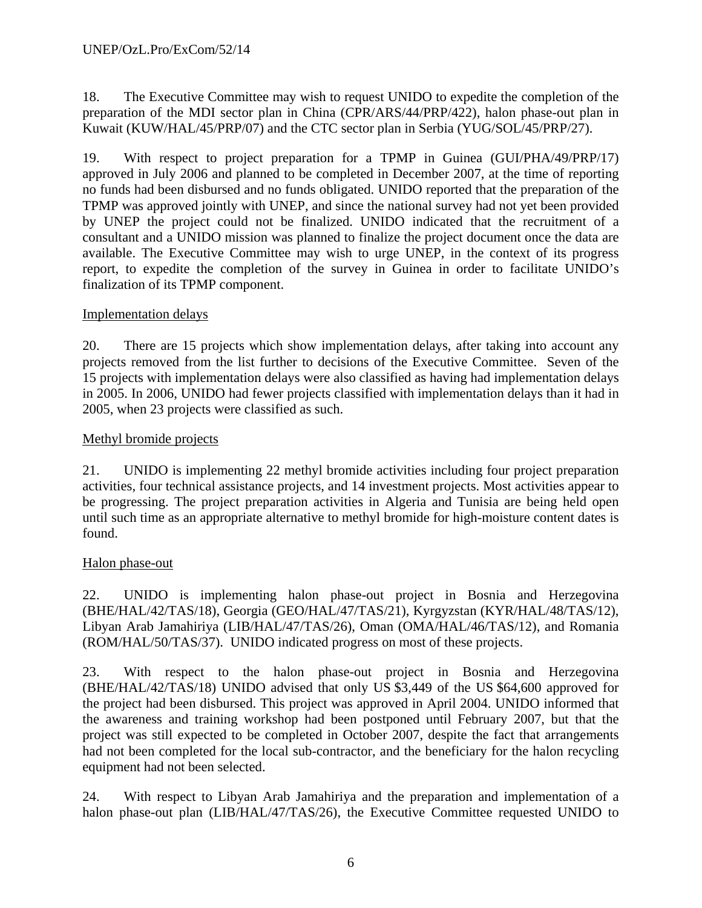18. The Executive Committee may wish to request UNIDO to expedite the completion of the preparation of the MDI sector plan in China (CPR/ARS/44/PRP/422), halon phase-out plan in Kuwait (KUW/HAL/45/PRP/07) and the CTC sector plan in Serbia (YUG/SOL/45/PRP/27).

19. With respect to project preparation for a TPMP in Guinea (GUI/PHA/49/PRP/17) approved in July 2006 and planned to be completed in December 2007, at the time of reporting no funds had been disbursed and no funds obligated. UNIDO reported that the preparation of the TPMP was approved jointly with UNEP, and since the national survey had not yet been provided by UNEP the project could not be finalized. UNIDO indicated that the recruitment of a consultant and a UNIDO mission was planned to finalize the project document once the data are available. The Executive Committee may wish to urge UNEP, in the context of its progress report, to expedite the completion of the survey in Guinea in order to facilitate UNIDO's finalization of its TPMP component.

# Implementation delays

20. There are 15 projects which show implementation delays, after taking into account any projects removed from the list further to decisions of the Executive Committee. Seven of the 15 projects with implementation delays were also classified as having had implementation delays in 2005. In 2006, UNIDO had fewer projects classified with implementation delays than it had in 2005, when 23 projects were classified as such.

# Methyl bromide projects

21. UNIDO is implementing 22 methyl bromide activities including four project preparation activities, four technical assistance projects, and 14 investment projects. Most activities appear to be progressing. The project preparation activities in Algeria and Tunisia are being held open until such time as an appropriate alternative to methyl bromide for high-moisture content dates is found.

# Halon phase-out

22. UNIDO is implementing halon phase-out project in Bosnia and Herzegovina (BHE/HAL/42/TAS/18), Georgia (GEO/HAL/47/TAS/21), Kyrgyzstan (KYR/HAL/48/TAS/12), Libyan Arab Jamahiriya (LIB/HAL/47/TAS/26), Oman (OMA/HAL/46/TAS/12), and Romania (ROM/HAL/50/TAS/37). UNIDO indicated progress on most of these projects.

23. With respect to the halon phase-out project in Bosnia and Herzegovina (BHE/HAL/42/TAS/18) UNIDO advised that only US \$3,449 of the US \$64,600 approved for the project had been disbursed. This project was approved in April 2004. UNIDO informed that the awareness and training workshop had been postponed until February 2007, but that the project was still expected to be completed in October 2007, despite the fact that arrangements had not been completed for the local sub-contractor, and the beneficiary for the halon recycling equipment had not been selected.

24. With respect to Libyan Arab Jamahiriya and the preparation and implementation of a halon phase-out plan (LIB/HAL/47/TAS/26), the Executive Committee requested UNIDO to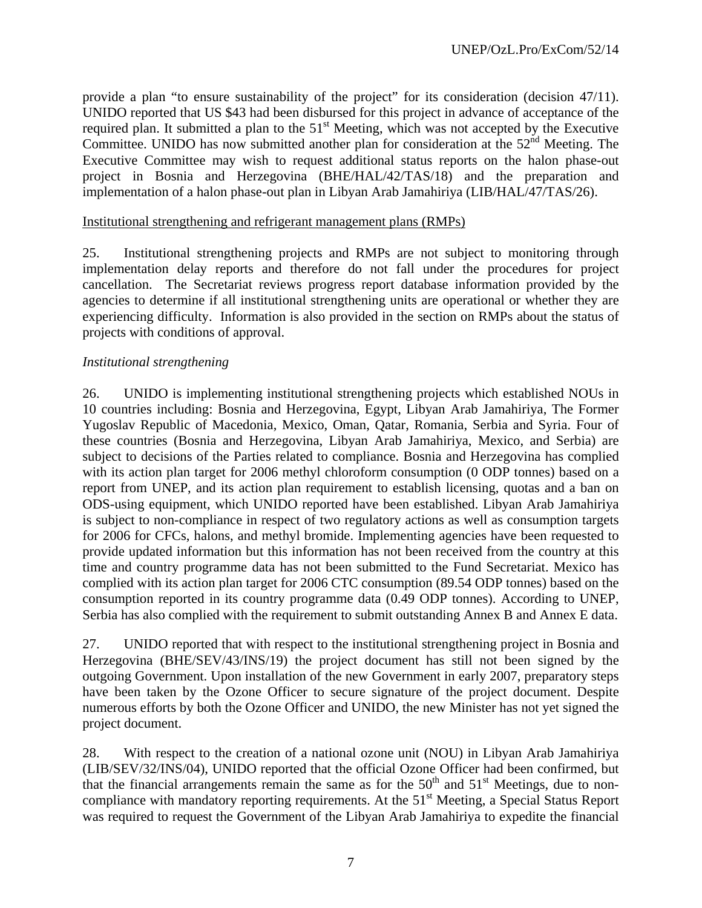provide a plan "to ensure sustainability of the project" for its consideration (decision 47/11). UNIDO reported that US \$43 had been disbursed for this project in advance of acceptance of the required plan. It submitted a plan to the  $51<sup>st</sup>$  Meeting, which was not accepted by the Executive Committee. UNIDO has now submitted another plan for consideration at the  $52<sup>nd</sup>$  Meeting. The Executive Committee may wish to request additional status reports on the halon phase-out project in Bosnia and Herzegovina (BHE/HAL/42/TAS/18) and the preparation and implementation of a halon phase-out plan in Libyan Arab Jamahiriya (LIB/HAL/47/TAS/26).

# Institutional strengthening and refrigerant management plans (RMPs)

25. Institutional strengthening projects and RMPs are not subject to monitoring through implementation delay reports and therefore do not fall under the procedures for project cancellation. The Secretariat reviews progress report database information provided by the agencies to determine if all institutional strengthening units are operational or whether they are experiencing difficulty. Information is also provided in the section on RMPs about the status of projects with conditions of approval.

# *Institutional strengthening*

26. UNIDO is implementing institutional strengthening projects which established NOUs in 10 countries including: Bosnia and Herzegovina, Egypt, Libyan Arab Jamahiriya, The Former Yugoslav Republic of Macedonia, Mexico, Oman, Qatar, Romania, Serbia and Syria. Four of these countries (Bosnia and Herzegovina, Libyan Arab Jamahiriya, Mexico, and Serbia) are subject to decisions of the Parties related to compliance. Bosnia and Herzegovina has complied with its action plan target for 2006 methyl chloroform consumption (0 ODP tonnes) based on a report from UNEP, and its action plan requirement to establish licensing, quotas and a ban on ODS-using equipment, which UNIDO reported have been established. Libyan Arab Jamahiriya is subject to non-compliance in respect of two regulatory actions as well as consumption targets for 2006 for CFCs, halons, and methyl bromide. Implementing agencies have been requested to provide updated information but this information has not been received from the country at this time and country programme data has not been submitted to the Fund Secretariat. Mexico has complied with its action plan target for 2006 CTC consumption (89.54 ODP tonnes) based on the consumption reported in its country programme data (0.49 ODP tonnes). According to UNEP, Serbia has also complied with the requirement to submit outstanding Annex B and Annex E data.

27. UNIDO reported that with respect to the institutional strengthening project in Bosnia and Herzegovina (BHE/SEV/43/INS/19) the project document has still not been signed by the outgoing Government. Upon installation of the new Government in early 2007, preparatory steps have been taken by the Ozone Officer to secure signature of the project document. Despite numerous efforts by both the Ozone Officer and UNIDO, the new Minister has not yet signed the project document.

28. With respect to the creation of a national ozone unit (NOU) in Libyan Arab Jamahiriya (LIB/SEV/32/INS/04), UNIDO reported that the official Ozone Officer had been confirmed, but that the financial arrangements remain the same as for the  $50<sup>th</sup>$  and  $51<sup>st</sup>$  Meetings, due to noncompliance with mandatory reporting requirements. At the 51<sup>st</sup> Meeting, a Special Status Report was required to request the Government of the Libyan Arab Jamahiriya to expedite the financial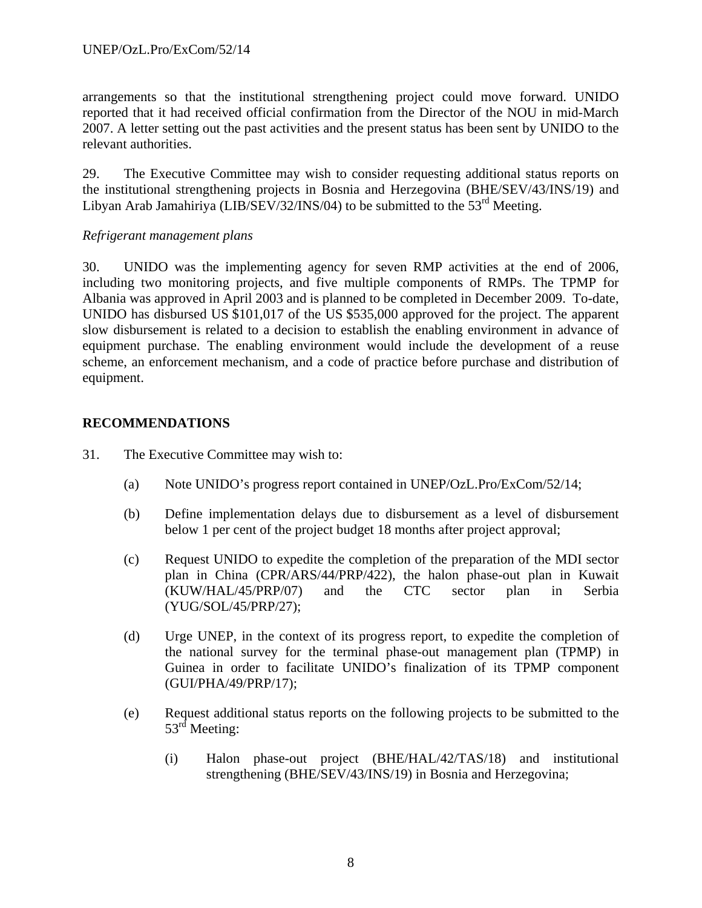arrangements so that the institutional strengthening project could move forward. UNIDO reported that it had received official confirmation from the Director of the NOU in mid-March 2007. A letter setting out the past activities and the present status has been sent by UNIDO to the relevant authorities.

29. The Executive Committee may wish to consider requesting additional status reports on the institutional strengthening projects in Bosnia and Herzegovina (BHE/SEV/43/INS/19) and Libyan Arab Jamahiriya (LIB/SEV/32/INS/04) to be submitted to the  $53<sup>rd</sup>$  Meeting.

# *Refrigerant management plans*

30. UNIDO was the implementing agency for seven RMP activities at the end of 2006, including two monitoring projects, and five multiple components of RMPs. The TPMP for Albania was approved in April 2003 and is planned to be completed in December 2009. To-date, UNIDO has disbursed US \$101,017 of the US \$535,000 approved for the project. The apparent slow disbursement is related to a decision to establish the enabling environment in advance of equipment purchase. The enabling environment would include the development of a reuse scheme, an enforcement mechanism, and a code of practice before purchase and distribution of equipment.

# **RECOMMENDATIONS**

- 31. The Executive Committee may wish to:
	- (a) Note UNIDO's progress report contained in UNEP/OzL.Pro/ExCom/52/14;
	- (b) Define implementation delays due to disbursement as a level of disbursement below 1 per cent of the project budget 18 months after project approval;
	- (c) Request UNIDO to expedite the completion of the preparation of the MDI sector plan in China (CPR/ARS/44/PRP/422), the halon phase-out plan in Kuwait (KUW/HAL/45/PRP/07) and the CTC sector plan in Serbia (YUG/SOL/45/PRP/27);
	- (d) Urge UNEP, in the context of its progress report, to expedite the completion of the national survey for the terminal phase-out management plan (TPMP) in Guinea in order to facilitate UNIDO's finalization of its TPMP component (GUI/PHA/49/PRP/17);
	- (e) Request additional status reports on the following projects to be submitted to the 53<sup>rd</sup> Meeting:
		- (i) Halon phase-out project (BHE/HAL/42/TAS/18) and institutional strengthening (BHE/SEV/43/INS/19) in Bosnia and Herzegovina;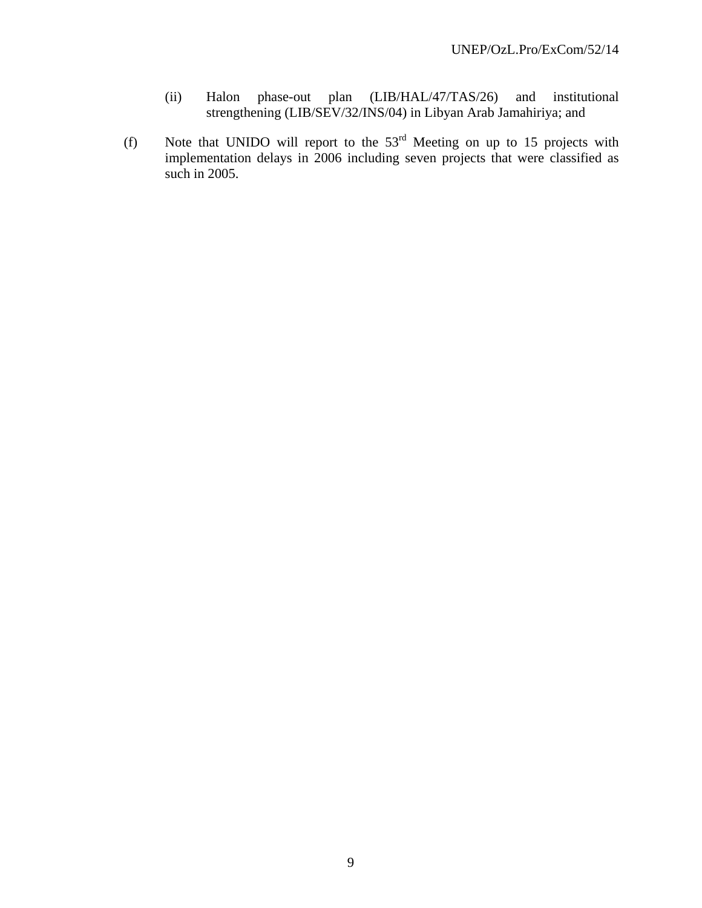- (ii) Halon phase-out plan (LIB/HAL/47/TAS/26) and institutional strengthening (LIB/SEV/32/INS/04) in Libyan Arab Jamahiriya; and
- (f) Note that UNIDO will report to the  $53<sup>rd</sup>$  Meeting on up to 15 projects with implementation delays in 2006 including seven projects that were classified as such in 2005.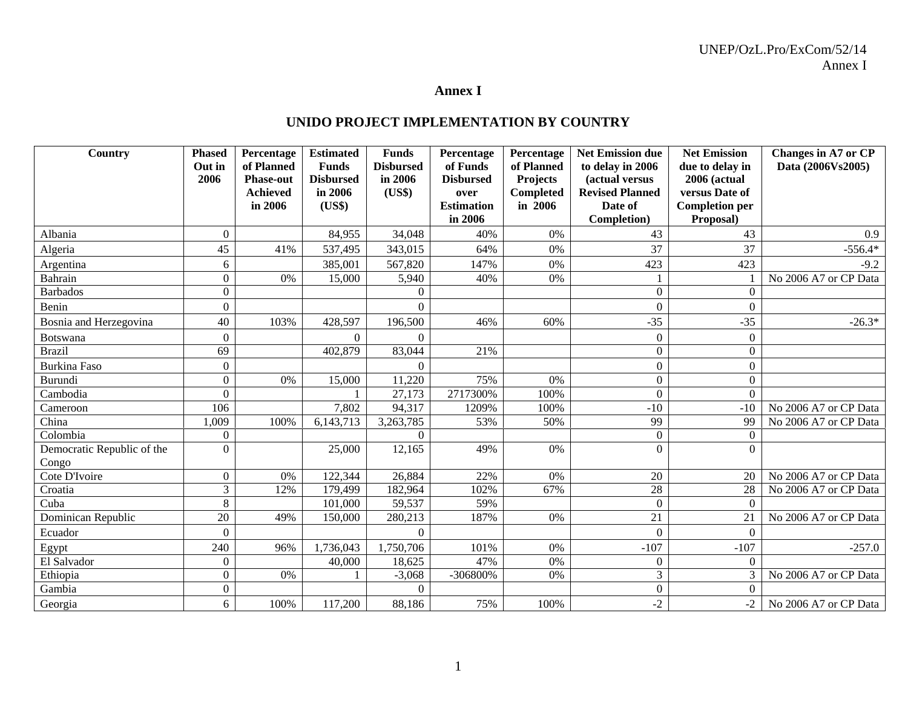## UNEP/OzL.Pro/ExCom/52/14 Annex I

### **Annex I**

# **UNIDO PROJECT IMPLEMENTATION BY COUNTRY**

| Country                             | <b>Phased</b><br>Out in | Percentage<br>of Planned | <b>Estimated</b><br><b>Funds</b> | <b>Funds</b><br><b>Disbursed</b> | Percentage<br>of Funds | Percentage<br>of Planned | <b>Net Emission due</b><br>to delay in 2006 | <b>Net Emission</b><br>due to delay in | Changes in A7 or CP<br>Data (2006Vs2005) |
|-------------------------------------|-------------------------|--------------------------|----------------------------------|----------------------------------|------------------------|--------------------------|---------------------------------------------|----------------------------------------|------------------------------------------|
|                                     | 2006                    | <b>Phase-out</b>         | <b>Disbursed</b>                 | in 2006                          | <b>Disbursed</b>       | <b>Projects</b>          | (actual versus                              | <b>2006 (actual</b>                    |                                          |
|                                     |                         | <b>Achieved</b>          | in 2006                          | (US\$)                           | over                   | Completed                | <b>Revised Planned</b>                      | versus Date of                         |                                          |
|                                     |                         | in 2006                  | (US\$)                           |                                  | <b>Estimation</b>      | in 2006                  | Date of                                     | <b>Completion per</b>                  |                                          |
|                                     |                         |                          |                                  |                                  | in 2006                |                          | Completion)                                 | Proposal)                              |                                          |
| Albania                             | $\boldsymbol{0}$        |                          | 84,955                           | 34,048                           | 40%                    | 0%                       | 43                                          | 43                                     | 0.9                                      |
| Algeria                             | 45                      | 41%                      | 537,495                          | 343,015                          | 64%                    | 0%                       | 37                                          | 37                                     | $-556.4*$                                |
| Argentina                           | 6                       |                          | 385,001                          | 567,820                          | 147%                   | 0%                       | 423                                         | 423                                    | $-9.2$                                   |
| Bahrain                             | $\Omega$                | 0%                       | 15,000                           | 5,940                            | 40%                    | 0%                       |                                             |                                        | No 2006 A7 or CP Data                    |
| <b>Barbados</b>                     | $\theta$                |                          |                                  | 0                                |                        |                          | $\boldsymbol{0}$                            | $\Omega$                               |                                          |
| Benin                               | $\theta$                |                          |                                  | $\Omega$                         |                        |                          | $\theta$                                    | $\Omega$                               |                                          |
| Bosnia and Herzegovina              | 40                      | 103%                     | 428,597                          | 196,500                          | 46%                    | 60%                      | $-35$                                       | $-35$                                  | $-26.3*$                                 |
| <b>Botswana</b>                     | $\Omega$                |                          | $\Omega$                         | $\Omega$                         |                        |                          | $\boldsymbol{0}$                            | $\Omega$                               |                                          |
| <b>Brazil</b>                       | 69                      |                          | 402,879                          | 83,044                           | 21%                    |                          | $\theta$                                    | $\Omega$                               |                                          |
| <b>Burkina Faso</b>                 | $\Omega$                |                          |                                  | 0                                |                        |                          | $\boldsymbol{0}$                            | $\boldsymbol{0}$                       |                                          |
| Burundi                             | $\theta$                | 0%                       | 15,000                           | 11,220                           | 75%                    | 0%                       | $\overline{0}$                              | $\overline{0}$                         |                                          |
| Cambodia                            | $\Omega$                |                          |                                  | 27,173                           | 2717300%               | 100%                     | $\overline{0}$                              | $\Omega$                               |                                          |
| Cameroon                            | 106                     |                          | 7,802                            | 94,317                           | 1209%                  | 100%                     | $-10$                                       | $-10$                                  | No 2006 A7 or CP Data                    |
| China                               | 1,009                   | 100%                     | 6,143,713                        | 3,263,785                        | 53%                    | 50%                      | 99                                          | 99                                     | No 2006 A7 or CP Data                    |
| Colombia                            | $\Omega$                |                          |                                  | $\Omega$                         |                        |                          | $\boldsymbol{0}$                            | $\overline{0}$                         |                                          |
| Democratic Republic of the<br>Congo | $\Omega$                |                          | 25,000                           | 12,165                           | 49%                    | 0%                       | $\Omega$                                    | $\Omega$                               |                                          |
| Cote D'Ivoire                       | $\mathbf{0}$            | 0%                       | 122,344                          | 26,884                           | 22%                    | 0%                       | 20                                          | 20                                     | No 2006 A7 or CP Data                    |
| Croatia                             | 3                       | 12%                      | 179,499                          | 182,964                          | 102%                   | 67%                      | $\overline{28}$                             | 28                                     | No 2006 A7 or CP Data                    |
| Cuba                                | 8                       |                          | 101,000                          | 59,537                           | 59%                    |                          | $\overline{0}$                              | $\Omega$                               |                                          |
| Dominican Republic                  | 20                      | 49%                      | 150,000                          | 280,213                          | 187%                   | 0%                       | 21                                          | 21                                     | No 2006 A7 or CP Data                    |
| Ecuador                             | 0                       |                          |                                  | $\Omega$                         |                        |                          | $\overline{0}$                              | $\boldsymbol{0}$                       |                                          |
| Egypt                               | 240                     | 96%                      | 1,736,043                        | 1,750,706                        | 101%                   | 0%                       | $-107$                                      | $-107$                                 | $-257.0$                                 |
| El Salvador                         | $\Omega$                |                          | 40,000                           | 18,625                           | 47%                    | 0%                       | $\theta$                                    | $\Omega$                               |                                          |
| Ethiopia                            | $\mathbf{0}$            | $0\%$                    |                                  | $-3,068$                         | -306800%               | 0%                       | 3                                           | $\mathfrak{Z}$                         | No 2006 A7 or CP Data                    |
| Gambia                              | $\boldsymbol{0}$        |                          |                                  | $\Omega$                         |                        |                          | $\overline{0}$                              | $\Omega$                               |                                          |
| Georgia                             | 6                       | 100%                     | 117,200                          | 88,186                           | 75%                    | 100%                     | $-2$                                        | $-2$                                   | No 2006 A7 or CP Data                    |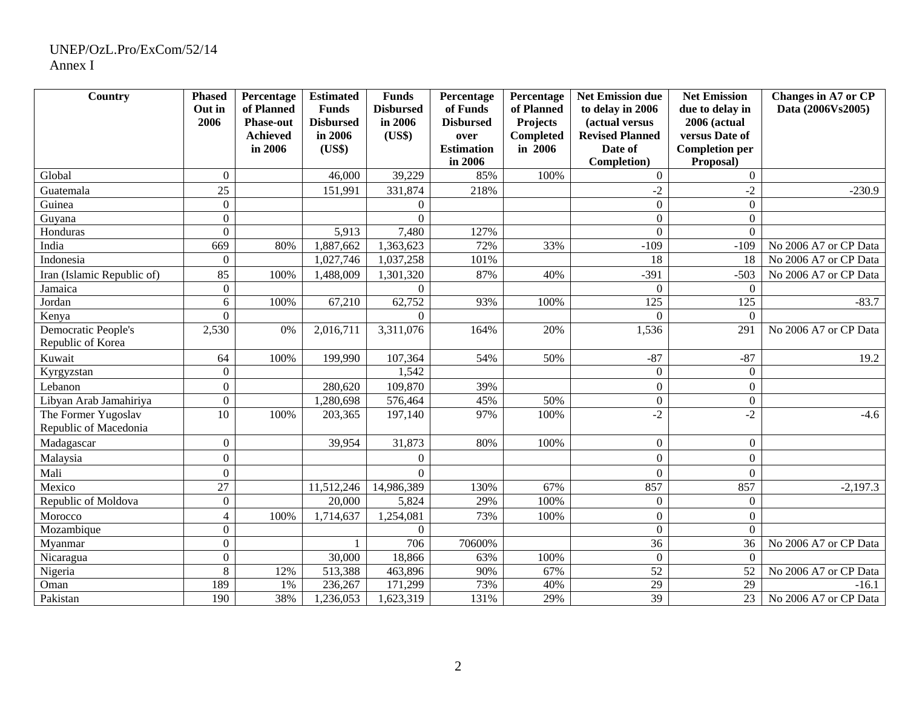# UNEP/OzL.Pro/ExCom/52/14 Annex I

| Country                                      | <b>Phased</b><br>Out in | Percentage<br>of Planned | <b>Estimated</b><br><b>Funds</b> | <b>Funds</b><br><b>Disbursed</b> | Percentage<br>of Funds       | Percentage<br>of Planned | <b>Net Emission due</b><br>to delay in 2006 | <b>Net Emission</b><br>due to delay in | Changes in A7 or CP<br>Data (2006Vs2005) |
|----------------------------------------------|-------------------------|--------------------------|----------------------------------|----------------------------------|------------------------------|--------------------------|---------------------------------------------|----------------------------------------|------------------------------------------|
|                                              | 2006                    | <b>Phase-out</b>         | <b>Disbursed</b>                 | in 2006                          | <b>Disbursed</b>             | <b>Projects</b>          | (actual versus                              | 2006 (actual                           |                                          |
|                                              |                         | <b>Achieved</b>          | in 2006                          | (US\$)                           | over                         | Completed                | <b>Revised Planned</b>                      | versus Date of                         |                                          |
|                                              |                         | in 2006                  | (US\$)                           |                                  | <b>Estimation</b><br>in 2006 | in 2006                  | Date of<br>Completion)                      | <b>Completion per</b><br>Proposal)     |                                          |
| Global                                       | $\Omega$                |                          | 46,000                           | 39,229                           | 85%                          | 100%                     | $\overline{0}$                              | $\overline{0}$                         |                                          |
| Guatemala                                    | 25                      |                          | 151,991                          | 331,874                          | 218%                         |                          | $-2$                                        | $-2$                                   | $-230.9$                                 |
| Guinea                                       | $\mathbf{0}$            |                          |                                  | $\overline{0}$                   |                              |                          | $\overline{0}$                              | $\overline{0}$                         |                                          |
| Guyana                                       | $\boldsymbol{0}$        |                          |                                  | $\Omega$                         |                              |                          | $\overline{0}$                              | $\overline{0}$                         |                                          |
| Honduras                                     | $\Omega$                |                          | 5,913                            | 7,480                            | 127%                         |                          | $\theta$                                    | $\Omega$                               |                                          |
| India                                        | 669                     | 80%                      | 1,887,662                        | 1,363,623                        | 72%                          | 33%                      | $-109$                                      | $-109$                                 | No 2006 A7 or CP Data                    |
| Indonesia                                    | $\boldsymbol{0}$        |                          | 1,027,746                        | 1,037,258                        | 101%                         |                          | 18                                          | 18                                     | No 2006 A7 or CP Data                    |
| Iran (Islamic Republic of)                   | 85                      | 100%                     | 1,488,009                        | 1,301,320                        | 87%                          | 40%                      | $-391$                                      | $-503$                                 | No 2006 A7 or CP Data                    |
| Jamaica                                      | $\mathbf{0}$            |                          |                                  | $\Omega$                         |                              |                          | $\overline{0}$                              | $\overline{0}$                         |                                          |
| Jordan                                       | 6                       | 100%                     | 67,210                           | 62,752                           | 93%                          | 100%                     | 125                                         | 125                                    | $-83.7$                                  |
| Kenya                                        | $\overline{0}$          |                          |                                  | $\Omega$                         |                              |                          | $\Omega$                                    | $\Omega$                               |                                          |
| Democratic People's                          | 2,530                   | 0%                       | 2,016,711                        | 3,311,076                        | 164%                         | 20%                      | 1,536                                       | 291                                    | No 2006 A7 or CP Data                    |
| Republic of Korea                            |                         |                          |                                  |                                  |                              |                          |                                             |                                        |                                          |
| Kuwait                                       | 64                      | 100%                     | 199,990                          | 107,364                          | 54%                          | 50%                      | $-87$                                       | $-87$                                  | 19.2                                     |
| Kyrgyzstan                                   | $\boldsymbol{0}$        |                          |                                  | 1,542                            |                              |                          | $\overline{0}$                              | $\overline{0}$                         |                                          |
| Lebanon                                      | $\boldsymbol{0}$        |                          | 280,620                          | 109,870                          | 39%                          |                          | $\overline{0}$                              | $\overline{0}$                         |                                          |
| Libyan Arab Jamahiriya                       | $\mathbf{0}$            |                          | 1,280,698                        | 576,464                          | 45%                          | 50%                      | $\boldsymbol{0}$                            | $\mathbf{0}$                           |                                          |
| The Former Yugoslav<br>Republic of Macedonia | 10                      | 100%                     | 203,365                          | 197,140                          | 97%                          | 100%                     | $-2$                                        | $-2$                                   | $-4.6$                                   |
| Madagascar                                   | $\Omega$                |                          | 39,954                           | 31,873                           | 80%                          | 100%                     | $\overline{0}$                              | $\Omega$                               |                                          |
| Malaysia                                     | $\boldsymbol{0}$        |                          |                                  | $\overline{0}$                   |                              |                          | $\overline{0}$                              | $\overline{0}$                         |                                          |
| Mali                                         | $\mathbf{0}$            |                          |                                  | $\Omega$                         |                              |                          | $\overline{0}$                              | $\overline{0}$                         |                                          |
| Mexico                                       | $\overline{27}$         |                          | 11,512,246                       | 14,986,389                       | 130%                         | 67%                      | 857                                         | 857                                    | $-2,197.3$                               |
| Republic of Moldova                          | $\boldsymbol{0}$        |                          | 20,000                           | 5,824                            | 29%                          | 100%                     | $\boldsymbol{0}$                            | $\mathbf{0}$                           |                                          |
| Morocco                                      | $\overline{4}$          | 100%                     | 1,714,637                        | 1,254,081                        | 73%                          | 100%                     | $\overline{0}$                              | $\overline{0}$                         |                                          |
| Mozambique                                   | $\mathbf{0}$            |                          |                                  | $\Omega$                         |                              |                          | $\Omega$                                    | $\Omega$                               |                                          |
| Myanmar                                      | $\mathbf{0}$            |                          |                                  | 706                              | 70600%                       |                          | $\overline{36}$                             | 36                                     | No 2006 A7 or CP Data                    |
| Nicaragua                                    | $\boldsymbol{0}$        |                          | 30,000                           | 18,866                           | 63%                          | 100%                     | $\overline{0}$                              | $\theta$                               |                                          |
| Nigeria                                      | 8                       | 12%                      | 513,388                          | 463,896                          | 90%                          | 67%                      | $\overline{52}$                             | 52                                     | No 2006 A7 or CP Data                    |
| Oman                                         | 189                     | 1%                       | 236,267                          | 171,299                          | 73%                          | 40%                      | $\overline{29}$                             | $\overline{29}$                        | $-16.1$                                  |
| Pakistan                                     | 190                     | 38%                      | 1,236,053                        | 1,623,319                        | 131%                         | 29%                      | $\overline{39}$                             | 23                                     | No 2006 A7 or CP Data                    |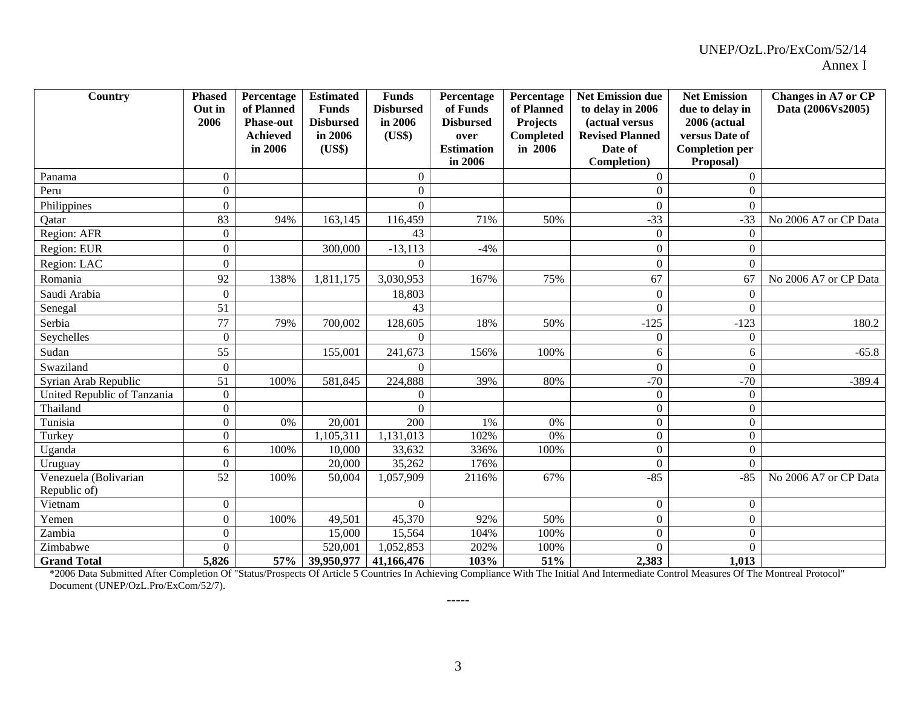| <b>Country</b>              | <b>Phased</b><br>Out in | Percentage<br>of Planned | <b>Estimated</b><br><b>Funds</b> | <b>Funds</b><br><b>Disbursed</b> | Percentage<br>of Funds | Percentage<br>of Planned | <b>Net Emission due</b><br>to delay in 2006 | <b>Net Emission</b><br>due to delay in | Changes in A7 or CP<br>Data (2006Vs2005) |
|-----------------------------|-------------------------|--------------------------|----------------------------------|----------------------------------|------------------------|--------------------------|---------------------------------------------|----------------------------------------|------------------------------------------|
|                             | 2006                    | <b>Phase-out</b>         | <b>Disbursed</b>                 | in 2006                          | <b>Disbursed</b>       | <b>Projects</b>          | (actual versus                              | <b>2006 (actual</b>                    |                                          |
|                             |                         | <b>Achieved</b>          | in 2006                          | (US\$)                           | over                   | Completed                | <b>Revised Planned</b>                      | versus Date of                         |                                          |
|                             |                         | in 2006                  | (US\$)                           |                                  | <b>Estimation</b>      | in 2006                  | Date of                                     | <b>Completion per</b>                  |                                          |
|                             |                         |                          |                                  |                                  | in 2006                |                          | Completion)                                 | Proposal)                              |                                          |
| Panama                      | $\mathbf{0}$            |                          |                                  | $\overline{0}$                   |                        |                          | $\mathbf{0}$                                | $\Omega$                               |                                          |
| Peru                        | $\boldsymbol{0}$        |                          |                                  | $\overline{0}$                   |                        |                          | $\mathbf{0}$                                | $\overline{0}$                         |                                          |
| Philippines                 | $\mathbf{0}$            |                          |                                  | $\Omega$                         |                        |                          | $\theta$                                    | $\theta$                               |                                          |
| Qatar                       | 83                      | 94%                      | 163,145                          | 116,459                          | 71%                    | 50%                      | $-33$                                       | $-33$                                  | No 2006 A7 or CP Data                    |
| Region: AFR                 | $\mathbf{0}$            |                          |                                  | 43                               |                        |                          | $\boldsymbol{0}$                            | $\Omega$                               |                                          |
| Region: EUR                 | $\boldsymbol{0}$        |                          | 300,000                          | $-13,113$                        | $-4%$                  |                          | $\boldsymbol{0}$                            | $\overline{0}$                         |                                          |
| Region: LAC                 | $\Omega$                |                          |                                  | 0                                |                        |                          | $\theta$                                    | $\Omega$                               |                                          |
| Romania                     | 92                      | 138%                     | 1,811,175                        | 3,030,953                        | 167%                   | 75%                      | 67                                          | 67                                     | No 2006 A7 or CP Data                    |
| Saudi Arabia                | $\mathbf{0}$            |                          |                                  | 18,803                           |                        |                          | $\mathbf{0}$                                | $\theta$                               |                                          |
| Senegal                     | 51                      |                          |                                  | 43                               |                        |                          | $\theta$                                    | $\Omega$                               |                                          |
| Serbia                      | 77                      | 79%                      | 700,002                          | 128,605                          | 18%                    | 50%                      | $-125$                                      | $-123$                                 | 180.2                                    |
| Seychelles                  | $\overline{0}$          |                          |                                  | $\Omega$                         |                        |                          | $\mathbf{0}$                                | $\boldsymbol{0}$                       |                                          |
| Sudan                       | 55                      |                          | 155,001                          | 241,673                          | 156%                   | 100%                     | 6                                           | 6                                      | $-65.8$                                  |
| Swaziland                   | $\boldsymbol{0}$        |                          |                                  | $\Omega$                         |                        |                          | $\theta$                                    | $\overline{0}$                         |                                          |
| Syrian Arab Republic        | 51                      | 100%                     | 581,845                          | 224,888                          | 39%                    | 80%                      | $-70$                                       | $-70$                                  | $-389.4$                                 |
| United Republic of Tanzania | $\mathbf{0}$            |                          |                                  | $\Omega$                         |                        |                          | $\mathbf{0}$                                | $\boldsymbol{0}$                       |                                          |
| Thailand                    | $\overline{0}$          |                          |                                  | $\Omega$                         |                        |                          | $\boldsymbol{0}$                            | $\overline{0}$                         |                                          |
| Tunisia                     | $\overline{0}$          | 0%                       | 20,001                           | 200                              | 1%                     | $0\%$                    | $\boldsymbol{0}$                            | $\overline{0}$                         |                                          |
| Turkey                      | $\Omega$                |                          | 1,105,311                        | 1,131,013                        | 102%                   | 0%                       | $\overline{0}$                              | $\overline{0}$                         |                                          |
| Uganda                      | 6                       | 100%                     | 10,000                           | 33,632                           | 336%                   | 100%                     | $\overline{0}$                              | $\overline{0}$                         |                                          |
| Uruguay                     | $\overline{0}$          |                          | 20,000                           | 35,262                           | 176%                   |                          | $\mathbf{0}$                                | $\Omega$                               |                                          |
| Venezuela (Bolivarian       | 52                      | 100%                     | 50,004                           | 1,057,909                        | 2116%                  | 67%                      | $-85$                                       | $-85$                                  | No 2006 A7 or CP Data                    |
| Republic of)                |                         |                          |                                  |                                  |                        |                          |                                             |                                        |                                          |
| Vietnam                     | $\overline{0}$          |                          |                                  | $\Omega$                         |                        |                          | $\overline{0}$                              | $\overline{0}$                         |                                          |
| Yemen                       | $\mathbf{0}$            | 100%                     | 49,501                           | 45,370                           | 92%                    | 50%                      | $\overline{0}$                              | $\boldsymbol{0}$                       |                                          |
| Zambia                      | $\Omega$                |                          | 15,000                           | 15,564                           | 104%                   | 100%                     | $\mathbf{0}$                                | $\boldsymbol{0}$                       |                                          |
| Zimbabwe                    | $\Omega$                |                          | 520,001                          | 1,052,853                        | 202%                   | 100%                     | $\Omega$                                    | $\Omega$                               |                                          |
| <b>Grand Total</b>          | 5,826                   | 57%                      | 39,950,977                       | 41,166,476                       | 103%                   | 51%                      | 2,383                                       | 1,013                                  |                                          |

\*2006 Data Submitted After Completion Of "Status/Prospects Of Article 5 Countries In Achieving Compliance With The Initial And Intermediate Control Measures Of The Montreal Protocol" Document (UNEP/OzL.Pro/ExCom/52/7).

-----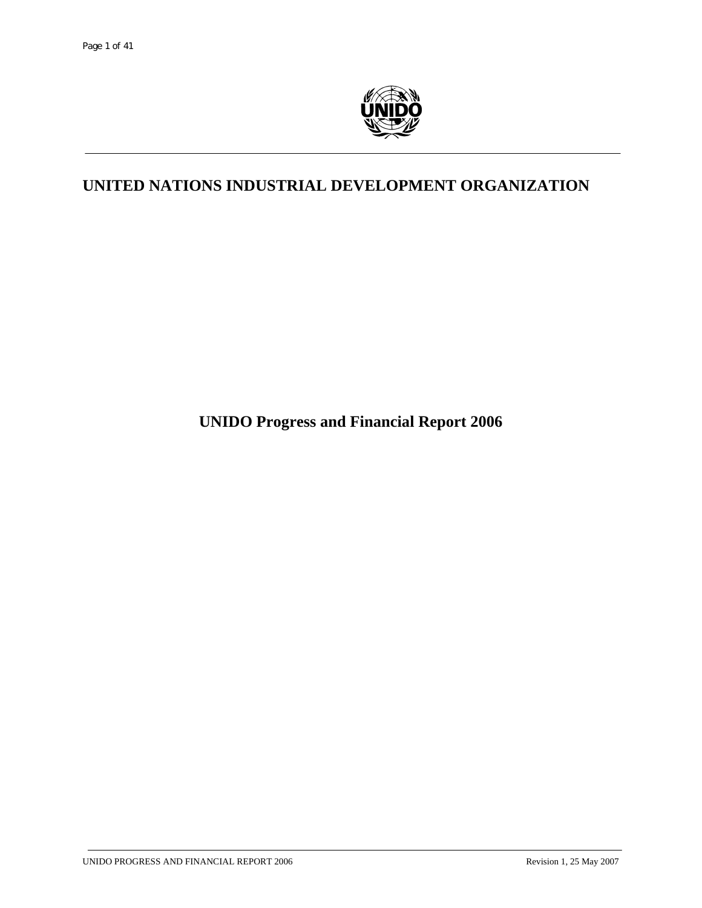

# **UNITED NATIONS INDUSTRIAL DEVELOPMENT ORGANIZATION**

**UNIDO Progress and Financial Report 2006**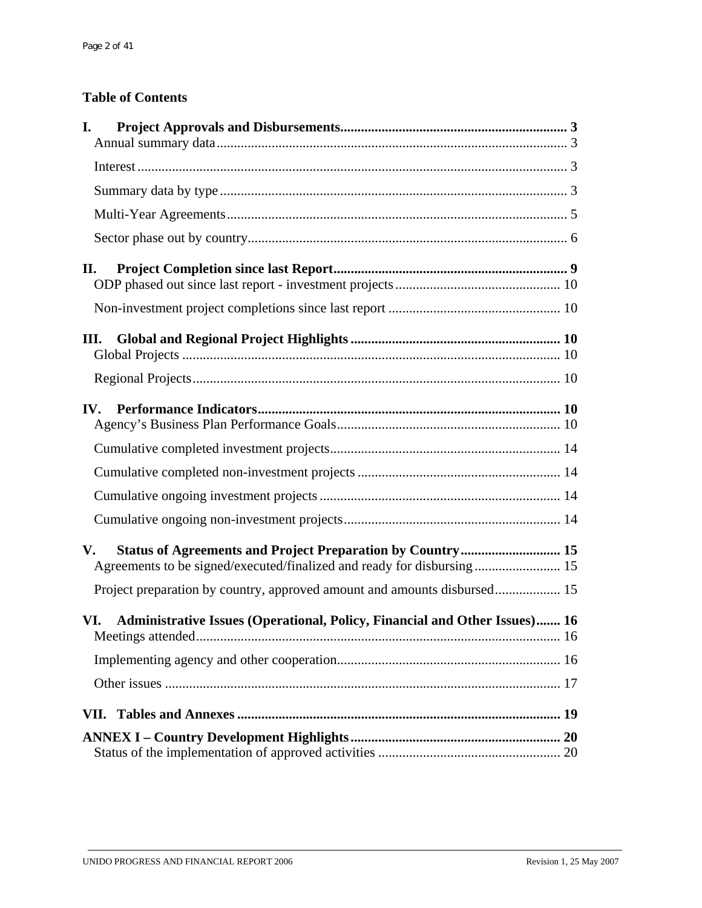# **Table of Contents**

| I.                                                                                |  |
|-----------------------------------------------------------------------------------|--|
|                                                                                   |  |
|                                                                                   |  |
|                                                                                   |  |
|                                                                                   |  |
| П.                                                                                |  |
|                                                                                   |  |
| Ш.                                                                                |  |
|                                                                                   |  |
| IV.                                                                               |  |
|                                                                                   |  |
|                                                                                   |  |
|                                                                                   |  |
|                                                                                   |  |
| V.<br>Agreements to be signed/executed/finalized and ready for disbursing 15      |  |
|                                                                                   |  |
| Administrative Issues (Operational, Policy, Financial and Other Issues) 16<br>VI. |  |
|                                                                                   |  |
|                                                                                   |  |
| VII.                                                                              |  |
|                                                                                   |  |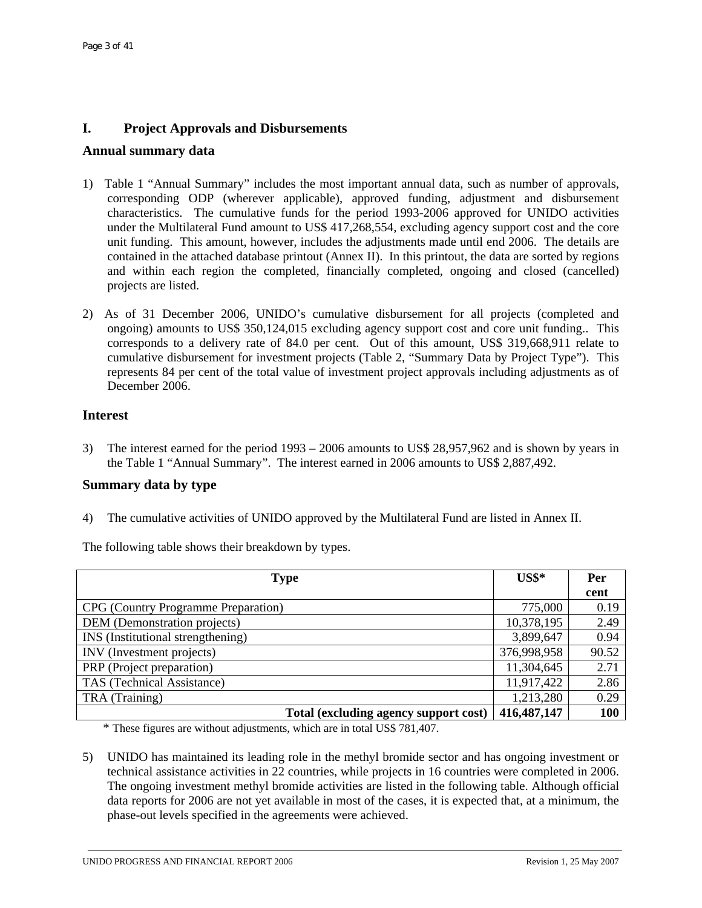# **I. Project Approvals and Disbursements**

### **Annual summary data**

- 1) Table 1 "Annual Summary" includes the most important annual data, such as number of approvals, corresponding ODP (wherever applicable), approved funding, adjustment and disbursement characteristics. The cumulative funds for the period 1993-2006 approved for UNIDO activities under the Multilateral Fund amount to US\$ 417,268,554, excluding agency support cost and the core unit funding. This amount, however, includes the adjustments made until end 2006. The details are contained in the attached database printout (Annex II). In this printout, the data are sorted by regions and within each region the completed, financially completed, ongoing and closed (cancelled) projects are listed.
- 2) As of 31 December 2006, UNIDO's cumulative disbursement for all projects (completed and ongoing) amounts to US\$ 350,124,015 excluding agency support cost and core unit funding.. This corresponds to a delivery rate of 84.0 per cent. Out of this amount, US\$ 319,668,911 relate to cumulative disbursement for investment projects (Table 2, "Summary Data by Project Type"). This represents 84 per cent of the total value of investment project approvals including adjustments as of December 2006.

### **Interest**

3) The interest earned for the period 1993 – 2006 amounts to US\$ 28,957,962 and is shown by years in the Table 1 "Annual Summary". The interest earned in 2006 amounts to US\$ 2,887,492.

# **Summary data by type**

4) The cumulative activities of UNIDO approved by the Multilateral Fund are listed in Annex II.

The following table shows their breakdown by types.

| <b>Type</b>                           | $US$^*$       | Per        |
|---------------------------------------|---------------|------------|
|                                       |               | cent       |
| CPG (Country Programme Preparation)   | 775,000       | 0.19       |
| DEM (Demonstration projects)          | 10,378,195    | 2.49       |
| INS (Institutional strengthening)     | 3,899,647     | 0.94       |
| INV (Investment projects)             | 376,998,958   | 90.52      |
| PRP (Project preparation)             | 11,304,645    | 2.71       |
| TAS (Technical Assistance)            | 11,917,422    | 2.86       |
| TRA (Training)                        | 1,213,280     | 0.29       |
| Total (excluding agency support cost) | 416, 487, 147 | <b>100</b> |

\* These figures are without adjustments, which are in total US\$ 781,407.

5) UNIDO has maintained its leading role in the methyl bromide sector and has ongoing investment or technical assistance activities in 22 countries, while projects in 16 countries were completed in 2006. The ongoing investment methyl bromide activities are listed in the following table. Although official data reports for 2006 are not yet available in most of the cases, it is expected that, at a minimum, the phase-out levels specified in the agreements were achieved.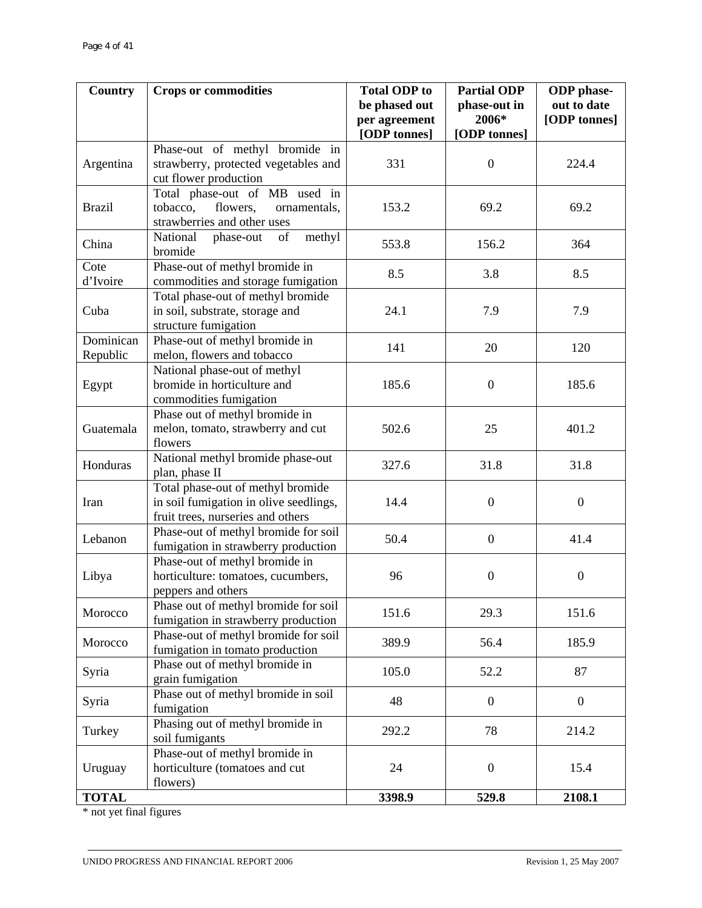| <b>Country</b>        | <b>Crops or commodities</b>                                                                                      | <b>Total ODP</b> to<br>be phased out | <b>Partial ODP</b><br>phase-out in | <b>ODP</b> phase-<br>out to date |
|-----------------------|------------------------------------------------------------------------------------------------------------------|--------------------------------------|------------------------------------|----------------------------------|
|                       |                                                                                                                  | per agreement<br>[ODP tonnes]        | 2006*<br>[ODP tonnes]              | [ODP tonnes]                     |
| Argentina             | Phase-out of methyl bromide in<br>strawberry, protected vegetables and<br>cut flower production                  | 331                                  | $\boldsymbol{0}$                   | 224.4                            |
| <b>Brazil</b>         | Total phase-out of MB used in<br>flowers,<br>tobacco,<br>ornamentals,<br>strawberries and other uses             | 153.2                                | 69.2                               | 69.2                             |
| China                 | National<br>of<br>methyl<br>phase-out<br>bromide                                                                 | 553.8                                | 156.2                              | 364                              |
| Cote<br>d'Ivoire      | Phase-out of methyl bromide in<br>commodities and storage fumigation                                             | 8.5                                  | 3.8                                | 8.5                              |
| Cuba                  | Total phase-out of methyl bromide<br>in soil, substrate, storage and<br>structure fumigation                     | 24.1                                 | 7.9                                | 7.9                              |
| Dominican<br>Republic | Phase-out of methyl bromide in<br>melon, flowers and tobacco                                                     | 141                                  | 20                                 | 120                              |
| Egypt                 | National phase-out of methyl<br>bromide in horticulture and<br>commodities fumigation                            | 185.6                                | $\boldsymbol{0}$                   | 185.6                            |
| Guatemala             | Phase out of methyl bromide in<br>melon, tomato, strawberry and cut<br>flowers                                   | 502.6                                | 25                                 | 401.2                            |
| Honduras              | National methyl bromide phase-out<br>plan, phase II                                                              | 327.6                                | 31.8                               | 31.8                             |
| Iran                  | Total phase-out of methyl bromide<br>in soil fumigation in olive seedlings,<br>fruit trees, nurseries and others | 14.4                                 | $\boldsymbol{0}$                   | $\boldsymbol{0}$                 |
| Lebanon               | Phase-out of methyl bromide for soil<br>fumigation in strawberry production                                      | 50.4                                 | $\boldsymbol{0}$                   | 41.4                             |
| Libya                 | Phase-out of methyl bromide in<br>horticulture: tomatoes, cucumbers,<br>peppers and others                       | 96                                   | $\boldsymbol{0}$                   | $\boldsymbol{0}$                 |
| Morocco               | Phase out of methyl bromide for soil<br>fumigation in strawberry production                                      | 151.6                                | 29.3                               | 151.6                            |
| Morocco               | Phase-out of methyl bromide for soil<br>fumigation in tomato production                                          | 389.9                                | 56.4                               | 185.9                            |
| Syria                 | Phase out of methyl bromide in<br>grain fumigation                                                               | 105.0                                | 52.2                               | 87                               |
| Syria                 | Phase out of methyl bromide in soil<br>fumigation                                                                | 48                                   | $\overline{0}$                     | $\boldsymbol{0}$                 |
| Turkey                | Phasing out of methyl bromide in<br>soil fumigants                                                               | 292.2                                | 78                                 | 214.2                            |
| Uruguay               | Phase-out of methyl bromide in<br>horticulture (tomatoes and cut<br>flowers)                                     | 24                                   | $\boldsymbol{0}$                   | 15.4                             |
| <b>TOTAL</b>          |                                                                                                                  | 3398.9                               | 529.8                              | 2108.1                           |

\* not yet final figures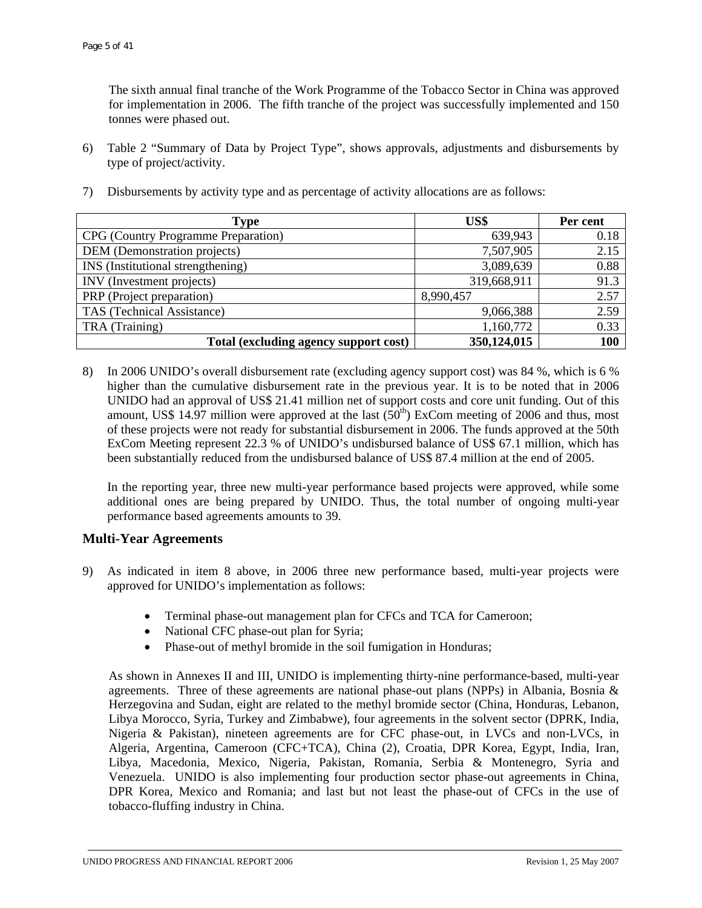The sixth annual final tranche of the Work Programme of the Tobacco Sector in China was approved for implementation in 2006. The fifth tranche of the project was successfully implemented and 150 tonnes were phased out.

6) Table 2 "Summary of Data by Project Type", shows approvals, adjustments and disbursements by type of project/activity.

| Type                                  | US\$        | Per cent |
|---------------------------------------|-------------|----------|
| CPG (Country Programme Preparation)   | 639,943     | 0.18     |
| DEM (Demonstration projects)          | 7,507,905   | 2.15     |
| INS (Institutional strengthening)     | 3,089,639   | 0.88     |
| INV (Investment projects)             | 319,668,911 | 91.3     |
| PRP (Project preparation)             | 8,990,457   | 2.57     |
| TAS (Technical Assistance)            | 9,066,388   | 2.59     |
| TRA (Training)                        | 1,160,772   | 0.33     |
| Total (excluding agency support cost) | 350,124,015 | 100      |

7) Disbursements by activity type and as percentage of activity allocations are as follows:

8) In 2006 UNIDO's overall disbursement rate (excluding agency support cost) was 84 %, which is 6 % higher than the cumulative disbursement rate in the previous year. It is to be noted that in 2006 UNIDO had an approval of US\$ 21.41 million net of support costs and core unit funding. Out of this amount, US\$ 14.97 million were approved at the last  $(50<sup>th</sup>)$  ExCom meeting of 2006 and thus, most of these projects were not ready for substantial disbursement in 2006. The funds approved at the 50th ExCom Meeting represent 22.3 % of UNIDO's undisbursed balance of US\$ 67.1 million, which has been substantially reduced from the undisbursed balance of US\$ 87.4 million at the end of 2005.

In the reporting year, three new multi-year performance based projects were approved, while some additional ones are being prepared by UNIDO. Thus, the total number of ongoing multi-year performance based agreements amounts to 39.

## **Multi-Year Agreements**

- 9) As indicated in item 8 above, in 2006 three new performance based, multi-year projects were approved for UNIDO's implementation as follows:
	- Terminal phase-out management plan for CFCs and TCA for Cameroon;
	- National CFC phase-out plan for Syria;
	- Phase-out of methyl bromide in the soil fumigation in Honduras;

As shown in Annexes II and III, UNIDO is implementing thirty-nine performance-based, multi-year agreements. Three of these agreements are national phase-out plans (NPPs) in Albania, Bosnia & Herzegovina and Sudan, eight are related to the methyl bromide sector (China, Honduras, Lebanon, Libya Morocco, Syria, Turkey and Zimbabwe), four agreements in the solvent sector (DPRK, India, Nigeria & Pakistan), nineteen agreements are for CFC phase-out, in LVCs and non-LVCs, in Algeria, Argentina, Cameroon (CFC+TCA), China (2), Croatia, DPR Korea, Egypt, India, Iran, Libya, Macedonia, Mexico, Nigeria, Pakistan, Romania, Serbia & Montenegro, Syria and Venezuela. UNIDO is also implementing four production sector phase-out agreements in China, DPR Korea, Mexico and Romania; and last but not least the phase-out of CFCs in the use of tobacco-fluffing industry in China.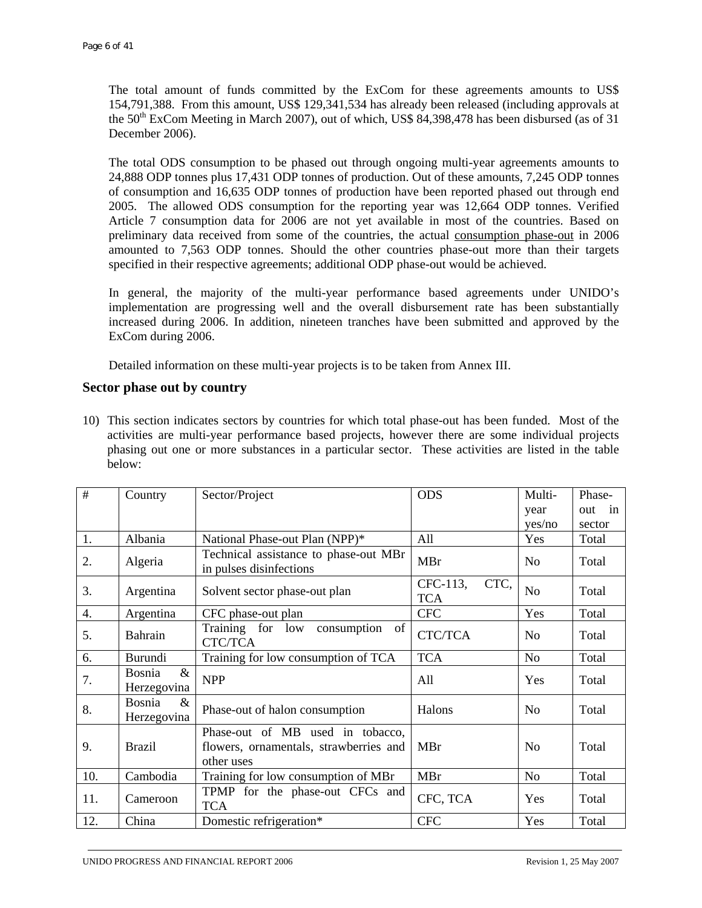The total amount of funds committed by the ExCom for these agreements amounts to US\$ 154,791,388. From this amount, US\$ 129,341,534 has already been released (including approvals at the  $50<sup>th</sup>$  ExCom Meeting in March 2007), out of which, US\$ 84,398,478 has been disbursed (as of 31 December 2006).

The total ODS consumption to be phased out through ongoing multi-year agreements amounts to 24,888 ODP tonnes plus 17,431 ODP tonnes of production. Out of these amounts, 7,245 ODP tonnes of consumption and 16,635 ODP tonnes of production have been reported phased out through end 2005. The allowed ODS consumption for the reporting year was 12,664 ODP tonnes. Verified Article 7 consumption data for 2006 are not yet available in most of the countries. Based on preliminary data received from some of the countries, the actual consumption phase-out in 2006 amounted to 7,563 ODP tonnes. Should the other countries phase-out more than their targets specified in their respective agreements; additional ODP phase-out would be achieved.

In general, the majority of the multi-year performance based agreements under UNIDO's implementation are progressing well and the overall disbursement rate has been substantially increased during 2006. In addition, nineteen tranches have been submitted and approved by the ExCom during 2006.

Detailed information on these multi-year projects is to be taken from Annex III.

# **Sector phase out by country**

10) This section indicates sectors by countries for which total phase-out has been funded. Most of the activities are multi-year performance based projects, however there are some individual projects phasing out one or more substances in a particular sector. These activities are listed in the table below:

| #   | Country                       | Sector/Project                                                                           | <b>ODS</b>                     | Multi-         | Phase- |
|-----|-------------------------------|------------------------------------------------------------------------------------------|--------------------------------|----------------|--------|
|     |                               |                                                                                          |                                | year           | out in |
|     |                               |                                                                                          |                                | yes/no         | sector |
| 1.  | Albania                       | National Phase-out Plan (NPP)*                                                           | All                            | Yes            | Total  |
| 2.  | Algeria                       | Technical assistance to phase-out MBr<br>in pulses disinfections                         | <b>MBr</b>                     | No             | Total  |
| 3.  | Argentina                     | Solvent sector phase-out plan                                                            | CTC,<br>CFC-113,<br><b>TCA</b> | N <sub>o</sub> | Total  |
| 4.  | Argentina                     | CFC phase-out plan                                                                       | <b>CFC</b>                     | Yes            | Total  |
| 5.  | Bahrain                       | Training for low<br>of<br>consumption<br>CTC/TCA                                         | CTC/TCA                        | N <sub>0</sub> | Total  |
| 6.  | Burundi                       | Training for low consumption of TCA                                                      | <b>TCA</b>                     | N <sub>o</sub> | Total  |
| 7.  | $\&$<br>Bosnia<br>Herzegovina | <b>NPP</b>                                                                               | All                            | Yes            | Total  |
| 8.  | Bosnia<br>$\&$<br>Herzegovina | Phase-out of halon consumption                                                           | Halons                         | N <sub>0</sub> | Total  |
| 9.  | <b>Brazil</b>                 | Phase-out of MB used in tobacco,<br>flowers, ornamentals, strawberries and<br>other uses | MBr                            | No             | Total  |
| 10. | Cambodia                      | Training for low consumption of MBr                                                      | <b>MBr</b>                     | N <sub>o</sub> | Total  |
| 11. | Cameroon                      | TPMP for the phase-out CFCs and<br><b>TCA</b>                                            | CFC, TCA                       | Yes            | Total  |
| 12. | China                         | Domestic refrigeration*                                                                  | <b>CFC</b>                     | Yes            | Total  |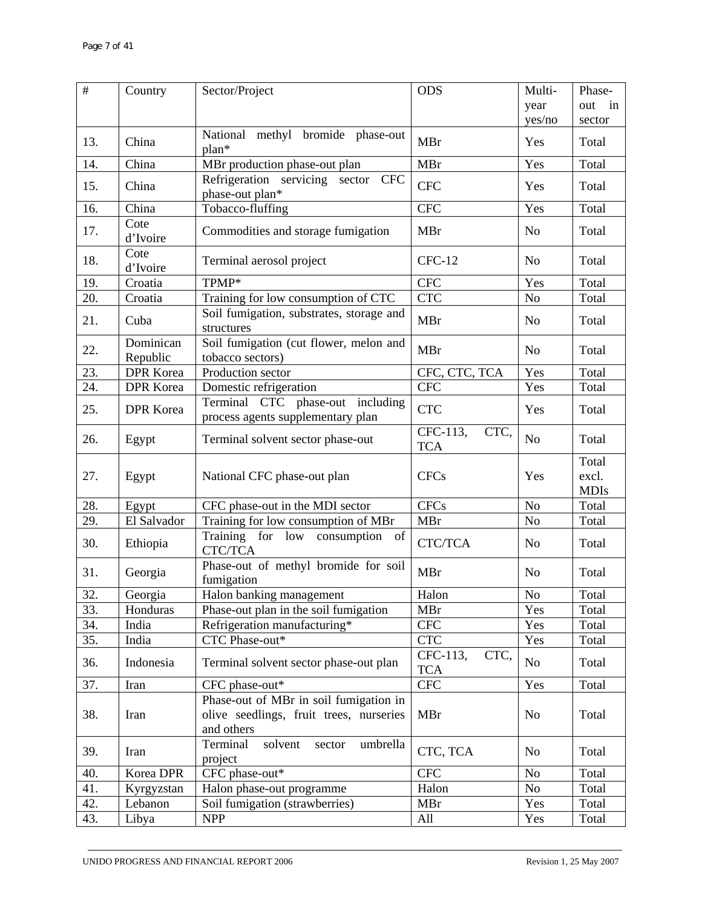| $\#$ | Country               | Sector/Project                                                                                  | <b>ODS</b>                     | Multi-         | Phase-                        |
|------|-----------------------|-------------------------------------------------------------------------------------------------|--------------------------------|----------------|-------------------------------|
|      |                       |                                                                                                 |                                | year           | out in                        |
|      |                       |                                                                                                 |                                | yes/no         | sector                        |
| 13.  | China                 | National methyl bromide phase-out<br>$plan*$                                                    | <b>MBr</b>                     | Yes            | Total                         |
| 14.  | China                 | MBr production phase-out plan                                                                   | <b>MBr</b>                     | Yes            | Total                         |
| 15.  | China                 | Refrigeration servicing sector CFC<br>phase-out plan*                                           | <b>CFC</b>                     | Yes            | Total                         |
| 16.  | China                 | Tobacco-fluffing                                                                                | <b>CFC</b>                     | Yes            | Total                         |
| 17.  | Cote<br>d'Ivoire      | Commodities and storage fumigation                                                              | <b>MBr</b>                     | No             | Total                         |
| 18.  | Cote<br>d'Ivoire      | Terminal aerosol project                                                                        | $CFC-12$                       | N <sub>0</sub> | Total                         |
| 19.  | Croatia               | TPMP*                                                                                           | <b>CFC</b>                     | Yes            | Total                         |
| 20.  | Croatia               | Training for low consumption of CTC                                                             | <b>CTC</b>                     | N <sub>o</sub> | Total                         |
| 21.  | Cuba                  | Soil fumigation, substrates, storage and<br>structures                                          | <b>MBr</b>                     | No             | Total                         |
| 22.  | Dominican<br>Republic | Soil fumigation (cut flower, melon and<br>tobacco sectors)                                      | <b>MBr</b>                     | N <sub>0</sub> | Total                         |
| 23.  | <b>DPR</b> Korea      | Production sector                                                                               | CFC, CTC, TCA                  | Yes            | Total                         |
| 24.  | <b>DPR</b> Korea      | Domestic refrigeration                                                                          | <b>CFC</b>                     | Yes            | Total                         |
| 25.  | <b>DPR</b> Korea      | Terminal CTC phase-out including<br>process agents supplementary plan                           | <b>CTC</b>                     | Yes            | Total                         |
| 26.  | Egypt                 | Terminal solvent sector phase-out                                                               | CFC-113,<br>CTC,<br><b>TCA</b> | N <sub>o</sub> | Total                         |
| 27.  | Egypt                 | National CFC phase-out plan                                                                     | <b>CFCs</b>                    | Yes            | Total<br>excl.<br><b>MDIs</b> |
| 28.  | Egypt                 | CFC phase-out in the MDI sector                                                                 | <b>CFCs</b>                    | No             | Total                         |
| 29.  | El Salvador           | Training for low consumption of MBr                                                             | MBr                            | N <sub>o</sub> | Total                         |
| 30.  | Ethiopia              | Training for low<br>of<br>consumption<br>CTC/TCA                                                | CTC/TCA                        | No             | Total                         |
| 31.  | Georgia               | Phase-out of methyl bromide for soil<br>fumigation                                              | <b>MBr</b>                     | N <sub>o</sub> | Total                         |
| 32.  | Georgia               | Halon banking management                                                                        | Halon                          | $\rm No$       | Total                         |
| 33.  | Honduras              | Phase-out plan in the soil fumigation                                                           | MBr                            | Yes            | Total                         |
| 34.  | India                 | Refrigeration manufacturing*                                                                    | <b>CFC</b>                     | Yes            | Total                         |
| 35.  | India                 | CTC Phase-out*                                                                                  | <b>CTC</b>                     | Yes            | Total                         |
| 36.  | Indonesia             | Terminal solvent sector phase-out plan                                                          | CFC-113,<br>CTC,<br><b>TCA</b> | N <sub>o</sub> | Total                         |
| 37.  | Iran                  | CFC phase-out*                                                                                  | <b>CFC</b>                     | Yes            | Total                         |
| 38.  | Iran                  | Phase-out of MBr in soil fumigation in<br>olive seedlings, fruit trees, nurseries<br>and others | <b>MBr</b>                     | N <sub>o</sub> | Total                         |
| 39.  | Iran                  | Terminal<br>umbrella<br>solvent<br>sector<br>project                                            | CTC, TCA                       | No             | Total                         |
| 40.  | Korea DPR             | CFC phase-out*                                                                                  | <b>CFC</b>                     | N <sub>o</sub> | Total                         |
| 41.  | Kyrgyzstan            | Halon phase-out programme                                                                       | Halon                          | No             | Total                         |
| 42.  | Lebanon               | Soil fumigation (strawberries)                                                                  | <b>MBr</b>                     | Yes            | Total                         |
| 43.  | Libya                 | <b>NPP</b>                                                                                      | All                            | Yes            | Total                         |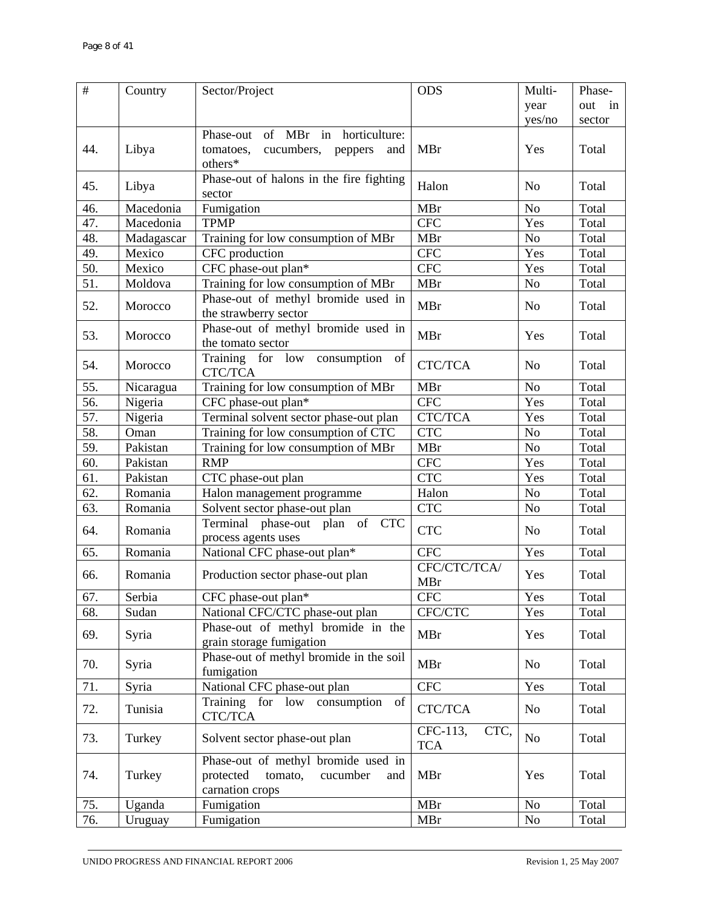| $\#$              | Country    | Sector/Project                                        | <b>ODS</b>                     | Multi-         | Phase- |
|-------------------|------------|-------------------------------------------------------|--------------------------------|----------------|--------|
|                   |            |                                                       |                                | year           | out in |
|                   |            |                                                       |                                | yes/no         | sector |
|                   |            | Phase-out of MBr in horticulture:                     |                                |                |        |
| 44.               | Libya      | cucumbers,<br>tomatoes,<br>peppers<br>and             | MBr                            | Yes            | Total  |
|                   |            | others*                                               |                                |                |        |
| 45.               | Libya      | Phase-out of halons in the fire fighting              | Halon                          | N <sub>o</sub> | Total  |
|                   |            | sector                                                |                                |                |        |
| 46.               | Macedonia  | Fumigation                                            | <b>MBr</b>                     | N <sub>o</sub> | Total  |
| 47.               | Macedonia  | <b>TPMP</b>                                           | <b>CFC</b>                     | Yes            | Total  |
| 48.               | Madagascar | Training for low consumption of MBr                   | <b>MBr</b>                     | $\rm No$       | Total  |
| 49.               | Mexico     | CFC production                                        | <b>CFC</b>                     | Yes            | Total  |
| 50.               | Mexico     | CFC phase-out plan*                                   | <b>CFC</b>                     | Yes            | Total  |
| $\overline{51}$ . | Moldova    | Training for low consumption of MBr                   | <b>MBr</b>                     | N <sub>o</sub> | Total  |
| 52.               | Morocco    | Phase-out of methyl bromide used in                   | <b>MBr</b>                     | N <sub>o</sub> | Total  |
|                   |            | the strawberry sector                                 |                                |                |        |
| 53.               | Morocco    | Phase-out of methyl bromide used in                   | MBr                            | Yes            | Total  |
|                   |            | the tomato sector                                     |                                |                |        |
| 54.               | Morocco    | Training for low consumption<br>of                    | <b>CTC/TCA</b>                 | N <sub>o</sub> | Total  |
|                   |            | CTC/TCA                                               |                                |                |        |
| 55.               | Nicaragua  | Training for low consumption of MBr                   | <b>MBr</b>                     | N <sub>o</sub> | Total  |
| $\overline{56}$ . | Nigeria    | CFC phase-out plan*                                   | <b>CFC</b>                     | Yes            | Total  |
| 57.               | Nigeria    | Terminal solvent sector phase-out plan                | <b>CTC/TCA</b>                 | Yes            | Total  |
| 58.               | Oman       | Training for low consumption of CTC                   | <b>CTC</b>                     | N <sub>o</sub> | Total  |
| 59.               | Pakistan   | Training for low consumption of MBr                   | <b>MBr</b>                     | N <sub>o</sub> | Total  |
| 60.               | Pakistan   | <b>RMP</b>                                            | <b>CFC</b>                     | Yes            | Total  |
| 61.               | Pakistan   | CTC phase-out plan                                    | <b>CTC</b>                     | Yes            | Total  |
| $\overline{62}$ . | Romania    | Halon management programme                            | Halon                          | No             | Total  |
| 63.               | Romania    | Solvent sector phase-out plan                         | <b>CTC</b>                     | N <sub>o</sub> | Total  |
| 64.               | Romania    | Terminal phase-out plan of CTC<br>process agents uses | <b>CTC</b>                     | N <sub>o</sub> | Total  |
| 65.               | Romania    | National CFC phase-out plan*                          | <b>CFC</b>                     | Yes            | Total  |
|                   |            |                                                       | CFC/CTC/TCA/                   |                |        |
| 66.               | Romania    | Production sector phase-out plan                      | MBr                            | Yes            | Total  |
| 67.               | Serbia     | CFC phase-out plan*                                   | <b>CFC</b>                     | Yes            | Total  |
| 68.               | Sudan      | National CFC/CTC phase-out plan                       | CFC/CTC                        | Yes            | Total  |
|                   |            | Phase-out of methyl bromide in the                    |                                |                |        |
| 69.               | Syria      | grain storage fumigation                              | <b>MBr</b>                     | Yes            | Total  |
| 70.               |            | Phase-out of methyl bromide in the soil               | <b>MBr</b>                     | N <sub>o</sub> | Total  |
|                   | Syria      | fumigation                                            |                                |                |        |
| 71.               | Syria      | National CFC phase-out plan                           | <b>CFC</b>                     | Yes            | Total  |
| 72.               | Tunisia    | Training for low<br>consumption<br>of                 | CTC/TCA                        | No             | Total  |
|                   |            | CTC/TCA                                               |                                |                |        |
| 73.               | Turkey     | Solvent sector phase-out plan                         | CFC-113,<br>CTC,<br><b>TCA</b> | N <sub>o</sub> | Total  |
|                   |            | Phase-out of methyl bromide used in                   |                                |                |        |
| 74.               | Turkey     | tomato,<br>protected<br>cucumber<br>and               | MBr                            | Yes            | Total  |
|                   |            | carnation crops                                       |                                |                |        |
| 75.               | Uganda     | Fumigation                                            | MBr                            | N <sub>o</sub> | Total  |
| 76.               | Uruguay    | Fumigation                                            | <b>MBr</b>                     | No             | Total  |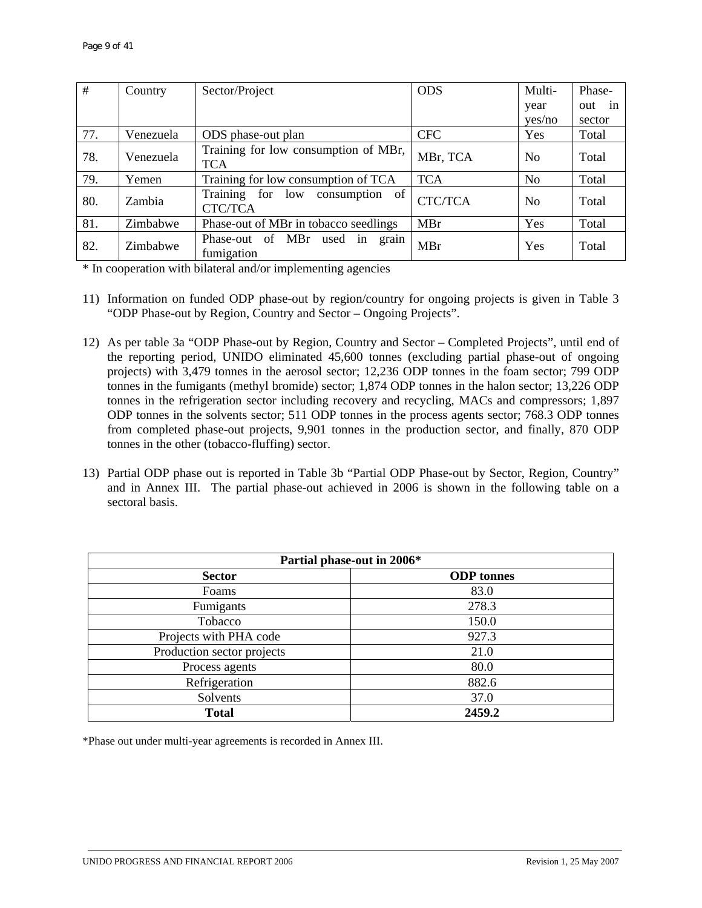| #   | Country   | Sector/Project                                         | <b>ODS</b> | Multi-         | Phase-    |
|-----|-----------|--------------------------------------------------------|------------|----------------|-----------|
|     |           |                                                        |            | year           | out<br>1n |
|     |           |                                                        |            | ves/no         | sector    |
| 77. | Venezuela | ODS phase-out plan                                     | <b>CFC</b> | Yes            | Total     |
| 78. | Venezuela | Training for low consumption of MBr,<br><b>TCA</b>     | MBr, TCA   | N <sub>o</sub> | Total     |
| 79. | Yemen     | Training for low consumption of TCA                    | <b>TCA</b> | N <sub>o</sub> | Total     |
| 80. | Zambia    | Training<br>for<br>low<br>consumption<br>of<br>CTC/TCA | CTC/TCA    | N <sub>0</sub> | Total     |
| 81. | Zimbabwe  | Phase-out of MBr in tobacco seedlings                  | <b>MBr</b> | Yes            | Total     |
| 82. | Zimbabwe  | Phase-out of MBr<br>used<br>in<br>grain<br>fumigation  | MBr        | Yes            | Total     |

\* In cooperation with bilateral and/or implementing agencies

- 11) Information on funded ODP phase-out by region/country for ongoing projects is given in Table 3 "ODP Phase-out by Region, Country and Sector – Ongoing Projects".
- 12) As per table 3a "ODP Phase-out by Region, Country and Sector Completed Projects", until end of the reporting period, UNIDO eliminated 45,600 tonnes (excluding partial phase-out of ongoing projects) with 3,479 tonnes in the aerosol sector; 12,236 ODP tonnes in the foam sector; 799 ODP tonnes in the fumigants (methyl bromide) sector; 1,874 ODP tonnes in the halon sector; 13,226 ODP tonnes in the refrigeration sector including recovery and recycling, MACs and compressors; 1,897 ODP tonnes in the solvents sector; 511 ODP tonnes in the process agents sector; 768.3 ODP tonnes from completed phase-out projects, 9,901 tonnes in the production sector, and finally, 870 ODP tonnes in the other (tobacco-fluffing) sector.
- 13) Partial ODP phase out is reported in Table 3b "Partial ODP Phase-out by Sector, Region, Country" and in Annex III. The partial phase-out achieved in 2006 is shown in the following table on a sectoral basis.

| Partial phase-out in 2006* |                   |  |
|----------------------------|-------------------|--|
| <b>Sector</b>              | <b>ODP</b> tonnes |  |
| Foams                      | 83.0              |  |
| Fumigants                  | 278.3             |  |
| Tobacco                    | 150.0             |  |
| Projects with PHA code     | 927.3             |  |
| Production sector projects | 21.0              |  |
| Process agents             | 80.0              |  |
| Refrigeration              | 882.6             |  |
| Solvents                   | 37.0              |  |
| <b>Total</b>               | 2459.2            |  |

\*Phase out under multi-year agreements is recorded in Annex III.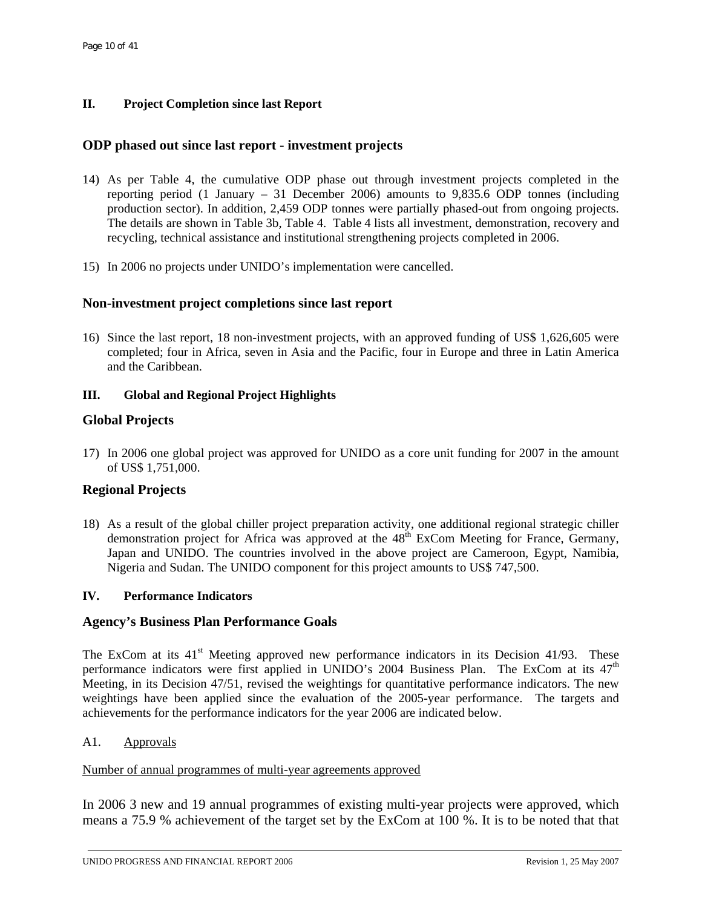## **II. Project Completion since last Report**

# **ODP phased out since last report - investment projects**

- 14) As per Table 4, the cumulative ODP phase out through investment projects completed in the reporting period (1 January – 31 December 2006) amounts to 9,835.6 ODP tonnes (including production sector). In addition, 2,459 ODP tonnes were partially phased-out from ongoing projects. The details are shown in Table 3b, Table 4. Table 4 lists all investment, demonstration, recovery and recycling, technical assistance and institutional strengthening projects completed in 2006.
- 15) In 2006 no projects under UNIDO's implementation were cancelled.

## **Non-investment project completions since last report**

16) Since the last report, 18 non-investment projects, with an approved funding of US\$ 1,626,605 were completed; four in Africa, seven in Asia and the Pacific, four in Europe and three in Latin America and the Caribbean.

## **III. Global and Regional Project Highlights**

## **Global Projects**

17) In 2006 one global project was approved for UNIDO as a core unit funding for 2007 in the amount of US\$ 1,751,000.

## **Regional Projects**

18) As a result of the global chiller project preparation activity, one additional regional strategic chiller demonstration project for Africa was approved at the  $48<sup>th</sup>$  ExCom Meeting for France, Germany, Japan and UNIDO. The countries involved in the above project are Cameroon, Egypt, Namibia, Nigeria and Sudan. The UNIDO component for this project amounts to US\$ 747,500.

## **IV. Performance Indicators**

## **Agency's Business Plan Performance Goals**

The ExCom at its  $41<sup>st</sup>$  Meeting approved new performance indicators in its Decision 41/93. These performance indicators were first applied in UNIDO's 2004 Business Plan. The ExCom at its  $47<sup>th</sup>$ Meeting, in its Decision 47/51, revised the weightings for quantitative performance indicators. The new weightings have been applied since the evaluation of the 2005-year performance. The targets and achievements for the performance indicators for the year 2006 are indicated below.

A1. Approvals

### Number of annual programmes of multi-year agreements approved

In 2006 3 new and 19 annual programmes of existing multi-year projects were approved, which means a 75.9 % achievement of the target set by the ExCom at 100 %. It is to be noted that that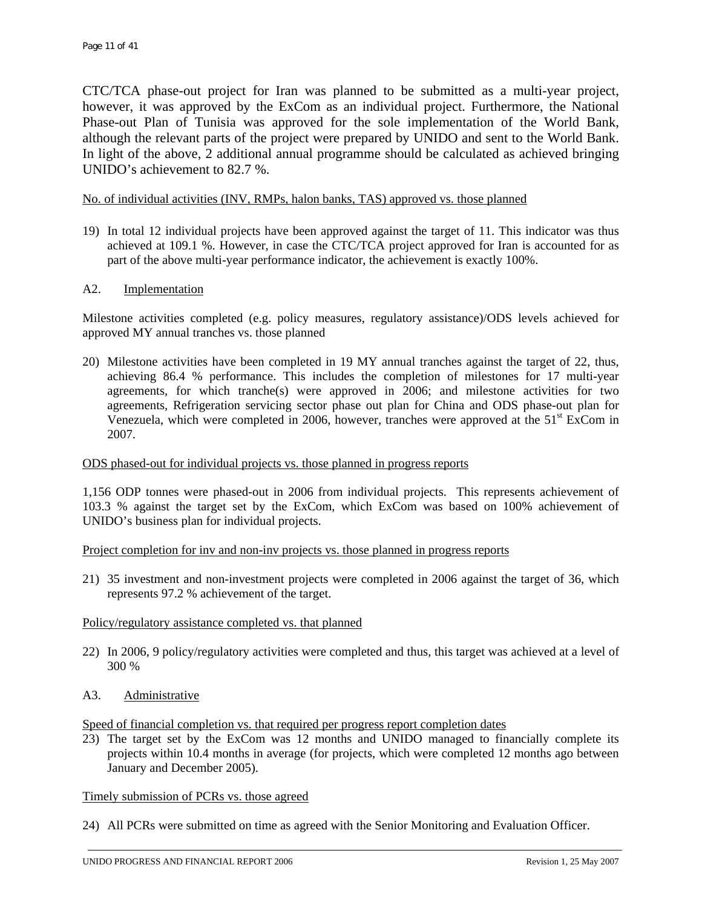CTC/TCA phase-out project for Iran was planned to be submitted as a multi-year project, however, it was approved by the ExCom as an individual project. Furthermore, the National Phase-out Plan of Tunisia was approved for the sole implementation of the World Bank, although the relevant parts of the project were prepared by UNIDO and sent to the World Bank. In light of the above, 2 additional annual programme should be calculated as achieved bringing UNIDO's achievement to 82.7 %.

#### No. of individual activities (INV, RMPs, halon banks, TAS) approved vs. those planned

19) In total 12 individual projects have been approved against the target of 11. This indicator was thus achieved at 109.1 %. However, in case the CTC/TCA project approved for Iran is accounted for as part of the above multi-year performance indicator, the achievement is exactly 100%.

#### A2. Implementation

Milestone activities completed (e.g. policy measures, regulatory assistance)/ODS levels achieved for approved MY annual tranches vs. those planned

20) Milestone activities have been completed in 19 MY annual tranches against the target of 22, thus, achieving 86.4 % performance. This includes the completion of milestones for 17 multi-year agreements, for which tranche(s) were approved in 2006; and milestone activities for two agreements, Refrigeration servicing sector phase out plan for China and ODS phase-out plan for Venezuela, which were completed in 2006, however, tranches were approved at the  $51<sup>st</sup>$  ExCom in 2007.

#### ODS phased-out for individual projects vs. those planned in progress reports

1,156 ODP tonnes were phased-out in 2006 from individual projects. This represents achievement of 103.3 % against the target set by the ExCom, which ExCom was based on 100% achievement of UNIDO's business plan for individual projects.

Project completion for inv and non-inv projects vs. those planned in progress reports

21) 35 investment and non-investment projects were completed in 2006 against the target of 36, which represents 97.2 % achievement of the target.

#### Policy/regulatory assistance completed vs. that planned

- 22) In 2006, 9 policy/regulatory activities were completed and thus, this target was achieved at a level of 300 %
- A3. Administrative

Speed of financial completion vs. that required per progress report completion dates

23) The target set by the ExCom was 12 months and UNIDO managed to financially complete its projects within 10.4 months in average (for projects, which were completed 12 months ago between January and December 2005).

#### Timely submission of PCRs vs. those agreed

24) All PCRs were submitted on time as agreed with the Senior Monitoring and Evaluation Officer.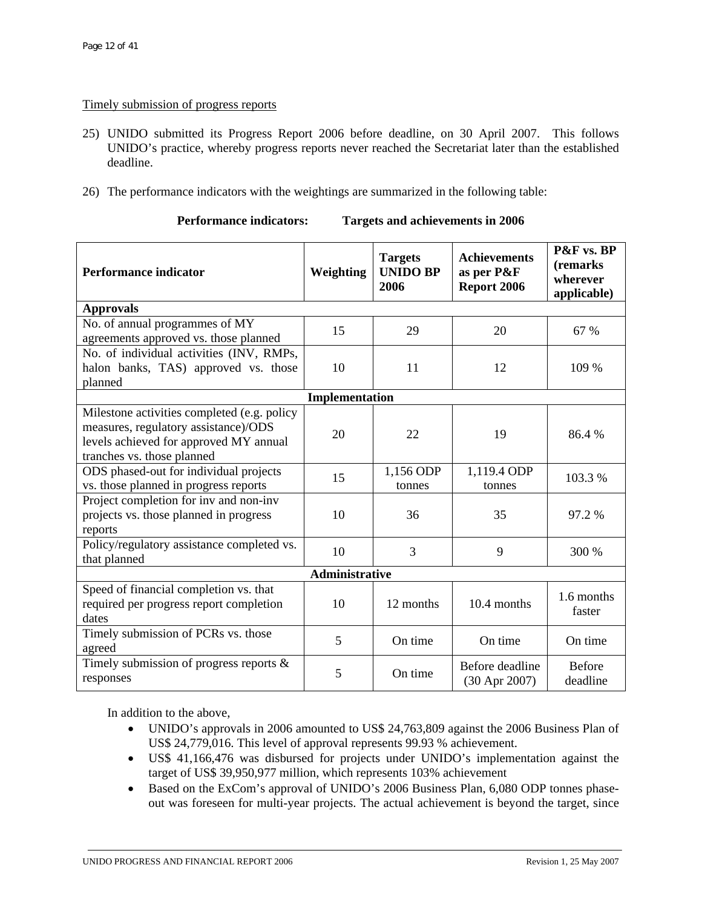### Timely submission of progress reports

- 25) UNIDO submitted its Progress Report 2006 before deadline, on 30 April 2007. This follows UNIDO's practice, whereby progress reports never reached the Secretariat later than the established deadline.
- 26) The performance indicators with the weightings are summarized in the following table:

| <b>Performance indicator</b>                                                                                                                                | Weighting | <b>Targets</b><br><b>UNIDO BP</b><br>2006 | <b>Achievements</b><br>as per P&F<br>Report 2006 | P&F vs. BP<br>(remarks)<br>wherever<br>applicable) |  |  |
|-------------------------------------------------------------------------------------------------------------------------------------------------------------|-----------|-------------------------------------------|--------------------------------------------------|----------------------------------------------------|--|--|
| <b>Approvals</b>                                                                                                                                            |           |                                           |                                                  |                                                    |  |  |
| No. of annual programmes of MY<br>agreements approved vs. those planned                                                                                     | 15        | 29                                        | 20                                               | 67 %                                               |  |  |
| No. of individual activities (INV, RMPs,                                                                                                                    |           |                                           |                                                  |                                                    |  |  |
| halon banks, TAS) approved vs. those<br>planned                                                                                                             | 10        | 11                                        | 12                                               | 109 %                                              |  |  |
| Implementation                                                                                                                                              |           |                                           |                                                  |                                                    |  |  |
| Milestone activities completed (e.g. policy<br>measures, regulatory assistance)/ODS<br>levels achieved for approved MY annual<br>tranches vs. those planned | 20        | 22                                        | 19                                               | 86.4%                                              |  |  |
| ODS phased-out for individual projects<br>vs. those planned in progress reports                                                                             | 15        | 1,156 ODP<br>tonnes                       | 1,119.4 ODP<br>tonnes                            | 103.3 %                                            |  |  |
| Project completion for inv and non-inv<br>projects vs. those planned in progress<br>reports                                                                 | 10        | 36                                        | 35                                               | 97.2 %                                             |  |  |
| Policy/regulatory assistance completed vs.<br>that planned                                                                                                  | 10        | 3                                         | 9                                                | 300 %                                              |  |  |
| <b>Administrative</b>                                                                                                                                       |           |                                           |                                                  |                                                    |  |  |
| Speed of financial completion vs. that<br>required per progress report completion<br>dates                                                                  | 10        | 12 months                                 | 10.4 months                                      | 1.6 months<br>faster                               |  |  |
| Timely submission of PCRs vs. those<br>agreed                                                                                                               | 5         | On time                                   | On time                                          | On time                                            |  |  |
| Timely submission of progress reports $\&$<br>responses                                                                                                     | 5         | On time                                   | Before deadline<br>(30 Apr 2007)                 | <b>Before</b><br>deadline                          |  |  |

| <b>Performance indicators:</b> | Targets and achievements in 2006 |
|--------------------------------|----------------------------------|
|--------------------------------|----------------------------------|

In addition to the above,

- UNIDO's approvals in 2006 amounted to US\$ 24,763,809 against the 2006 Business Plan of US\$ 24,779,016. This level of approval represents 99.93 % achievement.
- US\$ 41,166,476 was disbursed for projects under UNIDO's implementation against the target of US\$ 39,950,977 million, which represents 103% achievement
- Based on the ExCom's approval of UNIDO's 2006 Business Plan, 6,080 ODP tonnes phaseout was foreseen for multi-year projects. The actual achievement is beyond the target, since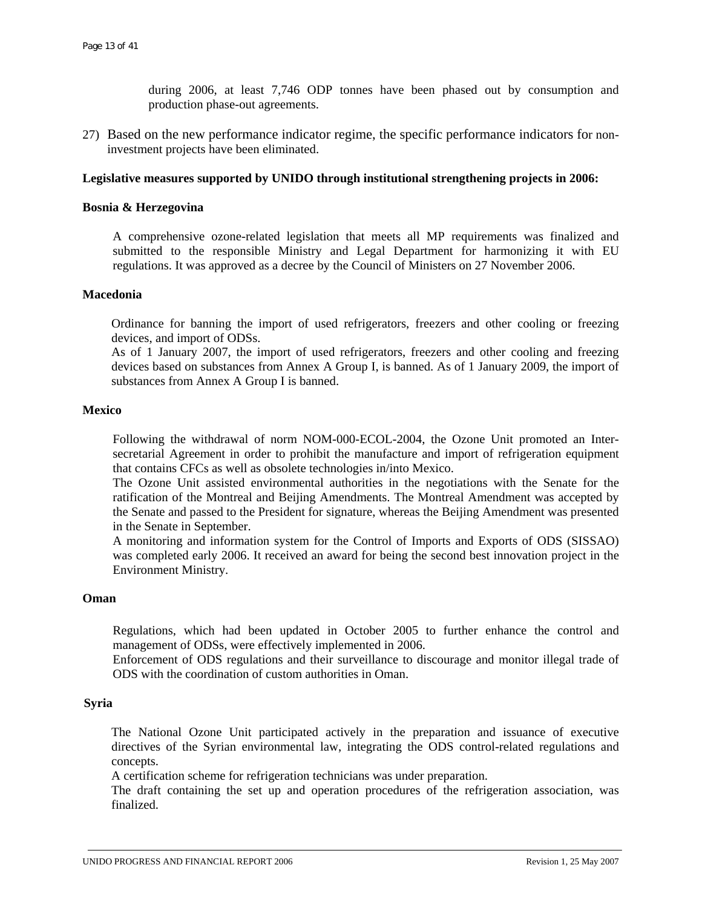during 2006, at least 7,746 ODP tonnes have been phased out by consumption and production phase-out agreements.

27) Based on the new performance indicator regime, the specific performance indicators for noninvestment projects have been eliminated.

#### **Legislative measures supported by UNIDO through institutional strengthening projects in 2006:**

#### **Bosnia & Herzegovina**

A comprehensive ozone-related legislation that meets all MP requirements was finalized and submitted to the responsible Ministry and Legal Department for harmonizing it with EU regulations. It was approved as a decree by the Council of Ministers on 27 November 2006.

#### **Macedonia**

Ordinance for banning the import of used refrigerators, freezers and other cooling or freezing devices, and import of ODSs.

As of 1 January 2007, the import of used refrigerators, freezers and other cooling and freezing devices based on substances from Annex A Group I, is banned. As of 1 January 2009, the import of substances from Annex A Group I is banned.

#### **Mexico**

Following the withdrawal of norm NOM-000-ECOL-2004, the Ozone Unit promoted an Intersecretarial Agreement in order to prohibit the manufacture and import of refrigeration equipment that contains CFCs as well as obsolete technologies in/into Mexico.

The Ozone Unit assisted environmental authorities in the negotiations with the Senate for the ratification of the Montreal and Beijing Amendments. The Montreal Amendment was accepted by the Senate and passed to the President for signature, whereas the Beijing Amendment was presented in the Senate in September.

A monitoring and information system for the Control of Imports and Exports of ODS (SISSAO) was completed early 2006. It received an award for being the second best innovation project in the Environment Ministry.

#### **Oman**

Regulations, which had been updated in October 2005 to further enhance the control and management of ODSs, were effectively implemented in 2006.

Enforcement of ODS regulations and their surveillance to discourage and monitor illegal trade of ODS with the coordination of custom authorities in Oman.

#### **Syria**

The National Ozone Unit participated actively in the preparation and issuance of executive directives of the Syrian environmental law, integrating the ODS control-related regulations and concepts.

A certification scheme for refrigeration technicians was under preparation.

The draft containing the set up and operation procedures of the refrigeration association, was finalized.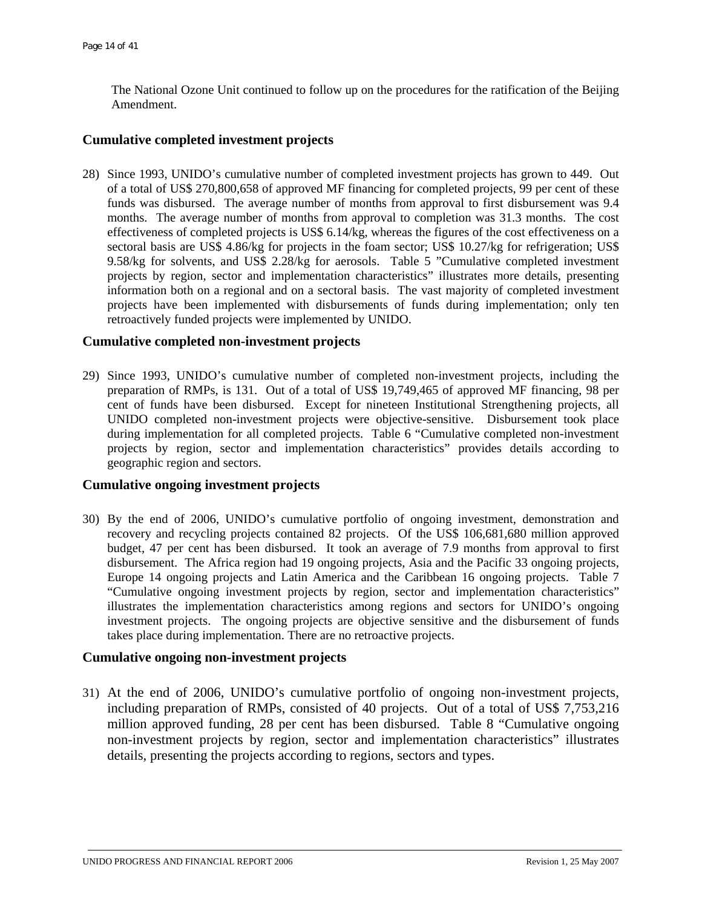The National Ozone Unit continued to follow up on the procedures for the ratification of the Beijing Amendment.

### **Cumulative completed investment projects**

28) Since 1993, UNIDO's cumulative number of completed investment projects has grown to 449. Out of a total of US\$ 270,800,658 of approved MF financing for completed projects, 99 per cent of these funds was disbursed. The average number of months from approval to first disbursement was 9.4 months. The average number of months from approval to completion was 31.3 months. The cost effectiveness of completed projects is US\$ 6.14/kg, whereas the figures of the cost effectiveness on a sectoral basis are US\$ 4.86/kg for projects in the foam sector; US\$ 10.27/kg for refrigeration; US\$ 9.58/kg for solvents, and US\$ 2.28/kg for aerosols. Table 5 "Cumulative completed investment projects by region, sector and implementation characteristics" illustrates more details, presenting information both on a regional and on a sectoral basis. The vast majority of completed investment projects have been implemented with disbursements of funds during implementation; only ten retroactively funded projects were implemented by UNIDO.

#### **Cumulative completed non-investment projects**

29) Since 1993, UNIDO's cumulative number of completed non-investment projects, including the preparation of RMPs, is 131. Out of a total of US\$ 19,749,465 of approved MF financing, 98 per cent of funds have been disbursed. Except for nineteen Institutional Strengthening projects, all UNIDO completed non-investment projects were objective-sensitive. Disbursement took place during implementation for all completed projects. Table 6 "Cumulative completed non-investment projects by region, sector and implementation characteristics" provides details according to geographic region and sectors.

## **Cumulative ongoing investment projects**

30) By the end of 2006, UNIDO's cumulative portfolio of ongoing investment, demonstration and recovery and recycling projects contained 82 projects. Of the US\$ 106,681,680 million approved budget, 47 per cent has been disbursed. It took an average of 7.9 months from approval to first disbursement. The Africa region had 19 ongoing projects, Asia and the Pacific 33 ongoing projects, Europe 14 ongoing projects and Latin America and the Caribbean 16 ongoing projects. Table 7 "Cumulative ongoing investment projects by region, sector and implementation characteristics" illustrates the implementation characteristics among regions and sectors for UNIDO's ongoing investment projects. The ongoing projects are objective sensitive and the disbursement of funds takes place during implementation. There are no retroactive projects.

#### **Cumulative ongoing non-investment projects**

31) At the end of 2006, UNIDO's cumulative portfolio of ongoing non-investment projects, including preparation of RMPs, consisted of 40 projects. Out of a total of US\$ 7,753,216 million approved funding, 28 per cent has been disbursed. Table 8 "Cumulative ongoing non-investment projects by region, sector and implementation characteristics" illustrates details, presenting the projects according to regions, sectors and types.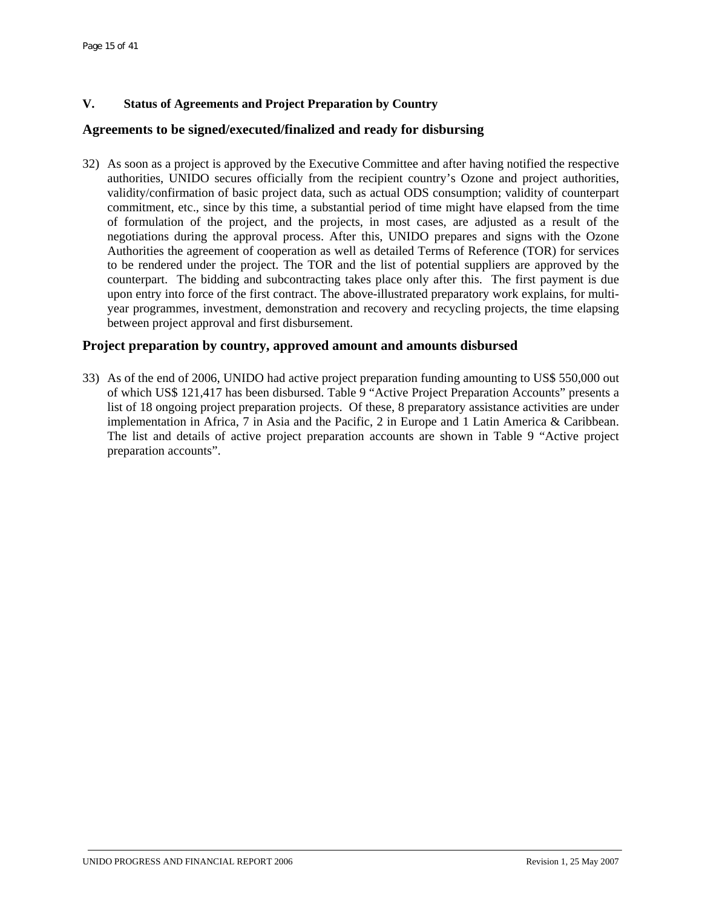# **V. Status of Agreements and Project Preparation by Country**

## **Agreements to be signed/executed/finalized and ready for disbursing**

32) As soon as a project is approved by the Executive Committee and after having notified the respective authorities, UNIDO secures officially from the recipient country's Ozone and project authorities, validity/confirmation of basic project data, such as actual ODS consumption; validity of counterpart commitment, etc., since by this time, a substantial period of time might have elapsed from the time of formulation of the project, and the projects, in most cases, are adjusted as a result of the negotiations during the approval process. After this, UNIDO prepares and signs with the Ozone Authorities the agreement of cooperation as well as detailed Terms of Reference (TOR) for services to be rendered under the project. The TOR and the list of potential suppliers are approved by the counterpart. The bidding and subcontracting takes place only after this. The first payment is due upon entry into force of the first contract. The above-illustrated preparatory work explains, for multiyear programmes, investment, demonstration and recovery and recycling projects, the time elapsing between project approval and first disbursement.

## **Project preparation by country, approved amount and amounts disbursed**

33) As of the end of 2006, UNIDO had active project preparation funding amounting to US\$ 550,000 out of which US\$ 121,417 has been disbursed. Table 9 "Active Project Preparation Accounts" presents a list of 18 ongoing project preparation projects. Of these, 8 preparatory assistance activities are under implementation in Africa, 7 in Asia and the Pacific, 2 in Europe and 1 Latin America & Caribbean. The list and details of active project preparation accounts are shown in Table 9 "Active project preparation accounts".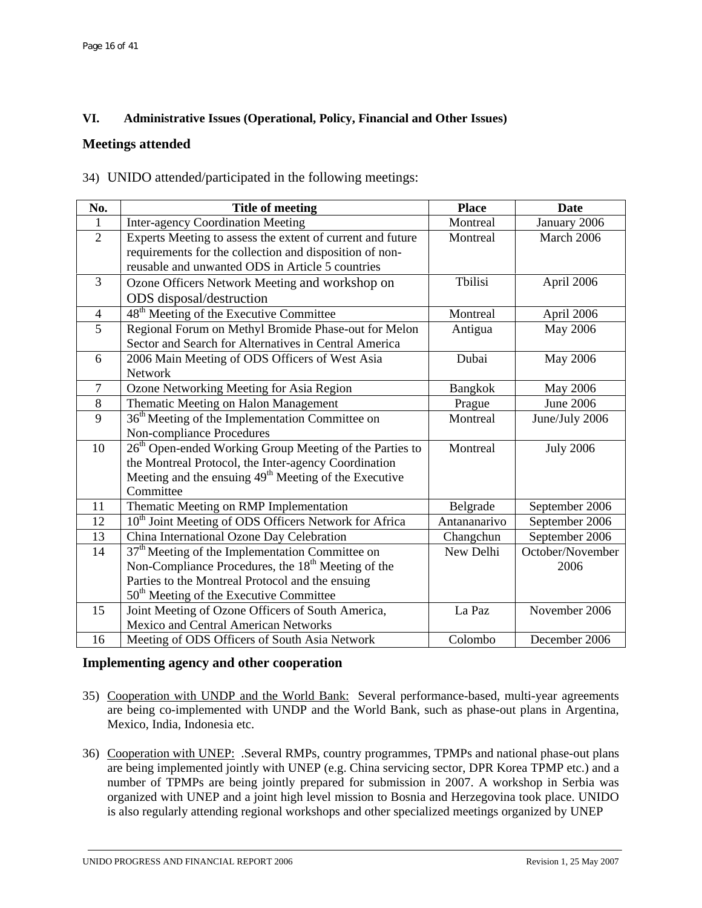# **VI. Administrative Issues (Operational, Policy, Financial and Other Issues)**

# **Meetings attended**

34) UNIDO attended/participated in the following meetings:

| No.            | <b>Title of meeting</b>                                             | <b>Place</b>   | <b>Date</b>      |
|----------------|---------------------------------------------------------------------|----------------|------------------|
| 1              | <b>Inter-agency Coordination Meeting</b>                            | Montreal       | January 2006     |
| $\overline{2}$ | Experts Meeting to assess the extent of current and future          | Montreal       | March 2006       |
|                | requirements for the collection and disposition of non-             |                |                  |
|                | reusable and unwanted ODS in Article 5 countries                    |                |                  |
| $\overline{3}$ | Ozone Officers Network Meeting and workshop on                      | Tbilisi        | April 2006       |
|                | ODS disposal/destruction                                            |                |                  |
| $\overline{4}$ | 48 <sup>th</sup> Meeting of the Executive Committee                 | Montreal       | April 2006       |
| 5              | Regional Forum on Methyl Bromide Phase-out for Melon                | Antigua        | May 2006         |
|                | Sector and Search for Alternatives in Central America               |                |                  |
| 6              | 2006 Main Meeting of ODS Officers of West Asia                      | Dubai          | May 2006         |
|                | Network                                                             |                |                  |
| $\overline{7}$ | Ozone Networking Meeting for Asia Region                            | <b>Bangkok</b> | May 2006         |
| 8              | Thematic Meeting on Halon Management                                | Prague         | <b>June 2006</b> |
| 9              | 36 <sup>th</sup> Meeting of the Implementation Committee on         | Montreal       | June/July 2006   |
|                | Non-compliance Procedures                                           |                |                  |
| 10             | 26 <sup>th</sup> Open-ended Working Group Meeting of the Parties to | Montreal       | <b>July 2006</b> |
|                | the Montreal Protocol, the Inter-agency Coordination                |                |                  |
|                | Meeting and the ensuing $49th$ Meeting of the Executive             |                |                  |
|                | Committee                                                           |                |                  |
| 11             | Thematic Meeting on RMP Implementation                              | Belgrade       | September 2006   |
| 12             | 10 <sup>th</sup> Joint Meeting of ODS Officers Network for Africa   | Antananarivo   | September 2006   |
| 13             | China International Ozone Day Celebration                           | Changchun      | September 2006   |
| 14             | $37th$ Meeting of the Implementation Committee on                   | New Delhi      | October/November |
|                | Non-Compliance Procedures, the $18th$ Meeting of the                |                | 2006             |
|                | Parties to the Montreal Protocol and the ensuing                    |                |                  |
|                | 50 <sup>th</sup> Meeting of the Executive Committee                 |                |                  |
| 15             | Joint Meeting of Ozone Officers of South America,                   | La Paz         | November 2006    |
|                | <b>Mexico and Central American Networks</b>                         |                |                  |
| 16             | Meeting of ODS Officers of South Asia Network                       | Colombo        | December 2006    |

#### **Implementing agency and other cooperation**

- 35) Cooperation with UNDP and the World Bank: Several performance-based, multi-year agreements are being co-implemented with UNDP and the World Bank, such as phase-out plans in Argentina, Mexico, India, Indonesia etc.
- 36) Cooperation with UNEP: .Several RMPs, country programmes, TPMPs and national phase-out plans are being implemented jointly with UNEP (e.g. China servicing sector, DPR Korea TPMP etc.) and a number of TPMPs are being jointly prepared for submission in 2007. A workshop in Serbia was organized with UNEP and a joint high level mission to Bosnia and Herzegovina took place. UNIDO is also regularly attending regional workshops and other specialized meetings organized by UNEP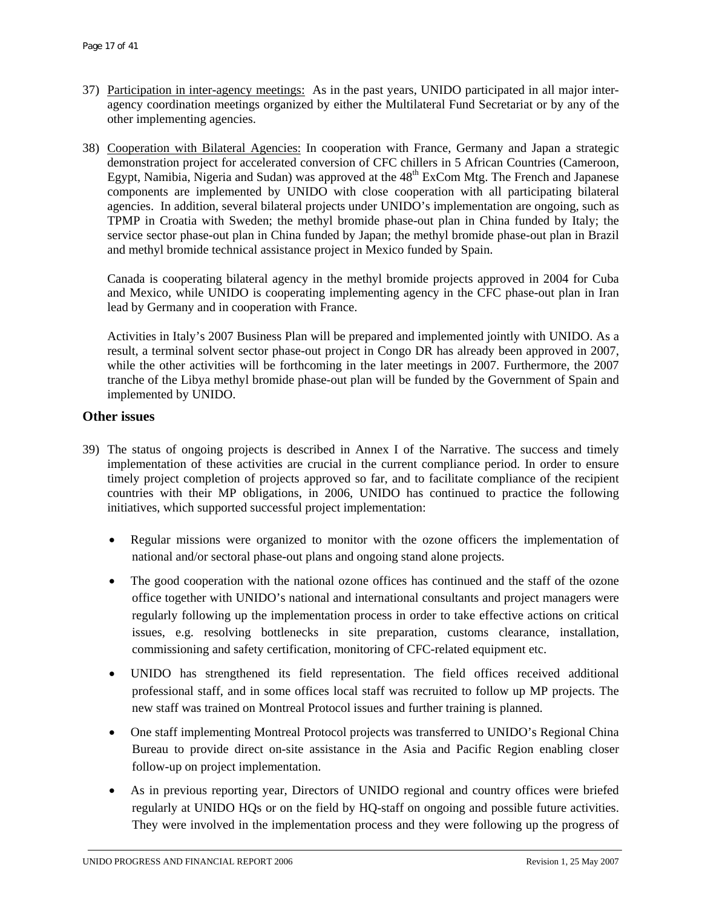- 37) Participation in inter-agency meetings: As in the past years, UNIDO participated in all major interagency coordination meetings organized by either the Multilateral Fund Secretariat or by any of the other implementing agencies.
- 38) Cooperation with Bilateral Agencies: In cooperation with France, Germany and Japan a strategic demonstration project for accelerated conversion of CFC chillers in 5 African Countries (Cameroon, Egypt, Namibia, Nigeria and Sudan) was approved at the 48<sup>th</sup> ExCom Mtg. The French and Japanese components are implemented by UNIDO with close cooperation with all participating bilateral agencies. In addition, several bilateral projects under UNIDO's implementation are ongoing, such as TPMP in Croatia with Sweden; the methyl bromide phase-out plan in China funded by Italy; the service sector phase-out plan in China funded by Japan; the methyl bromide phase-out plan in Brazil and methyl bromide technical assistance project in Mexico funded by Spain.

Canada is cooperating bilateral agency in the methyl bromide projects approved in 2004 for Cuba and Mexico, while UNIDO is cooperating implementing agency in the CFC phase-out plan in Iran lead by Germany and in cooperation with France.

Activities in Italy's 2007 Business Plan will be prepared and implemented jointly with UNIDO. As a result, a terminal solvent sector phase-out project in Congo DR has already been approved in 2007, while the other activities will be forthcoming in the later meetings in 2007. Furthermore, the 2007 tranche of the Libya methyl bromide phase-out plan will be funded by the Government of Spain and implemented by UNIDO.

#### **Other issues**

- 39) The status of ongoing projects is described in Annex I of the Narrative. The success and timely implementation of these activities are crucial in the current compliance period. In order to ensure timely project completion of projects approved so far, and to facilitate compliance of the recipient countries with their MP obligations, in 2006, UNIDO has continued to practice the following initiatives, which supported successful project implementation:
	- Regular missions were organized to monitor with the ozone officers the implementation of national and/or sectoral phase-out plans and ongoing stand alone projects.
	- The good cooperation with the national ozone offices has continued and the staff of the ozone office together with UNIDO's national and international consultants and project managers were regularly following up the implementation process in order to take effective actions on critical issues, e.g. resolving bottlenecks in site preparation, customs clearance, installation, commissioning and safety certification, monitoring of CFC-related equipment etc.
	- UNIDO has strengthened its field representation. The field offices received additional professional staff, and in some offices local staff was recruited to follow up MP projects. The new staff was trained on Montreal Protocol issues and further training is planned.
	- One staff implementing Montreal Protocol projects was transferred to UNIDO's Regional China Bureau to provide direct on-site assistance in the Asia and Pacific Region enabling closer follow-up on project implementation.
	- As in previous reporting year, Directors of UNIDO regional and country offices were briefed regularly at UNIDO HQs or on the field by HQ-staff on ongoing and possible future activities. They were involved in the implementation process and they were following up the progress of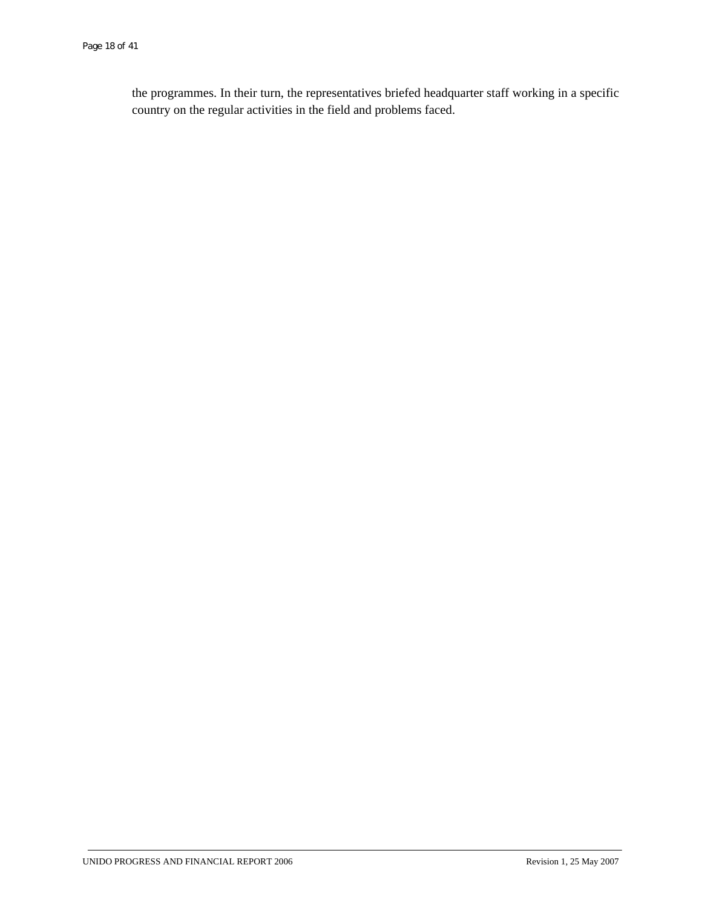the programmes. In their turn, the representatives briefed headquarter staff working in a specific country on the regular activities in the field and problems faced.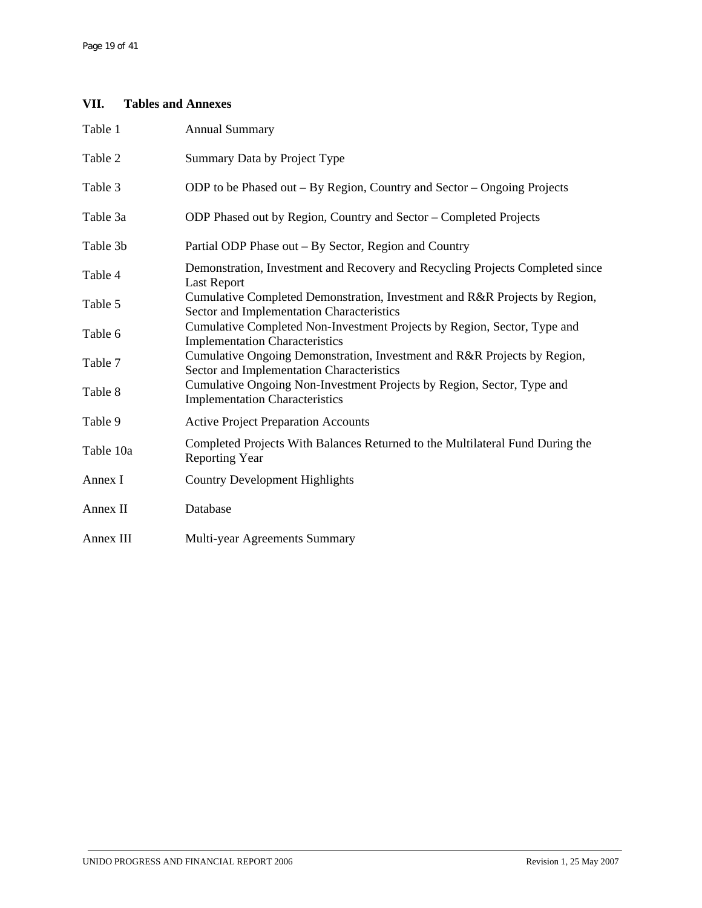# **VII. Tables and Annexes**

| Table 1   | <b>Annual Summary</b>                                                                                                   |
|-----------|-------------------------------------------------------------------------------------------------------------------------|
| Table 2   | Summary Data by Project Type                                                                                            |
| Table 3   | ODP to be Phased out – By Region, Country and Sector – Ongoing Projects                                                 |
| Table 3a  | ODP Phased out by Region, Country and Sector – Completed Projects                                                       |
| Table 3b  | Partial ODP Phase out - By Sector, Region and Country                                                                   |
| Table 4   | Demonstration, Investment and Recovery and Recycling Projects Completed since<br><b>Last Report</b>                     |
| Table 5   | Cumulative Completed Demonstration, Investment and R&R Projects by Region,<br>Sector and Implementation Characteristics |
| Table 6   | Cumulative Completed Non-Investment Projects by Region, Sector, Type and<br><b>Implementation Characteristics</b>       |
| Table 7   | Cumulative Ongoing Demonstration, Investment and R&R Projects by Region,<br>Sector and Implementation Characteristics   |
| Table 8   | Cumulative Ongoing Non-Investment Projects by Region, Sector, Type and<br><b>Implementation Characteristics</b>         |
| Table 9   | <b>Active Project Preparation Accounts</b>                                                                              |
| Table 10a | Completed Projects With Balances Returned to the Multilateral Fund During the<br><b>Reporting Year</b>                  |
| Annex I   | <b>Country Development Highlights</b>                                                                                   |
| Annex II  | Database                                                                                                                |
| Annex III | Multi-year Agreements Summary                                                                                           |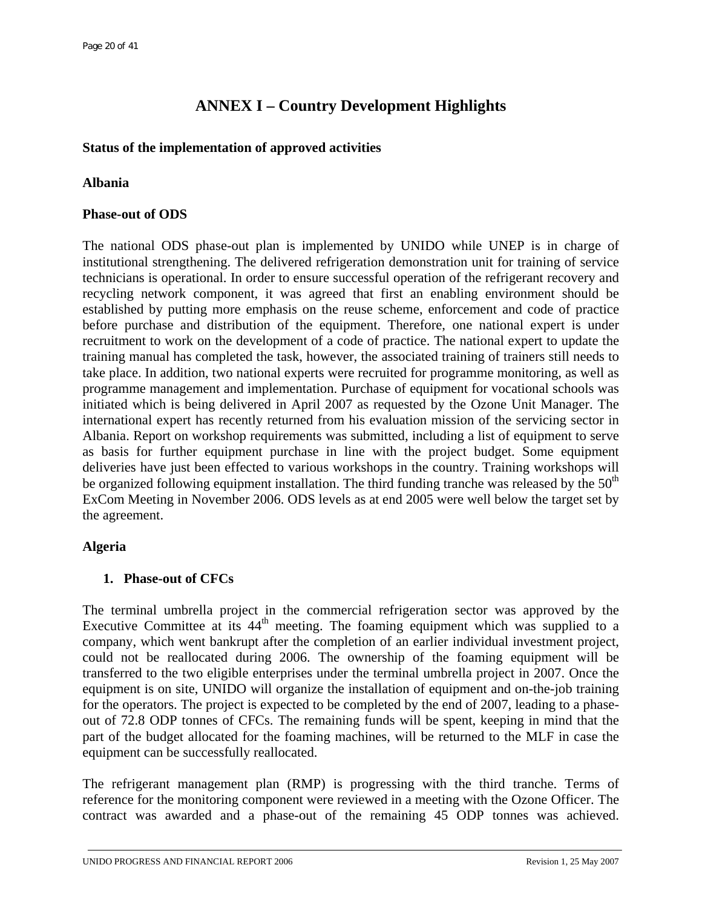# **ANNEX I – Country Development Highlights**

# **Status of the implementation of approved activities**

# **Albania**

# **Phase-out of ODS**

The national ODS phase-out plan is implemented by UNIDO while UNEP is in charge of institutional strengthening. The delivered refrigeration demonstration unit for training of service technicians is operational. In order to ensure successful operation of the refrigerant recovery and recycling network component, it was agreed that first an enabling environment should be established by putting more emphasis on the reuse scheme, enforcement and code of practice before purchase and distribution of the equipment. Therefore, one national expert is under recruitment to work on the development of a code of practice. The national expert to update the training manual has completed the task, however, the associated training of trainers still needs to take place. In addition, two national experts were recruited for programme monitoring, as well as programme management and implementation. Purchase of equipment for vocational schools was initiated which is being delivered in April 2007 as requested by the Ozone Unit Manager. The international expert has recently returned from his evaluation mission of the servicing sector in Albania. Report on workshop requirements was submitted, including a list of equipment to serve as basis for further equipment purchase in line with the project budget. Some equipment deliveries have just been effected to various workshops in the country. Training workshops will be organized following equipment installation. The third funding tranche was released by the  $50<sup>th</sup>$ ExCom Meeting in November 2006. ODS levels as at end 2005 were well below the target set by the agreement.

# **Algeria**

# **1. Phase-out of CFCs**

The terminal umbrella project in the commercial refrigeration sector was approved by the Executive Committee at its  $44<sup>th</sup>$  meeting. The foaming equipment which was supplied to a company, which went bankrupt after the completion of an earlier individual investment project, could not be reallocated during 2006. The ownership of the foaming equipment will be transferred to the two eligible enterprises under the terminal umbrella project in 2007. Once the equipment is on site, UNIDO will organize the installation of equipment and on-the-job training for the operators. The project is expected to be completed by the end of 2007, leading to a phaseout of 72.8 ODP tonnes of CFCs. The remaining funds will be spent, keeping in mind that the part of the budget allocated for the foaming machines, will be returned to the MLF in case the equipment can be successfully reallocated.

The refrigerant management plan (RMP) is progressing with the third tranche. Terms of reference for the monitoring component were reviewed in a meeting with the Ozone Officer. The contract was awarded and a phase-out of the remaining 45 ODP tonnes was achieved.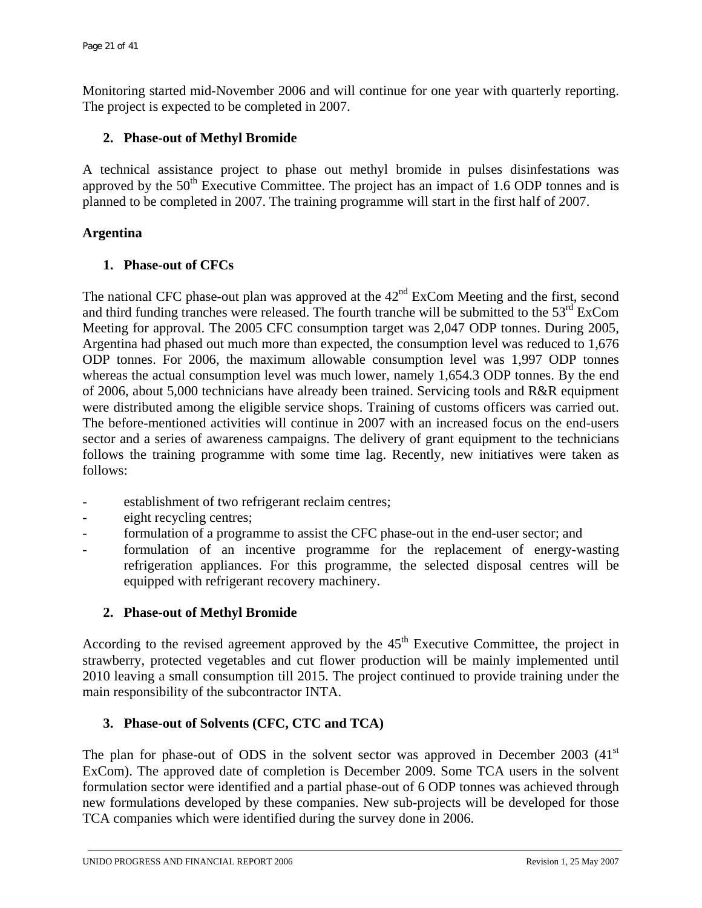Monitoring started mid-November 2006 and will continue for one year with quarterly reporting. The project is expected to be completed in 2007.

# **2. Phase-out of Methyl Bromide**

A technical assistance project to phase out methyl bromide in pulses disinfestations was approved by the  $50<sup>th</sup>$  Executive Committee. The project has an impact of 1.6 ODP tonnes and is planned to be completed in 2007. The training programme will start in the first half of 2007.

# **Argentina**

# **1. Phase-out of CFCs**

The national CFC phase-out plan was approved at the  $42<sup>nd</sup>$  ExCom Meeting and the first, second and third funding tranches were released. The fourth tranche will be submitted to the 53<sup>rd</sup> ExCom Meeting for approval. The 2005 CFC consumption target was 2,047 ODP tonnes. During 2005, Argentina had phased out much more than expected, the consumption level was reduced to 1,676 ODP tonnes. For 2006, the maximum allowable consumption level was 1,997 ODP tonnes whereas the actual consumption level was much lower, namely 1,654.3 ODP tonnes. By the end of 2006, about 5,000 technicians have already been trained. Servicing tools and R&R equipment were distributed among the eligible service shops. Training of customs officers was carried out. The before-mentioned activities will continue in 2007 with an increased focus on the end-users sector and a series of awareness campaigns. The delivery of grant equipment to the technicians follows the training programme with some time lag. Recently, new initiatives were taken as follows:

- establishment of two refrigerant reclaim centres;
- eight recycling centres;
- formulation of a programme to assist the CFC phase-out in the end-user sector; and
- formulation of an incentive programme for the replacement of energy-wasting refrigeration appliances. For this programme, the selected disposal centres will be equipped with refrigerant recovery machinery.

# **2. Phase-out of Methyl Bromide**

According to the revised agreement approved by the  $45<sup>th</sup>$  Executive Committee, the project in strawberry, protected vegetables and cut flower production will be mainly implemented until 2010 leaving a small consumption till 2015. The project continued to provide training under the main responsibility of the subcontractor INTA.

# **3. Phase-out of Solvents (CFC, CTC and TCA)**

The plan for phase-out of ODS in the solvent sector was approved in December 2003  $(41<sup>st</sup>$ ExCom). The approved date of completion is December 2009. Some TCA users in the solvent formulation sector were identified and a partial phase-out of 6 ODP tonnes was achieved through new formulations developed by these companies. New sub-projects will be developed for those TCA companies which were identified during the survey done in 2006.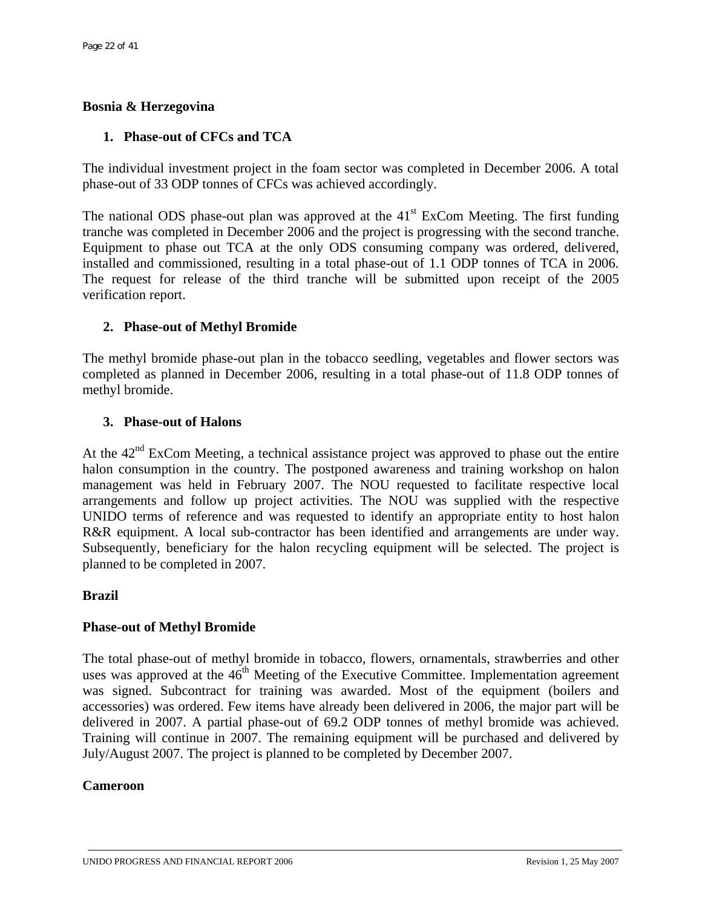# **Bosnia & Herzegovina**

# **1. Phase-out of CFCs and TCA**

The individual investment project in the foam sector was completed in December 2006. A total phase-out of 33 ODP tonnes of CFCs was achieved accordingly.

The national ODS phase-out plan was approved at the  $41<sup>st</sup>$  ExCom Meeting. The first funding tranche was completed in December 2006 and the project is progressing with the second tranche. Equipment to phase out TCA at the only ODS consuming company was ordered, delivered, installed and commissioned, resulting in a total phase-out of 1.1 ODP tonnes of TCA in 2006. The request for release of the third tranche will be submitted upon receipt of the 2005 verification report.

# **2. Phase-out of Methyl Bromide**

The methyl bromide phase-out plan in the tobacco seedling, vegetables and flower sectors was completed as planned in December 2006, resulting in a total phase-out of 11.8 ODP tonnes of methyl bromide.

# **3. Phase-out of Halons**

At the  $42<sup>nd</sup>$  ExCom Meeting, a technical assistance project was approved to phase out the entire halon consumption in the country. The postponed awareness and training workshop on halon management was held in February 2007. The NOU requested to facilitate respective local arrangements and follow up project activities. The NOU was supplied with the respective UNIDO terms of reference and was requested to identify an appropriate entity to host halon R&R equipment. A local sub-contractor has been identified and arrangements are under way. Subsequently, beneficiary for the halon recycling equipment will be selected. The project is planned to be completed in 2007.

## **Brazil**

# **Phase-out of Methyl Bromide**

The total phase-out of methyl bromide in tobacco, flowers, ornamentals, strawberries and other uses was approved at the  $46<sup>th</sup>$  Meeting of the Executive Committee. Implementation agreement was signed. Subcontract for training was awarded. Most of the equipment (boilers and accessories) was ordered. Few items have already been delivered in 2006, the major part will be delivered in 2007. A partial phase-out of 69.2 ODP tonnes of methyl bromide was achieved. Training will continue in 2007. The remaining equipment will be purchased and delivered by July/August 2007. The project is planned to be completed by December 2007.

## **Cameroon**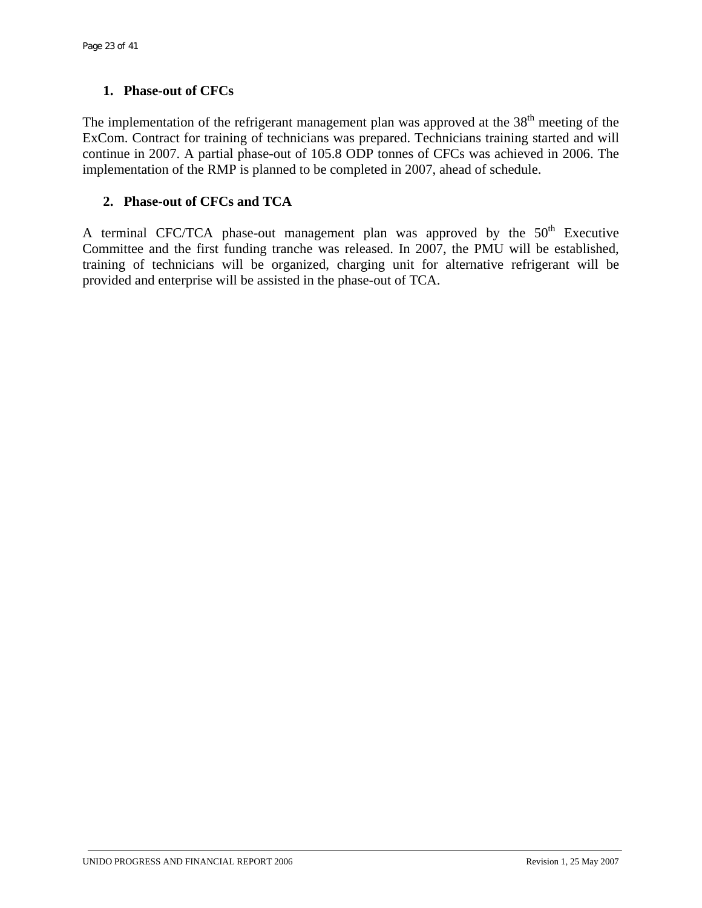# **1. Phase-out of CFCs**

The implementation of the refrigerant management plan was approved at the  $38<sup>th</sup>$  meeting of the ExCom. Contract for training of technicians was prepared. Technicians training started and will continue in 2007. A partial phase-out of 105.8 ODP tonnes of CFCs was achieved in 2006. The implementation of the RMP is planned to be completed in 2007, ahead of schedule.

# **2. Phase-out of CFCs and TCA**

A terminal CFC/TCA phase-out management plan was approved by the  $50<sup>th</sup>$  Executive Committee and the first funding tranche was released. In 2007, the PMU will be established, training of technicians will be organized, charging unit for alternative refrigerant will be provided and enterprise will be assisted in the phase-out of TCA.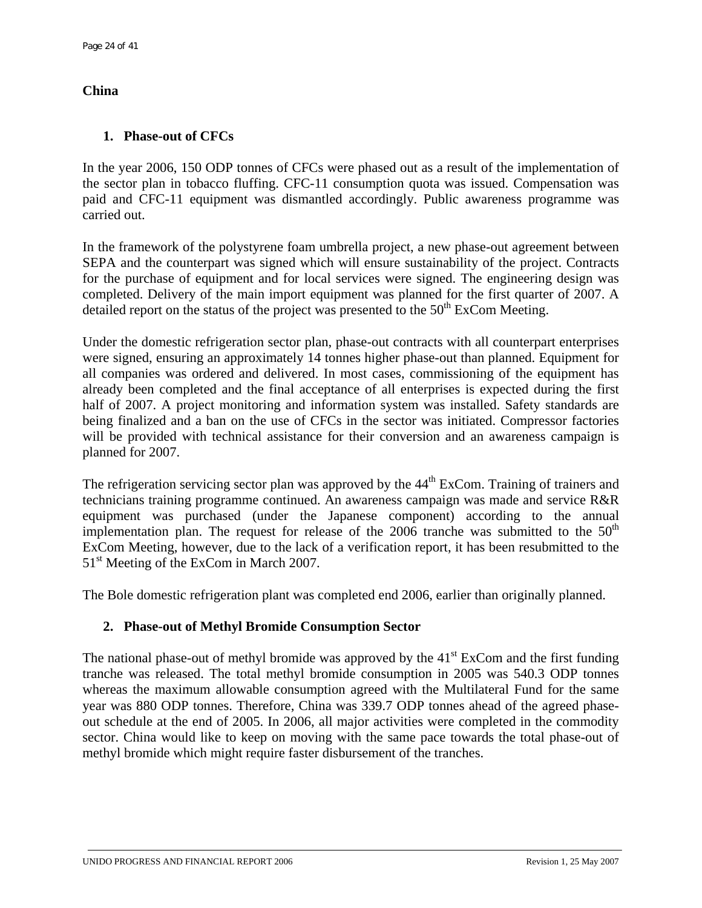# **China**

# **1. Phase-out of CFCs**

In the year 2006, 150 ODP tonnes of CFCs were phased out as a result of the implementation of the sector plan in tobacco fluffing. CFC-11 consumption quota was issued. Compensation was paid and CFC-11 equipment was dismantled accordingly. Public awareness programme was carried out.

In the framework of the polystyrene foam umbrella project, a new phase-out agreement between SEPA and the counterpart was signed which will ensure sustainability of the project. Contracts for the purchase of equipment and for local services were signed. The engineering design was completed. Delivery of the main import equipment was planned for the first quarter of 2007. A detailed report on the status of the project was presented to the  $50<sup>th</sup>$  ExCom Meeting.

Under the domestic refrigeration sector plan, phase-out contracts with all counterpart enterprises were signed, ensuring an approximately 14 tonnes higher phase-out than planned. Equipment for all companies was ordered and delivered. In most cases, commissioning of the equipment has already been completed and the final acceptance of all enterprises is expected during the first half of 2007. A project monitoring and information system was installed. Safety standards are being finalized and a ban on the use of CFCs in the sector was initiated. Compressor factories will be provided with technical assistance for their conversion and an awareness campaign is planned for 2007.

The refrigeration servicing sector plan was approved by the 44<sup>th</sup> ExCom. Training of trainers and technicians training programme continued. An awareness campaign was made and service R&R equipment was purchased (under the Japanese component) according to the annual implementation plan. The request for release of the 2006 tranche was submitted to the  $50<sup>th</sup>$ ExCom Meeting, however, due to the lack of a verification report, it has been resubmitted to the 51<sup>st</sup> Meeting of the ExCom in March 2007.

The Bole domestic refrigeration plant was completed end 2006, earlier than originally planned.

# **2. Phase-out of Methyl Bromide Consumption Sector**

The national phase-out of methyl bromide was approved by the  $41<sup>st</sup>$  ExCom and the first funding tranche was released. The total methyl bromide consumption in 2005 was 540.3 ODP tonnes whereas the maximum allowable consumption agreed with the Multilateral Fund for the same year was 880 ODP tonnes. Therefore, China was 339.7 ODP tonnes ahead of the agreed phaseout schedule at the end of 2005. In 2006, all major activities were completed in the commodity sector. China would like to keep on moving with the same pace towards the total phase-out of methyl bromide which might require faster disbursement of the tranches.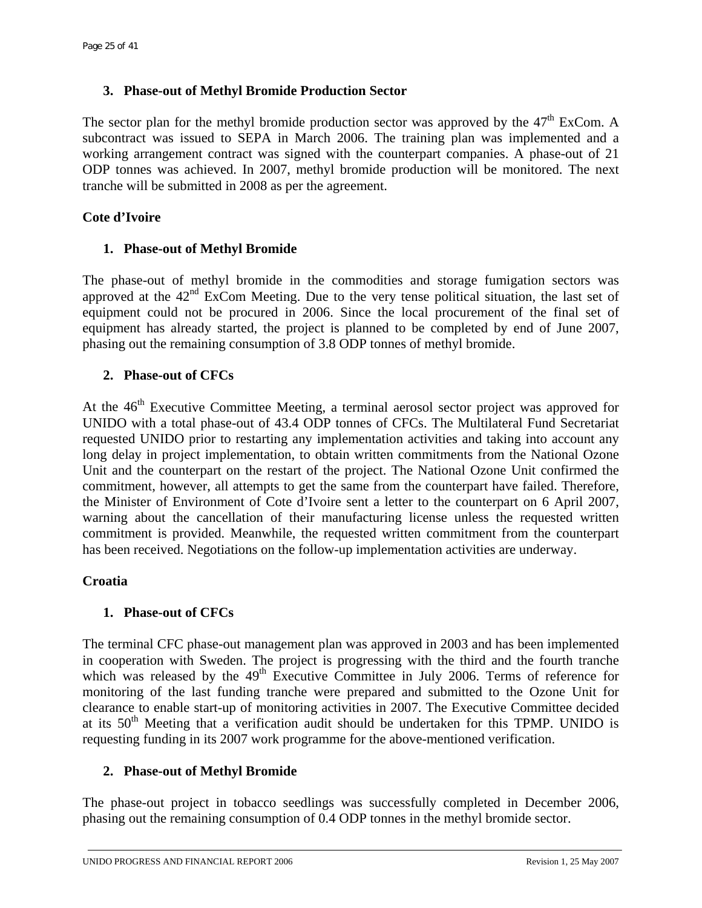## **3. Phase-out of Methyl Bromide Production Sector**

The sector plan for the methyl bromide production sector was approved by the  $47<sup>th</sup>$  ExCom. A subcontract was issued to SEPA in March 2006. The training plan was implemented and a working arrangement contract was signed with the counterpart companies. A phase-out of 21 ODP tonnes was achieved. In 2007, methyl bromide production will be monitored. The next tranche will be submitted in 2008 as per the agreement.

# **Cote d'Ivoire**

# **1. Phase-out of Methyl Bromide**

The phase-out of methyl bromide in the commodities and storage fumigation sectors was approved at the  $42<sup>nd</sup>$  ExCom Meeting. Due to the very tense political situation, the last set of equipment could not be procured in 2006. Since the local procurement of the final set of equipment has already started, the project is planned to be completed by end of June 2007, phasing out the remaining consumption of 3.8 ODP tonnes of methyl bromide.

# **2. Phase-out of CFCs**

At the  $46<sup>th</sup>$  Executive Committee Meeting, a terminal aerosol sector project was approved for UNIDO with a total phase-out of 43.4 ODP tonnes of CFCs. The Multilateral Fund Secretariat requested UNIDO prior to restarting any implementation activities and taking into account any long delay in project implementation, to obtain written commitments from the National Ozone Unit and the counterpart on the restart of the project. The National Ozone Unit confirmed the commitment, however, all attempts to get the same from the counterpart have failed. Therefore, the Minister of Environment of Cote d'Ivoire sent a letter to the counterpart on 6 April 2007, warning about the cancellation of their manufacturing license unless the requested written commitment is provided. Meanwhile, the requested written commitment from the counterpart has been received. Negotiations on the follow-up implementation activities are underway.

## **Croatia**

## **1. Phase-out of CFCs**

The terminal CFC phase-out management plan was approved in 2003 and has been implemented in cooperation with Sweden. The project is progressing with the third and the fourth tranche which was released by the  $49<sup>th</sup>$  Executive Committee in July 2006. Terms of reference for monitoring of the last funding tranche were prepared and submitted to the Ozone Unit for clearance to enable start-up of monitoring activities in 2007. The Executive Committee decided at its  $50<sup>th</sup>$  Meeting that a verification audit should be undertaken for this TPMP. UNIDO is requesting funding in its 2007 work programme for the above-mentioned verification.

## **2. Phase-out of Methyl Bromide**

The phase-out project in tobacco seedlings was successfully completed in December 2006, phasing out the remaining consumption of 0.4 ODP tonnes in the methyl bromide sector.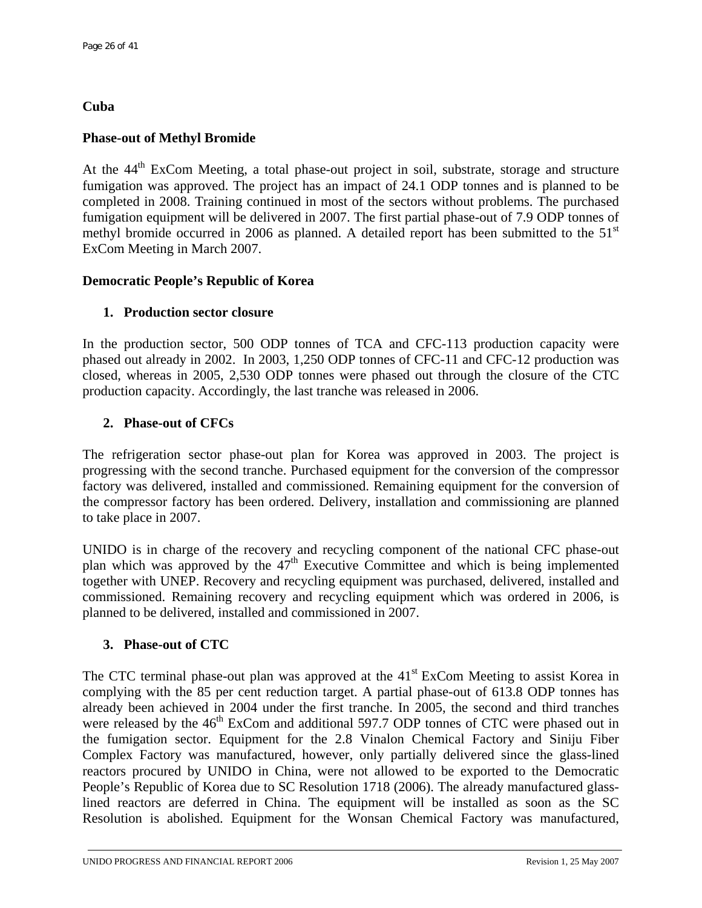# **Cuba**

# **Phase-out of Methyl Bromide**

At the 44<sup>th</sup> ExCom Meeting, a total phase-out project in soil, substrate, storage and structure fumigation was approved. The project has an impact of 24.1 ODP tonnes and is planned to be completed in 2008. Training continued in most of the sectors without problems. The purchased fumigation equipment will be delivered in 2007. The first partial phase-out of 7.9 ODP tonnes of methyl bromide occurred in 2006 as planned. A detailed report has been submitted to the  $51<sup>st</sup>$ ExCom Meeting in March 2007.

# **Democratic People's Republic of Korea**

# **1. Production sector closure**

In the production sector, 500 ODP tonnes of TCA and CFC-113 production capacity were phased out already in 2002. In 2003, 1,250 ODP tonnes of CFC-11 and CFC-12 production was closed, whereas in 2005, 2,530 ODP tonnes were phased out through the closure of the CTC production capacity. Accordingly, the last tranche was released in 2006.

# **2. Phase-out of CFCs**

The refrigeration sector phase-out plan for Korea was approved in 2003. The project is progressing with the second tranche. Purchased equipment for the conversion of the compressor factory was delivered, installed and commissioned. Remaining equipment for the conversion of the compressor factory has been ordered. Delivery, installation and commissioning are planned to take place in 2007.

UNIDO is in charge of the recovery and recycling component of the national CFC phase-out plan which was approved by the 47th Executive Committee and which is being implemented together with UNEP. Recovery and recycling equipment was purchased, delivered, installed and commissioned. Remaining recovery and recycling equipment which was ordered in 2006, is planned to be delivered, installed and commissioned in 2007.

## **3. Phase-out of CTC**

The CTC terminal phase-out plan was approved at the  $41<sup>st</sup>$  ExCom Meeting to assist Korea in complying with the 85 per cent reduction target. A partial phase-out of 613.8 ODP tonnes has already been achieved in 2004 under the first tranche. In 2005, the second and third tranches were released by the 46<sup>th</sup> ExCom and additional 597.7 ODP tonnes of CTC were phased out in the fumigation sector. Equipment for the 2.8 Vinalon Chemical Factory and Siniju Fiber Complex Factory was manufactured, however, only partially delivered since the glass-lined reactors procured by UNIDO in China, were not allowed to be exported to the Democratic People's Republic of Korea due to SC Resolution 1718 (2006). The already manufactured glasslined reactors are deferred in China. The equipment will be installed as soon as the SC Resolution is abolished. Equipment for the Wonsan Chemical Factory was manufactured,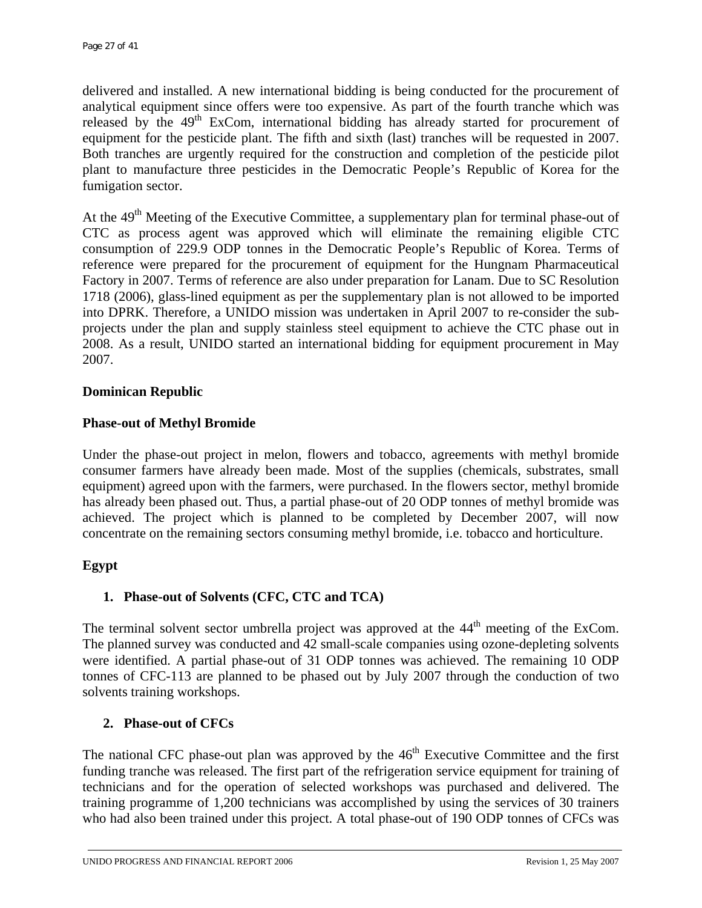delivered and installed. A new international bidding is being conducted for the procurement of analytical equipment since offers were too expensive. As part of the fourth tranche which was released by the 49<sup>th</sup> ExCom, international bidding has already started for procurement of equipment for the pesticide plant. The fifth and sixth (last) tranches will be requested in 2007. Both tranches are urgently required for the construction and completion of the pesticide pilot plant to manufacture three pesticides in the Democratic People's Republic of Korea for the fumigation sector.

At the 49<sup>th</sup> Meeting of the Executive Committee, a supplementary plan for terminal phase-out of CTC as process agent was approved which will eliminate the remaining eligible CTC consumption of 229.9 ODP tonnes in the Democratic People's Republic of Korea. Terms of reference were prepared for the procurement of equipment for the Hungnam Pharmaceutical Factory in 2007. Terms of reference are also under preparation for Lanam. Due to SC Resolution 1718 (2006), glass-lined equipment as per the supplementary plan is not allowed to be imported into DPRK. Therefore, a UNIDO mission was undertaken in April 2007 to re-consider the subprojects under the plan and supply stainless steel equipment to achieve the CTC phase out in 2008. As a result, UNIDO started an international bidding for equipment procurement in May 2007.

## **Dominican Republic**

## **Phase-out of Methyl Bromide**

Under the phase-out project in melon, flowers and tobacco, agreements with methyl bromide consumer farmers have already been made. Most of the supplies (chemicals, substrates, small equipment) agreed upon with the farmers, were purchased. In the flowers sector, methyl bromide has already been phased out. Thus, a partial phase-out of 20 ODP tonnes of methyl bromide was achieved. The project which is planned to be completed by December 2007, will now concentrate on the remaining sectors consuming methyl bromide, i.e. tobacco and horticulture.

## **Egypt**

## **1. Phase-out of Solvents (CFC, CTC and TCA)**

The terminal solvent sector umbrella project was approved at the  $44<sup>th</sup>$  meeting of the ExCom. The planned survey was conducted and 42 small-scale companies using ozone-depleting solvents were identified. A partial phase-out of 31 ODP tonnes was achieved. The remaining 10 ODP tonnes of CFC-113 are planned to be phased out by July 2007 through the conduction of two solvents training workshops.

#### **2. Phase-out of CFCs**

The national CFC phase-out plan was approved by the  $46<sup>th</sup>$  Executive Committee and the first funding tranche was released. The first part of the refrigeration service equipment for training of technicians and for the operation of selected workshops was purchased and delivered. The training programme of 1,200 technicians was accomplished by using the services of 30 trainers who had also been trained under this project. A total phase-out of 190 ODP tonnes of CFCs was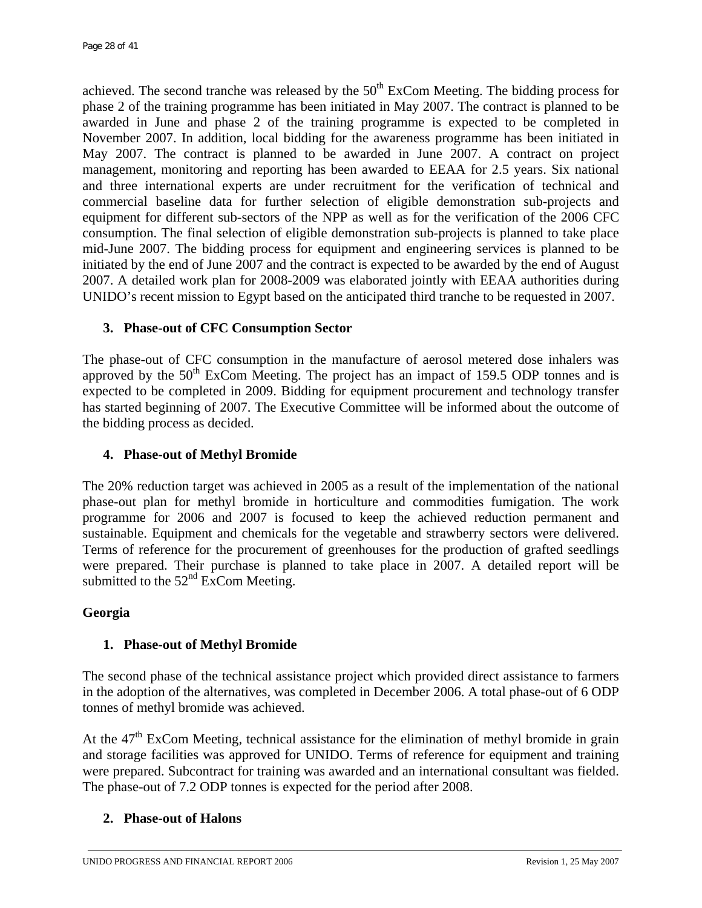achieved. The second tranche was released by the  $50<sup>th</sup>$  ExCom Meeting. The bidding process for phase 2 of the training programme has been initiated in May 2007. The contract is planned to be awarded in June and phase 2 of the training programme is expected to be completed in November 2007. In addition, local bidding for the awareness programme has been initiated in May 2007. The contract is planned to be awarded in June 2007. A contract on project management, monitoring and reporting has been awarded to EEAA for 2.5 years. Six national and three international experts are under recruitment for the verification of technical and commercial baseline data for further selection of eligible demonstration sub-projects and equipment for different sub-sectors of the NPP as well as for the verification of the 2006 CFC consumption. The final selection of eligible demonstration sub-projects is planned to take place mid-June 2007. The bidding process for equipment and engineering services is planned to be initiated by the end of June 2007 and the contract is expected to be awarded by the end of August 2007. A detailed work plan for 2008-2009 was elaborated jointly with EEAA authorities during UNIDO's recent mission to Egypt based on the anticipated third tranche to be requested in 2007.

# **3. Phase-out of CFC Consumption Sector**

The phase-out of CFC consumption in the manufacture of aerosol metered dose inhalers was approved by the  $50<sup>th</sup>$  ExCom Meeting. The project has an impact of 159.5 ODP tonnes and is expected to be completed in 2009. Bidding for equipment procurement and technology transfer has started beginning of 2007. The Executive Committee will be informed about the outcome of the bidding process as decided.

## **4. Phase-out of Methyl Bromide**

The 20% reduction target was achieved in 2005 as a result of the implementation of the national phase-out plan for methyl bromide in horticulture and commodities fumigation. The work programme for 2006 and 2007 is focused to keep the achieved reduction permanent and sustainable. Equipment and chemicals for the vegetable and strawberry sectors were delivered. Terms of reference for the procurement of greenhouses for the production of grafted seedlings were prepared. Their purchase is planned to take place in 2007. A detailed report will be submitted to the  $52<sup>nd</sup>$  ExCom Meeting.

## **Georgia**

## **1. Phase-out of Methyl Bromide**

The second phase of the technical assistance project which provided direct assistance to farmers in the adoption of the alternatives, was completed in December 2006. A total phase-out of 6 ODP tonnes of methyl bromide was achieved.

At the  $47<sup>th</sup>$  ExCom Meeting, technical assistance for the elimination of methyl bromide in grain and storage facilities was approved for UNIDO. Terms of reference for equipment and training were prepared. Subcontract for training was awarded and an international consultant was fielded. The phase-out of 7.2 ODP tonnes is expected for the period after 2008.

## **2. Phase-out of Halons**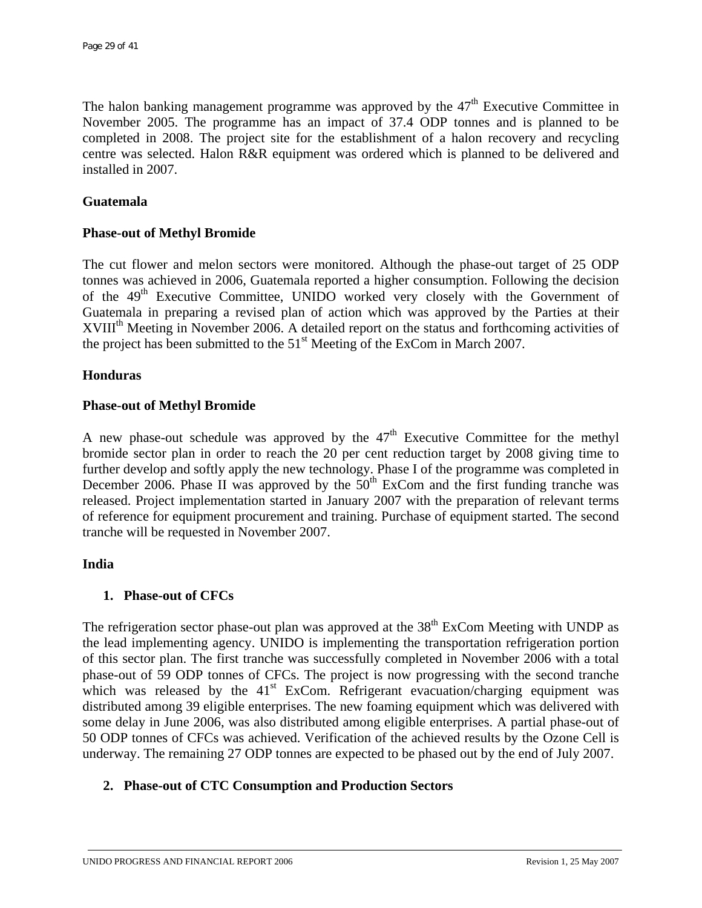The halon banking management programme was approved by the  $47<sup>th</sup>$  Executive Committee in November 2005. The programme has an impact of 37.4 ODP tonnes and is planned to be completed in 2008. The project site for the establishment of a halon recovery and recycling centre was selected. Halon R&R equipment was ordered which is planned to be delivered and installed in 2007.

## **Guatemala**

#### **Phase-out of Methyl Bromide**

The cut flower and melon sectors were monitored. Although the phase-out target of 25 ODP tonnes was achieved in 2006, Guatemala reported a higher consumption. Following the decision of the 49<sup>th</sup> Executive Committee, UNIDO worked very closely with the Government of Guatemala in preparing a revised plan of action which was approved by the Parties at their XVIII<sup>th</sup> Meeting in November 2006. A detailed report on the status and forthcoming activities of the project has been submitted to the  $51<sup>st</sup>$  Meeting of the ExCom in March 2007.

#### **Honduras**

#### **Phase-out of Methyl Bromide**

A new phase-out schedule was approved by the  $47<sup>th</sup>$  Executive Committee for the methyl bromide sector plan in order to reach the 20 per cent reduction target by 2008 giving time to further develop and softly apply the new technology. Phase I of the programme was completed in December 2006. Phase II was approved by the  $50<sup>th</sup>$  ExCom and the first funding tranche was released. Project implementation started in January 2007 with the preparation of relevant terms of reference for equipment procurement and training. Purchase of equipment started. The second tranche will be requested in November 2007.

#### **India**

## **1. Phase-out of CFCs**

The refrigeration sector phase-out plan was approved at the  $38<sup>th</sup>$  ExCom Meeting with UNDP as the lead implementing agency. UNIDO is implementing the transportation refrigeration portion of this sector plan. The first tranche was successfully completed in November 2006 with a total phase-out of 59 ODP tonnes of CFCs. The project is now progressing with the second tranche which was released by the  $41<sup>st</sup>$  ExCom. Refrigerant evacuation/charging equipment was distributed among 39 eligible enterprises. The new foaming equipment which was delivered with some delay in June 2006, was also distributed among eligible enterprises. A partial phase-out of 50 ODP tonnes of CFCs was achieved. Verification of the achieved results by the Ozone Cell is underway. The remaining 27 ODP tonnes are expected to be phased out by the end of July 2007.

## **2. Phase-out of CTC Consumption and Production Sectors**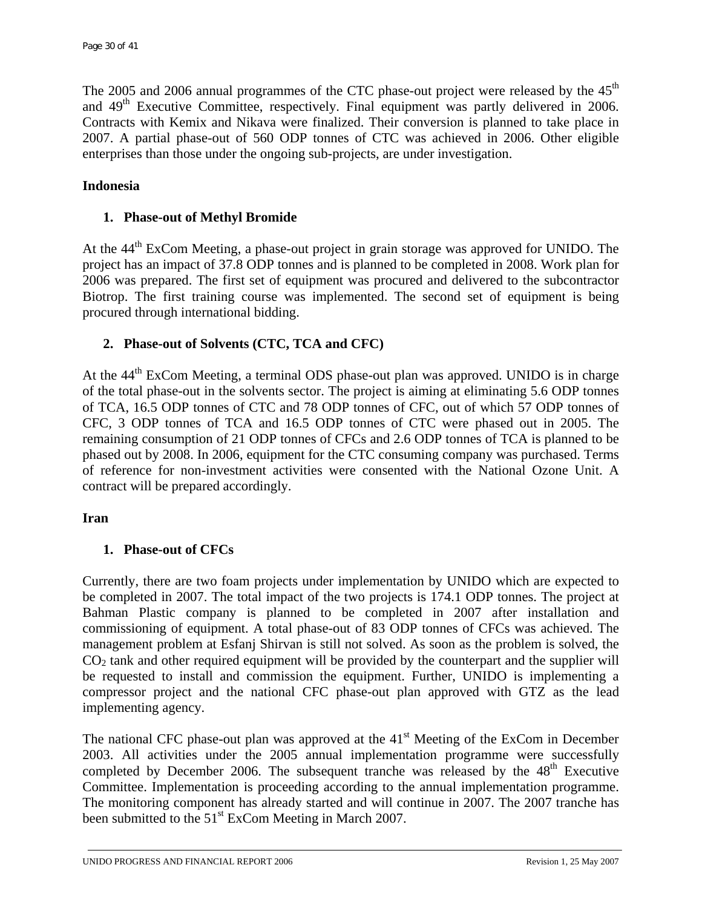The 2005 and 2006 annual programmes of the CTC phase-out project were released by the 45<sup>th</sup> and 49<sup>th</sup> Executive Committee, respectively. Final equipment was partly delivered in 2006. Contracts with Kemix and Nikava were finalized. Their conversion is planned to take place in 2007. A partial phase-out of 560 ODP tonnes of CTC was achieved in 2006. Other eligible enterprises than those under the ongoing sub-projects, are under investigation.

## **Indonesia**

## **1. Phase-out of Methyl Bromide**

At the 44<sup>th</sup> ExCom Meeting, a phase-out project in grain storage was approved for UNIDO. The project has an impact of 37.8 ODP tonnes and is planned to be completed in 2008. Work plan for 2006 was prepared. The first set of equipment was procured and delivered to the subcontractor Biotrop. The first training course was implemented. The second set of equipment is being procured through international bidding.

## **2. Phase-out of Solvents (CTC, TCA and CFC)**

At the 44<sup>th</sup> ExCom Meeting, a terminal ODS phase-out plan was approved. UNIDO is in charge of the total phase-out in the solvents sector. The project is aiming at eliminating 5.6 ODP tonnes of TCA, 16.5 ODP tonnes of CTC and 78 ODP tonnes of CFC, out of which 57 ODP tonnes of CFC, 3 ODP tonnes of TCA and 16.5 ODP tonnes of CTC were phased out in 2005. The remaining consumption of 21 ODP tonnes of CFCs and 2.6 ODP tonnes of TCA is planned to be phased out by 2008. In 2006, equipment for the CTC consuming company was purchased. Terms of reference for non-investment activities were consented with the National Ozone Unit. A contract will be prepared accordingly.

## **Iran**

## **1. Phase-out of CFCs**

Currently, there are two foam projects under implementation by UNIDO which are expected to be completed in 2007. The total impact of the two projects is 174.1 ODP tonnes. The project at Bahman Plastic company is planned to be completed in 2007 after installation and commissioning of equipment. A total phase-out of 83 ODP tonnes of CFCs was achieved. The management problem at Esfanj Shirvan is still not solved. As soon as the problem is solved, the  $CO<sub>2</sub>$  tank and other required equipment will be provided by the counterpart and the supplier will be requested to install and commission the equipment. Further, UNIDO is implementing a compressor project and the national CFC phase-out plan approved with GTZ as the lead implementing agency.

The national CFC phase-out plan was approved at the  $41<sup>st</sup>$  Meeting of the ExCom in December 2003. All activities under the 2005 annual implementation programme were successfully completed by December 2006. The subsequent tranche was released by the  $48<sup>th</sup>$  Executive Committee. Implementation is proceeding according to the annual implementation programme. The monitoring component has already started and will continue in 2007. The 2007 tranche has been submitted to the 51<sup>st</sup> ExCom Meeting in March 2007.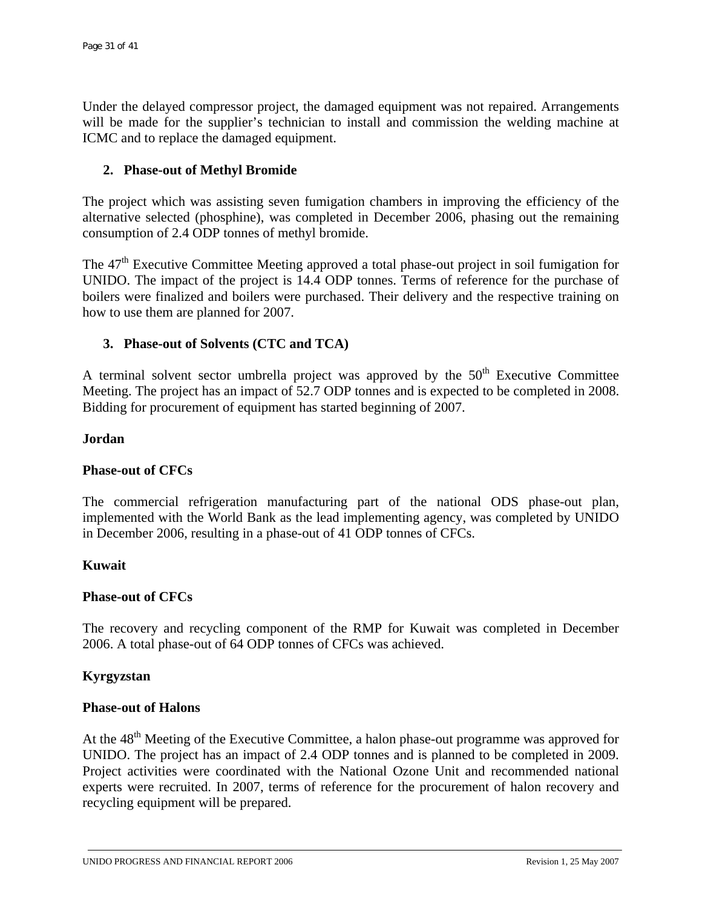Under the delayed compressor project, the damaged equipment was not repaired. Arrangements will be made for the supplier's technician to install and commission the welding machine at ICMC and to replace the damaged equipment.

## **2. Phase-out of Methyl Bromide**

The project which was assisting seven fumigation chambers in improving the efficiency of the alternative selected (phosphine), was completed in December 2006, phasing out the remaining consumption of 2.4 ODP tonnes of methyl bromide.

The 47<sup>th</sup> Executive Committee Meeting approved a total phase-out project in soil fumigation for UNIDO. The impact of the project is 14.4 ODP tonnes. Terms of reference for the purchase of boilers were finalized and boilers were purchased. Their delivery and the respective training on how to use them are planned for 2007.

# **3. Phase-out of Solvents (CTC and TCA)**

A terminal solvent sector umbrella project was approved by the  $50<sup>th</sup>$  Executive Committee Meeting. The project has an impact of 52.7 ODP tonnes and is expected to be completed in 2008. Bidding for procurement of equipment has started beginning of 2007.

#### **Jordan**

## **Phase-out of CFCs**

The commercial refrigeration manufacturing part of the national ODS phase-out plan, implemented with the World Bank as the lead implementing agency, was completed by UNIDO in December 2006, resulting in a phase-out of 41 ODP tonnes of CFCs.

## **Kuwait**

## **Phase-out of CFCs**

The recovery and recycling component of the RMP for Kuwait was completed in December 2006. A total phase-out of 64 ODP tonnes of CFCs was achieved.

## **Kyrgyzstan**

#### **Phase-out of Halons**

At the  $48<sup>th</sup>$  Meeting of the Executive Committee, a halon phase-out programme was approved for UNIDO. The project has an impact of 2.4 ODP tonnes and is planned to be completed in 2009. Project activities were coordinated with the National Ozone Unit and recommended national experts were recruited. In 2007, terms of reference for the procurement of halon recovery and recycling equipment will be prepared.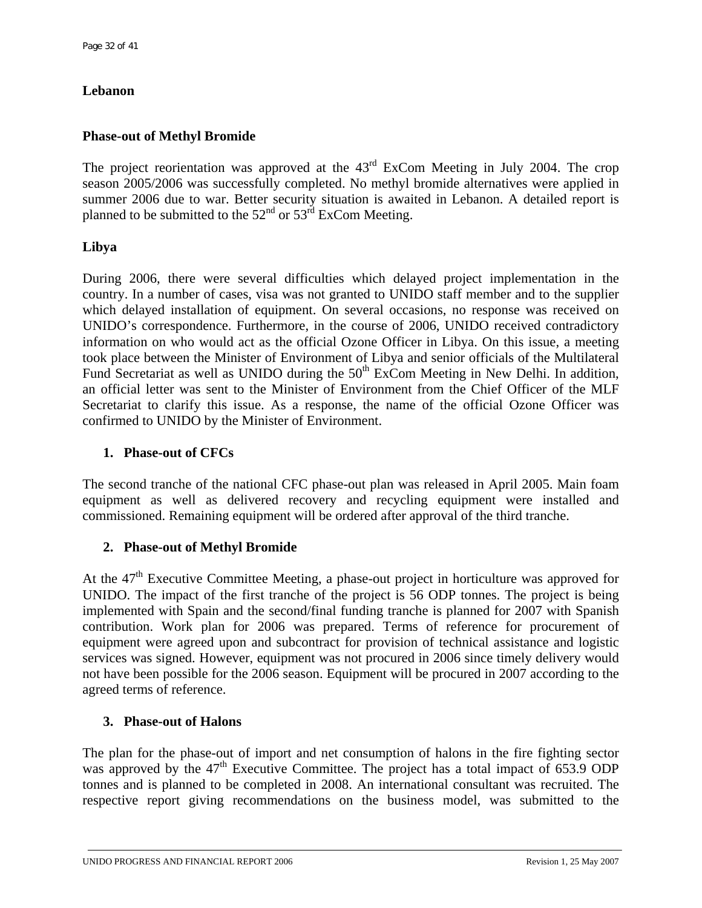# **Lebanon**

## **Phase-out of Methyl Bromide**

The project reorientation was approved at the 43<sup>rd</sup> ExCom Meeting in July 2004. The crop season 2005/2006 was successfully completed. No methyl bromide alternatives were applied in summer 2006 due to war. Better security situation is awaited in Lebanon. A detailed report is planned to be submitted to the  $52<sup>nd</sup>$  or  $53<sup>rd</sup>$  ExCom Meeting.

# **Libya**

During 2006, there were several difficulties which delayed project implementation in the country. In a number of cases, visa was not granted to UNIDO staff member and to the supplier which delayed installation of equipment. On several occasions, no response was received on UNIDO's correspondence. Furthermore, in the course of 2006, UNIDO received contradictory information on who would act as the official Ozone Officer in Libya. On this issue, a meeting took place between the Minister of Environment of Libya and senior officials of the Multilateral Fund Secretariat as well as UNIDO during the  $50<sup>th</sup>$  ExCom Meeting in New Delhi. In addition, an official letter was sent to the Minister of Environment from the Chief Officer of the MLF Secretariat to clarify this issue. As a response, the name of the official Ozone Officer was confirmed to UNIDO by the Minister of Environment.

# **1. Phase-out of CFCs**

The second tranche of the national CFC phase-out plan was released in April 2005. Main foam equipment as well as delivered recovery and recycling equipment were installed and commissioned. Remaining equipment will be ordered after approval of the third tranche.

## **2. Phase-out of Methyl Bromide**

At the 47<sup>th</sup> Executive Committee Meeting, a phase-out project in horticulture was approved for UNIDO. The impact of the first tranche of the project is 56 ODP tonnes. The project is being implemented with Spain and the second/final funding tranche is planned for 2007 with Spanish contribution. Work plan for 2006 was prepared. Terms of reference for procurement of equipment were agreed upon and subcontract for provision of technical assistance and logistic services was signed. However, equipment was not procured in 2006 since timely delivery would not have been possible for the 2006 season. Equipment will be procured in 2007 according to the agreed terms of reference.

## **3. Phase-out of Halons**

The plan for the phase-out of import and net consumption of halons in the fire fighting sector was approved by the  $47<sup>th</sup>$  Executive Committee. The project has a total impact of 653.9 ODP tonnes and is planned to be completed in 2008. An international consultant was recruited. The respective report giving recommendations on the business model, was submitted to the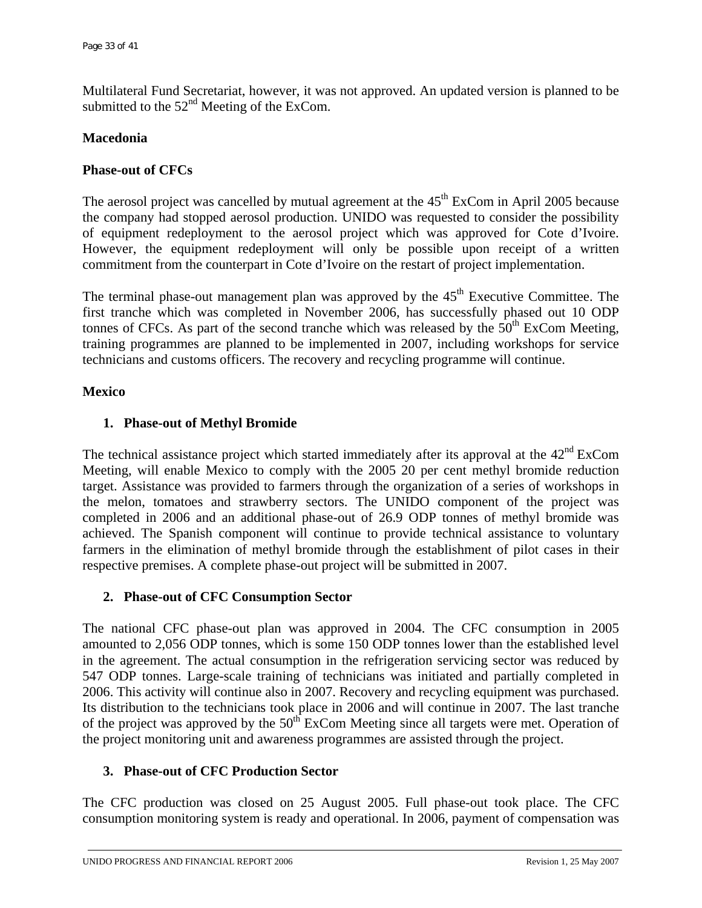Multilateral Fund Secretariat, however, it was not approved. An updated version is planned to be submitted to the  $52<sup>nd</sup>$  Meeting of the ExCom.

#### **Macedonia**

## **Phase-out of CFCs**

The aerosol project was cancelled by mutual agreement at the  $45<sup>th</sup>$  ExCom in April 2005 because the company had stopped aerosol production. UNIDO was requested to consider the possibility of equipment redeployment to the aerosol project which was approved for Cote d'Ivoire. However, the equipment redeployment will only be possible upon receipt of a written commitment from the counterpart in Cote d'Ivoire on the restart of project implementation.

The terminal phase-out management plan was approved by the  $45<sup>th</sup>$  Executive Committee. The first tranche which was completed in November 2006, has successfully phased out 10 ODP tonnes of CFCs. As part of the second tranche which was released by the  $50<sup>th</sup>$  ExCom Meeting, training programmes are planned to be implemented in 2007, including workshops for service technicians and customs officers. The recovery and recycling programme will continue.

## **Mexico**

## **1. Phase-out of Methyl Bromide**

The technical assistance project which started immediately after its approval at the  $42<sup>nd</sup>$  ExCom Meeting, will enable Mexico to comply with the 2005 20 per cent methyl bromide reduction target. Assistance was provided to farmers through the organization of a series of workshops in the melon, tomatoes and strawberry sectors. The UNIDO component of the project was completed in 2006 and an additional phase-out of 26.9 ODP tonnes of methyl bromide was achieved. The Spanish component will continue to provide technical assistance to voluntary farmers in the elimination of methyl bromide through the establishment of pilot cases in their respective premises. A complete phase-out project will be submitted in 2007.

## **2. Phase-out of CFC Consumption Sector**

The national CFC phase-out plan was approved in 2004. The CFC consumption in 2005 amounted to 2,056 ODP tonnes, which is some 150 ODP tonnes lower than the established level in the agreement. The actual consumption in the refrigeration servicing sector was reduced by 547 ODP tonnes. Large-scale training of technicians was initiated and partially completed in 2006. This activity will continue also in 2007. Recovery and recycling equipment was purchased. Its distribution to the technicians took place in 2006 and will continue in 2007. The last tranche of the project was approved by the  $50<sup>th</sup>$  ExCom Meeting since all targets were met. Operation of the project monitoring unit and awareness programmes are assisted through the project.

## **3. Phase-out of CFC Production Sector**

The CFC production was closed on 25 August 2005. Full phase-out took place. The CFC consumption monitoring system is ready and operational. In 2006, payment of compensation was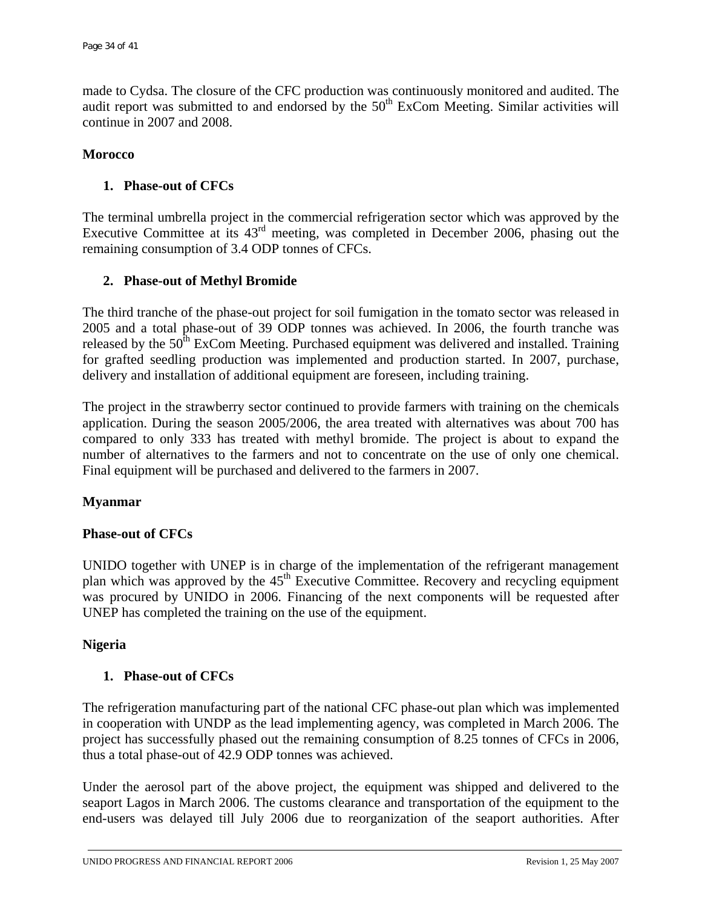made to Cydsa. The closure of the CFC production was continuously monitored and audited. The audit report was submitted to and endorsed by the 50<sup>th</sup> ExCom Meeting. Similar activities will continue in 2007 and 2008.

#### **Morocco**

## **1. Phase-out of CFCs**

The terminal umbrella project in the commercial refrigeration sector which was approved by the Executive Committee at its 43rd meeting, was completed in December 2006, phasing out the remaining consumption of 3.4 ODP tonnes of CFCs.

## **2. Phase-out of Methyl Bromide**

The third tranche of the phase-out project for soil fumigation in the tomato sector was released in 2005 and a total phase-out of 39 ODP tonnes was achieved. In 2006, the fourth tranche was released by the  $50<sup>th</sup>$  ExCom Meeting. Purchased equipment was delivered and installed. Training for grafted seedling production was implemented and production started. In 2007, purchase, delivery and installation of additional equipment are foreseen, including training.

The project in the strawberry sector continued to provide farmers with training on the chemicals application. During the season 2005/2006, the area treated with alternatives was about 700 has compared to only 333 has treated with methyl bromide. The project is about to expand the number of alternatives to the farmers and not to concentrate on the use of only one chemical. Final equipment will be purchased and delivered to the farmers in 2007.

## **Myanmar**

## **Phase-out of CFCs**

UNIDO together with UNEP is in charge of the implementation of the refrigerant management plan which was approved by the  $45<sup>th</sup>$  Executive Committee. Recovery and recycling equipment was procured by UNIDO in 2006. Financing of the next components will be requested after UNEP has completed the training on the use of the equipment.

## **Nigeria**

## **1. Phase-out of CFCs**

The refrigeration manufacturing part of the national CFC phase-out plan which was implemented in cooperation with UNDP as the lead implementing agency, was completed in March 2006. The project has successfully phased out the remaining consumption of 8.25 tonnes of CFCs in 2006, thus a total phase-out of 42.9 ODP tonnes was achieved.

Under the aerosol part of the above project, the equipment was shipped and delivered to the seaport Lagos in March 2006. The customs clearance and transportation of the equipment to the end-users was delayed till July 2006 due to reorganization of the seaport authorities. After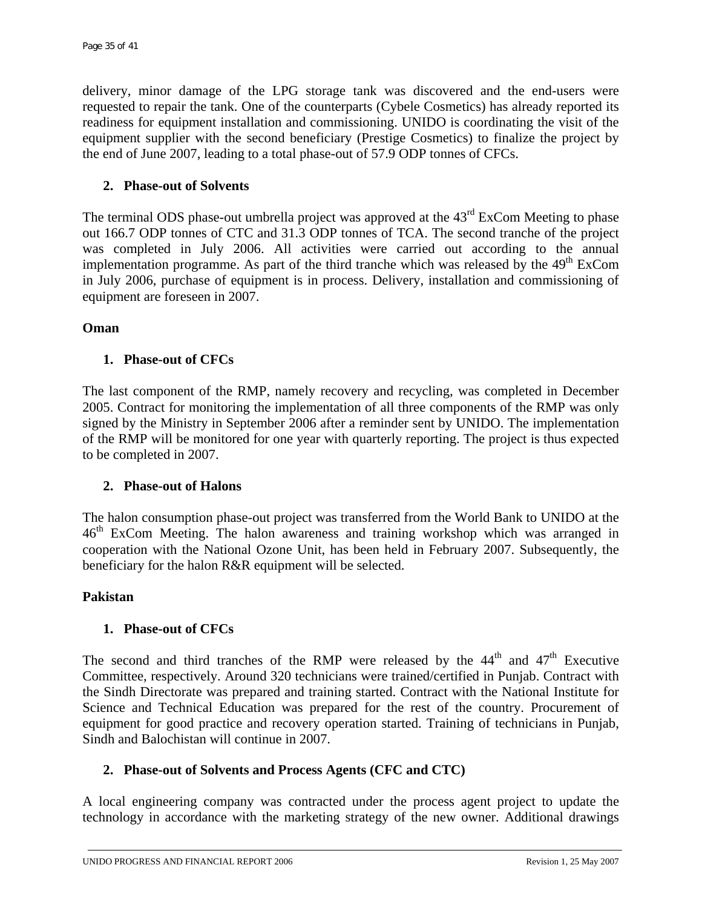delivery, minor damage of the LPG storage tank was discovered and the end-users were requested to repair the tank. One of the counterparts (Cybele Cosmetics) has already reported its readiness for equipment installation and commissioning. UNIDO is coordinating the visit of the equipment supplier with the second beneficiary (Prestige Cosmetics) to finalize the project by the end of June 2007, leading to a total phase-out of 57.9 ODP tonnes of CFCs.

## **2. Phase-out of Solvents**

The terminal ODS phase-out umbrella project was approved at the 43<sup>rd</sup> ExCom Meeting to phase out 166.7 ODP tonnes of CTC and 31.3 ODP tonnes of TCA. The second tranche of the project was completed in July 2006. All activities were carried out according to the annual implementation programme. As part of the third tranche which was released by the  $49<sup>th</sup>$  ExCom in July 2006, purchase of equipment is in process. Delivery, installation and commissioning of equipment are foreseen in 2007.

## **Oman**

# **1. Phase-out of CFCs**

The last component of the RMP, namely recovery and recycling, was completed in December 2005. Contract for monitoring the implementation of all three components of the RMP was only signed by the Ministry in September 2006 after a reminder sent by UNIDO. The implementation of the RMP will be monitored for one year with quarterly reporting. The project is thus expected to be completed in 2007.

## **2. Phase-out of Halons**

The halon consumption phase-out project was transferred from the World Bank to UNIDO at the 46<sup>th</sup> ExCom Meeting. The halon awareness and training workshop which was arranged in cooperation with the National Ozone Unit, has been held in February 2007. Subsequently, the beneficiary for the halon R&R equipment will be selected.

## **Pakistan**

# **1. Phase-out of CFCs**

The second and third tranches of the RMP were released by the  $44<sup>th</sup>$  and  $47<sup>th</sup>$  Executive Committee, respectively. Around 320 technicians were trained/certified in Punjab. Contract with the Sindh Directorate was prepared and training started. Contract with the National Institute for Science and Technical Education was prepared for the rest of the country. Procurement of equipment for good practice and recovery operation started. Training of technicians in Punjab, Sindh and Balochistan will continue in 2007.

# **2. Phase-out of Solvents and Process Agents (CFC and CTC)**

A local engineering company was contracted under the process agent project to update the technology in accordance with the marketing strategy of the new owner. Additional drawings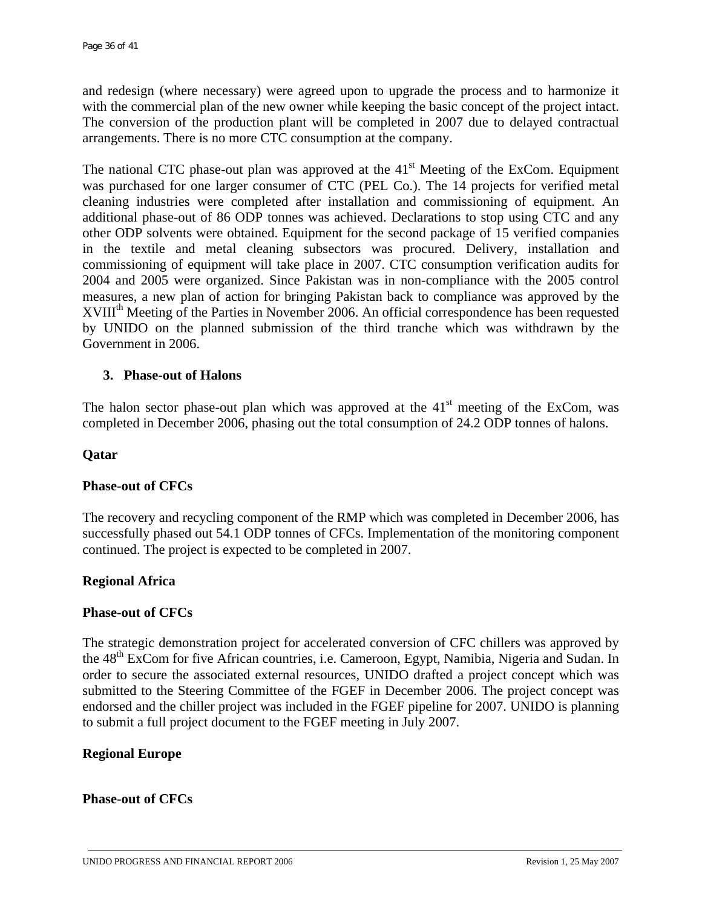and redesign (where necessary) were agreed upon to upgrade the process and to harmonize it with the commercial plan of the new owner while keeping the basic concept of the project intact. The conversion of the production plant will be completed in 2007 due to delayed contractual arrangements. There is no more CTC consumption at the company.

The national CTC phase-out plan was approved at the  $41<sup>st</sup>$  Meeting of the ExCom. Equipment was purchased for one larger consumer of CTC (PEL Co.). The 14 projects for verified metal cleaning industries were completed after installation and commissioning of equipment. An additional phase-out of 86 ODP tonnes was achieved. Declarations to stop using CTC and any other ODP solvents were obtained. Equipment for the second package of 15 verified companies in the textile and metal cleaning subsectors was procured. Delivery, installation and commissioning of equipment will take place in 2007. CTC consumption verification audits for 2004 and 2005 were organized. Since Pakistan was in non-compliance with the 2005 control measures, a new plan of action for bringing Pakistan back to compliance was approved by the XVIII<sup>th</sup> Meeting of the Parties in November 2006. An official correspondence has been requested by UNIDO on the planned submission of the third tranche which was withdrawn by the Government in 2006.

#### **3. Phase-out of Halons**

The halon sector phase-out plan which was approved at the  $41<sup>st</sup>$  meeting of the ExCom, was completed in December 2006, phasing out the total consumption of 24.2 ODP tonnes of halons.

#### **Qatar**

## **Phase-out of CFCs**

The recovery and recycling component of the RMP which was completed in December 2006, has successfully phased out 54.1 ODP tonnes of CFCs. Implementation of the monitoring component continued. The project is expected to be completed in 2007.

#### **Regional Africa**

#### **Phase-out of CFCs**

The strategic demonstration project for accelerated conversion of CFC chillers was approved by the 48<sup>th</sup> ExCom for five African countries, i.e. Cameroon, Egypt, Namibia, Nigeria and Sudan. In order to secure the associated external resources, UNIDO drafted a project concept which was submitted to the Steering Committee of the FGEF in December 2006. The project concept was endorsed and the chiller project was included in the FGEF pipeline for 2007. UNIDO is planning to submit a full project document to the FGEF meeting in July 2007.

#### **Regional Europe**

#### **Phase-out of CFCs**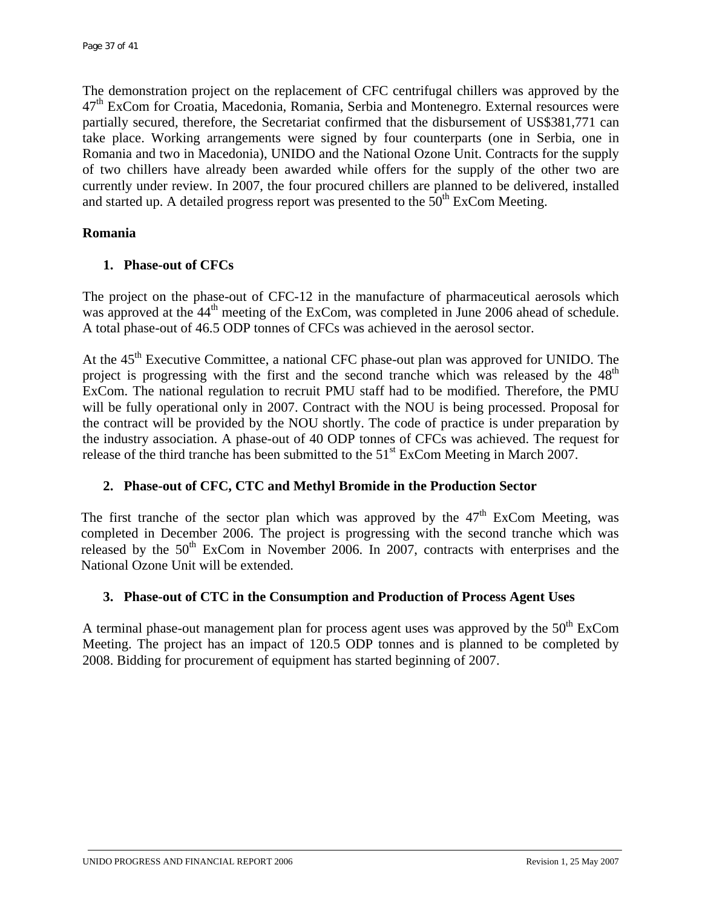The demonstration project on the replacement of CFC centrifugal chillers was approved by the  $47<sup>th</sup>$  ExCom for Croatia, Macedonia, Romania, Serbia and Montenegro. External resources were partially secured, therefore, the Secretariat confirmed that the disbursement of US\$381,771 can take place. Working arrangements were signed by four counterparts (one in Serbia, one in Romania and two in Macedonia), UNIDO and the National Ozone Unit. Contracts for the supply of two chillers have already been awarded while offers for the supply of the other two are currently under review. In 2007, the four procured chillers are planned to be delivered, installed and started up. A detailed progress report was presented to the  $50<sup>th</sup>$  ExCom Meeting.

## **Romania**

# **1. Phase-out of CFCs**

The project on the phase-out of CFC-12 in the manufacture of pharmaceutical aerosols which was approved at the 44<sup>th</sup> meeting of the ExCom, was completed in June 2006 ahead of schedule. A total phase-out of 46.5 ODP tonnes of CFCs was achieved in the aerosol sector.

At the 45<sup>th</sup> Executive Committee, a national CFC phase-out plan was approved for UNIDO. The project is progressing with the first and the second tranche which was released by the  $48<sup>th</sup>$ ExCom. The national regulation to recruit PMU staff had to be modified. Therefore, the PMU will be fully operational only in 2007. Contract with the NOU is being processed. Proposal for the contract will be provided by the NOU shortly. The code of practice is under preparation by the industry association. A phase-out of 40 ODP tonnes of CFCs was achieved. The request for release of the third tranche has been submitted to the  $51<sup>st</sup>$  ExCom Meeting in March 2007.

# **2. Phase-out of CFC, CTC and Methyl Bromide in the Production Sector**

The first tranche of the sector plan which was approved by the  $47<sup>th</sup>$  ExCom Meeting, was completed in December 2006. The project is progressing with the second tranche which was released by the  $50<sup>th</sup>$  ExCom in November 2006. In 2007, contracts with enterprises and the National Ozone Unit will be extended.

## **3. Phase-out of CTC in the Consumption and Production of Process Agent Uses**

A terminal phase-out management plan for process agent uses was approved by the  $50<sup>th</sup>$  ExCom Meeting. The project has an impact of 120.5 ODP tonnes and is planned to be completed by 2008. Bidding for procurement of equipment has started beginning of 2007.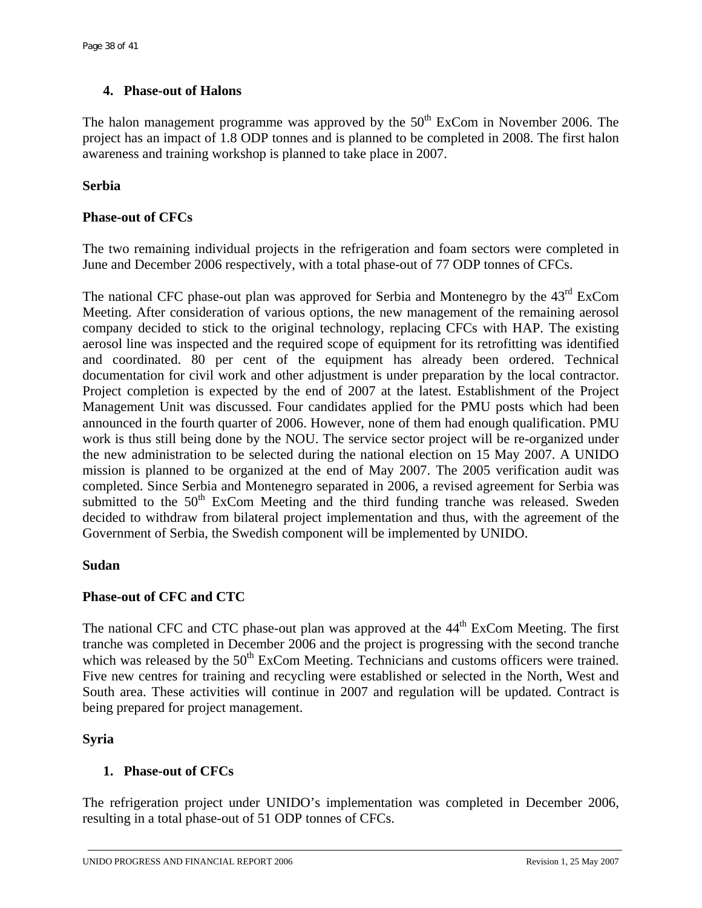# **4. Phase-out of Halons**

The halon management programme was approved by the  $50<sup>th</sup>$  ExCom in November 2006. The project has an impact of 1.8 ODP tonnes and is planned to be completed in 2008. The first halon awareness and training workshop is planned to take place in 2007.

# **Serbia**

# **Phase-out of CFCs**

The two remaining individual projects in the refrigeration and foam sectors were completed in June and December 2006 respectively, with a total phase-out of 77 ODP tonnes of CFCs.

The national CFC phase-out plan was approved for Serbia and Montenegro by the 43<sup>rd</sup> ExCom Meeting. After consideration of various options, the new management of the remaining aerosol company decided to stick to the original technology, replacing CFCs with HAP. The existing aerosol line was inspected and the required scope of equipment for its retrofitting was identified and coordinated. 80 per cent of the equipment has already been ordered. Technical documentation for civil work and other adjustment is under preparation by the local contractor. Project completion is expected by the end of 2007 at the latest. Establishment of the Project Management Unit was discussed. Four candidates applied for the PMU posts which had been announced in the fourth quarter of 2006. However, none of them had enough qualification. PMU work is thus still being done by the NOU. The service sector project will be re-organized under the new administration to be selected during the national election on 15 May 2007. A UNIDO mission is planned to be organized at the end of May 2007. The 2005 verification audit was completed. Since Serbia and Montenegro separated in 2006, a revised agreement for Serbia was submitted to the  $50<sup>th</sup>$  ExCom Meeting and the third funding tranche was released. Sweden decided to withdraw from bilateral project implementation and thus, with the agreement of the Government of Serbia, the Swedish component will be implemented by UNIDO.

## **Sudan**

# **Phase-out of CFC and CTC**

The national CFC and CTC phase-out plan was approved at the 44<sup>th</sup> ExCom Meeting. The first tranche was completed in December 2006 and the project is progressing with the second tranche which was released by the  $50<sup>th</sup>$  ExCom Meeting. Technicians and customs officers were trained. Five new centres for training and recycling were established or selected in the North, West and South area. These activities will continue in 2007 and regulation will be updated. Contract is being prepared for project management.

## **Syria**

# **1. Phase-out of CFCs**

The refrigeration project under UNIDO's implementation was completed in December 2006, resulting in a total phase-out of 51 ODP tonnes of CFCs.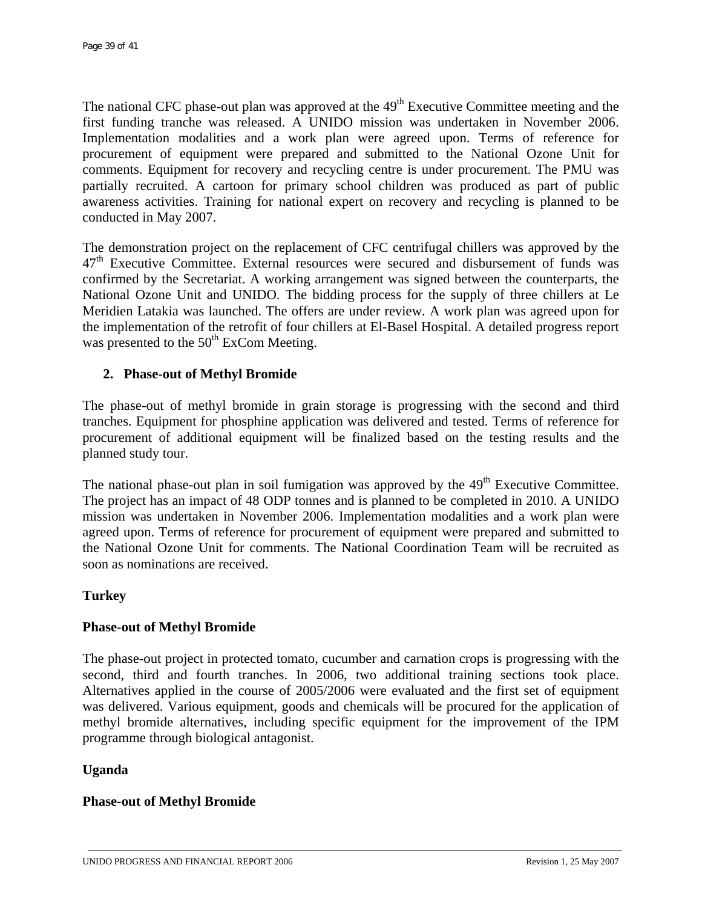The national CFC phase-out plan was approved at the  $49<sup>th</sup>$  Executive Committee meeting and the first funding tranche was released. A UNIDO mission was undertaken in November 2006. Implementation modalities and a work plan were agreed upon. Terms of reference for procurement of equipment were prepared and submitted to the National Ozone Unit for comments. Equipment for recovery and recycling centre is under procurement. The PMU was partially recruited. A cartoon for primary school children was produced as part of public awareness activities. Training for national expert on recovery and recycling is planned to be conducted in May 2007.

The demonstration project on the replacement of CFC centrifugal chillers was approved by the  $47<sup>th</sup>$  Executive Committee. External resources were secured and disbursement of funds was confirmed by the Secretariat. A working arrangement was signed between the counterparts, the National Ozone Unit and UNIDO. The bidding process for the supply of three chillers at Le Meridien Latakia was launched. The offers are under review. A work plan was agreed upon for the implementation of the retrofit of four chillers at El-Basel Hospital. A detailed progress report was presented to the  $50<sup>th</sup>$  ExCom Meeting.

# **2. Phase-out of Methyl Bromide**

The phase-out of methyl bromide in grain storage is progressing with the second and third tranches. Equipment for phosphine application was delivered and tested. Terms of reference for procurement of additional equipment will be finalized based on the testing results and the planned study tour.

The national phase-out plan in soil fumigation was approved by the 49<sup>th</sup> Executive Committee. The project has an impact of 48 ODP tonnes and is planned to be completed in 2010. A UNIDO mission was undertaken in November 2006. Implementation modalities and a work plan were agreed upon. Terms of reference for procurement of equipment were prepared and submitted to the National Ozone Unit for comments. The National Coordination Team will be recruited as soon as nominations are received.

# **Turkey**

# **Phase-out of Methyl Bromide**

The phase-out project in protected tomato, cucumber and carnation crops is progressing with the second, third and fourth tranches. In 2006, two additional training sections took place. Alternatives applied in the course of 2005/2006 were evaluated and the first set of equipment was delivered. Various equipment, goods and chemicals will be procured for the application of methyl bromide alternatives, including specific equipment for the improvement of the IPM programme through biological antagonist.

## **Uganda**

## **Phase-out of Methyl Bromide**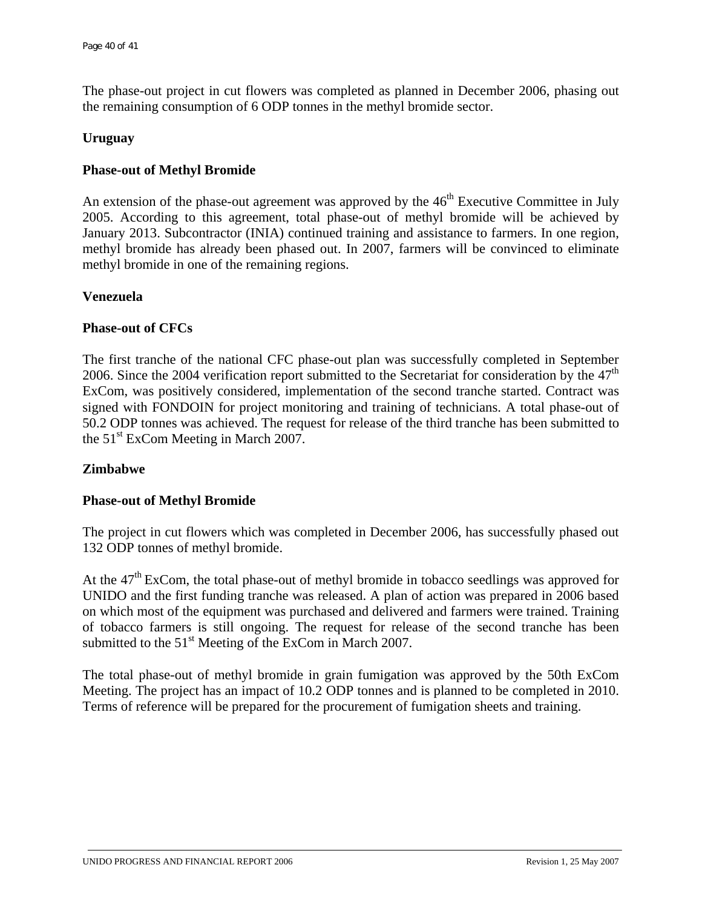The phase-out project in cut flowers was completed as planned in December 2006, phasing out the remaining consumption of 6 ODP tonnes in the methyl bromide sector.

#### **Uruguay**

## **Phase-out of Methyl Bromide**

An extension of the phase-out agreement was approved by the  $46<sup>th</sup>$  Executive Committee in July 2005. According to this agreement, total phase-out of methyl bromide will be achieved by January 2013. Subcontractor (INIA) continued training and assistance to farmers. In one region, methyl bromide has already been phased out. In 2007, farmers will be convinced to eliminate methyl bromide in one of the remaining regions.

#### **Venezuela**

#### **Phase-out of CFCs**

The first tranche of the national CFC phase-out plan was successfully completed in September 2006. Since the 2004 verification report submitted to the Secretariat for consideration by the  $47<sup>th</sup>$ ExCom, was positively considered, implementation of the second tranche started. Contract was signed with FONDOIN for project monitoring and training of technicians. A total phase-out of 50.2 ODP tonnes was achieved. The request for release of the third tranche has been submitted to the  $51<sup>st</sup>$  ExCom Meeting in March 2007.

#### **Zimbabwe**

#### **Phase-out of Methyl Bromide**

The project in cut flowers which was completed in December 2006, has successfully phased out 132 ODP tonnes of methyl bromide.

At the  $47<sup>th</sup>$  ExCom, the total phase-out of methyl bromide in tobacco seedlings was approved for UNIDO and the first funding tranche was released. A plan of action was prepared in 2006 based on which most of the equipment was purchased and delivered and farmers were trained. Training of tobacco farmers is still ongoing. The request for release of the second tranche has been submitted to the 51<sup>st</sup> Meeting of the ExCom in March 2007.

The total phase-out of methyl bromide in grain fumigation was approved by the 50th ExCom Meeting. The project has an impact of 10.2 ODP tonnes and is planned to be completed in 2010. Terms of reference will be prepared for the procurement of fumigation sheets and training.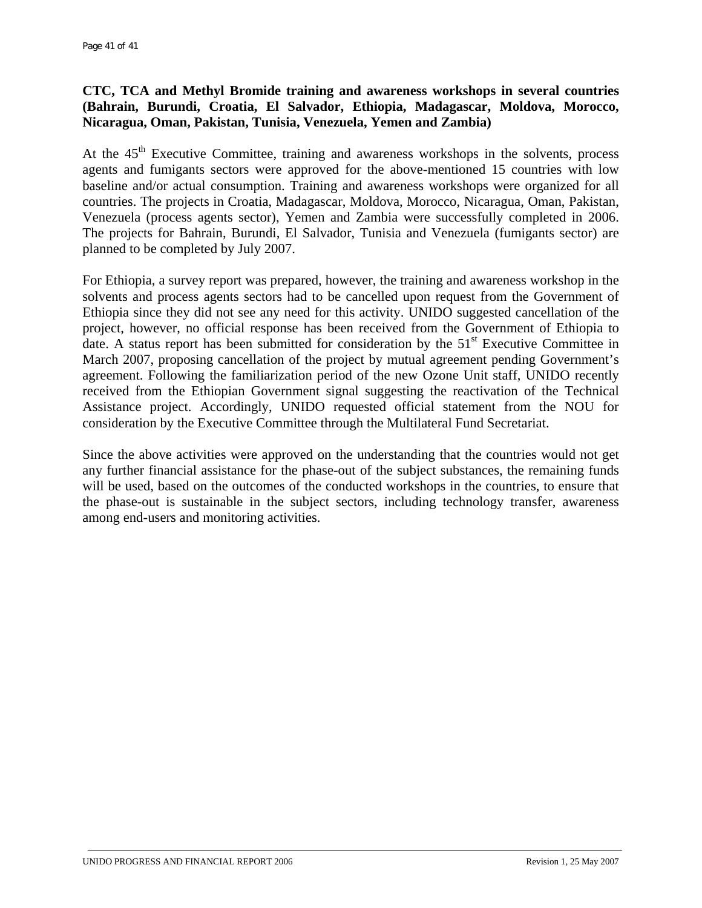# **CTC, TCA and Methyl Bromide training and awareness workshops in several countries (Bahrain, Burundi, Croatia, El Salvador, Ethiopia, Madagascar, Moldova, Morocco, Nicaragua, Oman, Pakistan, Tunisia, Venezuela, Yemen and Zambia)**

At the  $45<sup>th</sup>$  Executive Committee, training and awareness workshops in the solvents, process agents and fumigants sectors were approved for the above-mentioned 15 countries with low baseline and/or actual consumption. Training and awareness workshops were organized for all countries. The projects in Croatia, Madagascar, Moldova, Morocco, Nicaragua, Oman, Pakistan, Venezuela (process agents sector), Yemen and Zambia were successfully completed in 2006. The projects for Bahrain, Burundi, El Salvador, Tunisia and Venezuela (fumigants sector) are planned to be completed by July 2007.

For Ethiopia, a survey report was prepared, however, the training and awareness workshop in the solvents and process agents sectors had to be cancelled upon request from the Government of Ethiopia since they did not see any need for this activity. UNIDO suggested cancellation of the project, however, no official response has been received from the Government of Ethiopia to date. A status report has been submitted for consideration by the  $51<sup>st</sup>$  Executive Committee in March 2007, proposing cancellation of the project by mutual agreement pending Government's agreement. Following the familiarization period of the new Ozone Unit staff, UNIDO recently received from the Ethiopian Government signal suggesting the reactivation of the Technical Assistance project. Accordingly, UNIDO requested official statement from the NOU for consideration by the Executive Committee through the Multilateral Fund Secretariat.

Since the above activities were approved on the understanding that the countries would not get any further financial assistance for the phase-out of the subject substances, the remaining funds will be used, based on the outcomes of the conducted workshops in the countries, to ensure that the phase-out is sustainable in the subject sectors, including technology transfer, awareness among end-users and monitoring activities.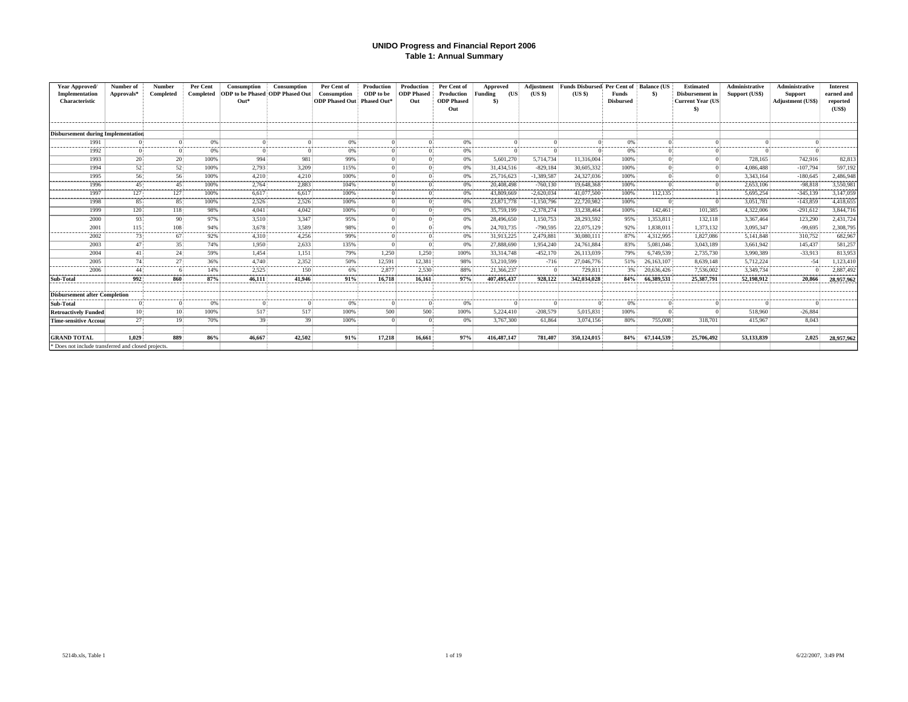#### **UNIDO Progress and Financial Report 2006 Table 1: Annual Summary**

| Year Approved/<br>Implementation<br>Characteristic  | Number of<br>Approvals* | <b>Number</b><br>Completed | Per Cent<br>Completed | Consumption<br>ODP to be Phased ODP Phased Out<br>$Out*$ | <b>Consumption</b> | Per Cent of<br><b>Consumption</b><br><b>ODP Phased Out Phased Out*</b> | Production<br>ODP to be | Production<br><b>ODP</b> Phased<br>Out | Per Cent of<br>Production<br><b>ODP</b> Phased<br>Out | Approved<br>Funding<br>(US<br>\$) | Adiustment<br>(USS) | <b>Funds Disbursed</b><br>(USS) | Per Cent of<br>Funds<br><b>Disbursed</b> | <b>Balance (US</b><br>\$) | Estimated<br>Disbursement in<br>Current Year (US<br>S) | <b>Administrative</b><br>Support (US\$) | Administrative<br><b>Support</b><br>Adjustment (US\$) | <b>Interest</b><br>earned and<br>reported<br>(USS) |
|-----------------------------------------------------|-------------------------|----------------------------|-----------------------|----------------------------------------------------------|--------------------|------------------------------------------------------------------------|-------------------------|----------------------------------------|-------------------------------------------------------|-----------------------------------|---------------------|---------------------------------|------------------------------------------|---------------------------|--------------------------------------------------------|-----------------------------------------|-------------------------------------------------------|----------------------------------------------------|
| <b>Disbursement during Implementation</b>           |                         |                            |                       |                                                          |                    |                                                                        |                         |                                        |                                                       |                                   |                     |                                 |                                          |                           |                                                        |                                         |                                                       |                                                    |
| 1991                                                |                         |                            | 0%                    |                                                          |                    | 0%                                                                     |                         |                                        | $^{\circ}$                                            |                                   |                     |                                 | -0%                                      |                           |                                                        |                                         |                                                       |                                                    |
| 1992                                                |                         |                            | 0%                    |                                                          |                    | 0%                                                                     |                         |                                        | 0%                                                    |                                   |                     |                                 | 0%                                       |                           |                                                        |                                         |                                                       |                                                    |
| 1993                                                |                         | 20                         | 100%                  | 994                                                      | 981                | 99%                                                                    |                         |                                        | 0%                                                    | 5,601,270                         | 5,714,734           | 11.316.004                      | 100%                                     |                           |                                                        | 728.165                                 | 742,916                                               | 82,813                                             |
| 1994                                                |                         | 52                         | 100%                  | 2,793                                                    | 3,209              | 115%                                                                   |                         |                                        | 0%                                                    | 31,434,516                        | $-829,184$          | 30,605,332                      | 100%                                     |                           |                                                        | 4,086,488                               | $-107,794$                                            | 597,192                                            |
| 1995                                                | 56                      | 56                         | 100%                  | 4.210                                                    | 4.210              | 100%                                                                   |                         |                                        | 0%                                                    | 25,716,623                        | $-1.389.587$        | 24.327.036                      | 100%                                     |                           |                                                        | 3,343,164                               | $-180,645$                                            | 2,486,948                                          |
| 1996                                                | 45 <sub>1</sub>         | 45 <sup>1</sup>            | 100%                  | 2.764                                                    | 2.883              | 104%                                                                   |                         |                                        | 0%                                                    | 20,408,498                        | $-760.130$          | 19,648,368                      | 100%                                     |                           |                                                        | 2.653.106                               | $-98,818$                                             | 3,550,981                                          |
| 1997                                                | 127                     | 127                        | 100%                  | 6,617                                                    | 6,617              | 100%                                                                   |                         |                                        | 0%                                                    | 43,809,669                        | $-2.620.034$        | 41,077,500                      | 100%                                     | 112,135                   |                                                        | 5,695,254                               | $-345,139$                                            | 3,147,059                                          |
| 1998                                                | 85                      | 85                         | 100%                  | 2.526                                                    | 2.526              | 100%                                                                   |                         |                                        | 0%                                                    | 23,871,778                        | $-1,150,796$        | 22,720,982                      | 100%                                     |                           |                                                        | 3,051,781                               | $-143.859$                                            | 4.418.655                                          |
| 1999                                                | 120                     | 118                        | 98%                   | 4.041                                                    | 4.042              | 100%                                                                   |                         |                                        | 0%                                                    | 35,759,199                        | $-2.378.274$        | 33.238.464                      | 100%                                     | 142.461                   | 101,385                                                | 4,322,006                               | $-291,612$                                            | 3,844,716                                          |
| 2000<br>,,,,,,,,,,                                  | 93<br>------            | 90                         | 97%                   | 3.510<br>--------                                        | 3.347              | 95%                                                                    |                         |                                        | 0%                                                    | 28,496,650                        | 1.150.753           | 28.293.592                      | 95%                                      | 1.353.811                 | 132.118                                                | 3,367,464                               | 123,290                                               | 2,431,724                                          |
| 2001                                                | 115                     | 108                        | 94%                   | 3,678                                                    | 3,589              | 98%                                                                    |                         |                                        | 0%                                                    | 24,703,735                        | $-790,595$          | 22,075,129                      | 92%                                      | 1,838,011                 | 1,373,132                                              | 3,095,347                               | $-99,695$                                             | 2,308,795                                          |
| 2002                                                | 73                      | 67                         | 92%                   | 4.310                                                    | 4,256              | 99%                                                                    |                         |                                        | 0%                                                    | 31.913.225                        | 2.479.881           | 30,080,111                      | 87%                                      | 4.312.995                 | 1,827,086                                              | 5.141.848                               | 310,752                                               | 682,967                                            |
| 2003                                                | 47                      | 35                         | 74%                   | 1.950                                                    | 2.633              | 135%                                                                   |                         |                                        | 0%                                                    | 27,888,690                        | 1,954,240           | 24,761,884                      | 83%                                      | 5.081.046                 | 3,043,189                                              | 3,661,942                               | 145,437                                               | 581,257                                            |
| 2004                                                | 41                      | 24                         | 59%                   | 1,454                                                    | 1,151              | 79%                                                                    | 1,250                   | 1,250                                  | 100%                                                  | 33, 314, 748                      | $-452,170$          | 26,113,039                      | 79%                                      | 6,749.539                 | 2,735,730                                              | 3.990.389                               | $-33,913$                                             | 813,953                                            |
| 2005                                                | 74                      | 27                         | 36%                   | 4.740                                                    | 2.352              | 50%                                                                    | 12,591                  | 12.381                                 | 98%                                                   | 53.210.599                        | $-716$              | 27,046,776                      | 51%                                      | 26,163,107                | 8.639.148                                              | 5,712,224                               | $-54$                                                 | 1,123,410                                          |
| 2006                                                | 44                      |                            | 14%                   | 2,525                                                    | 150                | 6%                                                                     | 2.877                   | 2,530                                  | 88%                                                   | 21.366.237                        |                     | 729,811                         | 3%                                       | 20.636.426                | 7.536,002                                              | 3.349.734                               |                                                       | 2.887.492                                          |
| Sub-Total                                           | 992                     | 860                        | 87%                   | 46.111                                                   | 41.946             | 91%                                                                    | 16.718                  | 16.161                                 | 97%                                                   | 407.495.437                       | 928,122             | 342.034.028                     | 84%                                      | 66.389.531                | 25,387,791                                             | 52,198,912                              | 20,866                                                | 28,957,962                                         |
| <b>Disbursement after Completion</b>                |                         |                            |                       |                                                          |                    |                                                                        |                         |                                        |                                                       |                                   |                     |                                 |                                          |                           |                                                        |                                         |                                                       |                                                    |
| Sub-Total                                           |                         |                            | 0%                    |                                                          |                    | 0%                                                                     |                         |                                        | 0%                                                    |                                   |                     |                                 | 0%                                       |                           |                                                        |                                         |                                                       |                                                    |
| <b>Retroactively Funded</b>                         | 10 <sup>1</sup>         | 10 <sup>1</sup>            | 100%                  | 517                                                      | 517                | 100%                                                                   | 500                     | 500                                    | 100%                                                  | 5.224,410                         | $-208,579$          | 5.015.831                       | 100%                                     |                           |                                                        | 518,960                                 | $-26.884$                                             |                                                    |
| <b>Time-sensitive Accour</b>                        | 27                      | 19 <sup>1</sup>            | 70%                   | 39                                                       | 39                 | 100%                                                                   |                         |                                        | 0%                                                    | 3,767,300                         | 61.864              | 3,074,156                       | 80%                                      | 755,008                   | 318,701                                                | 415.967                                 | 8.043                                                 |                                                    |
| <b>GRAND TOTAL</b>                                  | 1.029                   | 889                        | 86%                   | -----------<br>46.667                                    | 42.502             | 91%                                                                    | 17.218                  | 16,661                                 | 97%                                                   | 416, 487, 147                     | 781.407             | 350,124,015                     | 84%                                      | 67.144.539                | 25,706,492                                             | 53,133,839                              | 2,025                                                 | 28,957,962                                         |
| * Does not include transferred and closed projects. |                         |                            |                       |                                                          |                    |                                                                        |                         |                                        |                                                       |                                   |                     |                                 |                                          |                           |                                                        |                                         |                                                       |                                                    |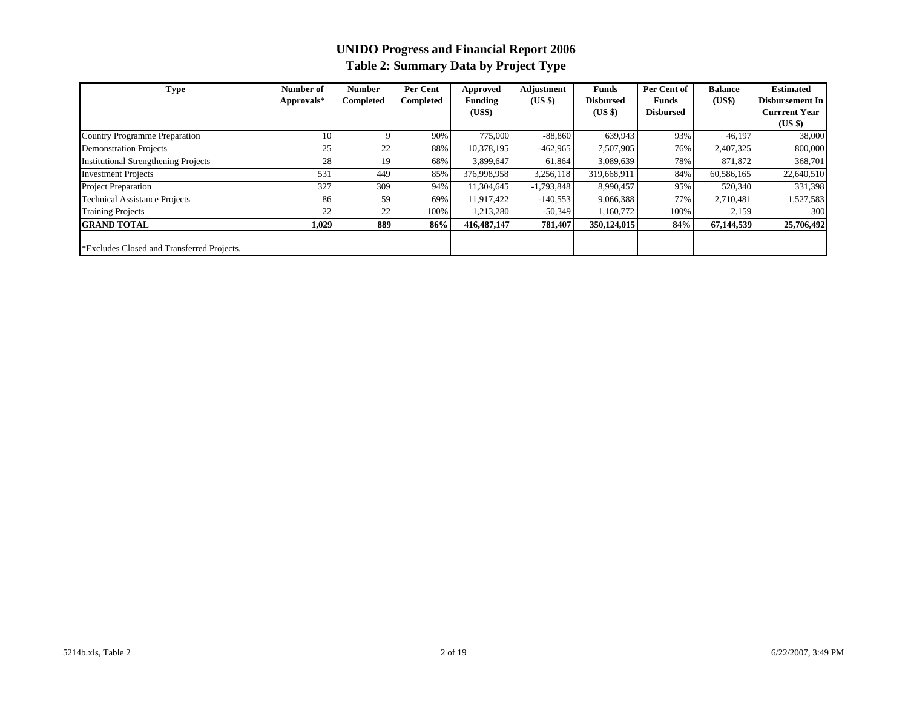# **UNIDO Progress and Financial Report 2006 Table 2: Summary Data by Project Type**

| Type                                        | Number of  | <b>Number</b> | Per Cent  | Approved       | Adjustment   | <b>Funds</b>     | Per Cent of      | <b>Balance</b> | <b>Estimated</b>     |
|---------------------------------------------|------------|---------------|-----------|----------------|--------------|------------------|------------------|----------------|----------------------|
|                                             | Approvals* | Completed     | Completed | <b>Funding</b> | (USS)        | <b>Disbursed</b> | Funds            | (US\$)         | Disbursement In      |
|                                             |            |               |           | (US\$)         |              | (USS)            | <b>Disbursed</b> |                | <b>Currrent Year</b> |
|                                             |            |               |           |                |              |                  |                  |                | (US \$)              |
| <b>Country Programme Preparation</b>        | 10         |               | 90%       | 775,000        | $-88,860$    | 639,943          | 93%              | 46.197         | 38,000               |
| <b>Demonstration Projects</b>               | 25         | 22            | 88%       | 10,378,195     | $-462,965$   | 7,507,905        | 76%              | 2,407,325      | 800,000              |
| <b>Institutional Strengthening Projects</b> | 28         | 19            | 68%       | 3,899,647      | 61,864       | 3,089,639        | 78%              | 871,872        | 368,701              |
| <b>Investment Projects</b>                  | 531        | 449           | 85%       | 376,998,958    | 3,256,118    | 319,668,911      | 84%              | 60,586,165     | 22,640,510           |
| <b>Project Preparation</b>                  | 327        | 309           | 94%       | 11.304.645     | $-1.793.848$ | 8.990.457        | 95%              | 520,340        | 331,398              |
| <b>Technical Assistance Projects</b>        | 86         | 59            | 69%       | 11,917,422     | $-140,553$   | 9,066,388        | 77%              | 2,710,481      | 1,527,583            |
| <b>Training Projects</b>                    | 22         | 22            | 100%      | 1,213,280      | $-50,349$    | 1,160,772        | 100%             | 2,159          | 300                  |
| <b>GRAND TOTAL</b>                          | 1,029      | 889           | 86%       | 416, 487, 147  | 781,407      | 350,124,015      | 84%              | 67,144,539     | 25,706,492           |
|                                             |            |               |           |                |              |                  |                  |                |                      |
| *Excludes Closed and Transferred Projects.  |            |               |           |                |              |                  |                  |                |                      |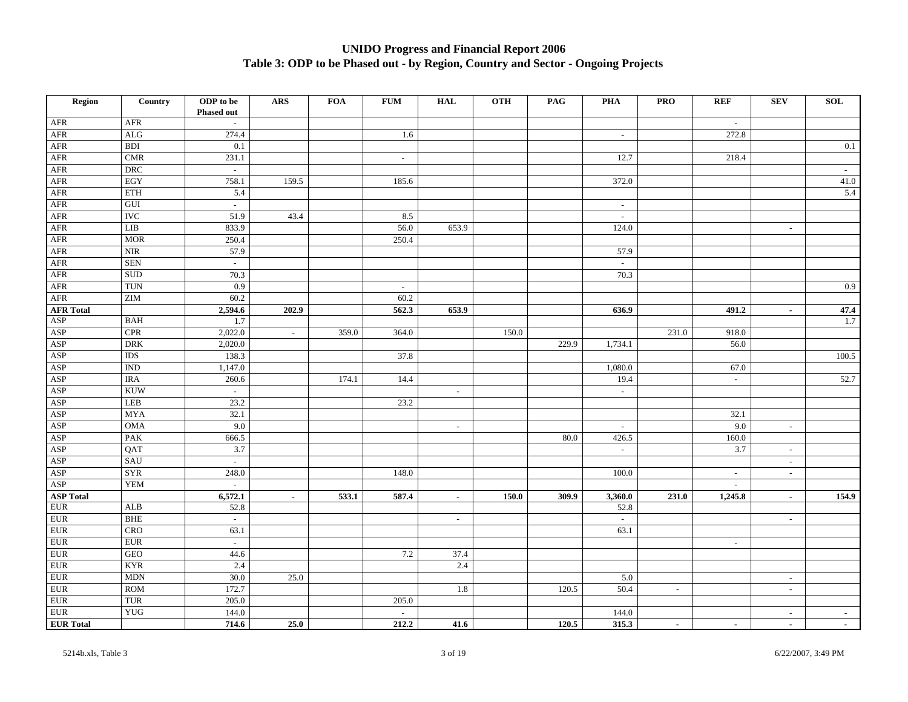# **UNIDO Progress and Financial Report 2006 Table 3: ODP to be Phased out - by Region, Country and Sector - Ongoing Projects**

| Region                  | Country                     | ODP to be<br><b>Phased out</b> | ARS            | <b>FOA</b> | ${\bf FUM}$                 | <b>HAL</b>               | <b>OTH</b> | PAG   | <b>PHA</b>          | <b>PRO</b>     | <b>REF</b>               | <b>SEV</b>                  | <b>SOL</b> |
|-------------------------|-----------------------------|--------------------------------|----------------|------------|-----------------------------|--------------------------|------------|-------|---------------------|----------------|--------------------------|-----------------------------|------------|
| AFR                     | AFR                         | $\sim$                         |                |            |                             |                          |            |       |                     |                | $\sim$                   |                             |            |
| AFR                     | $\rm ALG$                   | 274.4                          |                |            | 1.6                         |                          |            |       | $\sim$              |                | 272.8                    |                             |            |
| $\overline{\text{AFR}}$ | <b>BDI</b>                  | 0.1                            |                |            |                             |                          |            |       |                     |                |                          |                             | 0.1        |
| AFR                     | $\ensuremath{\mathrm{CMR}}$ | 231.1                          |                |            | $\sim$                      |                          |            |       | 12.7                |                | 218.4                    |                             |            |
| AFR                     | DRC                         | $\sim$                         |                |            |                             |                          |            |       |                     |                |                          |                             | $\sim$     |
| ${\sf AFR}$             | EGY                         | 758.1                          | 159.5          |            | 185.6                       |                          |            |       | 372.0               |                |                          |                             | 41.0       |
| ${\sf AFR}$             | ETH                         | 5.4                            |                |            |                             |                          |            |       |                     |                |                          |                             | 5.4        |
| ${\sf AFR}$             | GUI                         | $\sim$                         |                |            |                             |                          |            |       | $\sim$              |                |                          |                             |            |
| ${\sf AFR}$             | <b>IVC</b>                  | 51.9                           | 43.4           |            | 8.5                         |                          |            |       | $\sim$              |                |                          |                             |            |
| <b>AFR</b>              | LIB                         | 833.9                          |                |            | 56.0                        | 653.9                    |            |       | 124.0               |                |                          | $\overline{\phantom{a}}$    |            |
| $\overline{\text{AFR}}$ | <b>MOR</b>                  | 250.4                          |                |            | 250.4                       |                          |            |       |                     |                |                          |                             |            |
| ${\sf AFR}$             | NIR                         | 57.9                           |                |            |                             |                          |            |       | 57.9                |                |                          |                             |            |
| ${\sf AFR}$             | <b>SEN</b>                  | $\mathcal{L}$                  |                |            |                             |                          |            |       | $\mathbb{Z}^+$      |                |                          |                             |            |
| ${\sf AFR}$             | <b>SUD</b>                  | 70.3                           |                |            |                             |                          |            |       | 70.3                |                |                          |                             |            |
| ${\sf AFR}$             | TUN                         | 0.9                            |                |            | $\sim$                      |                          |            |       |                     |                |                          |                             | 0.9        |
| AFR                     | ZIM                         | 60.2                           |                |            | 60.2                        |                          |            |       |                     |                |                          |                             |            |
| <b>AFR Total</b>        |                             | 2,594.6                        | 202.9          |            | 562.3                       | 653.9                    |            |       | 636.9               |                | 491.2                    | $\sim$                      | 47.4       |
| ASP                     | <b>BAH</b>                  | 1.7                            |                |            |                             |                          |            |       |                     |                |                          |                             | 1.7        |
| ASP                     | $\ensuremath{\text{CPR}}$   | 2,022.0                        | $\sim$         | 359.0      | 364.0                       |                          | 150.0      |       |                     | 231.0          | 918.0                    |                             |            |
| ASP                     | <b>DRK</b>                  | 2,020.0                        |                |            |                             |                          |            | 229.9 | 1,734.1             |                | 56.0                     |                             |            |
| ASP                     | IDS                         | 138.3                          |                |            | 37.8                        |                          |            |       |                     |                |                          |                             | 100.5      |
| ASP                     | <b>IND</b>                  | 1,147.0                        |                |            |                             |                          |            |       | 1,080.0             |                | 67.0                     |                             |            |
| ASP                     | <b>IRA</b>                  | 260.6                          |                | 174.1      | 14.4                        |                          |            |       | 19.4                |                | $\equiv$                 |                             | 52.7       |
| <b>ASP</b>              | <b>KUW</b>                  | $\sim$                         |                |            |                             | $\sim$                   |            |       | $\sim$              |                |                          |                             |            |
| ASP                     | LEB                         | 23.2                           |                |            | 23.2                        |                          |            |       |                     |                |                          |                             |            |
| ASP                     | <b>MYA</b>                  | 32.1                           |                |            |                             |                          |            |       |                     |                | 32.1                     |                             |            |
| ASP                     | <b>OMA</b>                  | 9.0                            |                |            |                             | $\sim$                   |            |       | $\sim$              |                | 9.0                      | $\mathcal{L}_{\mathcal{A}}$ |            |
| ASP                     | PAK                         | 666.5                          |                |            |                             |                          |            | 80.0  | 426.5               |                | 160.0                    |                             |            |
| ASP                     | QAT                         | 3.7                            |                |            |                             |                          |            |       | $\mathcal{L}^{\pm}$ |                | 3.7                      | $\mathcal{L}_{\mathcal{A}}$ |            |
| ASP                     | SAU                         | $\sim$                         |                |            |                             |                          |            |       |                     |                |                          | $\sim$                      |            |
| ASP                     | <b>SYR</b>                  | 248.0                          |                |            | 148.0                       |                          |            |       | 100.0               |                | $\overline{\phantom{a}}$ | $\blacksquare$              |            |
| ASP                     | <b>YEM</b>                  | $\mathbb{L}$                   |                |            |                             |                          |            |       |                     |                | $\sim$                   |                             |            |
| <b>ASP Total</b>        |                             | 6,572.1                        | $\blacksquare$ | 533.1      | 587.4                       | $\sim$                   | 150.0      | 309.9 | 3,360.0             | 231.0          | 1,245.8                  | $\sim$                      | 154.9      |
| <b>EUR</b>              | ALB                         | 52.8                           |                |            |                             |                          |            |       | 52.8                |                |                          |                             |            |
| $EUR$                   | <b>BHE</b>                  | $\sim$                         |                |            |                             | $\overline{\phantom{a}}$ |            |       | $\sim$              |                |                          | $\mathcal{L}_{\mathcal{A}}$ |            |
| <b>EUR</b>              | CRO                         | 63.1                           |                |            |                             |                          |            |       | 63.1                |                |                          |                             |            |
| <b>EUR</b>              | <b>EUR</b>                  | $\mathbb{Z}^2$                 |                |            |                             |                          |            |       |                     |                | $\sim$                   |                             |            |
| ${\rm EUR}$             | GEO                         | 44.6                           |                |            | 7.2                         | 37.4                     |            |       |                     |                |                          |                             |            |
| <b>EUR</b>              | <b>KYR</b>                  | 2.4                            |                |            |                             | 2.4                      |            |       |                     |                |                          |                             |            |
| $EUR$                   | <b>MDN</b>                  | 30.0                           | 25.0           |            |                             |                          |            |       | 5.0                 |                |                          | $\sim$                      |            |
| $EUR$                   | <b>ROM</b>                  | 172.7                          |                |            |                             | 1.8                      |            | 120.5 | 50.4                | $\blacksquare$ |                          | $\overline{\phantom{a}}$    |            |
| ${\rm EUR}$             | TUR                         | 205.0                          |                |            | 205.0                       |                          |            |       |                     |                |                          |                             |            |
| ${\rm EUR}$             | <b>YUG</b>                  | 144.0                          |                |            | $\mathcal{L}_{\mathcal{A}}$ |                          |            |       | 144.0               |                |                          | $\mathcal{L}_{\mathcal{A}}$ | $\sim$     |
| <b>EUR Total</b>        |                             | 714.6                          | 25.0           |            | 212.2                       | 41.6                     |            | 120.5 | 315.3               | $\blacksquare$ | $\sim$                   | $\sim$                      | $\sim$     |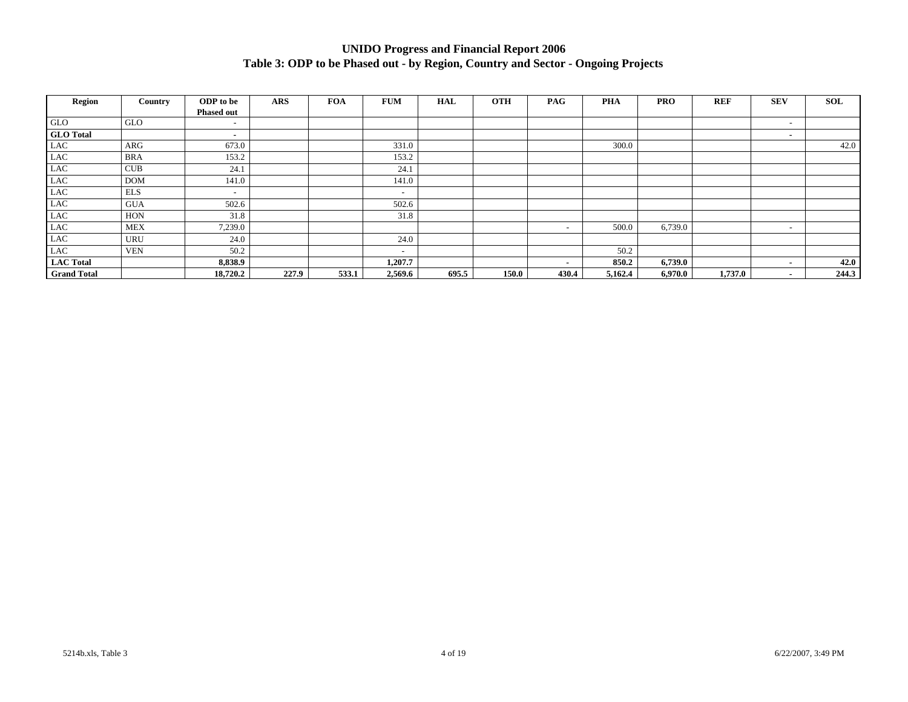# **UNIDO Progress and Financial Report 2006 Table 3: ODP to be Phased out - by Region, Country and Sector - Ongoing Projects**

| Region             | Country    | ODP to be         | <b>ARS</b> | <b>FOA</b><br><b>FUM</b> | <b>OTH</b><br><b>HAL</b> | <b>PAG</b>               | <b>PHA</b> | <b>PRO</b> | <b>REF</b> | <b>SEV</b>               | SOL   |
|--------------------|------------|-------------------|------------|--------------------------|--------------------------|--------------------------|------------|------------|------------|--------------------------|-------|
|                    |            | <b>Phased out</b> |            |                          |                          |                          |            |            |            |                          |       |
| <b>GLO</b>         | GLO        | $\overline{a}$    |            |                          |                          |                          |            |            |            | $\overline{\phantom{a}}$ |       |
| <b>GLO</b> Total   |            | ۰                 |            |                          |                          |                          |            |            |            | ٠                        |       |
| $_{\rm LAC}$       | ARG        | 673.0             |            | 331.0                    |                          |                          | 300.0      |            |            |                          | 42.0  |
| $_{\rm LAC}$       | <b>BRA</b> | 153.2             |            | 153.2                    |                          |                          |            |            |            |                          |       |
| $_{\rm LAC}$       | CUB        | 24.1              |            | 24.1                     |                          |                          |            |            |            |                          |       |
| $_{\rm LAC}$       | <b>DOM</b> | 141.0             |            | 141.0                    |                          |                          |            |            |            |                          |       |
| $_{\rm LAC}$       | <b>ELS</b> | $\overline{a}$    |            | $\overline{\phantom{a}}$ |                          |                          |            |            |            |                          |       |
| $_{\rm LAC}$       | <b>GUA</b> | 502.6             |            | 502.6                    |                          |                          |            |            |            |                          |       |
| $_{\rm LAC}$       | <b>HON</b> | 31.8              |            | 31.8                     |                          |                          |            |            |            |                          |       |
| $_{\rm LAC}$       | <b>MEX</b> | 7,239.0           |            |                          |                          | $\overline{\phantom{0}}$ | 500.0      | 6,739.0    |            | $\overline{\phantom{a}}$ |       |
| $_{\rm LAC}$       | <b>URU</b> | 24.0              |            | 24.0                     |                          |                          |            |            |            |                          |       |
| <b>LAC</b>         | <b>VEN</b> | 50.2              |            | $\overline{\phantom{a}}$ |                          |                          | 50.2       |            |            |                          |       |
| <b>LAC</b> Total   |            | 8,838.9           |            | 1,207.7                  |                          | $\overline{\phantom{a}}$ | 850.2      | 6,739.0    |            | $\blacksquare$           | 42.0  |
| <b>Grand Total</b> |            | 18,720.2          | 227.9      | 533.1<br>2,569.6         | 695.5<br>150.0           | 430.4                    | 5,162.4    | 6,970.0    | 1,737.0    | $\overline{\phantom{a}}$ | 244.3 |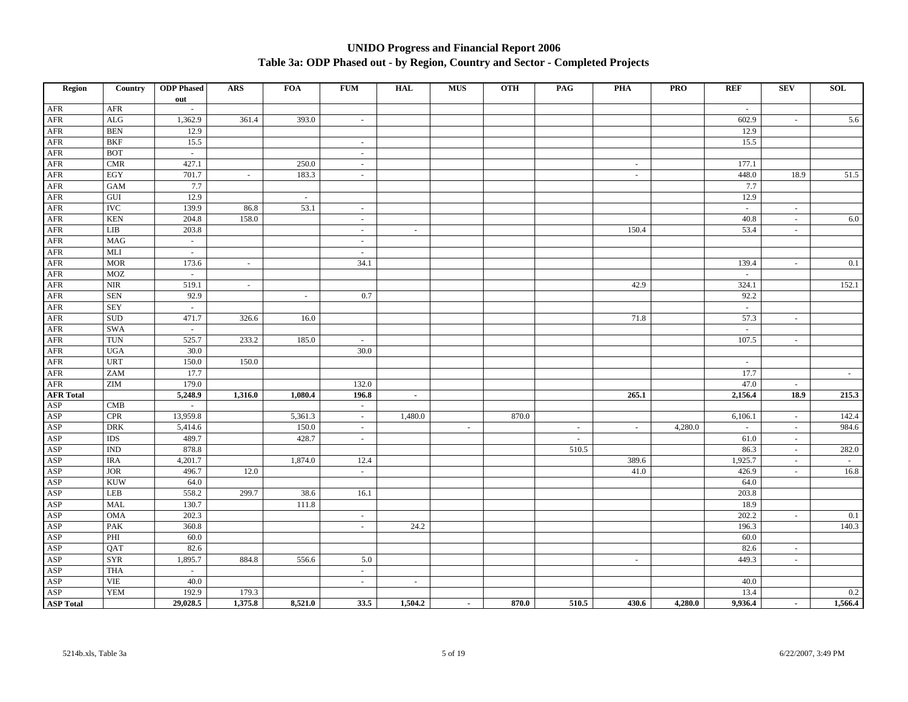#### **UNIDO Progress and Financial Report 2006 Table 3a: ODP Phased out - by Region, Country and Sector - Completed Projects**

| Region               | Country                          | <b>ODP</b> Phased | <b>ARS</b> | <b>FOA</b> | <b>FUM</b> | <b>HAL</b>     | <b>MUS</b> | <b>OTH</b> | PAG                      | <b>PHA</b> | <b>PRO</b><br><b>REF</b> | <b>SEV</b>               | <b>SOL</b> |
|----------------------|----------------------------------|-------------------|------------|------------|------------|----------------|------------|------------|--------------------------|------------|--------------------------|--------------------------|------------|
|                      |                                  | out               |            |            |            |                |            |            |                          |            |                          |                          |            |
| AFR                  | AFR                              | $\sim$            |            |            |            |                |            |            |                          |            | $\sim$                   |                          |            |
| AFR                  | $\rm ALG$                        | 1,362.9           | 361.4      | 393.0      | $\sim$     |                |            |            |                          |            | 602.9                    | $\sim$                   | 5.6        |
| AFR                  | <b>BEN</b>                       | 12.9              |            |            |            |                |            |            |                          |            | 12.9                     |                          |            |
| AFR                  | <b>BKF</b>                       | 15.5              |            |            | $\sim$     |                |            |            |                          |            | 15.5                     |                          |            |
| AFR                  | <b>BOT</b>                       | $\sim$            |            |            | $\sim$     |                |            |            |                          |            |                          |                          |            |
| AFR                  | <b>CMR</b>                       | 427.1             |            | 250.0      | $\sim$     |                |            |            |                          | $\sim$     | 177.1                    |                          |            |
| ${\sf AFR}$          | $_{\rm EGY}$                     | 701.7             | $\sim$     | 183.3      | $\sim$     |                |            |            |                          | $\sim$     | 448.0                    | 18.9                     | 51.5       |
| AFR                  | <b>GAM</b>                       | 7.7               |            |            |            |                |            |            |                          |            | 7.7                      |                          |            |
| <b>AFR</b>           | ${\rm GUI}$                      | 12.9              |            | $\sim$     |            |                |            |            |                          |            | 12.9                     |                          |            |
| $\operatorname{AFR}$ | <b>IVC</b>                       | 139.9             | 86.8       | 53.1       | $\sim$     |                |            |            |                          |            | $\omega$ .               | $\sim$                   |            |
| $\operatorname{AFR}$ | <b>KEN</b>                       | 204.8             | 158.0      |            | $\sim$     |                |            |            |                          |            | 40.8                     | $\sim$                   | 6.0        |
| AFR                  | LIB                              | 203.8             |            |            | $\sim$     | $\sim$         |            |            |                          | 150.4      | 53.4                     | $\sim$                   |            |
| AFR                  | <b>MAG</b>                       | $\sim$            |            |            | $\sim$     |                |            |            |                          |            |                          |                          |            |
| $\rm{AFR}$           | MLI                              | $\omega$          |            |            | $\omega$   |                |            |            |                          |            |                          |                          |            |
| AFR                  | <b>MOR</b>                       | 173.6             | $\sim$     |            | 34.1       |                |            |            |                          |            | 139.4                    | $\sim$                   | 0.1        |
| AFR                  | <b>MOZ</b>                       | $\omega$          |            |            |            |                |            |            |                          |            | $\omega$                 |                          |            |
| AFR                  | $\ensuremath{\text{NIR}}\xspace$ | 519.1             | $\sim$     |            |            |                |            |            |                          | 42.9       | 324.1                    |                          | 152.1      |
| $\operatorname{AFR}$ | <b>SEN</b>                       | 92.9              |            | $\sim$     | 0.7        |                |            |            |                          |            | 92.2                     |                          |            |
| AFR                  | <b>SEY</b>                       | $\sim$            |            |            |            |                |            |            |                          |            | $\sim$                   |                          |            |
| AFR                  | $\operatorname{SUB}$             | 471.7             | 326.6      | 16.0       |            |                |            |            |                          | 71.8       | 57.3                     | $\sim$                   |            |
| AFR                  | <b>SWA</b>                       | $\sim$            |            |            |            |                |            |            |                          |            | $\sim$                   |                          |            |
| AFR                  | <b>TUN</b>                       | 525.7             | 233.2      | 185.0      | $\sim$     |                |            |            |                          |            | 107.5                    | $\sim$                   |            |
| AFR                  | <b>UGA</b>                       | 30.0              |            |            | 30.0       |                |            |            |                          |            |                          |                          |            |
| AFR                  | $\ensuremath{\mathrm{URT}}$      | 150.0             | 150.0      |            |            |                |            |            |                          |            | $\sim$                   |                          |            |
| AFR                  | ZAM                              | 17.7              |            |            |            |                |            |            |                          |            | 17.7                     |                          | $\sim$     |
| AFR                  | <b>ZIM</b>                       | 179.0             |            |            | 132.0      |                |            |            |                          |            | 47.0                     | $\omega$                 |            |
| <b>AFR Total</b>     |                                  | 5,248.9           | 1,316.0    | 1,080.4    | 196.8      | $\blacksquare$ |            |            |                          | 265.1      | 2,156.4                  | 18.9                     | 215.3      |
| $\mathbf{ASP}$       | CMB                              | $\sim$            |            |            | $\sim$     |                |            |            |                          |            |                          |                          |            |
| ASP                  | $\ensuremath{\mathrm{CPR}}$      | 13,959.8          |            | 5,361.3    | $\sim$     | 1,480.0        |            | 870.0      |                          |            | 6,106.1                  | $\sim$                   | 142.4      |
| ASP                  | $\rm{DRK}$                       | 5,414.6           |            | 150.0      | $\sim$     |                | $\sim$     |            | $\overline{\phantom{a}}$ | $\sim$     | 4,280.0<br>$\sim$        | $\overline{\phantom{a}}$ | 984.6      |
| ASP                  | $IDS$                            | 489.7             |            | 428.7      | $\sim$     |                |            |            | $\overline{\phantom{a}}$ |            | 61.0                     | $\sim$                   |            |
| ASP                  | <b>IND</b>                       | 878.8             |            |            |            |                |            |            | 510.5                    |            | 86.3                     | $\sim$                   | 282.0      |
| ASP                  | <b>IRA</b>                       | 4,201.7           |            | 1,874.0    | 12.4       |                |            |            |                          | 389.6      | 1,925.7                  | $\sim$                   | $\sim$     |
| $\mathbf{ASP}$       | <b>JOR</b>                       | 496.7             | 12.0       |            | $\omega$   |                |            |            |                          | 41.0       | 426.9                    | $\omega$                 | 16.8       |
| ASP                  | <b>KUW</b>                       | 64.0              |            |            |            |                |            |            |                          |            | 64.0                     |                          |            |
| ASP                  | LEB                              | 558.2             | 299.7      | 38.6       | 16.1       |                |            |            |                          |            | 203.8                    |                          |            |
| ASP                  | <b>MAL</b>                       | 130.7             |            | 111.8      |            |                |            |            |                          |            | 18.9                     |                          |            |
| $\mathbf{ASP}$       | <b>OMA</b>                       | 202.3             |            |            | $\sim$     |                |            |            |                          |            | 202.2                    | $\sim$                   | 0.1        |
| ASP                  | PAK                              | 360.8             |            |            | $\sim$     | 24.2           |            |            |                          |            | 196.3                    |                          | 140.3      |
| ASP                  | $\mathbf{PHI}$                   | 60.0              |            |            |            |                |            |            |                          |            | 60.0                     |                          |            |
| $\mathbf{ASP}$       | QAT                              | 82.6              |            |            |            |                |            |            |                          |            | 82.6                     | $\sim$                   |            |
| ASP                  | <b>SYR</b>                       | 1,895.7           | 884.8      | 556.6      | 5.0        |                |            |            |                          | $\sim$     | 449.3                    | $\omega$                 |            |
| ASP                  | <b>THA</b>                       | $\sim$            |            |            | $\sim$     |                |            |            |                          |            |                          |                          |            |
| $\mathbf{ASP}$       | <b>VIE</b>                       | 40.0              |            |            | $\sim$     | $\sim$         |            |            |                          |            | 40.0                     |                          |            |
| ASP                  | <b>YEM</b>                       | 192.9             | 179.3      |            |            |                |            |            |                          |            | 13.4                     |                          | 0.2        |
| <b>ASP</b> Total     |                                  | 29,028.5          | 1,375.8    | 8,521.0    | 33.5       | 1,504.2        |            | 870.0      | 510.5                    | 430.6      | 4,280.0<br>9,936.4       |                          | 1,566.4    |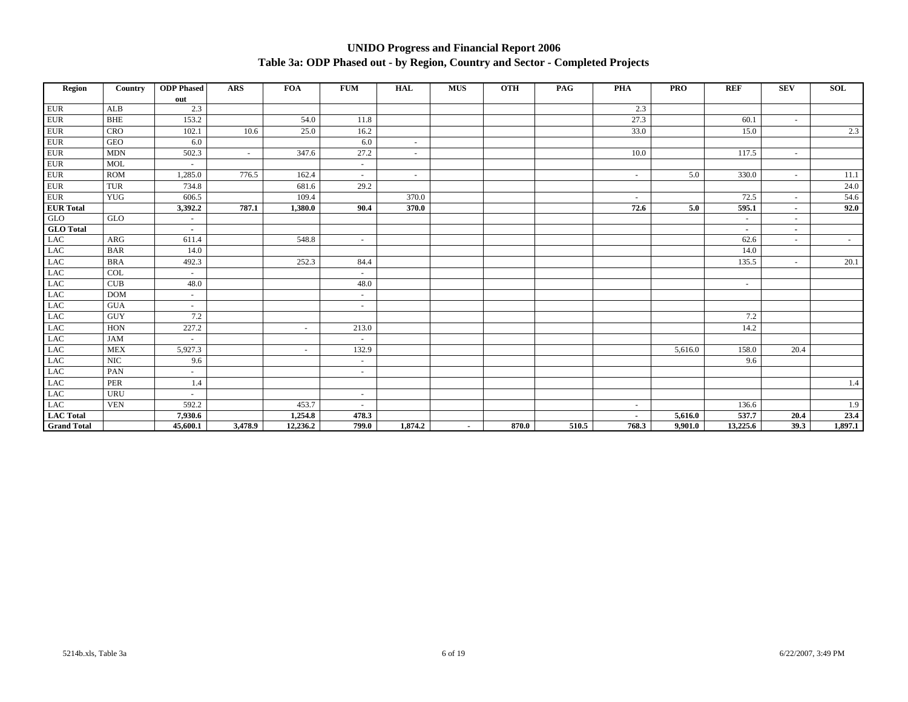#### **UNIDO Progress and Financial Report 2006 Table 3a: ODP Phased out - by Region, Country and Sector - Completed Projects**

| Region             | Country     | <b>ODP</b> Phased        | ARS     | <b>FOA</b> | <b>FUM</b> | <b>HAL</b> | <b>MUS</b>               | <b>OTH</b> | PAG   | <b>PHA</b> | <b>PRO</b> | <b>REF</b> | <b>SEV</b>               | <b>SOL</b> |
|--------------------|-------------|--------------------------|---------|------------|------------|------------|--------------------------|------------|-------|------------|------------|------------|--------------------------|------------|
|                    |             | out                      |         |            |            |            |                          |            |       |            |            |            |                          |            |
| ${\rm EUR}$        | ${\bf ALB}$ | 2.3                      |         |            |            |            |                          |            |       | 2.3        |            |            |                          |            |
| ${\rm EUR}$        | <b>BHE</b>  | 153.2                    |         | 54.0       | 11.8       |            |                          |            |       | 27.3       |            | 60.1       | $\overline{\phantom{a}}$ |            |
| ${\rm EUR}$        | <b>CRO</b>  | 102.1                    | 10.6    | 25.0       | 16.2       |            |                          |            |       | 33.0       |            | 15.0       |                          | 2.3        |
| ${\rm EUR}$        | <b>GEO</b>  | 6.0                      |         |            | 6.0        | $\sim$     |                          |            |       |            |            |            |                          |            |
| ${\rm EUR}$        | <b>MDN</b>  | 502.3                    | $\sim$  | 347.6      | 27.2       | $\sim$     |                          |            |       | 10.0       |            | 117.5      | $\sim$                   |            |
| ${\rm EUR}$        | <b>MOL</b>  | $\sim$                   |         |            | $\sim$     |            |                          |            |       |            |            |            |                          |            |
| ${\rm EUR}$        | <b>ROM</b>  | 1,285.0                  | 776.5   | 162.4      | $\sim$     | $\sim$     |                          |            |       | $\sim$     | 5.0        | 330.0      | $\sim$                   | 11.1       |
| ${\rm EUR}$        | <b>TUR</b>  | 734.8                    |         | 681.6      | 29.2       |            |                          |            |       |            |            |            |                          | 24.0       |
| ${\rm EUR}$        | <b>YUG</b>  | 606.5                    |         | 109.4      |            | 370.0      |                          |            |       | $\sim$     |            | 72.5       | $\overline{\phantom{a}}$ | 54.6       |
| <b>EUR</b> Total   |             | 3,392.2                  | 787.1   | 1,380.0    | 90.4       | 370.0      |                          |            |       | 72.6       | 5.0        | 595.1      | $\sim$                   | 92.0       |
| <b>GLO</b>         | GLO         | $\sim$                   |         |            |            |            |                          |            |       |            |            | $\sim$     | $\overline{\phantom{a}}$ |            |
| <b>GLO</b> Total   |             | $\sim$                   |         |            |            |            |                          |            |       |            |            | $\sim$     | $\overline{\phantom{a}}$ |            |
| <b>LAC</b>         | ARG         | 611.4                    |         | 548.8      | $\sim$     |            |                          |            |       |            |            | 62.6       | $\overline{\phantom{a}}$ | $\sim$     |
| LAC                | <b>BAR</b>  | 14.0                     |         |            |            |            |                          |            |       |            |            | 14.0       |                          |            |
| LAC                | <b>BRA</b>  | 492.3                    |         | 252.3      | 84.4       |            |                          |            |       |            |            | 135.5      | $\overline{\phantom{a}}$ | 20.1       |
| LAC                | COL         | $\sim$                   |         |            | $\sim$     |            |                          |            |       |            |            |            |                          |            |
| LAC                | CUB         | 48.0                     |         |            | 48.0       |            |                          |            |       |            |            | $\sim$     |                          |            |
| <b>LAC</b>         | <b>DOM</b>  | $\sim$                   |         |            | $\sim$     |            |                          |            |       |            |            |            |                          |            |
| LAC                | <b>GUA</b>  | $\sim$                   |         |            | $\sim$     |            |                          |            |       |            |            |            |                          |            |
| LAC                | <b>GUY</b>  | 7.2                      |         |            |            |            |                          |            |       |            |            | 7.2        |                          |            |
| $_{\rm LAC}$       | <b>HON</b>  | 227.2                    |         | $\sim$     | 213.0      |            |                          |            |       |            |            | 14.2       |                          |            |
| LAC                | <b>JAM</b>  | $\sim$                   |         |            | $\sim$     |            |                          |            |       |            |            |            |                          |            |
| LAC                | <b>MEX</b>  | 5,927.3                  |         | $\sim$     | 132.9      |            |                          |            |       |            | 5,616.0    | 158.0      | 20.4                     |            |
| $_{\rm LAC}$       | NIC         | 9.6                      |         |            | $\sim$     |            |                          |            |       |            |            | 9.6        |                          |            |
| <b>LAC</b>         | PAN         | $\sim$                   |         |            | $\sim$     |            |                          |            |       |            |            |            |                          |            |
| LAC                | PER         | 1.4                      |         |            |            |            |                          |            |       |            |            |            |                          | 1.4        |
| LAC                | <b>URU</b>  | $\overline{\phantom{a}}$ |         |            | $\sim$     |            |                          |            |       |            |            |            |                          |            |
| LAC                | <b>VEN</b>  | 592.2                    |         | 453.7      | $\sim$     |            |                          |            |       | $\sim$     |            | 136.6      |                          | 1.9        |
| <b>LAC</b> Total   |             | 7,930.6                  |         | 1,254.8    | 478.3      |            |                          |            |       | ٠          | 5,616.0    | 537.7      | 20.4                     | 23.4       |
| <b>Grand Total</b> |             | 45,600.1                 | 3,478.9 | 12,236.2   | 799.0      | 1,874.2    | $\overline{\phantom{a}}$ | 870.0      | 510.5 | 768.3      | 9,901.0    | 13,225.6   | 39.3                     | 1,897.1    |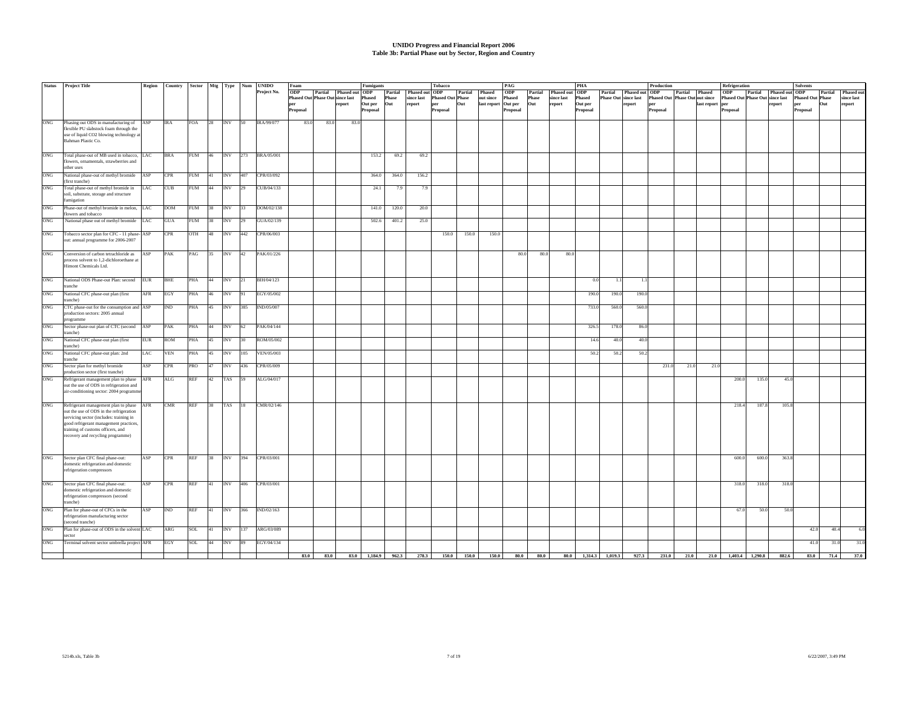# **UNIDO Progress and Financial Report 2006 Table 3b: Partial Phase out by Sector, Region and Country**

| <b>Status</b>     | <b>Project Title</b>                                         |            | Region Country |            |              |            |                   | Sector Mtg Type Num UNIDO | Foam                                   |                        | Fumigants |         |                                            | <b>Tobacco</b>          |         |                     | PAG        |         |                                      | <b>PHA</b> |                             |                        | Production                            |                |                                 | Refrigeration                          |       |                        | <b>Solvents</b>         |         |            |
|-------------------|--------------------------------------------------------------|------------|----------------|------------|--------------|------------|-------------------|---------------------------|----------------------------------------|------------------------|-----------|---------|--------------------------------------------|-------------------------|---------|---------------------|------------|---------|--------------------------------------|------------|-----------------------------|------------------------|---------------------------------------|----------------|---------------------------------|----------------------------------------|-------|------------------------|-------------------------|---------|------------|
|                   |                                                              |            |                |            |              |            |                   | Project No.               | <b>ODP</b>                             | Partial Phased out ODP |           | Partial | Phased out ODP                             |                         | Partial | Phased              | <b>ODP</b> | Partial | Phased out ODP                       |            |                             | Partial Phased out ODP |                                       | Partial Phased |                                 | <b>ODP</b>                             |       | Partial Phased out ODP |                         | Partial | Phased ou  |
|                   |                                                              |            |                |            |              |            |                   |                           | <b>Phased Out Phase Out since last</b> |                        | Phased    | Phase   | since last                                 | <b>Phased Out Phase</b> |         | out since           | Phased     | Phase   | since last                           | Phased     | <b>Phase Out since last</b> |                        | <b>Phased Out Phase Out out since</b> |                |                                 | <b>Phased Out Phase Out since last</b> |       |                        | <b>Phased Out Phase</b> |         | since last |
|                   |                                                              |            |                |            |              |            |                   |                           | per                                    | report                 | Out per   | Out     | report                                     | per                     | Out     | last report Out per |            | Out     | report                               | Out per    |                             | report                 | per                                   |                | last report per                 |                                        |       | report                 | per                     | Out     | report     |
|                   |                                                              |            |                |            |              |            |                   |                           | Proposal                               |                        | Proposal  |         |                                            | Proposal                |         |                     | Proposal   |         |                                      | Proposal   |                             |                        | Proposal                              |                |                                 | Proposal                               |       |                        | Proposal                |         |            |
|                   |                                                              |            |                |            |              |            |                   |                           |                                        |                        |           |         |                                            |                         |         |                     |            |         |                                      |            |                             |                        |                                       |                |                                 |                                        |       |                        |                         |         |            |
| ONG               | Phasing out ODS in manufacturing of                          | ASP        | <b>IRA</b>     | FOA        | $ 28\rangle$ | INV 50     |                   | IRA/99/077                | 83.0<br>83.0                           | 83.0                   |           |         |                                            |                         |         |                     |            |         |                                      |            |                             |                        |                                       |                |                                 |                                        |       |                        |                         |         |            |
|                   | flexible PU slabstock foam through the                       |            |                |            |              |            |                   |                           |                                        |                        |           |         |                                            |                         |         |                     |            |         |                                      |            |                             |                        |                                       |                |                                 |                                        |       |                        |                         |         |            |
|                   | use of liquid CO2 blowing technology a                       |            |                |            |              |            |                   |                           |                                        |                        |           |         |                                            |                         |         |                     |            |         |                                      |            |                             |                        |                                       |                |                                 |                                        |       |                        |                         |         |            |
|                   | Bahman Plastic Co.                                           |            |                |            |              |            |                   |                           |                                        |                        |           |         |                                            |                         |         |                     |            |         |                                      |            |                             |                        |                                       |                |                                 |                                        |       |                        |                         |         |            |
|                   |                                                              |            |                |            |              |            |                   |                           |                                        |                        |           |         |                                            |                         |         |                     |            |         |                                      |            |                             |                        |                                       |                |                                 |                                        |       |                        |                         |         |            |
| ONG               | Total phase-out of MB used in tobacco, LAC                   |            | <b>BRA</b>     | FUM 46     |              | INV 273    |                   | BRA/05/001                |                                        |                        | 153.2     | 69.2    | 69.2                                       |                         |         |                     |            |         |                                      |            |                             |                        |                                       |                |                                 |                                        |       |                        |                         |         |            |
|                   | flowers, ornamentals, strawberries and                       |            |                |            |              |            |                   |                           |                                        |                        |           |         |                                            |                         |         |                     |            |         |                                      |            |                             |                        |                                       |                |                                 |                                        |       |                        |                         |         |            |
|                   | other uses                                                   |            |                |            |              |            |                   |                           |                                        |                        |           |         |                                            |                         |         |                     |            |         |                                      |            |                             |                        |                                       |                |                                 |                                        |       |                        |                         |         |            |
| ONG               | National phase-out of methyl bromide                         | ASP        | <b>CPR</b>     | <b>FUM</b> | 41           | INV 407    |                   | CPR/03/092                |                                        |                        | 364.0     | 364.0   | 156.2                                      |                         |         |                     |            |         |                                      |            |                             |                        |                                       |                |                                 |                                        |       |                        |                         |         |            |
|                   | (first tranche)                                              |            |                |            |              |            |                   |                           |                                        |                        |           |         |                                            |                         |         |                     |            |         |                                      |            |                             |                        |                                       |                |                                 |                                        |       |                        |                         |         |            |
| ONG               | Total phase-out of methyl bromide in                         | LAC        | CUB            | <b>FUM</b> | 44           | <b>INV</b> | 129               | CUB/04/133                |                                        |                        | 24.1      | 7.9     | 7.9                                        |                         |         |                     |            |         |                                      |            |                             |                        |                                       |                |                                 |                                        |       |                        |                         |         |            |
|                   | soil, substrate, storage and structure                       |            |                |            |              |            |                   |                           |                                        |                        |           |         |                                            |                         |         |                     |            |         |                                      |            |                             |                        |                                       |                |                                 |                                        |       |                        |                         |         |            |
|                   | fumigation                                                   |            |                |            |              |            |                   |                           |                                        |                        |           |         |                                            |                         |         |                     |            |         |                                      |            |                             |                        |                                       |                |                                 |                                        |       |                        |                         |         |            |
| ONG               |                                                              |            | <b>DOM</b>     |            |              |            | $\mathsf{T}_{33}$ |                           |                                        |                        |           |         |                                            |                         |         |                     |            |         |                                      |            |                             |                        |                                       |                |                                 |                                        |       |                        |                         |         |            |
|                   | Phase-out of methyl bromide in melon,<br>flowers and tobacco | LAC        |                | <b>FUM</b> | 38           | <b>INV</b> |                   | DOM/02/138                |                                        |                        | 141.0     | 120.0   | 20.0                                       |                         |         |                     |            |         |                                      |            |                             |                        |                                       |                |                                 |                                        |       |                        |                         |         |            |
| ONG               |                                                              |            |                |            |              |            |                   |                           |                                        |                        |           |         |                                            |                         |         |                     |            |         |                                      |            |                             |                        |                                       |                |                                 |                                        |       |                        |                         |         |            |
|                   | National phase out of methyl bromide                         | LAC        | <b>GUA</b>     | <b>FUM</b> | 38           | <b>INV</b> | $ 29\rangle$      | GUA/02/139                |                                        |                        | 502.6     | 401.2   | 25.0                                       |                         |         |                     |            |         |                                      |            |                             |                        |                                       |                |                                 |                                        |       |                        |                         |         |            |
|                   |                                                              |            |                |            |              |            |                   |                           |                                        |                        |           |         |                                            |                         |         |                     |            |         |                                      |            |                             |                        |                                       |                |                                 |                                        |       |                        |                         |         |            |
| ONG               | Tobacco sector plan for CFC - 11 phase- ASP                  |            | <b>CPR</b>     | OTH        | 48           | INV 442    |                   | CPR/06/003                |                                        |                        |           |         |                                            | 150.0                   | 150.0   | 150.0               |            |         |                                      |            |                             |                        |                                       |                |                                 |                                        |       |                        |                         |         |            |
|                   | out: annual programme for 2006-2007                          |            |                |            |              |            |                   |                           |                                        |                        |           |         |                                            |                         |         |                     |            |         |                                      |            |                             |                        |                                       |                |                                 |                                        |       |                        |                         |         |            |
|                   |                                                              |            |                |            |              |            |                   |                           |                                        |                        |           |         |                                            |                         |         |                     |            |         |                                      |            |                             |                        |                                       |                |                                 |                                        |       |                        |                         |         |            |
| ONG               | Conversion of carbon tetrachloride as                        | ASP        | PAK            | PAG        | 35           | <b>INV</b> | 42                | PAK/01/226                |                                        |                        |           |         |                                            |                         |         |                     | 80.0       | 80.0    | 80.0                                 |            |                             |                        |                                       |                |                                 |                                        |       |                        |                         |         |            |
|                   | process solvent to 1,2-dichloroethane at                     |            |                |            |              |            |                   |                           |                                        |                        |           |         |                                            |                         |         |                     |            |         |                                      |            |                             |                        |                                       |                |                                 |                                        |       |                        |                         |         |            |
|                   | Himont Chemicals Ltd.                                        |            |                |            |              |            |                   |                           |                                        |                        |           |         |                                            |                         |         |                     |            |         |                                      |            |                             |                        |                                       |                |                                 |                                        |       |                        |                         |         |            |
|                   |                                                              |            |                |            |              |            |                   |                           |                                        |                        |           |         |                                            |                         |         |                     |            |         |                                      |            |                             |                        |                                       |                |                                 |                                        |       |                        |                         |         |            |
| ONG               | National ODS Phase-out Plan: second                          | <b>EUR</b> | <b>BHE</b>     | PHA        | 44           | INV 21     |                   | BIH/04/123                |                                        |                        |           |         |                                            |                         |         |                     |            |         |                                      | 0.0        | 1.1                         | 1.1                    |                                       |                |                                 |                                        |       |                        |                         |         |            |
|                   | tranche                                                      |            |                |            |              |            |                   |                           |                                        |                        |           |         |                                            |                         |         |                     |            |         |                                      |            |                             |                        |                                       |                |                                 |                                        |       |                        |                         |         |            |
| ONG               | National CFC phase-out plan (first                           | AFR        | EGY            | PHA        | 46           | <b>INV</b> |                   | EGY/05/002                |                                        |                        |           |         |                                            |                         |         |                     |            |         |                                      | 190.0      | 190.0                       | 190.0                  |                                       |                |                                 |                                        |       |                        |                         |         |            |
|                   | tranche)                                                     |            |                |            |              |            |                   |                           |                                        |                        |           |         |                                            |                         |         |                     |            |         |                                      |            |                             |                        |                                       |                |                                 |                                        |       |                        |                         |         |            |
| $_{\mathrm{ONG}}$ | CTC phase-out for the consumption and ASP                    |            | IND            | PHA        | 45           | INV 385    |                   | IND/05/007                |                                        |                        |           |         |                                            |                         |         |                     |            |         |                                      | 733.0      | 560.0                       | 560.0                  |                                       |                |                                 |                                        |       |                        |                         |         |            |
|                   | production sectors: 2005 annual                              |            |                |            |              |            |                   |                           |                                        |                        |           |         |                                            |                         |         |                     |            |         |                                      |            |                             |                        |                                       |                |                                 |                                        |       |                        |                         |         |            |
|                   | programme                                                    |            |                |            |              |            |                   |                           |                                        |                        |           |         |                                            |                         |         |                     |            |         |                                      |            |                             |                        |                                       |                |                                 |                                        |       |                        |                         |         |            |
| ONG               | Sector phase-out plan of CTC (second ASP                     |            | PAK            | PHA        | 44           | <b>INV</b> | 62                | PAK/04/144                |                                        |                        |           |         |                                            |                         |         |                     |            |         |                                      | 326.5      | 178.0                       | 86.0                   |                                       |                |                                 |                                        |       |                        |                         |         |            |
|                   | tranche)                                                     |            |                |            |              |            |                   |                           |                                        |                        |           |         |                                            |                         |         |                     |            |         |                                      |            |                             |                        |                                       |                |                                 |                                        |       |                        |                         |         |            |
|                   |                                                              |            |                |            |              |            | 130 <sub>2</sub>  | ROM/05/002                |                                        |                        |           |         |                                            |                         |         |                     |            |         |                                      |            |                             |                        |                                       |                |                                 |                                        |       |                        |                         |         |            |
| ONG               | National CFC phase-out plan (first                           | <b>EUR</b> | <b>ROM</b>     | PHA        | 45           | <b>INV</b> |                   |                           |                                        |                        |           |         |                                            |                         |         |                     |            |         |                                      | 14.6       | 40.0                        | 40.0                   |                                       |                |                                 |                                        |       |                        |                         |         |            |
|                   | tranche)                                                     |            |                |            |              |            |                   |                           |                                        |                        |           |         |                                            |                         |         |                     |            |         |                                      |            |                             |                        |                                       |                |                                 |                                        |       |                        |                         |         |            |
| ONG               | National CFC phase-out plan: 2nd                             | LAC        | <b>VEN</b>     | PHA        | 45           | <b>INV</b> | 105               | VEN/05/003                |                                        |                        |           |         |                                            |                         |         |                     |            |         |                                      | 50.2       | 50.2                        | 50.2                   |                                       |                |                                 |                                        |       |                        |                         |         |            |
|                   | tranche                                                      |            |                |            |              |            |                   |                           |                                        |                        |           |         |                                            |                         |         |                     |            |         |                                      |            |                             |                        |                                       |                |                                 |                                        |       |                        |                         |         |            |
| ONG               | Sector plan for methyl bromide                               | ASP        | <b>CPR</b>     | PRO        | 47           | INV        | 436               | CPR/05/009                |                                        |                        |           |         |                                            |                         |         |                     |            |         |                                      |            |                             |                        | 231.0                                 | 21.0           | 21.0                            |                                        |       |                        |                         |         |            |
|                   | production sector (first tranche)                            |            |                |            |              |            |                   |                           |                                        |                        |           |         |                                            |                         |         |                     |            |         |                                      |            |                             |                        |                                       |                |                                 |                                        |       |                        |                         |         |            |
| ONG               | Refrigerant management plan to phase AFR                     |            | ALG            | <b>REF</b> | 42           | TAS        | 159               | ALG/04/017                |                                        |                        |           |         |                                            |                         |         |                     |            |         |                                      |            |                             |                        |                                       |                |                                 | 200.0                                  | 135.0 | 45.0                   |                         |         |            |
|                   | out the use of ODS in refrigeration and                      |            |                |            |              |            |                   |                           |                                        |                        |           |         |                                            |                         |         |                     |            |         |                                      |            |                             |                        |                                       |                |                                 |                                        |       |                        |                         |         |            |
|                   | air-conditioning sector: 2004 programm                       |            |                |            |              |            |                   |                           |                                        |                        |           |         |                                            |                         |         |                     |            |         |                                      |            |                             |                        |                                       |                |                                 |                                        |       |                        |                         |         |            |
|                   |                                                              |            |                |            |              |            |                   |                           |                                        |                        |           |         |                                            |                         |         |                     |            |         |                                      |            |                             |                        |                                       |                |                                 |                                        |       |                        |                         |         |            |
| ONG               | Refrigerant management plan to phase                         | AFR        | CMR            | <b>REF</b> | 38           | TAS 18     |                   | CMR/02/146                |                                        |                        |           |         |                                            |                         |         |                     |            |         |                                      |            |                             |                        |                                       |                |                                 | 218.4                                  | 187.8 | 105.8                  |                         |         |            |
|                   | out the use of ODS in the refrigeration                      |            |                |            |              |            |                   |                           |                                        |                        |           |         |                                            |                         |         |                     |            |         |                                      |            |                             |                        |                                       |                |                                 |                                        |       |                        |                         |         |            |
|                   | servicing sector (includes: training in                      |            |                |            |              |            |                   |                           |                                        |                        |           |         |                                            |                         |         |                     |            |         |                                      |            |                             |                        |                                       |                |                                 |                                        |       |                        |                         |         |            |
|                   | good refrigerant management practices,                       |            |                |            |              |            |                   |                           |                                        |                        |           |         |                                            |                         |         |                     |            |         |                                      |            |                             |                        |                                       |                |                                 |                                        |       |                        |                         |         |            |
|                   | training of customs officers, and                            |            |                |            |              |            |                   |                           |                                        |                        |           |         |                                            |                         |         |                     |            |         |                                      |            |                             |                        |                                       |                |                                 |                                        |       |                        |                         |         |            |
|                   | recovery and recycling programme)                            |            |                |            |              |            |                   |                           |                                        |                        |           |         |                                            |                         |         |                     |            |         |                                      |            |                             |                        |                                       |                |                                 |                                        |       |                        |                         |         |            |
|                   |                                                              |            |                |            |              |            |                   |                           |                                        |                        |           |         |                                            |                         |         |                     |            |         |                                      |            |                             |                        |                                       |                |                                 |                                        |       |                        |                         |         |            |
|                   |                                                              |            |                |            |              |            |                   |                           |                                        |                        |           |         |                                            |                         |         |                     |            |         |                                      |            |                             |                        |                                       |                |                                 |                                        |       |                        |                         |         |            |
| ONG               | Sector plan CFC final phase-out:                             | ASP        | <b>CPR</b>     | <b>REF</b> | 38           | INV 394    |                   | CPR/03/001                |                                        |                        |           |         |                                            |                         |         |                     |            |         |                                      |            |                             |                        |                                       |                |                                 | 600.0                                  | 600.0 | 363.8                  |                         |         |            |
|                   | domestic refrigeration and domestic                          |            |                |            |              |            |                   |                           |                                        |                        |           |         |                                            |                         |         |                     |            |         |                                      |            |                             |                        |                                       |                |                                 |                                        |       |                        |                         |         |            |
|                   | refrigeration compressors                                    |            |                |            |              |            |                   |                           |                                        |                        |           |         |                                            |                         |         |                     |            |         |                                      |            |                             |                        |                                       |                |                                 |                                        |       |                        |                         |         |            |
|                   |                                                              |            |                |            |              |            |                   |                           |                                        |                        |           |         |                                            |                         |         |                     |            |         |                                      |            |                             |                        |                                       |                |                                 |                                        |       |                        |                         |         |            |
| ONG               | Sector plan CFC final phase-out:                             | ASP        | <b>CPR</b>     | <b>REF</b> | 41           | INV 406    |                   | CPR/03/001                |                                        |                        |           |         |                                            |                         |         |                     |            |         |                                      |            |                             |                        |                                       |                |                                 | 318.0                                  | 318.0 | 318.0                  |                         |         |            |
|                   | domestic refrigeration and domestic                          |            |                |            |              |            |                   |                           |                                        |                        |           |         |                                            |                         |         |                     |            |         |                                      |            |                             |                        |                                       |                |                                 |                                        |       |                        |                         |         |            |
|                   | refrigeration compressors (second                            |            |                |            |              |            |                   |                           |                                        |                        |           |         |                                            |                         |         |                     |            |         |                                      |            |                             |                        |                                       |                |                                 |                                        |       |                        |                         |         |            |
|                   | tranche)                                                     |            |                |            |              |            |                   |                           |                                        |                        |           |         |                                            |                         |         |                     |            |         |                                      |            |                             |                        |                                       |                |                                 |                                        |       |                        |                         |         |            |
| ONG               | Plan for phase-out of CFCs in the                            | ASP        | <b>IND</b>     | REF        | $ 41\rangle$ |            |                   | INV 366 IND/02/163        |                                        |                        |           |         |                                            |                         |         |                     |            |         |                                      |            |                             |                        |                                       |                |                                 | 67.0                                   | 50.0  | 50.0                   |                         |         |            |
|                   | refrigeration manufacturing sector                           |            |                |            |              |            |                   |                           |                                        |                        |           |         |                                            |                         |         |                     |            |         |                                      |            |                             |                        |                                       |                |                                 |                                        |       |                        |                         |         |            |
|                   | (second tranche)                                             |            |                |            |              |            |                   |                           |                                        |                        |           |         |                                            |                         |         |                     |            |         |                                      |            |                             |                        |                                       |                |                                 |                                        |       |                        |                         |         |            |
| ONG               | Plan for phase-out of ODS in the solvent LAC                 |            | ARG            | SOL        |              |            |                   | ARG/03/089                |                                        |                        |           |         |                                            |                         |         |                     |            |         |                                      |            |                             |                        |                                       |                |                                 |                                        |       |                        | 42.0                    | 40.4    | 6.0        |
|                   | sector                                                       |            |                |            | 41           | INV 137    |                   |                           |                                        |                        |           |         |                                            |                         |         |                     |            |         |                                      |            |                             |                        |                                       |                |                                 |                                        |       |                        |                         |         |            |
| ONG               |                                                              |            |                |            |              |            |                   |                           |                                        |                        |           |         |                                            |                         |         |                     |            |         |                                      |            |                             |                        |                                       |                |                                 |                                        |       |                        |                         |         |            |
|                   | Terminal solvent sector umbrella project AFR                 |            | EGY            | SOL        | 44           | <b>INV</b> | - 189             | EGY/04/134                |                                        |                        |           |         |                                            |                         |         |                     |            |         |                                      |            |                             |                        |                                       |                |                                 |                                        |       |                        | 41.0                    | 31.0    | 31.0       |
|                   |                                                              |            |                |            |              |            |                   |                           |                                        |                        |           |         |                                            |                         |         |                     |            |         |                                      |            |                             |                        |                                       |                |                                 |                                        |       |                        |                         |         |            |
|                   |                                                              |            |                |            |              |            |                   |                           | 83.0<br>83.0                           |                        |           |         | 83.0 1,184.9 962.3 278.3 150.0 150.0 150.0 |                         |         |                     |            |         | 80.0 80.0 80.0 1,314.3 1,019.3 927.3 |            |                             |                        |                                       |                | 231.0 21.0 21.0 1,403.4 1,290.8 |                                        |       | 882.6                  | 83.0                    | 71.4    | 37.0       |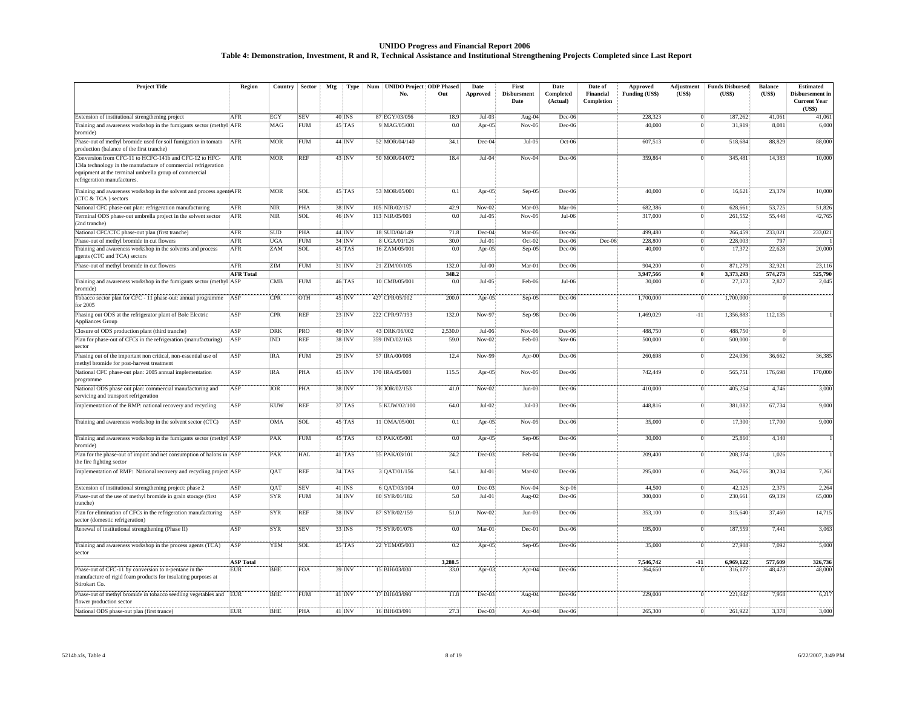#### **UNIDO Progress and Financial Report 2006 Table 4: Demonstration, Investment, R and R, Technical Assistance and Institutional Strengthening Projects Completed since Last Report**

| <b>Project Title</b>                                                                                                                                                              | Region           | Country    | Sector     | Mtg                   | Type                  | Num UNIDO Project ODP Phased |              | Date      | First               | Date                  | Date of                 | Approved            | Adjustment           | <b>Funds Disbursed</b> | <b>Balance</b>   | <b>Estimated</b>                                 |
|-----------------------------------------------------------------------------------------------------------------------------------------------------------------------------------|------------------|------------|------------|-----------------------|-----------------------|------------------------------|--------------|-----------|---------------------|-----------------------|-------------------------|---------------------|----------------------|------------------------|------------------|--------------------------------------------------|
|                                                                                                                                                                                   |                  |            |            |                       |                       | No.                          | Out          | Approved  | Disbursment<br>Date | Completed<br>(Actual) | Financial<br>Completion | Funding (US\$)      | (US\$)               | (US\$)                 | (US\$)           | Disbursement in<br><b>Current Year</b><br>(US\$) |
| Extension of institutional strengthening project                                                                                                                                  | AFR              | EGY        | <b>SEV</b> | $40$ INS              |                       | 87 EGY/03/056                | 18.9         | $Jul-03$  | Aug-04              | Dec-06                |                         | 228,323             | $\vert$              | 187,262                | 41,061           | 41,061                                           |
| Training and awareness workshop in the fumigants sector (methyl AFR<br>bromide)                                                                                                   |                  | MAG        | <b>FUM</b> | $45$ <sub>TAS</sub>   |                       | 9 MAG/05/001                 | 0.0          | Apr-05    | $Nov-05$            | Dec-06                |                         | 40,000              | $\overline{0}$       | 31,919                 | 8,081            | 6,000                                            |
| Phase-out of methyl bromide used for soil fumigation in tomato<br>production (balance of the first tranche)                                                                       | AFR              | <b>MOR</b> | <b>FUM</b> | $44$ INV              |                       | 52 MOR/04/140                | 34.1         | Dec-04    | $Jul-05$            | Oct-06                |                         | 607,513             | $\vert$              | 518,684                | 88,829           | 88,000                                           |
| Conversion from CFC-11 to HCFC-141b and CFC-12 to HFC-<br>34a technology in the manufacture of commercial refrigeration<br>equipment at the terminal umbrella group of commercial | AFR              | <b>MOR</b> | <b>REF</b> | $43$ <sub>INV</sub>   |                       | 50 MOR/04/072                | 18.4         | $Jul-04$  | $Nov-04$            | Dec-06                |                         | 359,864             | $\vert$              | 345,481                | 14,383           | 10,000                                           |
| refrigeration manufactures.<br>Training and awareness workshop in the solvent and process agentsAFR<br>(CTC & TCA) sectors                                                        |                  | <b>MOR</b> | SOL        | $45$ TAS              |                       | 53 MOR/05/001                | 0.1          | Apr-05    | Sep-05              | Dec-06                |                         | 40,000              | $\Omega$             | 16,621                 | 23,379           | 10,000                                           |
| National CFC phase-out plan: refrigeration manufacturing                                                                                                                          | AFR              | <b>NIR</b> | PHA        |                       | 38 INV                | 105 NIR/02/157               | 42.9         | $Nov-02$  | Mar-03              | $Mar-06$              |                         | 682,386             | $\overline{0}$       | 628,661                | 53,725           | 51,826                                           |
| Terminal ODS phase-out umbrella project in the solvent sector<br>(2nd tranche)                                                                                                    | AFR              | <b>NIR</b> | <b>SOL</b> |                       | $46$ INV              | 113 NIR/05/003               | 0.0          | $Jul-05$  | $Nov-05$            | $Jul-06$              |                         | 317,000             | $\vert$              | 261,552                | 55,448           | 42,765                                           |
| National CFC/CTC phase-out plan (first tranche)                                                                                                                                   | AFR              | SUD        | PHA        |                       | 44 INV                | 18 SUD/04/149                | 71.8         | Dec-04    | Mar-05              | Dec-06                |                         | 499,480             | $\overline{0}$       | 266,459                | 233,021          | 233,021                                          |
| Phase-out of methyl bromide in cut flowers                                                                                                                                        | AFR              | UGA        | <b>FUM</b> |                       | $34$ <sub>INV</sub>   | 8 UGA/01/126                 | 30.0         | $Jul-01$  | $Oct-02$            | Dec-06                | Dec-06                  | 228,800             | $\overline{0}$       | 228,003                | 797              |                                                  |
| Training and awareness workshop in the solvents and process<br>agents (CTC and TCA) sectors                                                                                       | AFR              | ZAM        | SOL        | $45$ <sub>TAS</sub>   |                       | 16 ZAM/05/001                | 0.0          | Apr-05    | Sep-05              | Dec-06                |                         | 40,000              | $\Omega$             | 17,372                 | 22,628           | 20,000                                           |
| Phase-out of methyl bromide in cut flowers                                                                                                                                        | AFR              | ZIM        | <b>FUM</b> | $31'$ INV             |                       | 21 ZIM/00/105                | 132.0        | Jul-00    | Mar-01              | Dec-06                |                         | 904.200             | $\vert$ 0            | 871,279                | 32,921           | 23.116                                           |
| Training and awareness workshop in the fumigants sector (methyl ASP                                                                                                               | <b>AFR Total</b> | <b>CMB</b> | <b>FUM</b> | $46$ <sub>TAS</sub>   |                       | 10 CMB/05/001                | 348.2<br>0.0 | $Jul-05$  | Feb-06              | $Jul-06$              |                         | 3,947,566<br>30,000 | $\theta$<br>$\Omega$ | 3,373,293<br>27,173    | 574,273<br>2,827 | 525,790<br>2,045                                 |
| bromide)                                                                                                                                                                          | ASP              | CPR        | <b>OTH</b> | $45$ INV              |                       | 427 CPR/05/002               | 200.0        |           |                     |                       |                         | 1,700,000           | Ö                    | 1,700,000              | $\Omega$         |                                                  |
| Tobacco sector plan for CFC - 11 phase-out: annual programme<br>or 2005                                                                                                           |                  |            |            |                       |                       |                              |              | $Apr-05$  | $Sep-05$            | Dec-06                |                         |                     |                      |                        |                  |                                                  |
| Phasing out ODS at the refrigerator plant of Bole Electric<br>Appliances Group                                                                                                    | ASP              | <b>CPR</b> | <b>REF</b> | $23$ INV              |                       | 222 CPR/97/193               | 132.0        | Nov-97    | Sep-98              | Dec-06                |                         | 1,469,029           | $-11$                | 1,356,883              | 112,135          |                                                  |
| Closure of ODS production plant (third tranche)                                                                                                                                   | ASP              | DRK        | PRO        | 49 INV                |                       | 43 DRK/06/002                | 2.530.0      | Jul-06    | $Nov-06$            | Dec-06                |                         | 488.750             | $\Omega$             | 488.750                |                  |                                                  |
| Plan for phase-out of CFCs in the refrigeration (manufacturing)<br>ector                                                                                                          | ASP              | <b>IND</b> | <b>REF</b> |                       | $38$ $\overline{INV}$ | 359 IND/02/163               | 59.0         | $Nov-02$  | $Feb-03$            | $Nov-06$              |                         | 500,000             | $\Omega$             | 500,000                |                  |                                                  |
| Phasing out of the important non critical, non-essential use of<br>methyl bromide for post-harvest treatment                                                                      | ASP              | <b>IRA</b> | <b>FUM</b> |                       | $29$ INV              | 57 IRA/00/008                | 12.4         | Nov-99    | Apr-00              | Dec-06                |                         | 260,698             | $\overline{0}$       | 224,036                | 36,662           | 36,385                                           |
| National CFC phase-out plan: 2005 annual implementation<br>programme                                                                                                              | ASP              | <b>IRA</b> | PHA        | $45$ ; INV            |                       | 170 IRA/05/003               | 115.5        | Apr-05    | $Nov-05$            | Dec-06                |                         | 742,449             | $\vert 0 \vert$      | 565,751                | 176,698          | 170,000                                          |
| National ODS phase out plan: commercial manufacturing and<br>servicing and transport refrigeration                                                                                | ASP              | <b>JOR</b> | <b>PHA</b> | 38 INV                |                       | 78 JOR/02/153                | 41.0         | $Nov-02$  | $Jun-03$            | Dec-06                |                         | 410,000             | $\Omega$             | 405,254                | 4,746            | 3,000                                            |
| Implementation of the RMP: national recovery and recycling                                                                                                                        | ASP              | <b>KUW</b> | <b>REF</b> | $37$ TAS              |                       | 5 KUW/02/100                 | 64.0         | $Jul-02$  | $Jul-03$            | Dec-06                |                         | 448,816             | $\Omega$             | 381,082                | 67,734           | 9,000                                            |
| Training and awareness workshop in the solvent sector (CTC)                                                                                                                       | ASP              | <b>OMA</b> | <b>SOL</b> |                       | $45$ [TAS             | 11   OMA/05/001              | 0.1          | Apr-05    | $Nov-05$            | Dec-06                |                         | 35,000              | $\overline{0}$       | 17,300                 | 17,700           | 9,000                                            |
| Training and awareness workshop in the fumigants sector (methyl ASP<br>bromide)                                                                                                   |                  | PAK        | <b>FUM</b> | 45 TAS                |                       | 63 PAK/05/001                | 0.0          | Apr-05    | Sep-06              | Dec-06                |                         | 30,000              | $\overline{0}$       | 25,860                 | 4,140            |                                                  |
| Plan for the phase-out of import and net consumption of halons in ASP<br>the fire fighting sector                                                                                 |                  | <b>PAK</b> | <b>HAL</b> | $41$ <sub>I</sub> TAS |                       | 55 PAK/03/101                | 24.2         | $Dec-03$  | Feb-04              | Dec-06                |                         | 209,400             | $\Omega$             | 208,374                | 1,026            |                                                  |
| Implementation of RMP: National recovery and recycling project ASP                                                                                                                |                  | <b>OAT</b> | <b>REF</b> |                       | $34$ <sup>1</sup> TAS | 3 QAT/01/156                 | 54.1         | $Jul-01$  | $Mar-02$            | Dec-06                |                         | 295,000             | $\vert$ 0            | 264,766                | 30,234           | 7,261                                            |
| Extension of institutional strengthening project: phase 2                                                                                                                         | ASP              | QAT        | <b>SEV</b> | $41$ , INS            |                       | 6 OAT/03/104                 | 0.0          | Dec-03    | $Nov-04$            | Sep-06                |                         | 44,500              | $\overline{0}$       | 42,125                 | 2,375            | 2,264                                            |
| Phase-out of the use of methyl bromide in grain storage (first<br>tranche)                                                                                                        | ASP              | SYR        | <b>FUM</b> |                       | $34$ <sub>INV</sub>   | 80 SYR/01/182                | 5.0          | $Jul-01$  | Aug-02              | Dec-06                |                         | 300,000             | $\Omega$             | 230,661                | 69,339           | 65,000                                           |
| Plan for elimination of CFCs in the refrigeration manufacturing<br>sector (domestic refrigeration)                                                                                | ASP              | <b>SYR</b> | <b>REF</b> |                       | 38 INV                | 87 SYR/02/159                | 51.0         | $Nov-02$  | $Jun-03$            | Dec-06                |                         | 353,100             | $\overline{0}$       | 315,640                | 37,460           | 14,715                                           |
| Renewal of institutional strengthening (Phase II)                                                                                                                                 | ASP              | SYR        | <b>SEV</b> | 33 INS                |                       | 75 SYR/01/078                | 0.0          | Mar-01    | Dec-01              | Dec-06                |                         | 195,000             | $\overline{0}$       | 187,559                | 7,441            | 3,063                                            |
| Training and awareness workshop in the process agents (TCA)<br>sector                                                                                                             | <b>ASP</b>       | <b>YEM</b> | <b>SOL</b> | $45$ TAS              |                       | 22 YEM/05/003                | 0.2          | Apr-05    | $Sep-05$            | Dec-06                |                         | 35,000              | $\Omega$             | 27,908                 | 7,092            | 5,000                                            |
|                                                                                                                                                                                   | <b>ASP Total</b> |            |            |                       |                       |                              | 3,288.5      |           |                     |                       |                         | 7,546,742           | $-11$                | 6,969,122              | 577,609          | 326,736                                          |
| Phase-out of CFC-11 by conversion to n-pentane in the<br>manufacture of rigid foam products for insulating purposes at<br>Stirokart Co.                                           | EUR              | BHE        | <b>FOA</b> | 39 INV                |                       | 15 BIH/03/030                | 33.0         | Apr- $03$ | Apr- $04$           | Dec-06                |                         | 364,650             | $\Omega$             | 316,177                | 48,473           | 48,000                                           |
| Phase-out of methyl bromide in tobacco seedling vegetables and EUR<br>flower production sector                                                                                    |                  | <b>BHE</b> | <b>FUM</b> | $41$ INV              |                       | 17 BIH/03/090                | 11.8         | Dec-03    | Aug-04              | Dec-06                |                         | 229,000             | $\Omega$             | 221,042                | 7,958            | 6,217                                            |
| National ODS phase-out plan (first trance)                                                                                                                                        | <b>EUR</b>       | <b>BHE</b> | <b>PHA</b> |                       | $41$ INV              | 16 BIH/03/091                | 27.3         | $Dec-03$  | Apr- $04$           | $Dec-06$              |                         | 265,300             | $\overline{0}$       | 261.922                | 3,378            | 3,000                                            |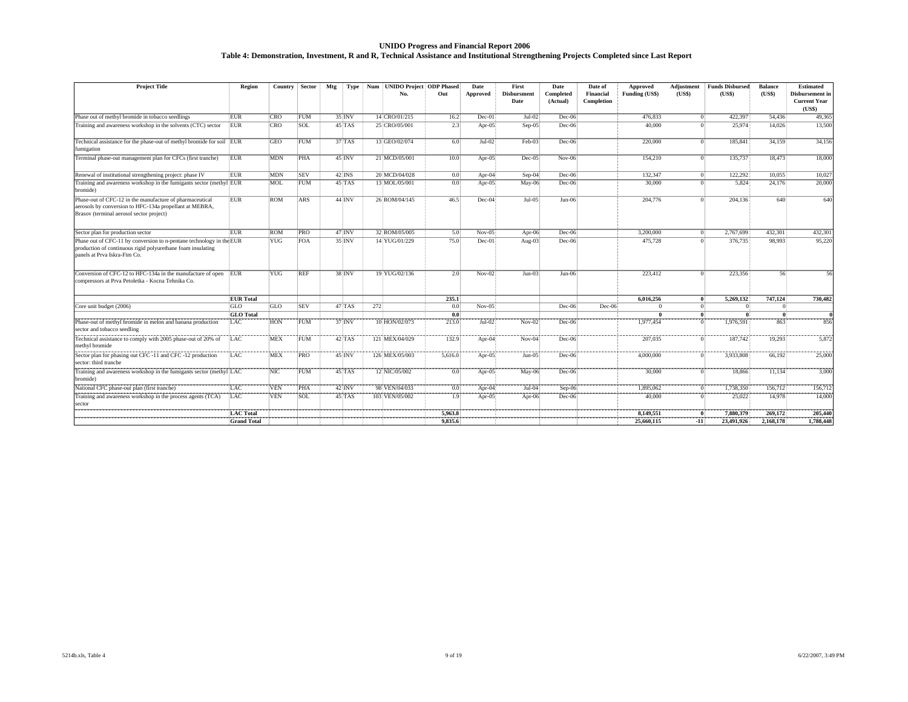#### **UNIDO Progress and Financial Report 2006 Table 4: Demonstration, Investment, R and R, Technical Assistance and Institutional Strengthening Projects Completed since Last Report**

| <b>Project Title</b>                                                                                                                                                | Region             | <b>Country</b> | Sector     | Mtg | Type                         | Num UNIDO Project ODP Phased |         | Date      | First                      | Date                  | Date of                 | <b>Approved</b> | Adjustment   | <b>Funds Disbursed</b> | <b>Balance</b> | <b>Estimated</b>                                 |
|---------------------------------------------------------------------------------------------------------------------------------------------------------------------|--------------------|----------------|------------|-----|------------------------------|------------------------------|---------|-----------|----------------------------|-----------------------|-------------------------|-----------------|--------------|------------------------|----------------|--------------------------------------------------|
|                                                                                                                                                                     |                    |                |            |     |                              | No.                          | Out     | Approved  | <b>Disbursment</b><br>Date | Completed<br>(Actual) | Financial<br>Completion | Funding (US\$)  | (US\$)       | (US\$)                 | (US\$)         | Disbursement in<br><b>Current Year</b><br>(US\$) |
| Phase out of methyl bromide in tobacco seedlings                                                                                                                    | EUR                | <b>CRO</b>     | FUM        |     | 35 INV                       | 14 CRO/01/215                | 16.2    | Dec-01    | $Jul-02$                   | $Dec-06$              |                         | 476,833         | $\Omega$     | 422.397                | 54.436         | 49,365                                           |
| Training and awareness workshop in the solvents (CTC) sector                                                                                                        | EUR                | <b>CRO</b>     | SOL        |     | $45$ $\overline{\text{TAS}}$ | 25 CRO/05/001                | 2.3     | Apr- $05$ | $Sep-05$                   | $Dec-06$              |                         | 40,000          | $\Omega$     | 25,974                 | 14.026         | 13,500                                           |
| Technical assistance for the phase-out of methyl bromide for soil EUR<br>umigation                                                                                  |                    | GEO            | FUM        |     | $37$ $TAS$                   | 13 GEO/02/074                | 6.0     | $Jul-02$  | $Feb-03$                   | $Dec-06$              |                         | 220,000         | $\Omega$     | 185,841                | 34.159         | 34,156                                           |
| Terminal phase-out management plan for CFCs (first tranche)                                                                                                         | <b>EUR</b>         | <b>MDN</b>     | PHA        |     | 45 INV                       | 21 MCD/05/001                | 10.0    | Apr-05    | Dec-05                     | $Nov-06$              |                         | 154,210         | $\Omega$     | 135,737                | 18,473         | 18,000                                           |
| Renewal of institutional strengthening project: phase IV                                                                                                            | <b>EUR</b>         | <b>MDN</b>     | <b>SEV</b> |     | $42$ INS                     | 20 MCD/04/028                | 0.0     | Apr- $04$ | Sep-04                     | Dec-06                |                         | 132.347         | $\Omega$     | 122.292                | 10.055         | 10,027                                           |
| Training and awareness workshop in the fumigants sector (methyl EUR<br>promide)                                                                                     |                    | MOL            | FUM        |     | 45 TAS                       | 13 MOL/05/001                | 0.0     | Apr-05    | $May-06$                   | Dec-06                |                         | 30,000          | $\Omega$     | 5,824                  | 24,176         | 20,000                                           |
| Phase-out of CFC-12 in the manufacture of pharmaceutical<br>aerosols by conversion to HFC-134a propellant at MEBRA,<br>Brasov (terminal aerosol sector project)     | <b>EUR</b>         | <b>ROM</b>     | ARS        |     | 44 INV                       | 26 ROM/04/145                | 46.5    | Dec-04    | Jul-05                     | $Jun-06$              |                         | 204,776         | $\Omega$     | 204.136                | 640            | 640                                              |
| Sector plan for production sector                                                                                                                                   | <b>EUR</b>         | <b>ROM</b>     | PRO        |     | 47 INV                       | 32 ROM/05/005                | 5.0     | $Nov-05$  | Apr-06                     | $Dec-06$              |                         | 3,200,000       | $\Omega$     | 2,767,699              | 432.301        | 432,301                                          |
| Phase out of CFC-11 by conversion to n-pentane technology in the EUR<br>production of continuous rigid polyurethane foam insulating<br>panels at Prva Iskra-Fim Co. |                    | <b>YUG</b>     | <b>FOA</b> |     | $35$ <sub>INV</sub>          | 14 YUG/01/229                | 75.0    | Dec-01    | Aug- $03$                  | $Dec-06$              |                         | 475,728         | $\Omega$     | 376,735                | 98.993         | 95,220                                           |
| Conversion of CFC-12 to HFC-134a in the manufacture of open EUR<br>compressors at Prva Petoletka - Kocna Tehnika Co.                                                |                    | <b>YUG</b>     | <b>REF</b> |     | 38 INV                       | 19 YUG/02/136                | 2.0     | $Nov-02$  | $Jun-03$                   | $Jun-06$              |                         | 223,412         | $\Omega$     | 223.356                | 56             | 56                                               |
|                                                                                                                                                                     | <b>EUR</b> Total   |                |            |     |                              |                              | 235.1   |           |                            |                       |                         | 6.016.256       | $\mathbf{0}$ | 5,269,132              | 747.124        | 730,482                                          |
| Core unit budget (2006)                                                                                                                                             | <b>GLO</b>         | GLO            | <b>SEV</b> |     | 47 TAS                       | 272                          | 0.0     | $Nov-05$  |                            | $Dec-06$              | Dec-06                  |                 | $\Omega$     |                        |                |                                                  |
|                                                                                                                                                                     | <b>GLO</b> Total   |                |            |     |                              |                              | 0.0     |           |                            |                       |                         |                 | $\mathbf{0}$ | -0                     | $\theta$       |                                                  |
| Phase-out of methyl bromide in melon and banana production<br>sector and tobacco seedling                                                                           | LAC                | HON            | FUM        |     | 37 INV                       | 10 HON/02/073                | 213.0   | $Jul-02$  | $Nov-02$                   | Dec-06                |                         | 1,977,454       | $\Omega$     | 1.976.591              | 863            | 856                                              |
| Fechnical assistance to comply with 2005 phase-out of 20% of<br>methyl bromide                                                                                      | LAC                | <b>MEX</b>     | FUM        |     | 42 TAS                       | 121 MEX/04/029               | 132.9   | Apr-04    | $Nov-04$                   | Dec-06                |                         | 207,035         | $\Omega$     | 187,742                | 19,293         | 5,872                                            |
| Sector plan for phasing out CFC -11 and CFC -12 production<br>sector: third tranche                                                                                 | LAC                | <b>MEX</b>     | PRO        |     | 45 INV                       | 126 MEX/05/003               | 5,616.0 | Apr-05    | $Jun-05$                   | Dec-06                |                         | 4,000,000       | $\Omega$     | 3,933,808              | 66,192         | 25,000                                           |
| Training and awareness workshop in the fumigants sector (methyl LAC<br>oromide)                                                                                     |                    | <b>NIC</b>     | FUM        |     | $45$ <sub>TAS</sub>          | 12 NIC/05/002                | 0.0     | Apr- $05$ | $May-06$                   | Dec-06                |                         | 30,000          | $\Omega$     | 18.866                 | 11,134         | 3,000                                            |
| National CFC phase-out plan (first tranche)                                                                                                                         | LAC                | <b>VEN</b>     | PHA        |     | 42 INV                       | 98 VEN/04/033                | 0.0     | Apr- $04$ | $Jul-04$                   | Sep-06                |                         | 1,895,062       | $\Omega$     | 1,738,350              | 156,712        | 156,712                                          |
| Training and awareness workshop in the process agents (TCA)<br>sector                                                                                               | LAC                | <b>VEN</b>     | SOL        |     | $45$ <sub>TAS</sub>          | 103 VEN/05/002               | 1.9     | $Apr-05$  | Apr- $06$                  | Dec-06                |                         | 40,000          | $\Omega$     | 25,022                 | 14,978         | 14,000                                           |
|                                                                                                                                                                     | <b>LAC</b> Total   |                |            |     |                              |                              | 5.963.8 |           |                            |                       |                         | 8.149.551       | $\vert$ 0    | 7.880.379              | 269.172        | 205,440                                          |
|                                                                                                                                                                     | <b>Grand Total</b> |                |            |     |                              |                              | 9.835.6 |           |                            |                       |                         | 25,660,115      | $-11$        | 23,491,926             | 2.168.178      | 1,788,448                                        |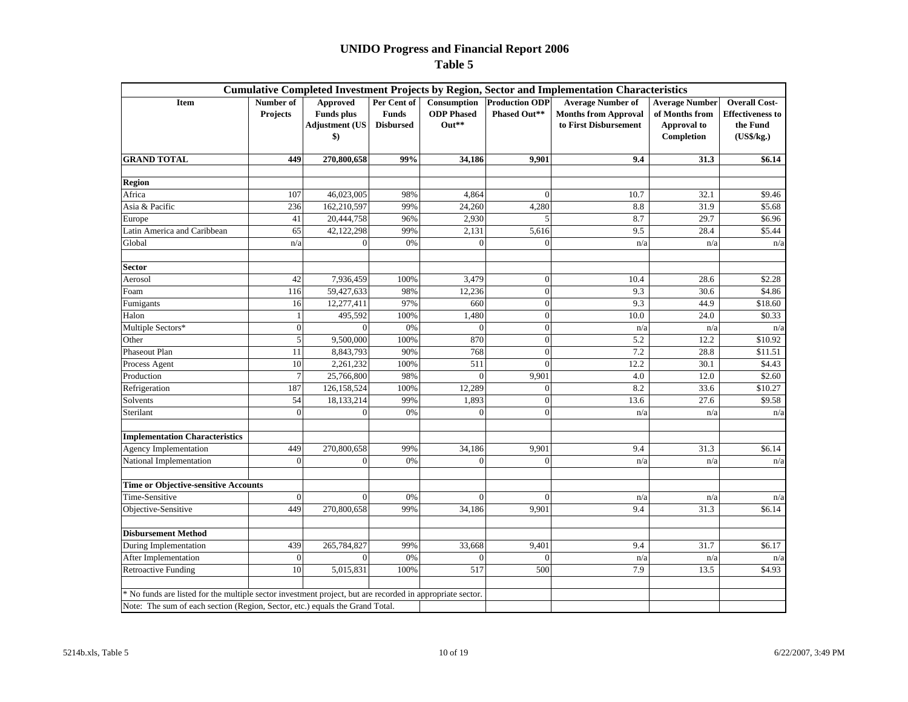|                                                                                                           |                              |                                                                             |                                                 |                                           |                                       | <b>Cumulative Completed Investment Projects by Region, Sector and Implementation Characteristics</b> |                                                                             |                                                                           |
|-----------------------------------------------------------------------------------------------------------|------------------------------|-----------------------------------------------------------------------------|-------------------------------------------------|-------------------------------------------|---------------------------------------|------------------------------------------------------------------------------------------------------|-----------------------------------------------------------------------------|---------------------------------------------------------------------------|
| Item                                                                                                      | Number of<br><b>Projects</b> | Approved<br><b>Funds</b> plus<br><b>Adjustment (US</b><br>$\boldsymbol{\$}$ | Per Cent of<br><b>Funds</b><br><b>Disbursed</b> | Consumption<br><b>ODP</b> Phased<br>Out** | <b>Production ODP</b><br>Phased Out** | <b>Average Number of</b><br><b>Months from Approval</b><br>to First Disbursement                     | <b>Average Number</b><br>of Months from<br><b>Approval</b> to<br>Completion | <b>Overall Cost-</b><br><b>Effectiveness to</b><br>the Fund<br>(US\$/kg.) |
| <b>GRAND TOTAL</b>                                                                                        | 449                          | 270,800,658                                                                 | 99%                                             | 34,186                                    | 9,901                                 | 9.4                                                                                                  | 31.3                                                                        | \$6.14                                                                    |
| <b>Region</b>                                                                                             |                              |                                                                             |                                                 |                                           |                                       |                                                                                                      |                                                                             |                                                                           |
| Africa                                                                                                    | 107                          | 46,023,005                                                                  | 98%                                             | 4,864                                     | $\Omega$                              | 10.7                                                                                                 | 32.1                                                                        | \$9.46                                                                    |
| Asia & Pacific                                                                                            | 236                          | 162,210,597                                                                 | 99%                                             | 24,260                                    | 4,280                                 | 8.8                                                                                                  | 31.9                                                                        | \$5.68                                                                    |
| Europe                                                                                                    | 41                           | 20,444,758                                                                  | 96%                                             | 2,930                                     | 5                                     | 8.7                                                                                                  | 29.7                                                                        | \$6.96                                                                    |
| Latin America and Caribbean                                                                               | 65                           | 42,122,298                                                                  | 99%                                             | 2,131                                     | 5,616                                 | 9.5                                                                                                  | 28.4                                                                        | \$5.44                                                                    |
| Global                                                                                                    | n/a                          | $\theta$                                                                    | 0%                                              | $\Omega$                                  | $\Omega$                              | n/a                                                                                                  | n/a                                                                         | n/a                                                                       |
| <b>Sector</b>                                                                                             |                              |                                                                             |                                                 |                                           |                                       |                                                                                                      |                                                                             |                                                                           |
| Aerosol                                                                                                   | 42                           | 7,936,459                                                                   | 100%                                            | 3,479                                     | $\mathbf{0}$                          | 10.4                                                                                                 | 28.6                                                                        | \$2.28                                                                    |
| Foam                                                                                                      | 116                          | 59,427,633                                                                  | 98%                                             | 12,236                                    | $\mathbf{0}$                          | 9.3                                                                                                  | 30.6                                                                        | \$4.86                                                                    |
| Fumigants                                                                                                 | 16                           | 12,277,411                                                                  | 97%                                             | 660                                       | $\mathbf{0}$                          | 9.3                                                                                                  | 44.9                                                                        | \$18.60                                                                   |
| Halon                                                                                                     |                              | 495,592                                                                     | 100%                                            | 1,480                                     | $\mathbf{0}$                          | 10.0                                                                                                 | 24.0                                                                        | \$0.33                                                                    |
| Multiple Sectors*                                                                                         | $\overline{0}$               | $\theta$                                                                    | 0%                                              | $\overline{0}$                            | $\mathbf{0}$                          | n/a                                                                                                  | n/a                                                                         | n/a                                                                       |
| Other                                                                                                     | $\sqrt{5}$                   | 9,500,000                                                                   | 100%                                            | 870                                       | $\mathbf{0}$                          | 5.2                                                                                                  | 12.2                                                                        | \$10.92                                                                   |
| Phaseout Plan                                                                                             | 11                           | 8,843,793                                                                   | 90%                                             | 768                                       | $\mathbf{0}$                          | 7.2                                                                                                  | 28.8                                                                        | \$11.51                                                                   |
| Process Agent                                                                                             | 10                           | 2,261,232                                                                   | 100%                                            | 511                                       | $\Omega$                              | 12.2                                                                                                 | 30.1                                                                        | \$4.43                                                                    |
| Production                                                                                                | $\overline{7}$               | 25,766,800                                                                  | 98%                                             | $\Omega$                                  | 9,901                                 | 4.0                                                                                                  | 12.0                                                                        | \$2.60                                                                    |
| Refrigeration                                                                                             | 187                          | 126,158,524                                                                 | 100%                                            | 12,289                                    | $\mathbf{0}$                          | 8.2                                                                                                  | 33.6                                                                        | \$10.27                                                                   |
| Solvents                                                                                                  | 54                           | 18,133,214                                                                  | 99%                                             | 1,893                                     | $\mathbf{0}$                          | 13.6                                                                                                 | 27.6                                                                        | \$9.58                                                                    |
| Sterilant                                                                                                 | $\Omega$                     | $\Omega$                                                                    | 0%                                              | $\Omega$                                  | $\Omega$                              | n/a                                                                                                  | n/a                                                                         | n/a                                                                       |
| <b>Implementation Characteristics</b>                                                                     |                              |                                                                             |                                                 |                                           |                                       |                                                                                                      |                                                                             |                                                                           |
| Agency Implementation                                                                                     | 449                          | 270,800,658                                                                 | 99%                                             | 34,186                                    | 9,901                                 | 9.4                                                                                                  | 31.3                                                                        | \$6.14                                                                    |
| National Implementation                                                                                   | $\Omega$                     | $\mathbf{0}$                                                                | 0%                                              | $\overline{0}$                            | $\Omega$                              | n/a                                                                                                  | n/a                                                                         | n/a                                                                       |
| <b>Time or Objective-sensitive Accounts</b>                                                               |                              |                                                                             |                                                 |                                           |                                       |                                                                                                      |                                                                             |                                                                           |
| Time-Sensitive                                                                                            | $\Omega$                     | $\Omega$                                                                    | 0%                                              | $\Omega$                                  | $\Omega$                              | n/a                                                                                                  | n/a                                                                         | n/a                                                                       |
| Objective-Sensitive                                                                                       | 449                          | 270,800,658                                                                 | 99%                                             | 34,186                                    | 9,901                                 | 9.4                                                                                                  | 31.3                                                                        | \$6.14                                                                    |
| <b>Disbursement Method</b>                                                                                |                              |                                                                             |                                                 |                                           |                                       |                                                                                                      |                                                                             |                                                                           |
| <b>During Implementation</b>                                                                              | 439                          | 265,784,827                                                                 | 99%                                             | 33,668                                    | 9,401                                 | 9.4                                                                                                  | 31.7                                                                        | \$6.17                                                                    |
| After Implementation                                                                                      | $\boldsymbol{0}$             | $\mathbf{0}$                                                                | 0%                                              | $\Omega$                                  | $\Omega$                              | n/a                                                                                                  | n/a                                                                         | n/a                                                                       |
| <b>Retroactive Funding</b>                                                                                | 10                           | 5,015,831                                                                   | 100%                                            | 517                                       | 500                                   | 7.9                                                                                                  | 13.5                                                                        | \$4.93                                                                    |
| * No funds are listed for the multiple sector investment project, but are recorded in appropriate sector. |                              |                                                                             |                                                 |                                           |                                       |                                                                                                      |                                                                             |                                                                           |
| Note: The sum of each section (Region, Sector, etc.) equals the Grand Total.                              |                              |                                                                             |                                                 |                                           |                                       |                                                                                                      |                                                                             |                                                                           |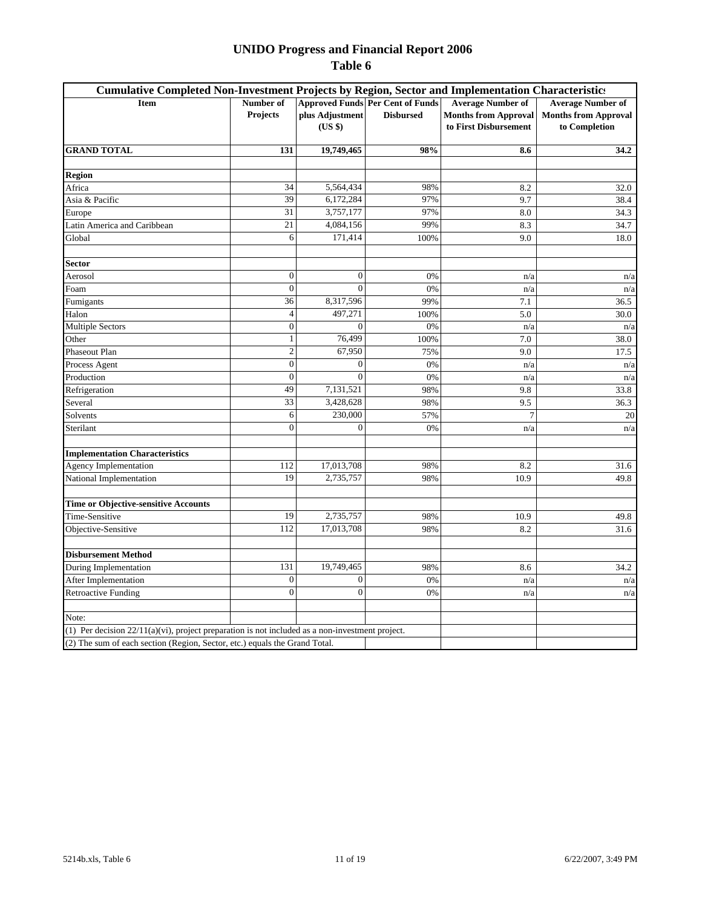| Cumulative Completed Non-Investment Projects by Region, Sector and Implementation Characteristics  |                  |                 |                                         |                             |                             |
|----------------------------------------------------------------------------------------------------|------------------|-----------------|-----------------------------------------|-----------------------------|-----------------------------|
| <b>Item</b>                                                                                        | Number of        |                 | <b>Approved Funds Per Cent of Funds</b> | <b>Average Number of</b>    | <b>Average Number of</b>    |
|                                                                                                    | <b>Projects</b>  | plus Adjustment | <b>Disbursed</b>                        | <b>Months from Approval</b> | <b>Months from Approval</b> |
|                                                                                                    |                  | (US \$)         |                                         | to First Disbursement       | to Completion               |
| <b>GRAND TOTAL</b>                                                                                 | 131              | 19,749,465      | 98%                                     | 8.6                         | 34.2                        |
|                                                                                                    |                  |                 |                                         |                             |                             |
| <b>Region</b>                                                                                      |                  |                 |                                         |                             |                             |
| Africa                                                                                             | 34               | 5,564,434       | 98%                                     | 8.2                         | 32.0                        |
| Asia & Pacific                                                                                     | 39               | 6,172,284       | 97%                                     | 9.7                         | 38.4                        |
| Europe                                                                                             | 31               | 3,757,177       | 97%                                     | 8.0                         | 34.3                        |
| Latin America and Caribbean                                                                        | 21               | 4,084,156       | 99%                                     | 8.3                         | 34.7                        |
| Global                                                                                             | 6                | 171,414         | 100%                                    | 9.0                         | 18.0                        |
| <b>Sector</b>                                                                                      |                  |                 |                                         |                             |                             |
| Aerosol                                                                                            | $\overline{0}$   | $\overline{0}$  | 0%                                      | n/a                         | n/a                         |
| Foam                                                                                               | $\overline{0}$   | $\theta$        | 0%                                      | n/a                         | n/a                         |
| Fumigants                                                                                          | 36               | 8,317,596       | 99%                                     | 7.1                         | 36.5                        |
| Halon                                                                                              | $\overline{4}$   | 497,271         | 100%                                    | 5.0                         | 30.0                        |
| <b>Multiple Sectors</b>                                                                            | $\boldsymbol{0}$ | $\mathbf{0}$    | 0%                                      | n/a                         | n/a                         |
| Other                                                                                              | $\mathbf{1}$     | 76,499          | 100%                                    | 7.0                         | 38.0                        |
| <b>Phaseout Plan</b>                                                                               | $\overline{2}$   | 67,950          | 75%                                     | 9.0                         | 17.5                        |
| Process Agent                                                                                      | $\mathbf{0}$     | $\overline{0}$  | 0%                                      | n/a                         | n/a                         |
| Production                                                                                         | $\overline{0}$   | $\theta$        | 0%                                      | n/a                         | n/a                         |
| Refrigeration                                                                                      | 49               | 7,131,521       | 98%                                     | 9.8                         | 33.8                        |
| Several                                                                                            | 33               | 3,428,628       | 98%                                     | 9.5                         | 36.3                        |
| Solvents                                                                                           | 6                | 230,000         | 57%                                     | 7                           | 20                          |
| Sterilant                                                                                          | $\overline{0}$   | $\overline{0}$  | 0%                                      | n/a                         | n/a                         |
| <b>Implementation Characteristics</b>                                                              |                  |                 |                                         |                             |                             |
| <b>Agency Implementation</b>                                                                       | 112              | 17,013,708      | 98%                                     | 8.2                         | 31.6                        |
| National Implementation                                                                            | 19               | 2,735,757       | 98%                                     | 10.9                        | 49.8                        |
| Time or Objective-sensitive Accounts                                                               |                  |                 |                                         |                             |                             |
| Time-Sensitive                                                                                     | 19               | 2,735,757       | 98%                                     | 10.9                        | 49.8                        |
| Objective-Sensitive                                                                                | 112              | 17,013,708      | 98%                                     | 8.2                         | 31.6                        |
| <b>Disbursement Method</b>                                                                         |                  |                 |                                         |                             |                             |
| During Implementation                                                                              | 131              | 19,749,465      | 98%                                     | 8.6                         | 34.2                        |
| After Implementation                                                                               | $\overline{0}$   | $\overline{0}$  | $0\%$                                   | n/a                         | n/a                         |
| <b>Retroactive Funding</b>                                                                         | $\Omega$         | $\mathbf{0}$    | 0%                                      | n/a                         | n/a                         |
|                                                                                                    |                  |                 |                                         |                             |                             |
| Note:                                                                                              |                  |                 |                                         |                             |                             |
| (1) Per decision $22/11(a)(vi)$ , project preparation is not included as a non-investment project. |                  |                 |                                         |                             |                             |
| (2) The sum of each section (Region, Sector, etc.) equals the Grand Total.                         |                  |                 |                                         |                             |                             |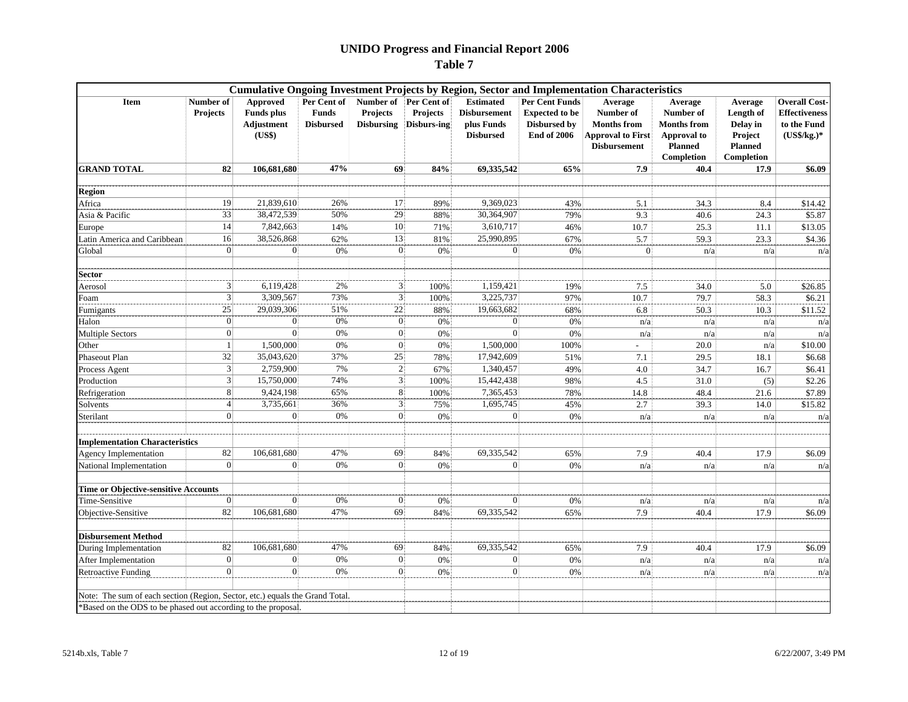|                                                                                                                                               |                              |                                                              |                                                 |                                                               |                         |                                                                           |                                                                                      | <b>Cumulative Ongoing Investment Projects by Region, Sector and Implementation Characteristics</b> |                                                                                           |                                                                             |                                                                              |
|-----------------------------------------------------------------------------------------------------------------------------------------------|------------------------------|--------------------------------------------------------------|-------------------------------------------------|---------------------------------------------------------------|-------------------------|---------------------------------------------------------------------------|--------------------------------------------------------------------------------------|----------------------------------------------------------------------------------------------------|-------------------------------------------------------------------------------------------|-----------------------------------------------------------------------------|------------------------------------------------------------------------------|
| <b>Item</b>                                                                                                                                   | Number of<br><b>Projects</b> | Approved<br><b>Funds</b> plus<br><b>Adjustment</b><br>(US\$) | Per Cent of<br><b>Funds</b><br><b>Disbursed</b> | Number of Per Cent of<br><b>Projects</b><br><b>Disbursing</b> | Projects<br>Disburs-ing | <b>Estimated</b><br><b>Disbursement</b><br>plus Funds<br><b>Disbursed</b> | Per Cent Funds<br><b>Expected to be</b><br><b>Disbursed by</b><br><b>End of 2006</b> | Average<br>Number of<br><b>Months from</b><br><b>Approval to First</b><br><b>Disbursement</b>      | Average<br>Number of<br><b>Months from</b><br>Approval to<br><b>Planned</b><br>Completion | Average<br>Length of<br>Delay in<br>Project<br><b>Planned</b><br>Completion | <b>Overall Cost-</b><br><b>Effectiveness</b><br>to the Fund<br>$(US\$/kg.)*$ |
| <b>GRAND TOTAL</b>                                                                                                                            | 82                           | 106,681,680                                                  | 47%                                             | 69                                                            | 84%                     | 69,335,542                                                                | 65%                                                                                  | 7.9                                                                                                | 40.4                                                                                      | 17.9                                                                        | \$6.09                                                                       |
| <b>Region</b>                                                                                                                                 |                              |                                                              |                                                 |                                                               |                         |                                                                           |                                                                                      |                                                                                                    |                                                                                           |                                                                             |                                                                              |
| Africa                                                                                                                                        | 19                           | 21,839,610                                                   | 26%                                             | 17                                                            | 89%                     | 9,369,023                                                                 | 43%                                                                                  | 5.1                                                                                                | 34.3                                                                                      | 8.4                                                                         | \$14.42                                                                      |
| Asia & Pacific                                                                                                                                | 33                           | 38,472,539                                                   | 50%                                             | 29                                                            | 88%                     | 30,364,907                                                                | 79%                                                                                  | 9.3                                                                                                | 40.6                                                                                      | 24.3                                                                        | \$5.87                                                                       |
| Europe                                                                                                                                        | 14                           | 7,842,663                                                    | 14%                                             | $\overline{10}$                                               | 71%                     | 3,610,717                                                                 | 46%                                                                                  | 10.7                                                                                               | 25.3                                                                                      | 11.1                                                                        | \$13.05                                                                      |
| Latin America and Caribbean                                                                                                                   | 16                           | 38,526,868                                                   | 62%                                             | 13                                                            | 81%                     | 25,990,895                                                                | 67%                                                                                  | 5.7                                                                                                | 59.3                                                                                      | 23.3                                                                        | \$4.36                                                                       |
| Global                                                                                                                                        | $\Omega$                     | $\Omega$                                                     | 0%                                              | $\Omega$                                                      | 0%                      | $\Omega$                                                                  | 0%                                                                                   | $\mathbf{0}$                                                                                       | n/a                                                                                       | n/a                                                                         | n/a                                                                          |
|                                                                                                                                               |                              |                                                              |                                                 |                                                               |                         |                                                                           |                                                                                      |                                                                                                    |                                                                                           |                                                                             |                                                                              |
| <b>Sector</b>                                                                                                                                 |                              |                                                              |                                                 |                                                               |                         |                                                                           |                                                                                      |                                                                                                    |                                                                                           |                                                                             |                                                                              |
| Aerosol                                                                                                                                       | 3                            | 6,119,428                                                    | 2%                                              | 3                                                             | 100%                    | 1,159,421                                                                 | 19%                                                                                  | 7.5                                                                                                | 34.0                                                                                      | 5.0                                                                         | \$26.85                                                                      |
| Foam                                                                                                                                          | $\overline{3}$               | 3,309,567                                                    | 73%                                             | 3                                                             | 100%                    | 3,225,737                                                                 | 97%                                                                                  | 10.7                                                                                               | 79.7                                                                                      | 58.3                                                                        | \$6.21                                                                       |
| Fumigants                                                                                                                                     | $\overline{25}$              | 29,039,306                                                   | 51%                                             | 22                                                            | 88%                     | 19,663,682                                                                | 68%                                                                                  | 6.8                                                                                                | 50.3                                                                                      | 10.3                                                                        | \$11.52                                                                      |
| Halon                                                                                                                                         | $\Omega$                     | $\Omega$                                                     | 0%                                              |                                                               | 0%                      |                                                                           | 0%                                                                                   | n/a                                                                                                | n/a                                                                                       | n/a                                                                         | n/a                                                                          |
| <b>Multiple Sectors</b>                                                                                                                       | $\overline{0}$               | $\Omega$                                                     | 0%                                              | $\theta$                                                      | 0%                      | $\Omega$                                                                  | 0%                                                                                   | n/a                                                                                                | n/a                                                                                       | n/a                                                                         | n/a                                                                          |
| Other                                                                                                                                         |                              | 1,500,000                                                    | 0%                                              | $\Omega$                                                      | 0%                      | 1,500,000                                                                 | 100%                                                                                 |                                                                                                    | 20.0                                                                                      | n/a                                                                         | \$10.00                                                                      |
| Phaseout Plan                                                                                                                                 | 32                           | 35,043,620                                                   | 37%                                             | 25                                                            | 78%                     | 17,942,609                                                                | 51%                                                                                  | 7.1                                                                                                | 29.5                                                                                      | 18.1                                                                        | \$6.68                                                                       |
| Process Agent                                                                                                                                 | $\overline{3}$               | 2,759,900                                                    | 7%                                              | $\overline{2}$                                                | 67%                     | 1,340,457                                                                 | 49%                                                                                  | $4.0\,$                                                                                            | 34.7                                                                                      | 16.7                                                                        | \$6.41                                                                       |
| Production                                                                                                                                    | $\overline{3}$               | 15,750,000                                                   | 74%                                             | $\sqrt{3}$                                                    | 100%                    | 15,442,438                                                                | 98%                                                                                  | 4.5                                                                                                | 31.0                                                                                      | (5)                                                                         | \$2.26                                                                       |
| Refrigeration                                                                                                                                 | $\,$ 8 $\,$                  | 9,424,198                                                    | 65%                                             | 8                                                             | 100%                    | 7,365,453                                                                 | 78%                                                                                  | 14.8                                                                                               | 48.4                                                                                      | 21.6                                                                        | \$7.89                                                                       |
| Solvents                                                                                                                                      | $\overline{4}$               | 3,735,661                                                    | 36%                                             | 3                                                             | 75%                     | 1,695,745                                                                 | 45%                                                                                  | 2.7                                                                                                | 39.3                                                                                      | 14.0                                                                        | \$15.82                                                                      |
| Sterilant                                                                                                                                     | $\mathbf{0}$                 | $\Omega$                                                     | 0%                                              | $\Omega$                                                      | 0%                      | $\Omega$                                                                  | 0%                                                                                   | n/a                                                                                                | n/a                                                                                       | n/a                                                                         | n/a                                                                          |
| <b>Implementation Characteristics</b>                                                                                                         |                              |                                                              |                                                 |                                                               |                         |                                                                           |                                                                                      |                                                                                                    |                                                                                           |                                                                             |                                                                              |
| <b>Agency Implementation</b>                                                                                                                  | 82                           | 106,681,680                                                  | 47%                                             | 69                                                            | 84%                     | 69,335,542                                                                | 65%                                                                                  | 7.9                                                                                                | 40.4                                                                                      | 17.9                                                                        | \$6.09                                                                       |
| National Implementation                                                                                                                       | $\overline{0}$               | $\theta$                                                     | 0%                                              | $\theta$                                                      | 0%                      | $\vert 0 \vert$                                                           | 0%                                                                                   | n/a                                                                                                | n/a                                                                                       | n/a                                                                         | n/a                                                                          |
|                                                                                                                                               |                              |                                                              |                                                 |                                                               |                         |                                                                           |                                                                                      |                                                                                                    |                                                                                           |                                                                             |                                                                              |
| <b>Time or Objective-sensitive Accounts</b>                                                                                                   |                              |                                                              |                                                 |                                                               |                         |                                                                           |                                                                                      |                                                                                                    |                                                                                           |                                                                             |                                                                              |
| Time-Sensitive                                                                                                                                | $\boldsymbol{0}$             | $\mathbf{0}$                                                 | 0%                                              | $\Omega$                                                      | 0%                      | $\vert 0 \vert$                                                           | 0%                                                                                   | n/a                                                                                                | n/a                                                                                       | n/a                                                                         | n/a                                                                          |
| Objective-Sensitive                                                                                                                           | 82                           | 106,681,680                                                  | 47%                                             | 69                                                            | 84%                     | 69,335,542                                                                | 65%                                                                                  | 7.9                                                                                                | 40.4                                                                                      | 17.9                                                                        | \$6.09                                                                       |
| <b>Disbursement Method</b>                                                                                                                    |                              |                                                              |                                                 |                                                               |                         |                                                                           |                                                                                      |                                                                                                    |                                                                                           |                                                                             |                                                                              |
| During Implementation                                                                                                                         | 82                           | 106,681,680                                                  | 47%                                             | 69                                                            | 84%                     | 69,335,542                                                                | 65%                                                                                  | 7.9                                                                                                | 40.4                                                                                      | 17.9                                                                        | \$6.09                                                                       |
| After Implementation                                                                                                                          | $\boldsymbol{0}$             | $\theta$                                                     | 0%                                              | $\mathbf{0}$                                                  | 0%                      | $\mathbf{0}$                                                              | 0%                                                                                   | n/a                                                                                                | n/a                                                                                       | n/a                                                                         | n/a                                                                          |
| <b>Retroactive Funding</b>                                                                                                                    | $\overline{0}$               | $\overline{0}$                                               | 0%                                              | $\theta$                                                      | 0%                      | $\vert 0 \vert$                                                           | 0%                                                                                   | n/a                                                                                                | n/a                                                                                       | n/a                                                                         | n/a                                                                          |
| Note: The sum of each section (Region, Sector, etc.) equals the Grand Total.<br>*Based on the ODS to be phased out according to the proposal. |                              |                                                              |                                                 |                                                               |                         |                                                                           |                                                                                      |                                                                                                    |                                                                                           |                                                                             |                                                                              |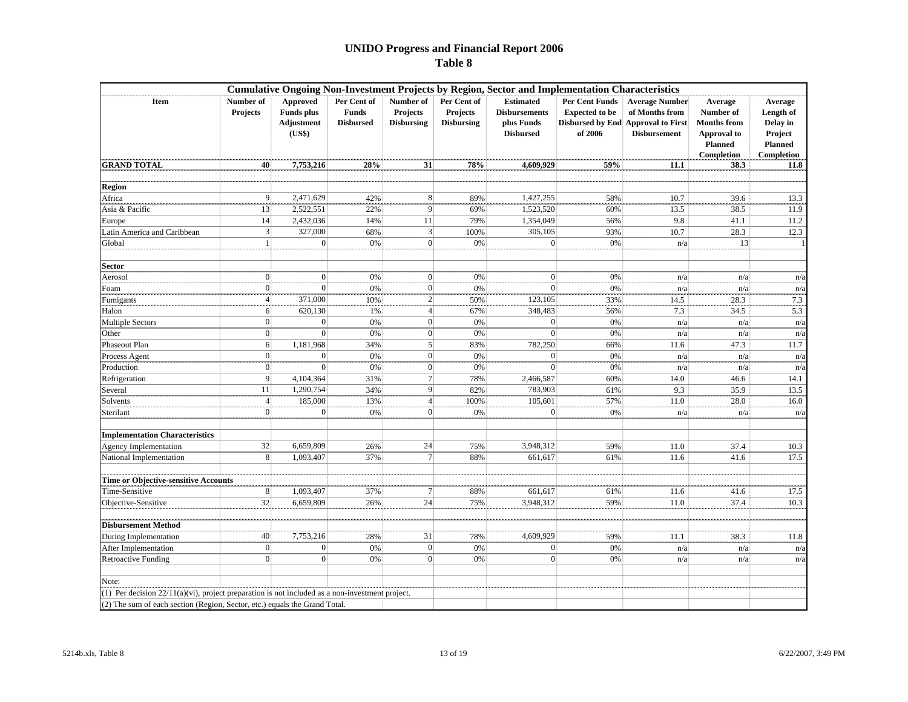|                                                                                                 | <b>Cumulative Ongoing Non-Investment Projects by Region, Sector and Implementation Characteristics</b> |              |                                                 |                                            |                                                     |                                                                            |                                                                                                        |                                                                |                                                                                                  |                                                                             |  |  |  |  |
|-------------------------------------------------------------------------------------------------|--------------------------------------------------------------------------------------------------------|--------------|-------------------------------------------------|--------------------------------------------|-----------------------------------------------------|----------------------------------------------------------------------------|--------------------------------------------------------------------------------------------------------|----------------------------------------------------------------|--------------------------------------------------------------------------------------------------|-----------------------------------------------------------------------------|--|--|--|--|
| Item                                                                                            | Number of<br>Approved<br><b>Funds</b> plus<br>Projects<br>Adjustment<br>(US\$)                         |              | Per Cent of<br><b>Funds</b><br><b>Disbursed</b> | Number of<br>Projects<br><b>Disbursing</b> | Per Cent of<br><b>Projects</b><br><b>Disbursing</b> | <b>Estimated</b><br><b>Disbursements</b><br>plus Funds<br><b>Disbursed</b> | <b>Per Cent Funds</b><br><b>Expected to be</b><br><b>Disbursed by End Approval to First</b><br>of 2006 | <b>Average Number</b><br>of Months from<br><b>Disbursement</b> | Average<br>Number of<br><b>Months</b> from<br><b>Approval</b> to<br><b>Planned</b><br>Completion | Average<br>Length of<br>Delay in<br>Project<br><b>Planned</b><br>Completion |  |  |  |  |
| <b>GRAND TOTAL</b>                                                                              | 40                                                                                                     | 7,753,216    | 28%                                             | 31                                         | 78%                                                 | 4,609,929                                                                  | 59%                                                                                                    | 11.1                                                           | 38.3                                                                                             | 11.8                                                                        |  |  |  |  |
| <b>Region</b>                                                                                   |                                                                                                        |              |                                                 |                                            |                                                     |                                                                            |                                                                                                        |                                                                |                                                                                                  |                                                                             |  |  |  |  |
| Africa                                                                                          | 9                                                                                                      | 2,471,629    | 42%                                             | 8                                          | 89%                                                 | 1,427,255                                                                  | 58%                                                                                                    | 10.7                                                           | 39.6                                                                                             | 13.3                                                                        |  |  |  |  |
| Asia & Pacific                                                                                  | 13                                                                                                     | 2,522,551    | 22%                                             | $\overline{9}$                             | 69%                                                 | 1,523,520                                                                  | 60%                                                                                                    | 13.5                                                           | 38.5                                                                                             | 11.9                                                                        |  |  |  |  |
| Europe                                                                                          | 14                                                                                                     | 2,432,036    | 14%                                             | 11                                         | 79%                                                 | 1,354,049                                                                  | 56%                                                                                                    | 9.8                                                            | 41.1                                                                                             | 11.2                                                                        |  |  |  |  |
| Latin America and Caribbean                                                                     | 3                                                                                                      | 327,000      | 68%                                             | 3                                          | 100%                                                | 305,105                                                                    | 93%                                                                                                    | 10.7                                                           | 28.3                                                                                             | 12.3                                                                        |  |  |  |  |
| Global                                                                                          |                                                                                                        | $\Omega$     | 0%                                              | $\mathbf{0}$                               | 0%                                                  |                                                                            | 0%                                                                                                     | n/a                                                            | 13                                                                                               |                                                                             |  |  |  |  |
| Sector                                                                                          |                                                                                                        |              |                                                 |                                            |                                                     |                                                                            |                                                                                                        |                                                                |                                                                                                  |                                                                             |  |  |  |  |
| Aerosol                                                                                         | $\Omega$                                                                                               | $\Omega$     | 0%                                              | $\Omega$                                   | 0%                                                  | $\Omega$                                                                   | 0%                                                                                                     | n/a                                                            | n/a                                                                                              | n/a                                                                         |  |  |  |  |
| Foam                                                                                            | $\Omega$                                                                                               | $\Omega$     | 0%                                              | $\vert 0 \vert$                            | 0%                                                  |                                                                            | 0%                                                                                                     | n/a                                                            | n/a                                                                                              | n/a                                                                         |  |  |  |  |
| Fumigants                                                                                       |                                                                                                        | 371,000      | 10%                                             | $\boldsymbol{2}$                           | 50%                                                 | 123,105                                                                    | 33%                                                                                                    | 14.5                                                           | 28.3                                                                                             | 7.3                                                                         |  |  |  |  |
| Halon                                                                                           | 6                                                                                                      | 620.130      | 1%                                              | $\overline{4}$                             | 67%                                                 | 348,483                                                                    | 56%                                                                                                    | 7.3                                                            | 34.5                                                                                             | 5.3                                                                         |  |  |  |  |
| <b>Multiple Sectors</b>                                                                         | $\overline{0}$                                                                                         | $\mathbf{0}$ | 0%                                              | 0                                          | 0%                                                  | $\Omega$                                                                   | 0%                                                                                                     | n/a                                                            | n/a                                                                                              | n/a                                                                         |  |  |  |  |
| Other                                                                                           | $\mathbf{0}$                                                                                           | $\Omega$     | 0%                                              | $\overline{0}$                             | 0%                                                  |                                                                            | 0%                                                                                                     | n/a                                                            | n/a                                                                                              | n/a                                                                         |  |  |  |  |
| Phaseout Plan                                                                                   | 6                                                                                                      | 1,181,968    | 34%                                             | 5                                          | 83%                                                 | 782,250                                                                    | 66%                                                                                                    | 11.6                                                           | 47.3                                                                                             | 11.7                                                                        |  |  |  |  |
| Process Agent                                                                                   | $\mathbf{0}$                                                                                           | $\sqrt{ }$   | 0%                                              | $\mathbf{0}$                               | 0%                                                  | $\mathbf{0}$                                                               | 0%                                                                                                     | n/a                                                            | n/a                                                                                              | n/a                                                                         |  |  |  |  |
| Production                                                                                      | $\vert$ 0                                                                                              | $\Omega$     | 0%                                              | $\overline{0}$                             | 0%                                                  | $\Omega$                                                                   | 0%                                                                                                     | n/a                                                            | n/a                                                                                              | n/a                                                                         |  |  |  |  |
| Refrigeration                                                                                   | 9                                                                                                      | 4,104,364    | 31%                                             | $\overline{7}$                             | 78%                                                 | 2,466,587                                                                  | 60%                                                                                                    | 14.0                                                           | 46.6                                                                                             | 14.1                                                                        |  |  |  |  |
| Several                                                                                         | 11                                                                                                     | 1,290,754    | 34%                                             | 9                                          | 82%                                                 | 783,903                                                                    | 61%                                                                                                    | 9.3                                                            | 35.9                                                                                             | 13.5                                                                        |  |  |  |  |
| Solvents                                                                                        | $\Delta$                                                                                               | 185,000      | 13%                                             | $\overline{4}$                             | 100%                                                | 105,601                                                                    | 57%                                                                                                    | 11.0                                                           | 28.0                                                                                             | 16.0                                                                        |  |  |  |  |
| Sterilant                                                                                       | $\Omega$                                                                                               | $\Omega$     | 0%                                              | $\mathbf{0}$                               | 0%                                                  | $\Omega$                                                                   | 0%                                                                                                     | n/a                                                            | n/a                                                                                              | n/a                                                                         |  |  |  |  |
| <b>Implementation Characteristics</b>                                                           |                                                                                                        |              |                                                 |                                            |                                                     |                                                                            |                                                                                                        |                                                                |                                                                                                  |                                                                             |  |  |  |  |
| <b>Agency Implementation</b>                                                                    | 32                                                                                                     | 6,659,809    | 26%                                             | 24                                         | 75%                                                 | 3,948,312                                                                  | 59%                                                                                                    | 11.0                                                           | 37.4                                                                                             | 10.3                                                                        |  |  |  |  |
| National Implementation                                                                         | 8                                                                                                      | 1,093,407    | 37%                                             |                                            | 88%                                                 | 661,617                                                                    | 61%                                                                                                    | 11.6                                                           | 41.6                                                                                             | 17.5                                                                        |  |  |  |  |
| Time or Objective-sensitive Accounts                                                            |                                                                                                        |              |                                                 |                                            |                                                     |                                                                            |                                                                                                        |                                                                |                                                                                                  |                                                                             |  |  |  |  |
| Time-Sensitive                                                                                  | 8                                                                                                      | 1,093,407    | 37%                                             | 7                                          | 88%                                                 | 661,617                                                                    | 61%                                                                                                    | 11.6                                                           | 41.6                                                                                             | 17.5                                                                        |  |  |  |  |
| Objective-Sensitive                                                                             | 32                                                                                                     | 6,659,809    | 26%                                             | 24                                         | 75%                                                 | 3,948,312                                                                  | 59%                                                                                                    | 11.0                                                           | 37.4                                                                                             | 10.3                                                                        |  |  |  |  |
| <b>Disbursement Method</b>                                                                      |                                                                                                        |              |                                                 |                                            |                                                     |                                                                            |                                                                                                        |                                                                |                                                                                                  |                                                                             |  |  |  |  |
| During Implementation                                                                           | 40                                                                                                     | 7,753,216    | 28%                                             | 31                                         | 78%                                                 | 4,609,929                                                                  | 59%                                                                                                    | 11.1                                                           | 38.3                                                                                             | 11.8                                                                        |  |  |  |  |
| After Implementation                                                                            | $\overline{0}$                                                                                         | $\Omega$     | 0%                                              | $\vert 0 \vert$                            | 0%                                                  | $\Omega$                                                                   | 0%                                                                                                     | n/a                                                            | n/a                                                                                              | n/a                                                                         |  |  |  |  |
| <b>Retroactive Funding</b>                                                                      | $\Omega$                                                                                               | $\mathbf{0}$ | 0%                                              | $\vert 0 \vert$                            | 0%                                                  | $\Omega$                                                                   | 0%                                                                                                     | n/a                                                            | n/a                                                                                              | n/a                                                                         |  |  |  |  |
| Note:                                                                                           |                                                                                                        |              |                                                 |                                            |                                                     |                                                                            |                                                                                                        |                                                                |                                                                                                  |                                                                             |  |  |  |  |
| (1) Per decision 22/11(a)(vi), project preparation is not included as a non-investment project. |                                                                                                        |              |                                                 |                                            |                                                     |                                                                            |                                                                                                        |                                                                |                                                                                                  |                                                                             |  |  |  |  |
| (2) The sum of each section (Region, Sector, etc.) equals the Grand Total.                      |                                                                                                        |              |                                                 |                                            |                                                     |                                                                            |                                                                                                        |                                                                |                                                                                                  |                                                                             |  |  |  |  |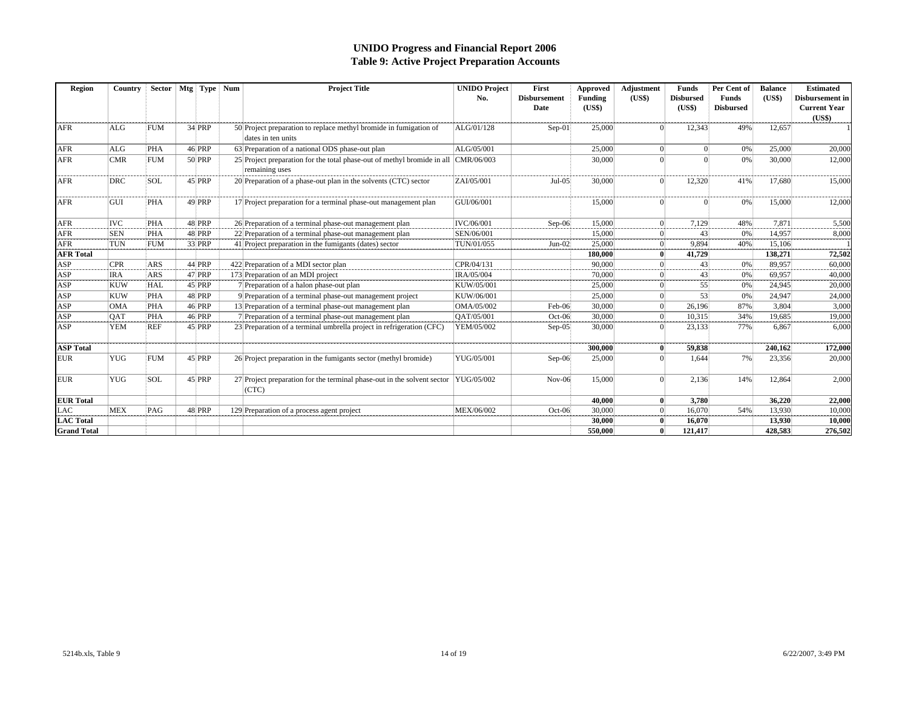#### **UNIDO Progress and Financial Report 2006 Table 9: Active Project Preparation Accounts**

| Region             | Country    | <b>Sector</b> | Mtg Type Num  | <b>Project Title</b>                                                                                    | <b>UNIDO Project</b><br>No. | First<br><b>Disbursement</b><br>Date | Approved<br>Funding<br>(US\$) | Adjustment<br>(US\$) | Funds<br><b>Disbursed</b><br>(US\$) | Per Cent of<br><b>Funds</b><br><b>Disbursed</b> | <b>Balance</b><br>$(US*)$ | <b>Estimated</b><br>Disbursement in<br><b>Current Year</b><br>(US\$) |
|--------------------|------------|---------------|---------------|---------------------------------------------------------------------------------------------------------|-----------------------------|--------------------------------------|-------------------------------|----------------------|-------------------------------------|-------------------------------------------------|---------------------------|----------------------------------------------------------------------|
| <b>AFR</b>         | <b>ALG</b> | <b>FUM</b>    | 34 PRP        | 50 Project preparation to replace methyl bromide in fumigation of<br>ALG/01/128<br>dates in ten units   |                             | $Sep-01$                             | 25,000                        |                      | 12,343                              | 49%                                             | 12,657                    |                                                                      |
| <b>AFR</b>         | <b>ALG</b> | <b>PHA</b>    | 46 PRP        | 63 Preparation of a national ODS phase-out plan                                                         | ALG/05/001                  |                                      | 25,000                        |                      |                                     | 0%                                              | 25,000                    | 20,000                                                               |
| <b>AFR</b>         | <b>CMR</b> | <b>FUM</b>    | 50 PRP        | 25 Project preparation for the total phase-out of methyl bromide in all<br>CMR/06/003<br>remaining uses |                             |                                      | 30,000                        |                      |                                     | 0%                                              | 30,000                    | 12,000                                                               |
| <b>AFR</b>         | <b>DRC</b> | <b>SOL</b>    | 45 PRP        | 20 Preparation of a phase-out plan in the solvents (CTC) sector<br>ZAI/05/001                           |                             | $Jul-05$                             | 30,000                        |                      | 12,320                              | 41%                                             | 17.680                    | 15,000                                                               |
| <b>AFR</b>         | GUI        | <b>PHA</b>    | 49 PRP        | 17 Project preparation for a terminal phase-out management plan                                         | GUI/06/001                  |                                      | 15,000                        |                      |                                     | 0%                                              | 15,000                    | 12,000                                                               |
| <b>AFR</b>         | <b>IVC</b> | <b>PHA</b>    | 48 PRP        | 26 Preparation of a terminal phase-out management plan                                                  | IVC/06/001                  | $Sep-06$                             | 15,000                        |                      | 7,129                               | 48%                                             | 7.871                     | 5,500                                                                |
| <b>AFR</b>         | <b>SEN</b> | PHA           | 48 PRP        | 22 Preparation of a terminal phase-out management plan                                                  | SEN/06/001                  |                                      | 15,000                        |                      | 43                                  | 0%                                              | 14.957                    | 8,000                                                                |
| <b>AFR</b>         | <b>TUN</b> | <b>FUM</b>    | 33 PRP        | 41 Project preparation in the fumigants (dates) sector<br>TUN/01/055                                    |                             | $Jun-02$                             | 25,000                        |                      | 9.894                               | 40%                                             | 15,106                    |                                                                      |
| <b>AFR Total</b>   |            |               |               |                                                                                                         |                             |                                      | 180,000                       |                      | 41,729                              |                                                 | 138,271                   | 72,502                                                               |
| ASP                | <b>CPR</b> | <b>ARS</b>    | 44 PRP        | 422 Preparation of a MDI sector plan                                                                    | CPR/04/131                  |                                      | 90,000                        |                      | 43                                  | 0%                                              | 89.957                    | 60,000                                                               |
| ASP                | <b>IRA</b> | <b>ARS</b>    | 47 PRP        | 173 Preparation of an MDI project                                                                       | IRA/05/004                  |                                      | 70,000                        |                      | 43                                  | 0%                                              | 69.957                    | 40,000                                                               |
| <b>ASP</b>         | <b>KUW</b> | HAL           | 45 PRP        | 7 Preparation of a halon phase-out plan                                                                 | KUW/05/001                  |                                      | 25,000                        |                      | 55                                  | 0%                                              | 24.945                    | 20,000                                                               |
| ASP                | <b>KUW</b> | PHA           | <b>48 PRP</b> | 9 Preparation of a terminal phase-out management project                                                | KUW/06/001                  |                                      | 25,000                        | $\Omega$             | 53                                  | 0%                                              | 24,947                    | 24,000                                                               |
| ASP                | <b>OMA</b> | PHA           | 46 PRP        | 13 Preparation of a terminal phase-out management plan                                                  | OMA/05/002                  | Feb-06                               | 30,000                        |                      | 26,196                              | 87%                                             | 3,804                     | 3,000                                                                |
| ASP                | QAT        | PHA           | 46 PRP        | 7 Preparation of a terminal phase-out management plan                                                   | QAT/05/001                  | $Oct-06$                             | 30,000                        | $\Omega$             | 10.315                              | 34%                                             | 19.685                    | 19,000                                                               |
| ASP                | <b>YEM</b> | <b>REF</b>    | 45 PRP        | 23 Preparation of a terminal umbrella project in refrigeration (CFC)                                    | YEM/05/002                  | $Sep-05$                             | 30,000                        |                      | 23,133                              | 77%                                             | 6,867                     | 6,000                                                                |
| <b>ASP</b> Total   |            |               |               |                                                                                                         |                             |                                      | 300,000                       |                      | 59.838                              |                                                 | 240,162                   | 172,000                                                              |
| <b>EUR</b>         | <b>YUG</b> | <b>FUM</b>    | 45 PRP        | 26 Project preparation in the fumigants sector (methyl bromide)                                         | YUG/05/001                  | $Sep-06$                             | 25,000                        |                      | 1.644                               | 7%                                              | 23,356                    | 20,000                                                               |
| <b>EUR</b>         | <b>YUG</b> | <b>SOL</b>    | 45 PRP        | 27 Project preparation for the terminal phase-out in the solvent sector<br>(CTC)                        | YUG/05/002                  | $Nov-06$                             | 15,000                        | $\Omega$             | 2,136                               | 14%                                             | 12,864                    | 2,000                                                                |
| <b>EUR</b> Total   |            |               |               |                                                                                                         |                             |                                      | 40.000                        | $\mathbf{0}$         | 3.780                               |                                                 | 36,220                    | 22,000                                                               |
| <b>LAC</b>         | <b>MEX</b> | PAG           | 48 PRP        | 129 Preparation of a process agent project                                                              | MEX/06/002                  | $Oct-06$                             | 30,000                        |                      | 16,070                              | 54%                                             | 13,930                    | 10,000                                                               |
| <b>LAC</b> Total   |            |               |               |                                                                                                         |                             |                                      | 30,000                        |                      | 16.070                              |                                                 | 13.930                    | 10,000                                                               |
| <b>Grand Total</b> |            |               |               |                                                                                                         |                             |                                      | 550,000                       |                      | 121,417                             |                                                 | 428,583                   | 276,502                                                              |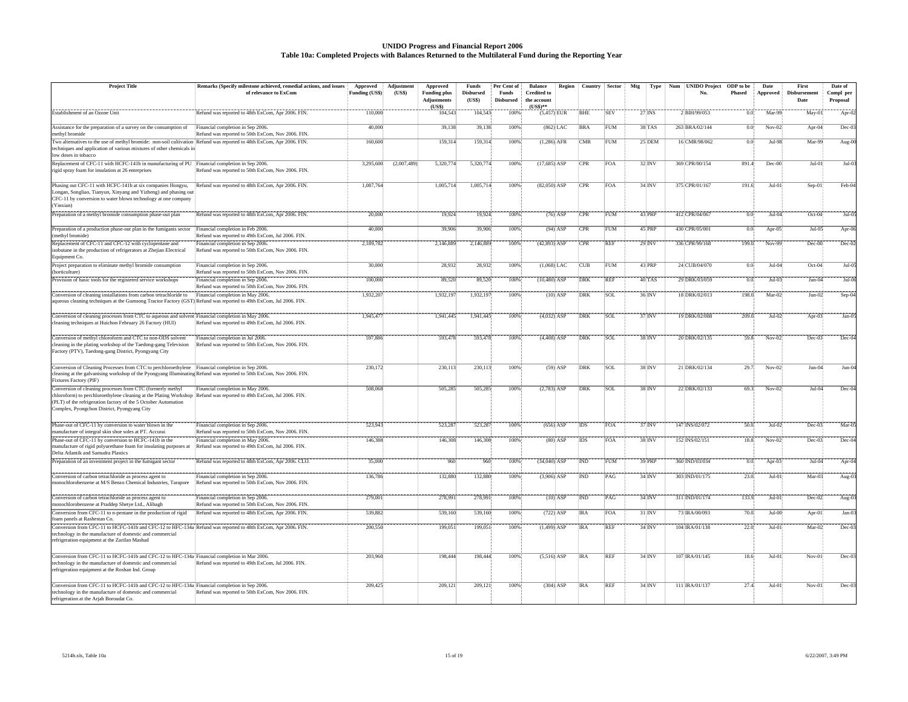#### **UNIDO Progress and Financial Report 2006 Table 10a: Completed Projects with Balances Returned to the Multilateral Fund during the Reporting Year**

| <b>Project Title</b>                                                                                                                                                                                                                                                                               | Remarks (Specify milestone achieved, remedial actions, and issues                      | Approved              | Adjustment  | Approved                                     | Funds                      | Per Cent of               | <b>Balance</b>                                  | Region     | Country    | <b>Sector</b> | Mtg | Type                | <b>UNIDO Project</b><br>Num | ODP to be | Date            | First                | Date of               |  |
|----------------------------------------------------------------------------------------------------------------------------------------------------------------------------------------------------------------------------------------------------------------------------------------------------|----------------------------------------------------------------------------------------|-----------------------|-------------|----------------------------------------------|----------------------------|---------------------------|-------------------------------------------------|------------|------------|---------------|-----|---------------------|-----------------------------|-----------|-----------------|----------------------|-----------------------|--|
|                                                                                                                                                                                                                                                                                                    | of relevance to ExCom                                                                  | <b>Funding (US\$)</b> | (US\$)      | <b>Funding plus</b><br>Adjustments<br>(US\$) | <b>Disbursed</b><br>(US\$) | Funds<br><b>Disbursed</b> | <b>Credited</b> to<br>the account<br>$(USS)$ ** |            |            |               |     |                     | No.                         | Phased    | <b>Approved</b> | Disbursement<br>Date | Compl per<br>Proposal |  |
| Establishment of an Ozone Unit                                                                                                                                                                                                                                                                     | Refund was reported to 48th ExCom, Apr 2006. FIN.                                      | 110,000               |             | 104,543                                      | 104,543                    | 100%                      | $(5,457)$ EUR                                   |            | BHE        | <b>SEV</b>    |     | 27 INS              | 2 BIH/99/053                | 0.0       | Mar-9           | May-01               | Apr-0                 |  |
| Assistance for the preparation of a survey on the consumption of<br>methyl bromide                                                                                                                                                                                                                 | Financial completion in Sep 2006.<br>Refund was reported to 50th ExCom, Nov 2006. FIN. | 40,000                |             | 39,138                                       | 39,138                     | 100%                      | $(862)$ LAC                                     |            | BRA        | <b>FUM</b>    |     | 38 TAS              | 263 BRA/02/144              | 0.0       | $Nov-02$        | Apr-04               | Dec-0                 |  |
| Two alternatives to the use of methyl bromide: non-soil cultivation Refund was reported to 48th ExCom, Apr 2006. FIN.<br>techniques and application of various mixtures of other chemicals in<br>low doses in tobacco                                                                              |                                                                                        | 160,600               |             | 159,314                                      | 159,314                    | 100%                      | $(1,286)$ AFR                                   |            | CMR        | FUM           |     | 25 DEM              | 16 CMR/98/062               | 0.0       | $Jul-98$        | Mar-99               | Aug-0                 |  |
| Replacement of CFC-11 with HCFC-141b in manufacturing of PU Financial completion in Sep 2006.<br>rigid spray foam for insulation at 26 enterprises                                                                                                                                                 | Refund was reported to 50th ExCom, Nov 2006. FIN.                                      | 3,295,600             | (2,007,489) | 5,320,774                                    | 5,320,774                  | 100%                      | $(17,685)$ ASP                                  |            | CPR        | <b>FOA</b>    |     | 32 INV              | 369 CPR/00/154              | 891.4     | Dec-00          | $Jul-01$             | $Jul-0$               |  |
| Phasing out CFC-11 with HCFC-141b at six companies Hongyu,<br>Longan, Songliao, Tianyun, Xinyang and Yizheng) and phasing ou<br>CFC-11 by conversion to water blown technology at one company<br>Yinxian)                                                                                          | Refund was reported to 48th ExCom, Apr 2006. FIN.                                      | 1,087,764             |             | 1,005,714                                    | 1,005,714                  | 100%                      | $(82,050)$ ASP                                  |            | CPR        | <b>FOA</b>    |     | $34$ <sub>INV</sub> | 375 CPR/01/167              | 191.6     | Jul-0           | Sep-01               | Feb-0                 |  |
| Preparation of a methyl bromide consumption phase-out plan                                                                                                                                                                                                                                         | Refund was reported to 48th ExCom, Apr 2006. FIN.                                      | 20,000                |             | 19,924                                       | 19,924                     | 100%                      |                                                 | $(76)$ ASP | <b>CPR</b> | <b>FUM</b>    |     | 43 <sub>IPRP</sub>  | 412 CPR/04/067              | 0.0       | $Jul-04$        | $Oct-04$             | $Jul-0$               |  |
| Preparation of a production phase-out plan in the fumigants sector<br>(methyl bromide)                                                                                                                                                                                                             | inancial completion in Feb 2006.<br>Refund was reported to 49th ExCom, Jul 2006. FIN.  | 40,000                |             | 39,906                                       | 39,906                     | 100%                      |                                                 | $(94)$ ASP | CPR        | <b>FUM</b>    |     | 45 PRP              | 430 CPR/05/001              | 0.0       | Apr-05          | $Jul-05$             | Apr-0                 |  |
| Replacement of CFC-11 and CFC-12 with cyclopentane and<br>isobutane in the production of refrigerators at Zhejian Electrical<br>Equipment Co.                                                                                                                                                      | inancial completion in Sep 2006.<br>Refund was reported to 50th ExCom, Nov 2006. FIN.  | 2,189,782             |             | 2,146,88                                     | 2,146,889                  | 100%                      | $(42,893)$ ASP                                  |            | CPR        | <b>REF</b>    |     | 29 INV              | 336 CPR/99/168              | 199.0     | Nov-99          | Dec-00               | Dec-02                |  |
| Project preparation to eliminate methyl bromide consumption<br>(horticulture)                                                                                                                                                                                                                      | Financial completion in Sep 2006.<br>Refund was reported to 50th ExCom, Nov 2006. FIN. | 30,000                |             | 28,932                                       | 28,932                     | 100%                      | $(1,068)$ LAC                                   |            | <b>CUB</b> | <b>FUM</b>    |     | 43 PRF              | 24 CUB/04/070               | 00        | $Jul-0$         | Oct-04               | $Jul-0$               |  |
| Provision of basic tools for the registered service workshops                                                                                                                                                                                                                                      | inancial completion in Sep 2006.<br>Refund was reported to 50th ExCom, Nov 2006. FIN.  | 100,000               |             | 89,520                                       | 89,520                     | 100%                      | $(10,480)$ ASP                                  |            | DRK        | <b>REF</b>    |     | 40 TAS              | 29 DRK/03/059               | 0.0       | $Jul-0.$        | $Jun-04$             | $Jul-0$               |  |
| Conversion of cleaning installations from carbon tetrachloride to<br>aqueous cleaning techniques at the Gumsong Tractor Factory (GST) Refund was reported to 49th ExCom, Jul 2006. FIN.                                                                                                            | Financial completion in May 2006.                                                      | 1,932,207             |             | 1,932,197                                    | 1,932,197                  | 100%                      |                                                 | $(10)$ ASP | <b>DRK</b> | SOL           |     | 36.INV              | 18 DRK/02/013               | 198.0     | Mar-02          | Jun-02               | $Sep-0$               |  |
| Conversion of cleaning processes from CTC to aqueous and solvent Financial completion in May 2006.<br>cleaning techniques at Huichon February 26 Factory (HUI)                                                                                                                                     | Refund was reported to 49th ExCom, Jul 2006. FIN.                                      | 1,945,477             |             | 1,941,445                                    | 1,941,445                  | 100%                      | $(4,032)$ ASP                                   |            | <b>DRK</b> | SOL           |     | $37$ INV            | 19 DRK/02/088               | 209.0     | $Jul-02$        | Apr- $03$            | $Jan-0$               |  |
| Conversion of methyl chloroform and CTC to non-ODS solvent<br>cleaning in the plating workshop of the Taedong-gang Television<br>Factory (PTV), Taedong-gang District, Pyongyang City                                                                                                              | Financial completion in Jul 2006.<br>Refund was reported to 50th ExCom, Nov 2006. FIN. | 597,886               |             | 593,478                                      | 593,478                    | 100%                      | $(4,408)$ ASP                                   |            | DRK        | SOL           |     | 38 INV              | 20 DRK/02/135               | 59.8      | $Nov-02$        | $Dec-03$             | $Dec-0$               |  |
| Conversion of Cleaning Processes from CTC to perchloroethylene Financial completion in Sep 2006.<br>cleaning at the galvanising workshop of the Pyongyang Illuminating Refund was reported to 50th ExCom, Nov 2006. FIN.<br>Fixtures Factory (PIF)                                                 |                                                                                        | 230,172               |             | 230,113                                      | 230,113                    | 100%                      |                                                 | $(59)$ ASP | DRK        | SOL           |     | 38 INV              | 21 DRK/02/134               | 29.7      | $Nov-0$         | $Jun-04$             | Jun-0                 |  |
| Conversion of cleaning processes from CTC (formerly methyl<br>chloroform) to perchloroethylene cleaning at the Plating Workshop Refund was reported to 49th ExCom, Jul 2006. FIN.<br>(PLT) of the refrigeration factory of the 5 October Automation<br>Complex, Pyongchon District, Pyongyang City | Financial completion in May 2006.                                                      | 508,068               |             | 505,285                                      | 505,285                    | 100%                      | $(2,783)$ ASP                                   |            | DRK        | SOL           |     | 38 INV              | 22 DRK/02/133               | 69.3      | $Nov-02$        | $Jul-04$             | Dec-0                 |  |
| Phase-out of CFC-11 by conversion to water blown in the<br>manufacture of integral skin shoe soles at PT. Accurai                                                                                                                                                                                  | Financial completion in Sep 2006.<br>Refund was reported to 50th ExCom, Nov 2006. FIN. | 523.943               |             | 523,287                                      | 523,287                    | 100%                      | $(656)$ ASP                                     |            | <b>IDS</b> | <b>FOA</b>    |     | $37'$ INV           | 147 INS/02/072              | 50.0      | $Jul-02$        | $Dec-03$             | $Mar-0$               |  |
| Phase-out of CFC-11 by conversion to HCFC-141b in the<br>manufacture of rigid polyurethane foam for insulating purposes at<br>Delta Atlantik and Samudra Plastics                                                                                                                                  | inancial completion in May 2006.<br>Refund was reported to 49th ExCom, Jul 2006. FIN.  | 146,388               |             | 146,308                                      | 146,308                    | 100%                      |                                                 | $(80)$ ASP | IDS        | <b>FOA</b>    |     | 38 INV              | 152 INS/02/151              | 18.8      | $Nov-02$        | Dec-03               | Dec-0                 |  |
| Preparation of an investment project in the fumigant sector                                                                                                                                                                                                                                        | Refund was reported to 48th ExCom, Apr 2006. CLO.                                      | 35,000                |             | 960                                          | 960                        | 100%                      | $(34,040)$ ASP                                  |            | <b>IND</b> | <b>FUM</b>    |     | 39 PRP              | 360 IND/03/034              | 0.0       | Apr-0           | $Jul-04$             | Apr-0                 |  |
| onversion of carbon tetrachloride as process agent to<br>monochlorobenzene at M/S Benzo Chemical Industries, Tarapore                                                                                                                                                                              | inancial completion in Sep 2006.<br>Refund was reported to 50th ExCom, Nov 2006. FIN.  | 136,786               |             | 132,880                                      | 132,880                    | 100%                      | $(3,906)$ ASP                                   |            | <b>IND</b> | PAG           |     | 34HNV               | 303 IND/01/175              | 23.0      | $Jul-0$         | Mar-03               | Aug-0.                |  |
| Conversion of carbon tetrachloride as process agent to<br>monochlorobenzene at Praddep Shetye Ltd., Alibagh                                                                                                                                                                                        | Financial completion in Sep 2006.<br>Refund was reported to 50th ExCom, Nov 2006. FIN. | 279,001               |             | 278.991                                      | 278,991                    | 100%                      |                                                 | $(10)$ ASP | <b>IND</b> | PAG           |     | 34 <sup>i</sup> INV | 311 IND/01/174              | 133.9     | $Jul-0$         | $Dec-02$             | Aug-0                 |  |
| Conversion from CFC-11 to n-pentane in the production of rigid<br>foam panels at Rashestan Co.                                                                                                                                                                                                     | Refund was reported to 48th ExCom, Apr 2006. FIN.                                      | 539,882               |             | 539,160                                      | 539,160                    | 100%                      | $(722)$ ASP                                     |            | <b>IRA</b> | <b>FOA</b>    |     | $31'$ INV           | 73 IRA/00/093               | 70.0      | $Jul-00$        | Apr-01               | Jan-0                 |  |
| Conversion from CFC-11 to HCFC-141b and CFC-12 to HFC-134a Refund was reported to 48th ExCom, Apr 2006. FIN.<br>technology in the manufacture of domestic and commercial<br>refrigeration equipment at the Zarifan Mashad                                                                          |                                                                                        | 200,550               |             | 199,051                                      | 199,051                    | 100%                      | $(1,499)$ ASP                                   |            | <b>IRA</b> | <b>REF</b>    |     | 34 INV              | 104 IRA/01/138              | 22.0      | $Jul-0$         | $Mar-02$             | $Dec-0$               |  |
| onversion from CFC-11 to HCFC-141b and CFC-12 to HFC-134a Financial completion in Mar 2006.<br>technology in the manufacture of domestic and commercial<br>refrigeration equipment at the Roshan Ind. Group                                                                                        | Refund was reported to 49th ExCom, Jul 2006. FIN.                                      | 203,960               |             | 198,444                                      | 198,444                    | 100%                      | $(5,516)$ ASP                                   |            | <b>IRA</b> | REF           |     | $34$ INV            | 107 IRA/01/145              | 18.6      | Jul-0           | Nov-01               | Dec-0                 |  |
| Conversion from CFC-11 to HCFC-141b and CFC-12 to HFC-134a Financial completion in Sep 2006.<br>technology in the manufacture of domestic and commercial<br>refrigeration at the Arjah Boroudat Co.                                                                                                | Refund was reported to 50th ExCom, Nov 2006. FIN.                                      | 209,425               |             | 209,121                                      | 209,121                    | 100%                      | $(304)$ ASP                                     |            | <b>IRA</b> | <b>REF</b>    |     | 34 INV              | 111 IRA/01/137              | 27.4      | $Jul-0$         | $Nov-01$             | Dec-03                |  |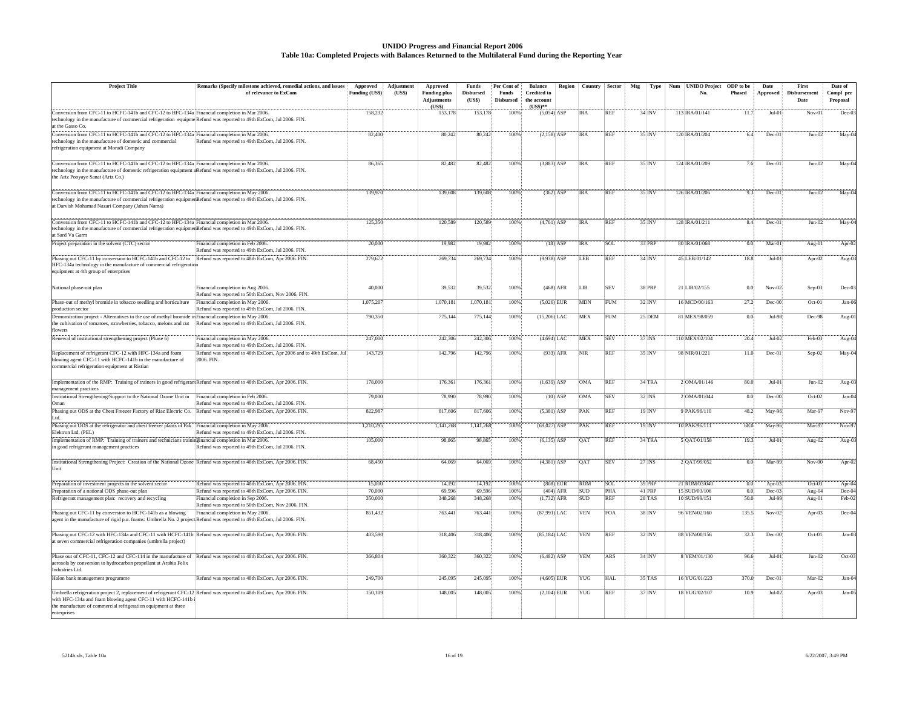#### **UNIDO Progress and Financial Report 2006 Table 10a: Completed Projects with Balances Returned to the Multilateral Fund during the Reporting Year**

| <b>Project Title</b>                                                                                                                                                                                               | Remarks (Specify milestone achieved, remedial actions, and issues                      | Approved             | Adjustment | Approved                     | <b>Funds</b>     | Per Cent of      | <b>Balance</b>            | Region      | Country          | Sector     | Mtg | Type                | Num | <b>UNIDO Project</b> | ODP to be        | Date            | First        | Date of   |
|--------------------------------------------------------------------------------------------------------------------------------------------------------------------------------------------------------------------|----------------------------------------------------------------------------------------|----------------------|------------|------------------------------|------------------|------------------|---------------------------|-------------|------------------|------------|-----|---------------------|-----|----------------------|------------------|-----------------|--------------|-----------|
|                                                                                                                                                                                                                    | of relevance to ExCom                                                                  | Funding (US\$)       | (US\$)     | <b>Funding plus</b>          | <b>Disbursed</b> | Funds            | <b>Credited to</b>        |             |                  |            |     |                     |     | No.                  | <b>Phased</b>    | <b>Approved</b> | Disbursement | Compl per |
|                                                                                                                                                                                                                    |                                                                                        |                      |            | <b>Adjustments</b><br>(US\$) | (US\$)           | <b>Disbursed</b> | the account<br>$(US$)$ ** |             |                  |            |     |                     |     |                      |                  |                 | Date         | Proposal  |
| Conversion from CFC-11 to HCFC-141b and CFC-12 to HFC-134a Financial completion in Mar 2006.                                                                                                                       |                                                                                        | 158,232              |            | 153.17                       | 153,178          | 100%             | $(5,054)$ ASP             |             | <b>IRA</b>       | REF        |     | 34 INV              |     | 113 IRA/01/141       | 11.7             | $Jul-0$         | $Nov-01$     | Dec-0     |
| technology in the manufacture of commercial refrigeration equipme Refund was reported to 49th ExCom, Jul 2006. FIN.                                                                                                |                                                                                        |                      |            |                              |                  |                  |                           |             |                  |            |     |                     |     |                      |                  |                 |              |           |
| at the Gasso Co                                                                                                                                                                                                    |                                                                                        |                      |            |                              |                  |                  |                           |             |                  |            |     |                     |     |                      |                  |                 |              |           |
| Conversion from CFC-11 to HCFC-141b and CFC-12 to HFC-134a] Financial completion in Mar 2006.<br>echnology in the manufacture of domestic and commercial                                                           | Refund was reported to 49th ExCom, Jul 2006. FIN.                                      | 82,400               |            | 80,242                       | 80,242           | 100%             | $(2,158)$ ASP             |             | <b>IRA</b>       | REF        |     | 35 INV              |     | 120 IRA/01/204       | 6.4              | Dec-0           | $Jun-02$     | May-0     |
| refrigeration equipment at Moradi Company                                                                                                                                                                          |                                                                                        |                      |            |                              |                  |                  |                           |             |                  |            |     |                     |     |                      |                  |                 |              |           |
|                                                                                                                                                                                                                    |                                                                                        |                      |            |                              |                  |                  |                           |             |                  |            |     |                     |     |                      |                  |                 |              |           |
| Conversion from CFC-11 to HCFC-141b and CFC-12 to HFC-134a Financial completion in Mar 2006.                                                                                                                       |                                                                                        | 86,365               |            | 82,482                       | 82,482           | 100%             | $(3,883)$ ASP             |             | <b>IRA</b>       | REF        |     | 35 INV              |     | 124 IRA/01/209       | 7.6              | $Dec-01$        | $Jun-02$     | May-0     |
| echnology in the manufacture of domestic refrigeration equipment areful was reported to 49th ExCom, Jul 2006. FIN.<br>the Ariz Pooyaye Sanat (Ariz Co.)                                                            |                                                                                        |                      |            |                              |                  |                  |                           |             |                  |            |     |                     |     |                      |                  |                 |              |           |
|                                                                                                                                                                                                                    |                                                                                        |                      |            |                              |                  |                  |                           |             |                  |            |     |                     |     |                      |                  |                 |              |           |
| Conversion from CFC-11 to HCFC-141b and CFC-12 to HFC-134a Financial completion in May 2006.                                                                                                                       |                                                                                        | 139.970              |            | 139.608                      | 139,608          | 100%             |                           | $(362)$ ASP | <b>IRA</b>       | <b>REF</b> |     | 35 INV              |     | 126 IRA/01/206       | 9.3              | Dec-0           | $Jun-02$     | $May-0$   |
| echnology in the manufacture of commercial refrigeration equipmenRefund was reported to 49th ExCom, Jul 2006. FIN.                                                                                                 |                                                                                        |                      |            |                              |                  |                  |                           |             |                  |            |     |                     |     |                      |                  |                 |              |           |
| at Darvish Mohamad Nazari Company (Jahan Nama)                                                                                                                                                                     |                                                                                        |                      |            |                              |                  |                  |                           |             |                  |            |     |                     |     |                      |                  |                 |              |           |
|                                                                                                                                                                                                                    |                                                                                        |                      |            |                              |                  |                  |                           |             |                  |            |     | 35/INV              |     |                      |                  |                 |              |           |
| Conversion from CFC-11 to HCFC-141b and CFC-12 to HFC-134a Financial completion in Mar 2006.<br>echnology in the manufacture of commercial refrigeration equipmenRefund was reported to 49th ExCom, Jul 2006. FIN. |                                                                                        | 125,350              |            | 120,589                      | 120,589          | 100%             | $(4,761)$ ASP             |             | <b>IRA</b>       | REF        |     |                     |     | 128 IRA/01/211       | 8.4              | Dec-0           | $Jun-02$     | May-0     |
| at Sard Va Garm                                                                                                                                                                                                    |                                                                                        |                      |            |                              |                  |                  |                           |             |                  |            |     |                     |     |                      |                  |                 |              |           |
| Project preparation in the solvent (CTC) sector                                                                                                                                                                    | Financial completion in Feb 2006.                                                      | 20,000               |            | 19,982                       | 19,982           | 100%             |                           | $(18)$ ASP  | <b>IRA</b>       | SOL        |     | 33 PRP              |     | 80 IRA/01/068        | 0.0              | Mar-0           | Aug-01       | Apr-0     |
|                                                                                                                                                                                                                    | Refund was reported to 49th ExCom, Jul 2006. FIN.                                      |                      |            |                              |                  |                  |                           |             |                  |            |     |                     |     |                      |                  |                 |              |           |
| Phasing out CFC-11 by conversion to HCFC-141b and CFC-12 to Refund was reported to 48th ExCom, Apr 2006. FIN.                                                                                                      |                                                                                        | 279,672              |            | 269,734                      | 269,734          | 100%             | $(9,938)$ ASP             |             | <b>ILEB</b>      | REF        |     | $34$ INV            |     | 45 LEB/01/142        | 18.8             | $Jul-0$         | Apr-02       | $Aug-0$   |
| HFC-134a technology in the manufacture of commercial refrigeration<br>equipment at 4th group of enterprises                                                                                                        |                                                                                        |                      |            |                              |                  |                  |                           |             |                  |            |     |                     |     |                      |                  |                 |              |           |
|                                                                                                                                                                                                                    |                                                                                        |                      |            |                              |                  |                  |                           |             |                  |            |     |                     |     |                      |                  |                 |              |           |
| National phase-out plan                                                                                                                                                                                            | Financial completion in Aug 2006.                                                      | 40,000               |            | 39.532                       | 39.532           | 100%             |                           | $(468)$ AFR | LIB <sup>-</sup> | <b>SEV</b> |     | <b>38 PRP</b>       |     | 21 LIB/02/155        | $\overline{0.0}$ | $Nov-02$        | $Sep-03$     | $Dec-0$   |
|                                                                                                                                                                                                                    | Refund was reported to 50th ExCom, Nov 2006. FIN.                                      |                      |            |                              |                  |                  |                           |             |                  |            |     |                     |     |                      |                  |                 |              |           |
| Phase-out of methyl bromide in tobacco seedling and horticulture<br>production sector                                                                                                                              | Financial completion in May 2006.<br>Refund was reported to 49th ExCom, Jul 2006. FIN. | 1,075,207            |            | 1,070,181                    | 1,070,181        | 100%             | $(5,026)$ EUR             |             | MDN              | <b>FUM</b> |     | $32$ INV            |     | 16 MCD/00/163        | 27.2             | Dec-0           | Oct-01       | $Jan-0$   |
| Demonstration project - Alternatives to the use of methyl bromide in Financial completion in May 2006.                                                                                                             |                                                                                        | 790,350              |            | 775,144                      | 775,144          | 100%             | $(15.206)$ LAC            |             | MEX              | <b>FUM</b> |     | $25$ <sub>DEM</sub> |     | 81 MEX/98/059        | 0.0              | Jul-9           | Dec-98       | Aug-0     |
| the cultivation of tomatoes, strawberries, tobacco, melons and cut Refund was reported to 49th ExCom, Jul 2006. FIN.                                                                                               |                                                                                        |                      |            |                              |                  |                  |                           |             |                  |            |     |                     |     |                      |                  |                 |              |           |
| <b>lowers</b>                                                                                                                                                                                                      |                                                                                        |                      |            |                              |                  |                  |                           |             |                  |            |     |                     |     |                      |                  |                 |              |           |
| Renewal of institutional strengthening project (Phase 6)                                                                                                                                                           | Financial completion in May 2006.                                                      | 247,000              |            | 242,306                      | 242,306          | 100%             | $(4,694)$ LAC             |             | MEX              | SEV        |     | 37 INS              |     | 110 MEX/02/104       | 20.4             | $Jul-0$         | Feb-03       | Aug-0     |
|                                                                                                                                                                                                                    | Refund was reported to 49th ExCom, Jul 2006. FIN.                                      |                      |            |                              |                  |                  |                           |             |                  |            |     |                     |     |                      |                  |                 |              |           |
| Replacement of refrigerant CFC-12 with HFC-134a and foam<br>blowing agent CFC-11 with HCFC-141b in the manufacture of                                                                                              | Refund was reported to 48th ExCom, Apr 2006 and to 49th ExCom, Jul<br><b>2006 FIN</b>  | 143,729              |            | 142,796                      | 142,796          | 100%             |                           | $(933)$ AFR | NIR              | REF        |     | 35 INV              |     | 98 NIR/01/221        | 11.0             | Dec-0           | $Sep-02$     | May-0     |
| commercial refrigeration equipment at Ristian                                                                                                                                                                      |                                                                                        |                      |            |                              |                  |                  |                           |             |                  |            |     |                     |     |                      |                  |                 |              |           |
|                                                                                                                                                                                                                    |                                                                                        |                      |            |                              |                  |                  |                           |             |                  |            |     |                     |     |                      |                  |                 |              |           |
| Implementation of the RMP: Training of trainers in good refrigerant Refund was reported to 48th ExCom, Apr 2006. FIN.                                                                                              |                                                                                        | 178,000              |            | 176,361                      | 176,361          | 100%             | $(1,639)$ ASP             |             | <b>OMA</b>       | <b>REF</b> |     | 34TRA               |     | 2 OMA/01/146         | 80.0             | $Jul-0$         | $Jun-02$     | Aug-0     |
| management practices<br>Institutional Strengthening/Support to the National Ozone Unit in Financial completion in Feb 2006.                                                                                        |                                                                                        | 79,000               |            | 78,990                       | 78,990           | 100%             |                           | $(10)$ ASP  | OMA              | SEV        |     | 32 INS              |     | 2 OMA/01/044         | 0.01             | $Dec-00$        | $Oct-02$     | $Jan-0$   |
| Oman                                                                                                                                                                                                               | Refund was reported to 49th ExCom, Jul 2006. FIN.                                      |                      |            |                              |                  |                  |                           |             |                  |            |     |                     |     |                      |                  |                 |              |           |
| Phasing out ODS at the Chest Freezer Factory of Riaz Electric Co. Refund was reported to 48th ExCom, Apr 2006. FIN.                                                                                                |                                                                                        | 822.987              |            | 817,606                      | 817,606          | 100%             | $(5,381)$ ASP             |             | PAK              | <b>REF</b> |     | 19 INV              |     | 9 PAK 96/110         | 48.2             | May-96          | Mar-97       | $Nov-9$   |
| ht. I                                                                                                                                                                                                              |                                                                                        |                      |            |                              |                  |                  |                           |             |                  |            |     |                     |     |                      |                  |                 |              |           |
| Phasing out ODS at the refrigerator and chest freezer plants of Pak Financial completion in May 2006.<br>Elektron Ltd. (PEL)                                                                                       | Refund was reported to 49th ExCom, Jul 2006. FIN.                                      | 1,210,295            |            | 1,141,268                    | 1,141,268        | 100%             | $(69,027)$ ASP            |             | PAK              | REF        |     | $19$ INV            |     | 10 PAK/96/111        | 68.0             | $May-96$        | Mar-97       | $Nov-9$   |
| Implementation of RMP: Training of trainers and technicians trainistinancial completion in Mar 2006.                                                                                                               |                                                                                        | 105,000              |            | 98,865                       | 98,865           | 100%             | $(6,135)$ ASP             |             | <b>OAT</b>       | <b>REF</b> |     | 34 TRA              |     | 5 QAT/01/158         | 19.3             | $Jul-0$         | Aug-02       | Aug-0.    |
| in good refrigerant management practices                                                                                                                                                                           | Refund was reported to 49th ExCom, Jul 2006. FIN.                                      |                      |            |                              |                  |                  |                           |             |                  |            |     |                     |     |                      |                  |                 |              |           |
|                                                                                                                                                                                                                    |                                                                                        |                      |            |                              |                  |                  |                           |             |                  |            |     |                     |     |                      |                  |                 |              |           |
| Institutional Strengthening Project: Creation of the National Ozone Refund was reported to 48th ExCom, Apr 2006. FIN.                                                                                              |                                                                                        | 68,450               |            | 64,069                       | 64,069           | 100%             | $(4,381)$ ASP             |             | OAT              | SEV        |     | 27 INS              |     | 2 QAT/99/052         | 0.0              | Mar-9           | $Nov-00$     | Apr-0     |
| I Init                                                                                                                                                                                                             |                                                                                        |                      |            |                              |                  |                  |                           |             |                  |            |     |                     |     |                      |                  |                 |              |           |
| Preparation of investment projects in the solvent sector                                                                                                                                                           | Refund was reported to 48th ExCom, Apr 2006. FIN.                                      | 15,000               |            | 14,192                       | 14,192           | 100%             |                           | $(808)$ EUR | ROM              | SOL        |     | 39 PRP              |     | 21 ROM/03/040        | 0.0              | Apr-0           | $Oct-03$     | Apr-0     |
| Preparation of a national ODS phase-out plan                                                                                                                                                                       | Refund was reported to 48th ExCom, Apr 2006. FIN.                                      | 70,000               |            | 69,596                       | 69,596           | 100%             |                           | $(404)$ AFR | <b>SUD</b>       | PHA        |     | 41 PRP              |     | 15 SUD/03/106        | 0.0              | $Dec-0$         | Aug-04       | Dec-0     |
| Refrigerant management plan: recovery and recycling                                                                                                                                                                | Financial completion in Sep 2006.                                                      | 350,00               |            | 348,268                      | 348,268          | 100%             | $(1,732)$ AFR             |             | <b>SUD</b>       | <b>REF</b> |     | 28'TAS              |     | 10 SUD/99/151        | 50.0             | $Jul-99$        | Aug-01       | Feb-02    |
|                                                                                                                                                                                                                    | Refund was reported to 50th ExCom, Nov 2006. FIN                                       |                      |            |                              |                  |                  |                           |             |                  |            |     |                     |     |                      |                  |                 |              |           |
| Phasing out CFC-11 by conversion to HCFC-141b as a blowing<br>agent in the manufacture of rigid p.u. foams: Umbrella No. 2 projectRefund was reported to 49th ExCom, Jul 2006. FIN.                                | Financial completion in May 2006.                                                      | 851,432              |            | 763,441                      | 763,441          | 100%             | $(87,991)$ LAC            |             | <b>VEN</b>       | FOA        |     | 38 INV              |     | 96 VEN/02/160        | 135.3            | $Nov-02$        | Apr-03       | $Dec-0$   |
|                                                                                                                                                                                                                    |                                                                                        |                      |            |                              |                  |                  |                           |             |                  |            |     |                     |     |                      |                  |                 |              |           |
| Phasing out CFC-12 with HFC-134a and CFC-11 with HCFC-141b Refund was reported to 48th ExCom, Apr 2006. FIN.                                                                                                       |                                                                                        | 403,590              |            | 318,406                      | 318,406          | 100%             | $(85,184)$ LAC            |             | <b>VEN</b>       | REF        |     | 32 INV              |     | 88 VEN/00/156        | 32.3             | $Dec-00$        | $Oct-01$     | $Jan-0$   |
| at seven commercial refrigeration companies (umbrella project)                                                                                                                                                     |                                                                                        |                      |            |                              |                  |                  |                           |             |                  |            |     |                     |     |                      |                  |                 |              |           |
| Phase out of CFC-11, CFC-12 and CFC-114 in the manufacture of                                                                                                                                                      |                                                                                        |                      |            | 360,322                      |                  |                  | $(6,482)$ ASP             |             | YEM              | ARS        |     | $34$ INV            |     | 8 YEM/01/130         |                  |                 |              |           |
| aerosols by conversion to hydrocarbon propellant at Arabia Felix                                                                                                                                                   | Refund was reported to 48th ExCom, Apr 2006. FIN.                                      | 366,804              |            |                              | 360,322          | 100%             |                           |             |                  |            |     |                     |     |                      | 96.6             | Jul-0           | $Jun-02$     | Oct-0     |
| Industries Ltd.                                                                                                                                                                                                    |                                                                                        |                      |            |                              |                  |                  |                           |             |                  |            |     |                     |     |                      |                  |                 |              |           |
| Halon bank management programme                                                                                                                                                                                    | Refund was reported to 48th ExCom, Apr 2006. FIN.                                      | $\overline{249,700}$ |            | 245,09:                      | 245,095          | 100%             | $(4,605)$ EUR             |             | YUG              | <b>HAL</b> |     | $35$ TAS            |     | 16 YUG/01/223        | 370.0            | Dec-0           | $Mar-02$     | Jan-0     |
|                                                                                                                                                                                                                    |                                                                                        |                      |            |                              |                  |                  |                           |             |                  |            |     |                     |     |                      |                  |                 |              |           |
| Umbrella refrigeration project 2, replacement of refrigerant CFC-12 Refund was reported to 48th ExCom, Apr 2006. FIN.<br>with HFC-134a and foam blowing agent CFC-11 with HCFC-141b                                |                                                                                        | 150,109              |            | 148,005                      | 148,005          | 100%             | $(2,104)$ EUR             |             | YUG              | REF        |     | 37 INV              |     | 18 YUG/02/107        | 10.9             | Jul-02          | Apr-03       | Jan-0:    |
| the manufacture of commercial refrigeration equipment at three                                                                                                                                                     |                                                                                        |                      |            |                              |                  |                  |                           |             |                  |            |     |                     |     |                      |                  |                 |              |           |
| enterprises                                                                                                                                                                                                        |                                                                                        |                      |            |                              |                  |                  |                           |             |                  |            |     |                     |     |                      |                  |                 |              |           |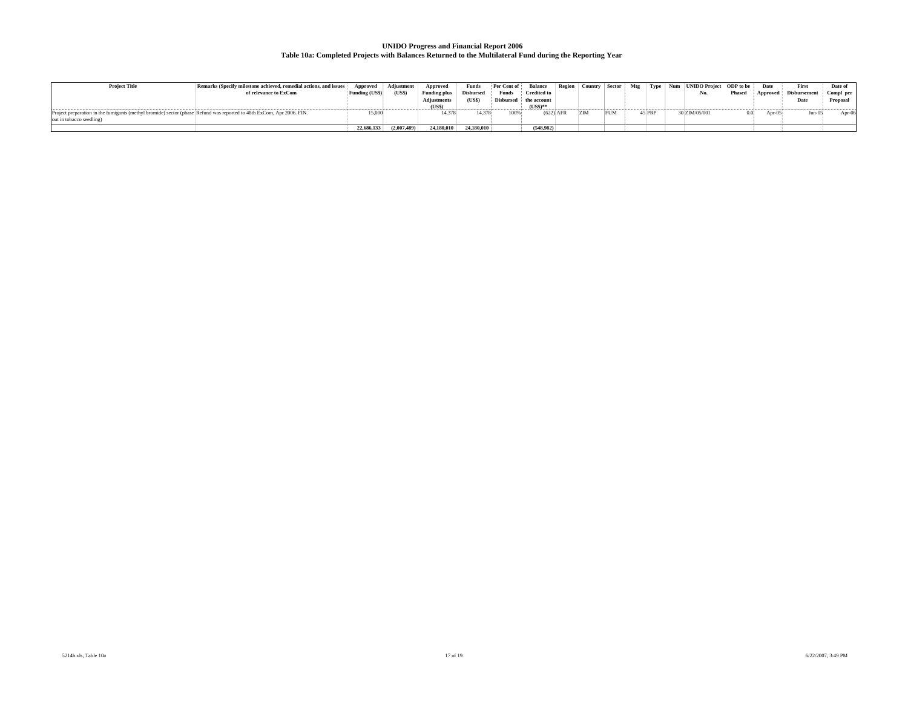## **UNIDO Progress and Financial Report 2006 Table 10a: Completed Projects with Balances Returned to the Multilateral Fund during the Reporting Year**

| <b>Project Title</b>                                                                                                  | Remarks (Specify milestone achieved, remedial actions, and issues | . Approved '   | Adiustment   | Approved            | Funds            | Per Cent of      | <b>Balance</b>     | Region   Country   Sector |     | Mtg { |        | Type   Num   UNIDO Project   ODP to be } |        | Date       | First               | Date of   |
|-----------------------------------------------------------------------------------------------------------------------|-------------------------------------------------------------------|----------------|--------------|---------------------|------------------|------------------|--------------------|---------------------------|-----|-------|--------|------------------------------------------|--------|------------|---------------------|-----------|
|                                                                                                                       | of relevance to ExCom                                             | Funding (US\$) | (US\$)       | <b>Funding plus</b> | <b>Disbursed</b> | Funds            | <b>Credited to</b> |                           |     |       |        | No.                                      | Phased | ' Approved | <b>Disbursement</b> | Compl per |
|                                                                                                                       |                                                                   |                |              | Adjustments         | (USS)            | <b>Disbursed</b> | the account        |                           |     |       |        |                                          |        |            | Date                | Proposal  |
|                                                                                                                       |                                                                   |                |              | (US\$)              |                  |                  | $(USS)$ **         |                           |     |       |        |                                          |        |            |                     |           |
| Project preparation in the fumigants (methyl bromide) sector (phase Refund was reported to 48th ExCom, Apr 2006. FIN. |                                                                   | 15,000         |              |                     | 14,378           | 100%             | $(622)$ AFR        | <b>IZIM</b>               | FUM |       | 45 PRP | 0 ZIM/05/001                             | 0.03   | Apr-05     | ⊿un-w               | Apr-06    |
| out in tobacco seedling)                                                                                              |                                                                   |                |              |                     |                  |                  |                    |                           |     |       |        |                                          |        |            |                     |           |
|                                                                                                                       |                                                                   | 22,686,133     | (2.007, 489) | 24,180,010          | 24,180,010       |                  | (548.982)          |                           |     |       |        |                                          |        |            |                     |           |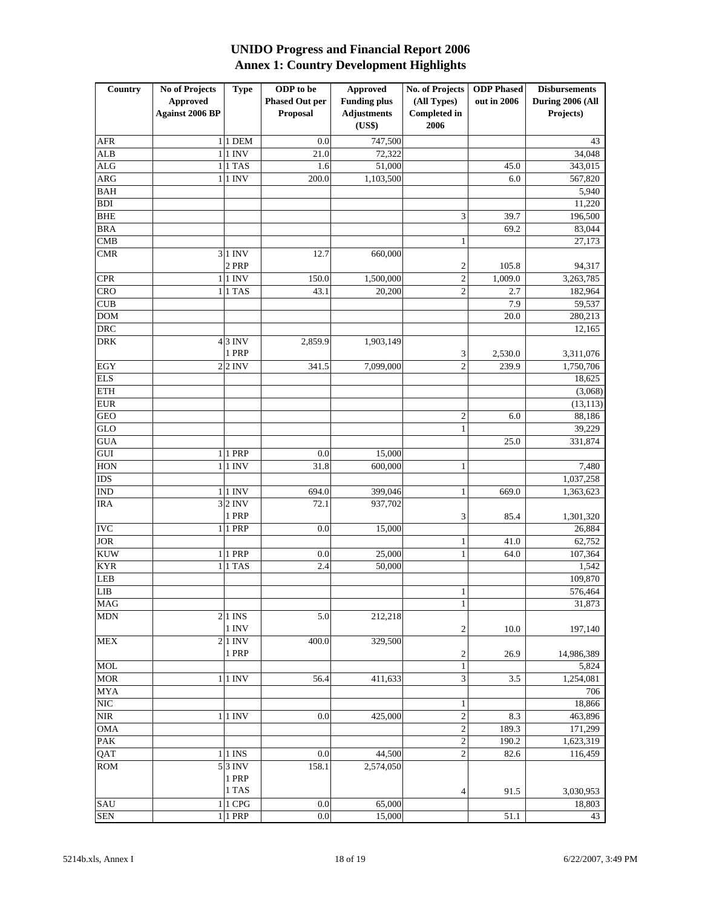## **UNIDO Progress and Financial Report 2006 Annex 1: Country Development Highlights**

| Country    | <b>No of Projects</b>  | <b>Type</b> | ODP to be                                    | <b>Approved</b>    | No. of Projects         | <b>ODP</b> Phased | <b>Disbursements</b> |  |  |
|------------|------------------------|-------------|----------------------------------------------|--------------------|-------------------------|-------------------|----------------------|--|--|
|            | <b>Approved</b>        |             | <b>Phased Out per</b><br><b>Funding plus</b> |                    | (All Types)             | out in 2006       | During 2006 (All     |  |  |
|            | <b>Against 2006 BP</b> |             |                                              | <b>Adjustments</b> | <b>Completed in</b>     |                   | Projects)            |  |  |
|            |                        |             | Proposal                                     | (US\$)             | 2006                    |                   |                      |  |  |
|            |                        | $1 1$ DEM   |                                              |                    |                         |                   |                      |  |  |
| AFR        |                        |             | 0.0                                          | 747,500            |                         |                   | 43                   |  |  |
| <b>ALB</b> |                        | $1$ 1 INV   | 21.0                                         | 72,322             |                         |                   | 34,048               |  |  |
| ALG        |                        | $1 1$ TAS   | 1.6                                          | 51,000             |                         | 45.0              | 343,015              |  |  |
| ARG        |                        | $1 1$ INV   | 200.0                                        | 1,103,500          |                         | 6.0               | 567,820              |  |  |
| <b>BAH</b> |                        |             |                                              |                    |                         |                   | 5,940                |  |  |
| <b>BDI</b> |                        |             |                                              |                    |                         |                   | 11,220               |  |  |
| <b>BHE</b> |                        |             |                                              |                    | 3                       | 39.7              | 196,500              |  |  |
| <b>BRA</b> |                        |             |                                              |                    |                         | 69.2              | 83,044               |  |  |
| <b>CMB</b> |                        |             |                                              |                    | 1                       |                   | 27,173               |  |  |
| <b>CMR</b> |                        | $3 1$ INV   | 12.7                                         | 660,000            |                         |                   |                      |  |  |
|            |                        | 2 PRP       |                                              |                    | $\overline{c}$          | 105.8             | 94,317               |  |  |
| <b>CPR</b> |                        | $1$ 1 INV   | 150.0                                        | 1,500,000          | $\sqrt{2}$              | 1,009.0           | 3,263,785            |  |  |
| <b>CRO</b> |                        | $1 1$ TAS   | 43.1                                         | 20,200             | $\mathfrak{2}$          | 2.7               | 182,964              |  |  |
| <b>CUB</b> |                        |             |                                              |                    |                         | 7.9               | 59,537               |  |  |
| <b>DOM</b> |                        |             |                                              |                    |                         | 20.0              | 280,213              |  |  |
| <b>DRC</b> |                        |             |                                              |                    |                         |                   | 12,165               |  |  |
| <b>DRK</b> |                        | $43$ INV    | 2,859.9                                      | 1,903,149          |                         |                   |                      |  |  |
|            |                        | 1 PRP       |                                              |                    | 3                       | 2,530.0           | 3,311,076            |  |  |
| EGY        |                        | $2$ 2 INV   | 341.5                                        | 7,099,000          | $\mathfrak{2}$          | 239.9             | 1,750,706            |  |  |
| <b>ELS</b> |                        |             |                                              |                    |                         |                   | 18,625               |  |  |
| <b>ETH</b> |                        |             |                                              |                    |                         |                   | (3,068)              |  |  |
| <b>EUR</b> |                        |             |                                              |                    |                         |                   | (13, 113)            |  |  |
| <b>GEO</b> |                        |             |                                              |                    | $\mathfrak{2}$          | 6.0               | 88,186               |  |  |
| GLO        |                        |             |                                              |                    | $\mathbf{1}$            |                   | 39,229               |  |  |
| GUA        |                        |             |                                              |                    |                         | 25.0              | 331,874              |  |  |
| GUI        |                        | 1 1 PRP     | 0.0                                          | 15,000             |                         |                   |                      |  |  |
| <b>HON</b> |                        | $1 1$ INV   | 31.8                                         | 600,000            |                         |                   |                      |  |  |
|            |                        |             |                                              |                    | 1                       |                   | 7,480                |  |  |
| <b>IDS</b> |                        |             |                                              |                    |                         |                   | 1,037,258            |  |  |
| <b>IND</b> |                        | $1$   1 INV | 694.0                                        | 399,046            | 1                       | 669.0             | 1,363,623            |  |  |
| <b>IRA</b> |                        | $3$ 2 INV   | 72.1                                         | 937,702            |                         |                   |                      |  |  |
|            |                        | 1 PRP       |                                              |                    | 3                       | 85.4              | 1,301,320            |  |  |
| <b>IVC</b> |                        | 1 1 PRP     | 0.0                                          | 15,000             |                         |                   | 26,884               |  |  |
| <b>JOR</b> |                        |             |                                              |                    | $\mathbf{1}$            | 41.0              | 62,752               |  |  |
| <b>KUW</b> |                        | 1 1 PRP     | 0.0                                          | 25,000             | $\mathbf{1}$            | 64.0              | 107,364              |  |  |
| <b>KYR</b> |                        | $1 1$ TAS   | 2.4                                          | 50,000             |                         |                   | 1,542                |  |  |
| LEB        |                        |             |                                              |                    |                         |                   | 109,870              |  |  |
| LIB        |                        |             |                                              |                    | $\mathbf{1}$            |                   | 576,464              |  |  |
| <b>MAG</b> |                        |             |                                              |                    | $\,1$                   |                   | 31,873               |  |  |
| <b>MDN</b> |                        | $2 1$ INS   | 5.0                                          | 212,218            |                         |                   |                      |  |  |
|            |                        | 1 INV       |                                              |                    | $\sqrt{2}$              | 10.0              | 197,140              |  |  |
| MEX        |                        | $2 1$ INV   | 400.0                                        | 329,500            |                         |                   |                      |  |  |
|            |                        | 1 PRP       |                                              |                    | $\boldsymbol{2}$        | 26.9              | 14,986,389           |  |  |
| <b>MOL</b> |                        |             |                                              |                    | $\,1$                   |                   | 5,824                |  |  |
| <b>MOR</b> |                        | 1 1 INV     | 56.4                                         | 411,633            | $\mathfrak{Z}$          | 3.5               | 1,254,081            |  |  |
| <b>MYA</b> |                        |             |                                              |                    |                         |                   | 706                  |  |  |
| <b>NIC</b> |                        |             |                                              |                    | 1                       |                   | 18,866               |  |  |
| <b>NIR</b> |                        | 1 1 INV     | 0.0                                          | 425,000            | $\overline{\mathbf{c}}$ | 8.3               | 463,896              |  |  |
| <b>OMA</b> |                        |             |                                              |                    | $\overline{c}$          | 189.3             | 171,299              |  |  |
| PAK        |                        |             |                                              |                    | $\sqrt{2}$              | 190.2             | 1,623,319            |  |  |
| QAT        |                        | $1 1$ INS   | 0.0                                          | 44,500             | $\overline{2}$          | 82.6              | 116,459              |  |  |
| <b>ROM</b> |                        | $5$ 3 INV   | 158.1                                        | 2,574,050          |                         |                   |                      |  |  |
|            |                        | 1 PRP       |                                              |                    |                         |                   |                      |  |  |
|            |                        | 1 TAS       |                                              |                    | 4                       | 91.5              | 3,030,953            |  |  |
| SAU        |                        | 1 1 CPG     | 0.0                                          | 65,000             |                         |                   | 18,803               |  |  |
| <b>SEN</b> |                        | 1 1 PRP     | $0.0\,$                                      | 15,000             |                         | 51.1              | 43                   |  |  |
|            |                        |             |                                              |                    |                         |                   |                      |  |  |